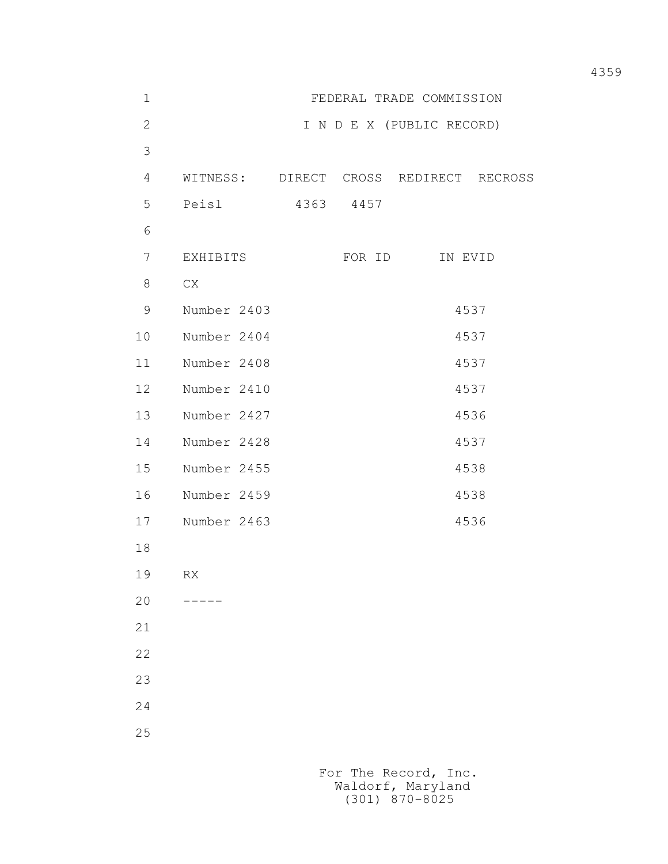| $1\,$          | FEDERAL TRADE COMMISSION  |           |        |                        |  |  |
|----------------|---------------------------|-----------|--------|------------------------|--|--|
| $\overline{2}$ | I N D E X (PUBLIC RECORD) |           |        |                        |  |  |
| $\mathfrak{Z}$ |                           |           |        |                        |  |  |
| 4              | WITNESS: DIRECT           |           |        | CROSS REDIRECT RECROSS |  |  |
| 5              | Peisl                     | 4363 4457 |        |                        |  |  |
| 6              |                           |           |        |                        |  |  |
| $\overline{7}$ | EXHIBITS                  |           | FOR ID | IN EVID                |  |  |
| 8              | CX                        |           |        |                        |  |  |
| 9              | Number 2403               |           |        | 4537                   |  |  |
| 10             | Number 2404               |           |        | 4537                   |  |  |
| 11             | Number 2408               |           |        | 4537                   |  |  |
| 12             | Number 2410               |           |        | 4537                   |  |  |
| 13             | Number 2427               |           |        | 4536                   |  |  |
| 14             | Number 2428               |           |        | 4537                   |  |  |
| 15             | Number 2455               |           |        | 4538                   |  |  |
| 16             | Number 2459               |           |        | 4538                   |  |  |
| 17             | Number 2463               | 4536      |        |                        |  |  |
| 18             |                           |           |        |                        |  |  |
| 19             | RX                        |           |        |                        |  |  |
| 20             |                           |           |        |                        |  |  |
| 21             |                           |           |        |                        |  |  |
| 22             |                           |           |        |                        |  |  |
| 23             |                           |           |        |                        |  |  |
| 24             |                           |           |        |                        |  |  |
| 25             |                           |           |        |                        |  |  |
|                |                           |           |        |                        |  |  |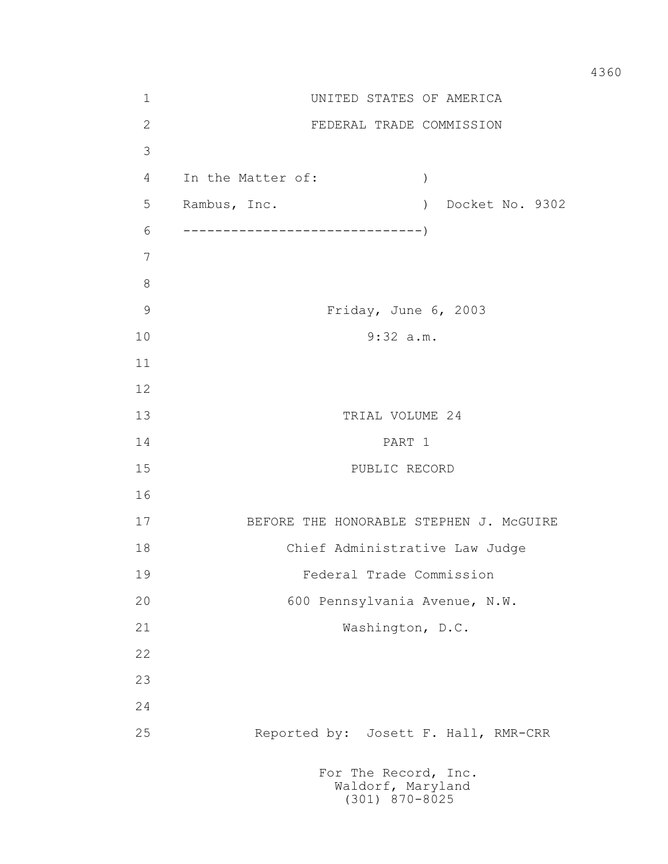1 UNITED STATES OF AMERICA 2 FEDERAL TRADE COMMISSION 3 4 In the Matter of: ) 5 Rambus, Inc. ) Docket No. 9302 6 ------------------------------) 7 8 9 Friday, June 6, 2003 10 9:32 a.m. 11 12 13 TRIAL VOLUME 24 14 PART 1 15 PUBLIC RECORD 16 17 BEFORE THE HONORABLE STEPHEN J. McGUIRE 18 Chief Administrative Law Judge 19 Federal Trade Commission 20 600 Pennsylvania Avenue, N.W. 21 Washington, D.C. 22 23 24 25 Reported by: Josett F. Hall, RMR-CRR For The Record, Inc.

 Waldorf, Maryland (301) 870-8025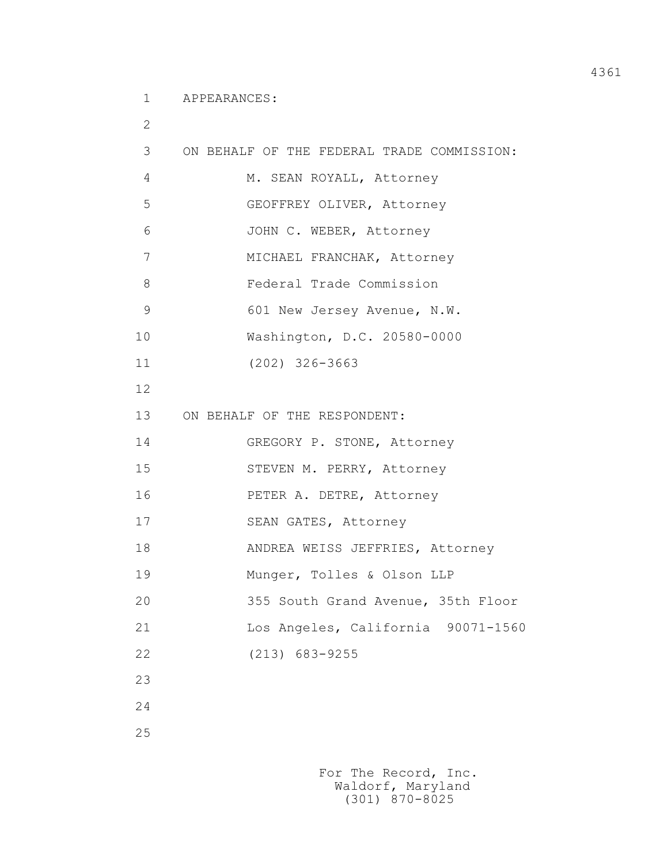1 APPEARANCES:

| $\overline{2}$ |                                            |
|----------------|--------------------------------------------|
| 3              | ON BEHALF OF THE FEDERAL TRADE COMMISSION: |
| 4              | M. SEAN ROYALL, Attorney                   |
| 5              | GEOFFREY OLIVER, Attorney                  |
| 6              | JOHN C. WEBER, Attorney                    |
| 7              | MICHAEL FRANCHAK, Attorney                 |
| 8              | Federal Trade Commission                   |
| 9              | 601 New Jersey Avenue, N.W.                |
| 10             | Washington, D.C. 20580-0000                |
| 11             | $(202)$ 326-3663                           |
| 12             |                                            |
| 13             | ON BEHALF OF THE RESPONDENT:               |
| 14             | GREGORY P. STONE, Attorney                 |
| 15             | STEVEN M. PERRY, Attorney                  |
| 16             | PETER A. DETRE, Attorney                   |
| 17             | SEAN GATES, Attorney                       |
| 18             | ANDREA WEISS JEFFRIES, Attorney            |
| 19             | Munger, Tolles & Olson LLP                 |
| 20             | 355 South Grand Avenue, 35th Floor         |
| 21             | Los Angeles, California 90071-1560         |
| 22             | $(213) 683 - 9255$                         |
| 23             |                                            |
| 24             |                                            |
| 25             |                                            |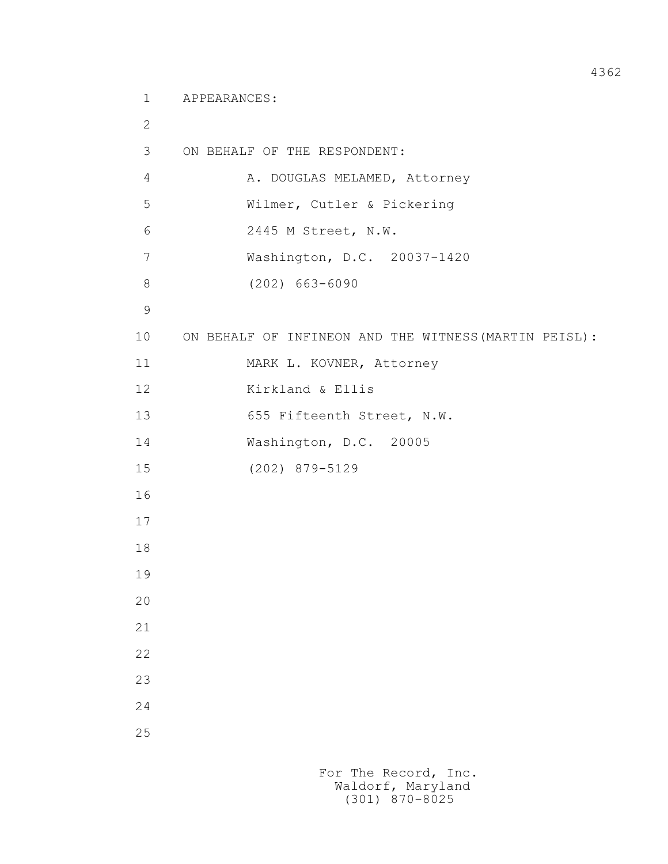1 APPEARANCES:

```
 2
          3 ON BEHALF OF THE RESPONDENT:
         4 A. DOUGLAS MELAMED, Attorney
          5 Wilmer, Cutler & Pickering
          6 2445 M Street, N.W.
         7 Washington, D.C. 20037-1420
         8 (202) 663-6090
9
         10 ON BEHALF OF INFINEON AND THE WITNESS(MARTIN PEISL):
         11 MARK L. KOVNER, Attorney
         12 Kirkland & Ellis
        13 655 Fifteenth Street, N.W.
         14 Washington, D.C. 20005
         15 (202) 879-5129
         16
         17
         18
         19
         20
         21
         22
         23
         24
         25
```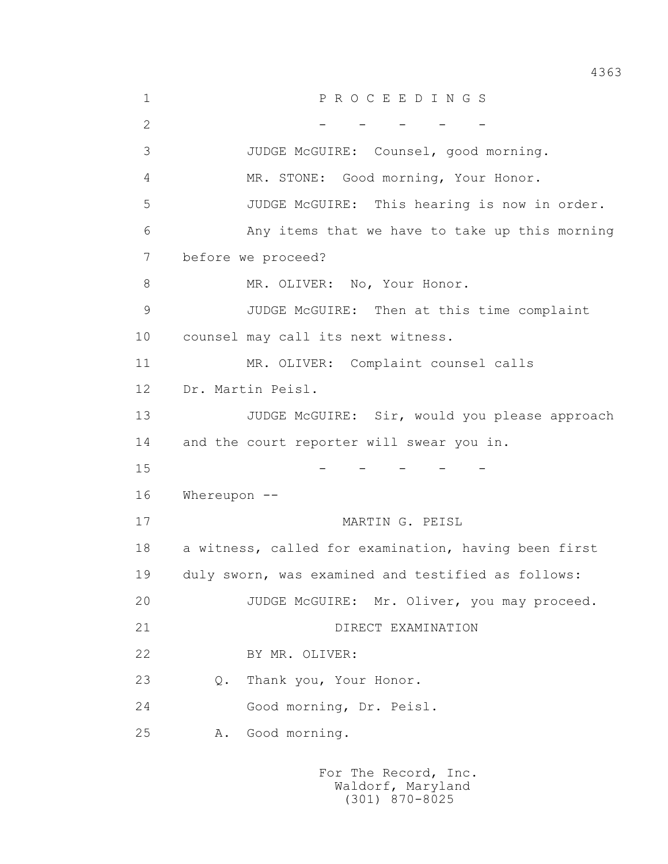1 P R O C E E D I N G S 2 - - - - - - 3 JUDGE McGUIRE: Counsel, good morning. 4 MR. STONE: Good morning, Your Honor. 5 JUDGE McGUIRE: This hearing is now in order. 6 Any items that we have to take up this morning 7 before we proceed? 8 MR. OLIVER: No, Your Honor. 9 JUDGE McGUIRE: Then at this time complaint 10 counsel may call its next witness. 11 MR. OLIVER: Complaint counsel calls 12 Dr. Martin Peisl. 13 JUDGE McGUIRE: Sir, would you please approach 14 and the court reporter will swear you in.  $15$  - - - - - 16 Whereupon -- 17 MARTIN G. PEISL 18 a witness, called for examination, having been first 19 duly sworn, was examined and testified as follows: 20 JUDGE McGUIRE: Mr. Oliver, you may proceed. 21 DIRECT EXAMINATION 22 BY MR. OLIVER: 23 Q. Thank you, Your Honor. 24 Good morning, Dr. Peisl. 25 A. Good morning.

> For The Record, Inc. Waldorf, Maryland (301) 870-8025

4363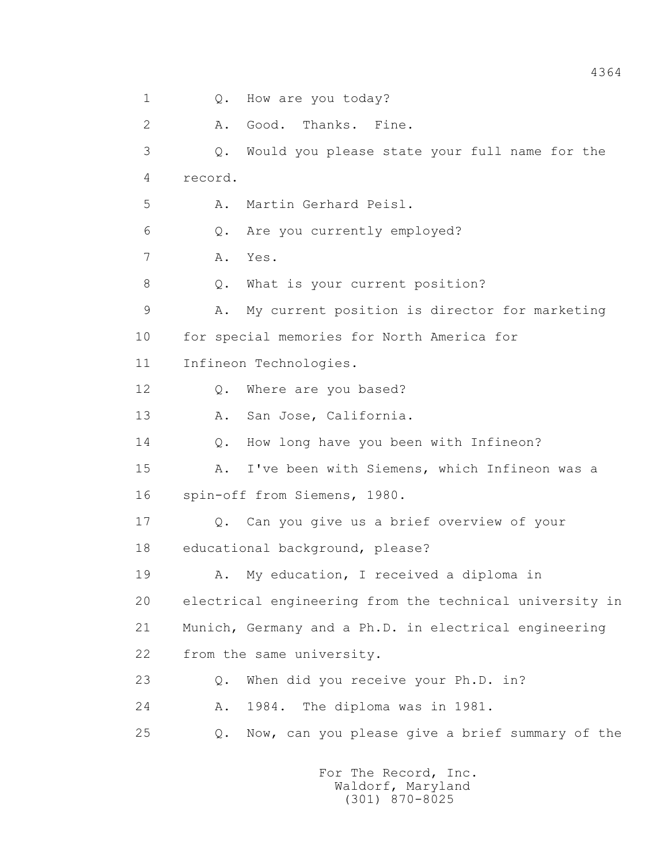1 0. How are you today? 2 A. Good. Thanks. Fine. 3 Q. Would you please state your full name for the 4 record. 5 A. Martin Gerhard Peisl. 6 Q. Are you currently employed? 7 A. Yes. 8 Q. What is your current position? 9 A. My current position is director for marketing 10 for special memories for North America for 11 Infineon Technologies. 12 Q. Where are you based? 13 A. San Jose, California. 14 Q. How long have you been with Infineon? 15 A. I've been with Siemens, which Infineon was a 16 spin-off from Siemens, 1980. 17 Q. Can you give us a brief overview of your 18 educational background, please? 19 A. My education, I received a diploma in 20 electrical engineering from the technical university in 21 Munich, Germany and a Ph.D. in electrical engineering 22 from the same university. 23 Q. When did you receive your Ph.D. in? 24 A. 1984. The diploma was in 1981. 25 Q. Now, can you please give a brief summary of the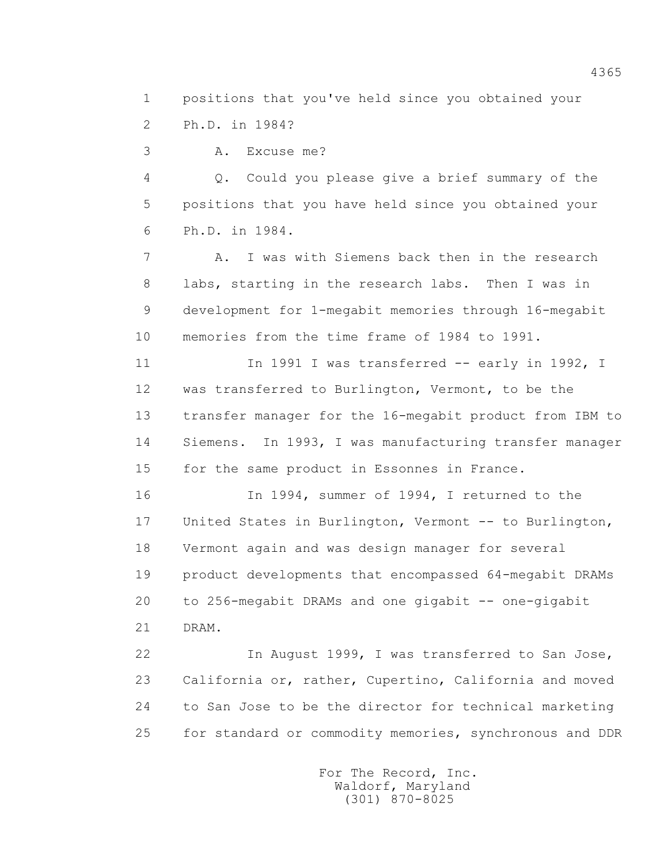1 positions that you've held since you obtained your

2 Ph.D. in 1984?

3 A. Excuse me?

 4 Q. Could you please give a brief summary of the 5 positions that you have held since you obtained your 6 Ph.D. in 1984.

 7 A. I was with Siemens back then in the research 8 labs, starting in the research labs. Then I was in 9 development for 1-megabit memories through 16-megabit 10 memories from the time frame of 1984 to 1991.

11 1991 I was transferred -- early in 1992, I 12 was transferred to Burlington, Vermont, to be the 13 transfer manager for the 16-megabit product from IBM to 14 Siemens. In 1993, I was manufacturing transfer manager 15 for the same product in Essonnes in France.

 16 In 1994, summer of 1994, I returned to the 17 United States in Burlington, Vermont -- to Burlington, 18 Vermont again and was design manager for several 19 product developments that encompassed 64-megabit DRAMs 20 to 256-megabit DRAMs and one gigabit -- one-gigabit

21 DRAM.

 22 In August 1999, I was transferred to San Jose, 23 California or, rather, Cupertino, California and moved 24 to San Jose to be the director for technical marketing 25 for standard or commodity memories, synchronous and DDR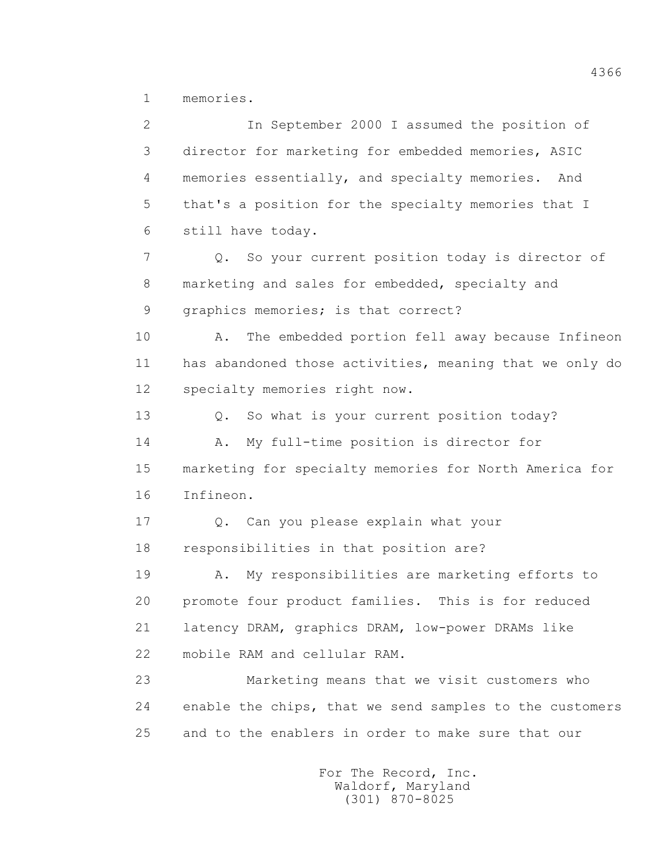1 memories.

 2 In September 2000 I assumed the position of 3 director for marketing for embedded memories, ASIC 4 memories essentially, and specialty memories. And 5 that's a position for the specialty memories that I 6 still have today. 7 Q. So your current position today is director of 8 marketing and sales for embedded, specialty and 9 graphics memories; is that correct? 10 A. The embedded portion fell away because Infineon 11 has abandoned those activities, meaning that we only do 12 specialty memories right now. 13 Q. So what is your current position today? 14 A. My full-time position is director for 15 marketing for specialty memories for North America for 16 Infineon. 17 Q. Can you please explain what your 18 responsibilities in that position are? 19 A. My responsibilities are marketing efforts to 20 promote four product families. This is for reduced 21 latency DRAM, graphics DRAM, low-power DRAMs like 22 mobile RAM and cellular RAM. 23 Marketing means that we visit customers who 24 enable the chips, that we send samples to the customers 25 and to the enablers in order to make sure that our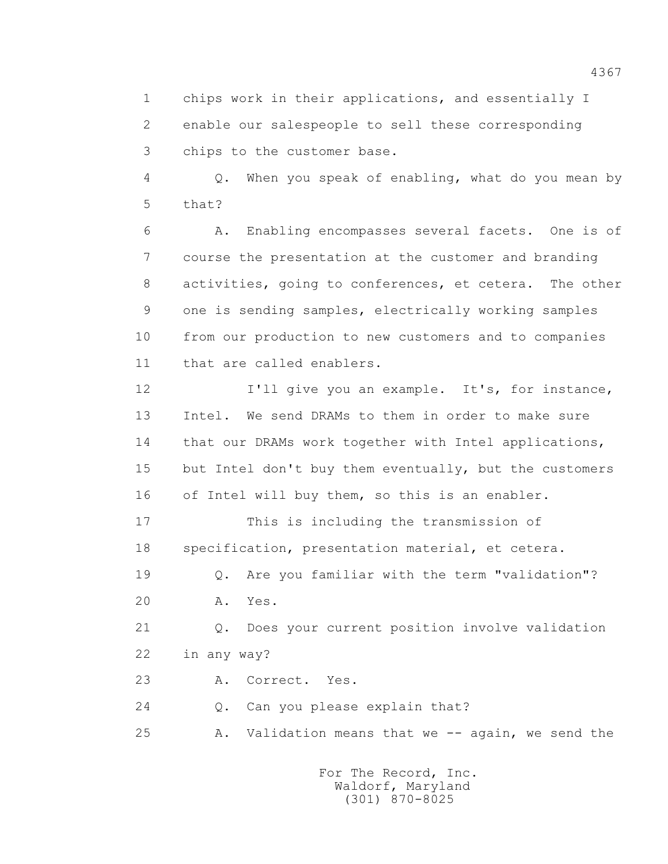1 chips work in their applications, and essentially I 2 enable our salespeople to sell these corresponding 3 chips to the customer base.

 4 Q. When you speak of enabling, what do you mean by 5 that?

 6 A. Enabling encompasses several facets. One is of 7 course the presentation at the customer and branding 8 activities, going to conferences, et cetera. The other 9 one is sending samples, electrically working samples 10 from our production to new customers and to companies 11 that are called enablers.

12 I'll give you an example. It's, for instance, 13 Intel. We send DRAMs to them in order to make sure 14 that our DRAMs work together with Intel applications, 15 but Intel don't buy them eventually, but the customers 16 of Intel will buy them, so this is an enabler.

 17 This is including the transmission of 18 specification, presentation material, et cetera.

 19 Q. Are you familiar with the term "validation"? 20 A. Yes.

 21 Q. Does your current position involve validation 22 in any way?

23 A. Correct. Yes.

24 Q. Can you please explain that?

25 A. Validation means that we -- again, we send the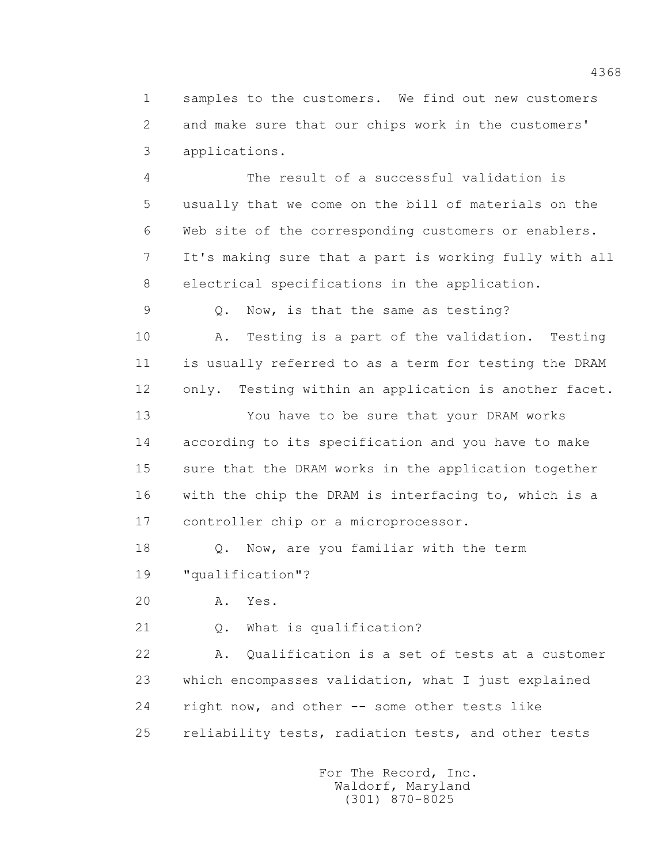1 samples to the customers. We find out new customers 2 and make sure that our chips work in the customers' 3 applications.

 4 The result of a successful validation is 5 usually that we come on the bill of materials on the 6 Web site of the corresponding customers or enablers. 7 It's making sure that a part is working fully with all 8 electrical specifications in the application.

9 Q. Now, is that the same as testing?

 10 A. Testing is a part of the validation. Testing 11 is usually referred to as a term for testing the DRAM 12 only. Testing within an application is another facet.

 13 You have to be sure that your DRAM works 14 according to its specification and you have to make 15 sure that the DRAM works in the application together 16 with the chip the DRAM is interfacing to, which is a 17 controller chip or a microprocessor.

 18 Q. Now, are you familiar with the term 19 "qualification"?

20 A. Yes.

21 Q. What is qualification?

 22 A. Qualification is a set of tests at a customer 23 which encompasses validation, what I just explained 24 right now, and other -- some other tests like 25 reliability tests, radiation tests, and other tests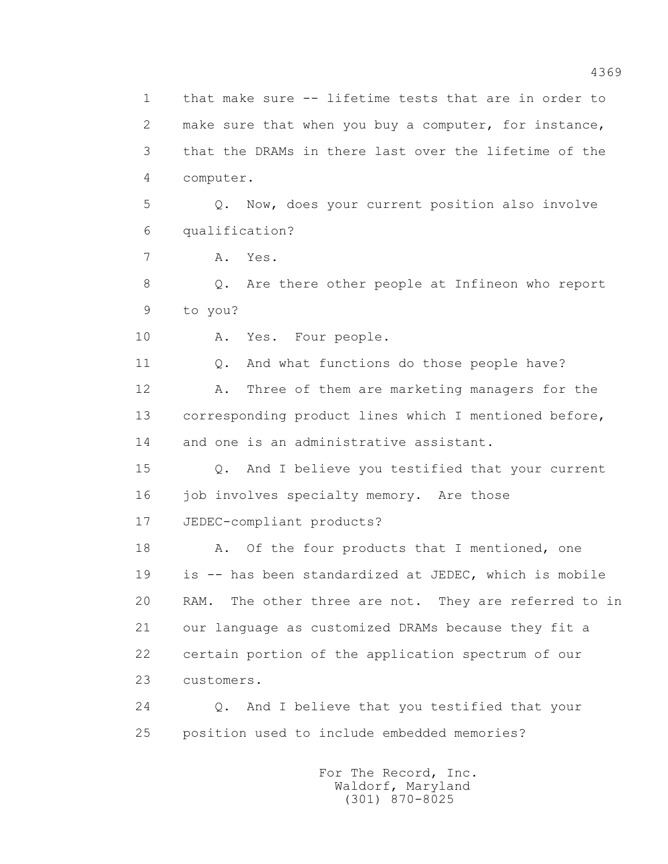1 that make sure -- lifetime tests that are in order to 2 make sure that when you buy a computer, for instance, 3 that the DRAMs in there last over the lifetime of the 4 computer.

 5 Q. Now, does your current position also involve 6 qualification?

7 A. Yes.

 8 Q. Are there other people at Infineon who report 9 to you?

10 A. Yes. Four people.

11 0. And what functions do those people have? 12 A. Three of them are marketing managers for the 13 corresponding product lines which I mentioned before, 14 and one is an administrative assistant.

 15 Q. And I believe you testified that your current 16 job involves specialty memory. Are those 17 JEDEC-compliant products?

18 A. Of the four products that I mentioned, one 19 is -- has been standardized at JEDEC, which is mobile 20 RAM. The other three are not. They are referred to in 21 our language as customized DRAMs because they fit a 22 certain portion of the application spectrum of our 23 customers.

 24 Q. And I believe that you testified that your 25 position used to include embedded memories?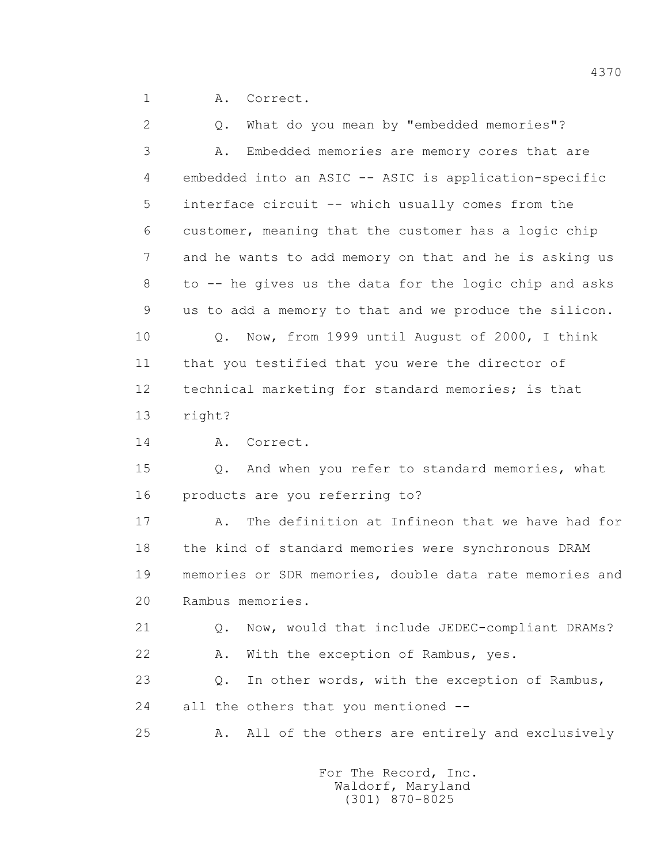1 A. Correct.

 2 Q. What do you mean by "embedded memories"? 3 A. Embedded memories are memory cores that are 4 embedded into an ASIC -- ASIC is application-specific 5 interface circuit -- which usually comes from the 6 customer, meaning that the customer has a logic chip 7 and he wants to add memory on that and he is asking us 8 to -- he gives us the data for the logic chip and asks 9 us to add a memory to that and we produce the silicon. 10 Q. Now, from 1999 until August of 2000, I think 11 that you testified that you were the director of 12 technical marketing for standard memories; is that 13 right? 14 A. Correct. 15 Q. And when you refer to standard memories, what 16 products are you referring to? 17 A. The definition at Infineon that we have had for 18 the kind of standard memories were synchronous DRAM 19 memories or SDR memories, double data rate memories and 20 Rambus memories. 21 Q. Now, would that include JEDEC-compliant DRAMs? 22 A. With the exception of Rambus, yes. 23 Q. In other words, with the exception of Rambus, 24 all the others that you mentioned -- 25 A. All of the others are entirely and exclusively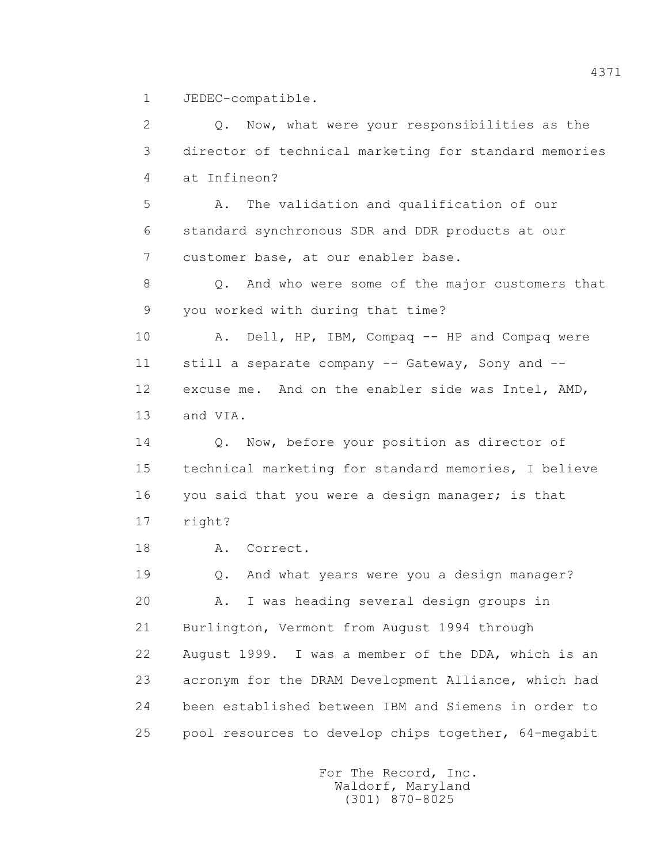1 JEDEC-compatible.

 2 Q. Now, what were your responsibilities as the 3 director of technical marketing for standard memories 4 at Infineon? 5 A. The validation and qualification of our 6 standard synchronous SDR and DDR products at our 7 customer base, at our enabler base. 8 Q. And who were some of the major customers that 9 you worked with during that time? 10 A. Dell, HP, IBM, Compaq -- HP and Compaq were 11 still a separate company -- Gateway, Sony and -- 12 excuse me. And on the enabler side was Intel, AMD, 13 and VIA. 14 Q. Now, before your position as director of 15 technical marketing for standard memories, I believe 16 you said that you were a design manager; is that 17 right? 18 A. Correct. 19 Q. And what years were you a design manager? 20 A. I was heading several design groups in 21 Burlington, Vermont from August 1994 through 22 August 1999. I was a member of the DDA, which is an 23 acronym for the DRAM Development Alliance, which had 24 been established between IBM and Siemens in order to 25 pool resources to develop chips together, 64-megabit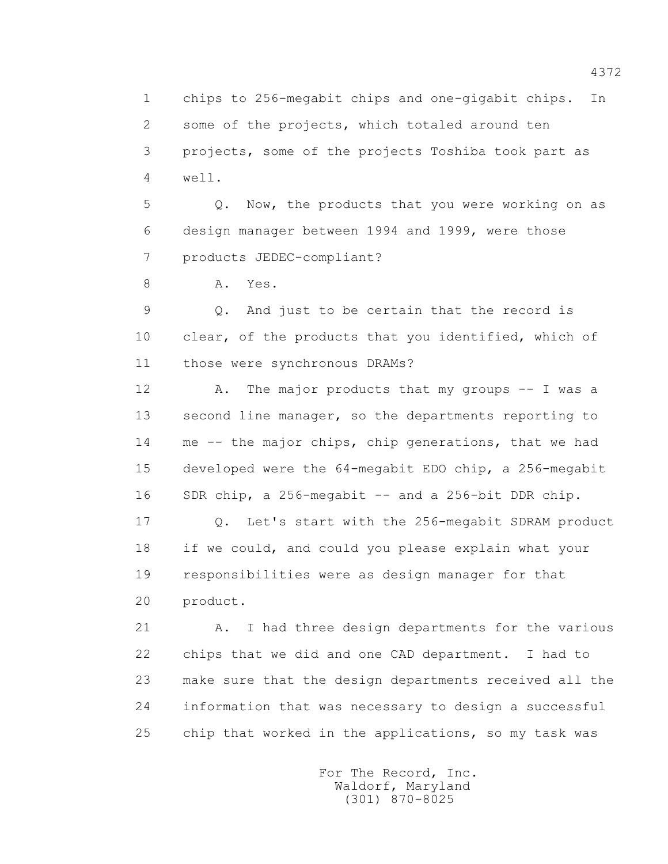1 chips to 256-megabit chips and one-gigabit chips. In 2 some of the projects, which totaled around ten 3 projects, some of the projects Toshiba took part as 4 well.

 5 Q. Now, the products that you were working on as 6 design manager between 1994 and 1999, were those 7 products JEDEC-compliant?

8 A. Yes.

 9 Q. And just to be certain that the record is 10 clear, of the products that you identified, which of 11 those were synchronous DRAMs?

12 A. The major products that my groups -- I was a 13 second line manager, so the departments reporting to 14 me -- the major chips, chip generations, that we had 15 developed were the 64-megabit EDO chip, a 256-megabit 16 SDR chip, a 256-megabit -- and a 256-bit DDR chip.

 17 Q. Let's start with the 256-megabit SDRAM product 18 if we could, and could you please explain what your 19 responsibilities were as design manager for that 20 product.

 21 A. I had three design departments for the various 22 chips that we did and one CAD department. I had to 23 make sure that the design departments received all the 24 information that was necessary to design a successful 25 chip that worked in the applications, so my task was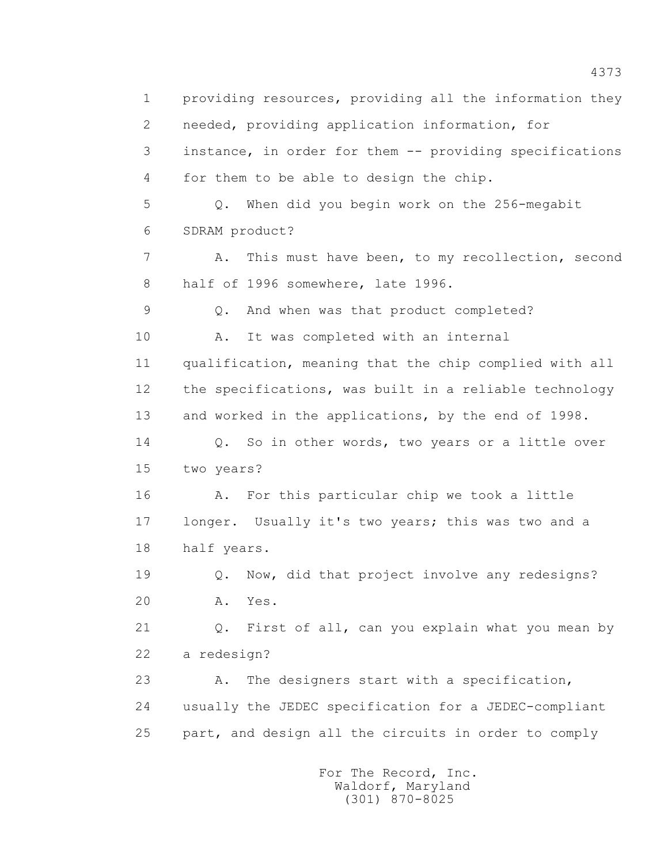1 providing resources, providing all the information they 2 needed, providing application information, for 3 instance, in order for them -- providing specifications 4 for them to be able to design the chip. 5 Q. When did you begin work on the 256-megabit 6 SDRAM product? 7 A. This must have been, to my recollection, second 8 half of 1996 somewhere, late 1996. 9 Q. And when was that product completed? 10 A. It was completed with an internal 11 qualification, meaning that the chip complied with all 12 the specifications, was built in a reliable technology 13 and worked in the applications, by the end of 1998. 14 Q. So in other words, two years or a little over 15 two years? 16 A. For this particular chip we took a little 17 longer. Usually it's two years; this was two and a 18 half years. 19 Q. Now, did that project involve any redesigns? 20 A. Yes. 21 Q. First of all, can you explain what you mean by 22 a redesign? 23 A. The designers start with a specification, 24 usually the JEDEC specification for a JEDEC-compliant 25 part, and design all the circuits in order to comply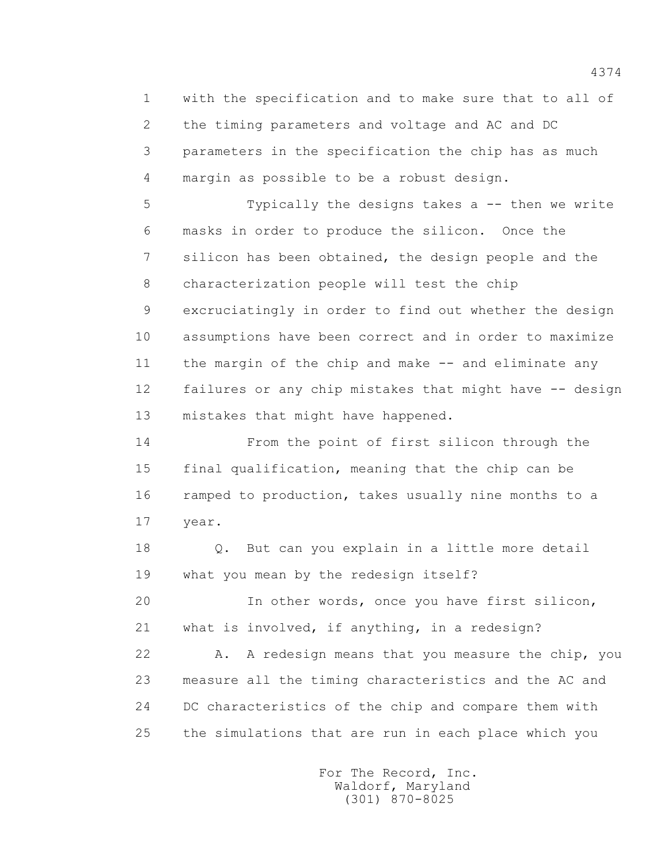1 with the specification and to make sure that to all of 2 the timing parameters and voltage and AC and DC 3 parameters in the specification the chip has as much 4 margin as possible to be a robust design.

 5 Typically the designs takes a -- then we write 6 masks in order to produce the silicon. Once the 7 silicon has been obtained, the design people and the 8 characterization people will test the chip 9 excruciatingly in order to find out whether the design 10 assumptions have been correct and in order to maximize 11 the margin of the chip and make -- and eliminate any 12 failures or any chip mistakes that might have -- design 13 mistakes that might have happened.

 14 From the point of first silicon through the 15 final qualification, meaning that the chip can be 16 ramped to production, takes usually nine months to a 17 year.

 18 Q. But can you explain in a little more detail 19 what you mean by the redesign itself?

 20 In other words, once you have first silicon, 21 what is involved, if anything, in a redesign?

 22 A. A redesign means that you measure the chip, you 23 measure all the timing characteristics and the AC and 24 DC characteristics of the chip and compare them with 25 the simulations that are run in each place which you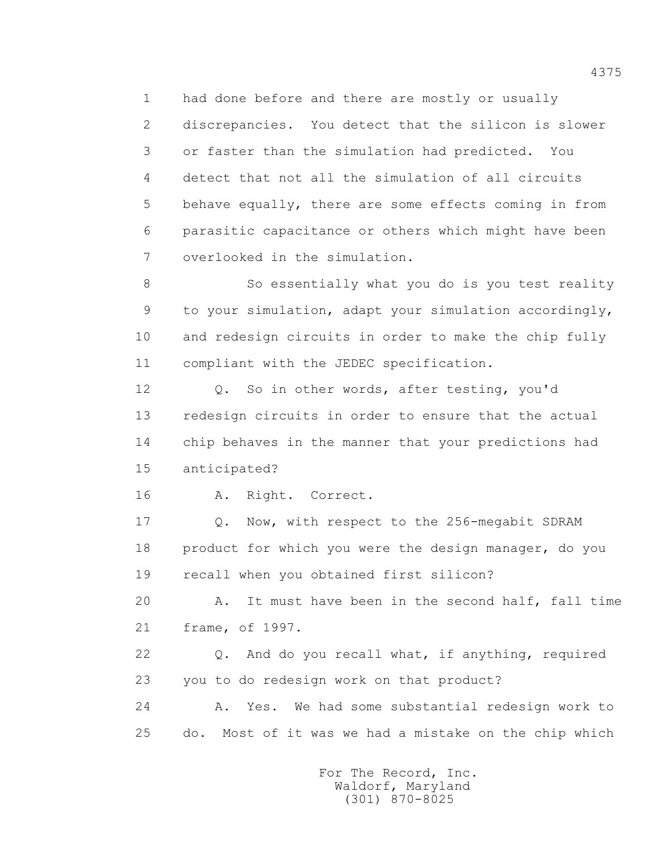1 had done before and there are mostly or usually

 2 discrepancies. You detect that the silicon is slower 3 or faster than the simulation had predicted. You 4 detect that not all the simulation of all circuits 5 behave equally, there are some effects coming in from 6 parasitic capacitance or others which might have been 7 overlooked in the simulation.

 8 So essentially what you do is you test reality 9 to your simulation, adapt your simulation accordingly, 10 and redesign circuits in order to make the chip fully 11 compliant with the JEDEC specification.

 12 Q. So in other words, after testing, you'd 13 redesign circuits in order to ensure that the actual 14 chip behaves in the manner that your predictions had 15 anticipated?

16 A. Right. Correct.

 17 Q. Now, with respect to the 256-megabit SDRAM 18 product for which you were the design manager, do you 19 recall when you obtained first silicon?

 20 A. It must have been in the second half, fall time 21 frame, of 1997.

 22 Q. And do you recall what, if anything, required 23 you to do redesign work on that product?

 24 A. Yes. We had some substantial redesign work to 25 do. Most of it was we had a mistake on the chip which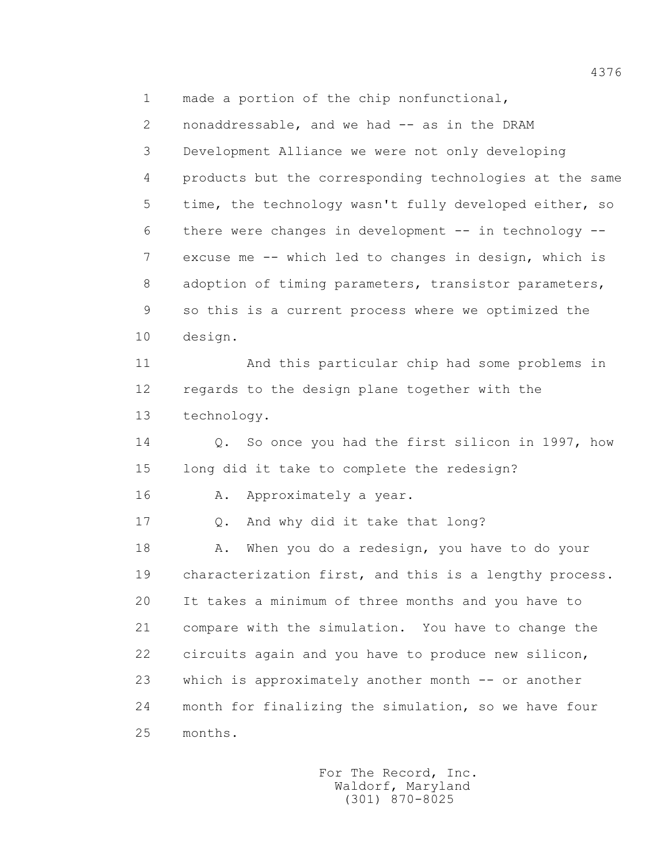1 made a portion of the chip nonfunctional,

 2 nonaddressable, and we had -- as in the DRAM 3 Development Alliance we were not only developing 4 products but the corresponding technologies at the same 5 time, the technology wasn't fully developed either, so 6 there were changes in development -- in technology -- 7 excuse me -- which led to changes in design, which is 8 adoption of timing parameters, transistor parameters, 9 so this is a current process where we optimized the 10 design.

 11 And this particular chip had some problems in 12 regards to the design plane together with the 13 technology.

 14 Q. So once you had the first silicon in 1997, how 15 long did it take to complete the redesign?

16 A. Approximately a year.

17 Q. And why did it take that long?

18 A. When you do a redesign, you have to do your 19 characterization first, and this is a lengthy process. 20 It takes a minimum of three months and you have to 21 compare with the simulation. You have to change the 22 circuits again and you have to produce new silicon, 23 which is approximately another month -- or another 24 month for finalizing the simulation, so we have four 25 months.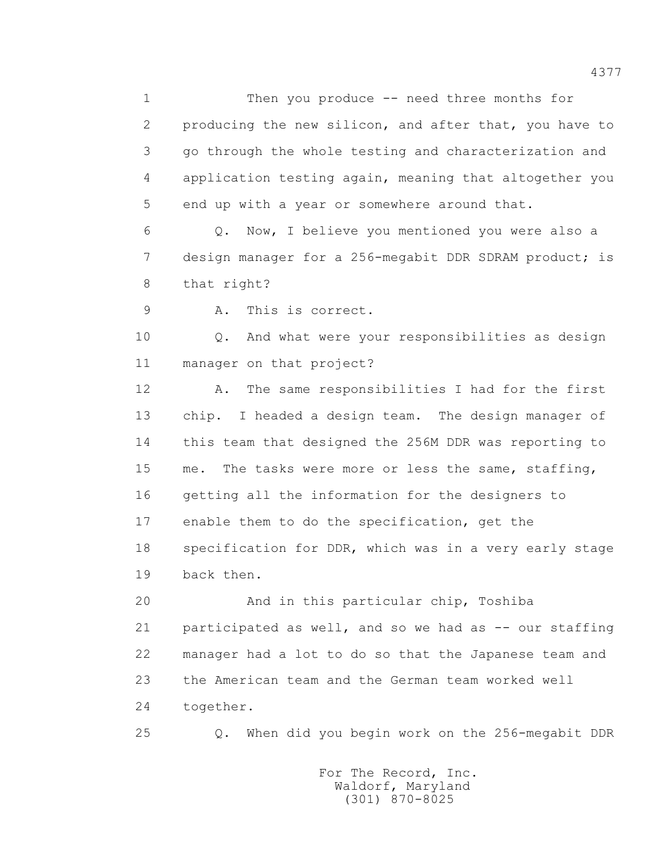1 Then you produce -- need three months for 2 producing the new silicon, and after that, you have to 3 go through the whole testing and characterization and 4 application testing again, meaning that altogether you 5 end up with a year or somewhere around that.

 6 Q. Now, I believe you mentioned you were also a 7 design manager for a 256-megabit DDR SDRAM product; is 8 that right?

9 A. This is correct.

 10 Q. And what were your responsibilities as design 11 manager on that project?

 12 A. The same responsibilities I had for the first 13 chip. I headed a design team. The design manager of 14 this team that designed the 256M DDR was reporting to 15 me. The tasks were more or less the same, staffing, 16 getting all the information for the designers to 17 enable them to do the specification, get the 18 specification for DDR, which was in a very early stage 19 back then.

 20 And in this particular chip, Toshiba 21 participated as well, and so we had as -- our staffing 22 manager had a lot to do so that the Japanese team and 23 the American team and the German team worked well 24 together.

25 Q. When did you begin work on the 256-megabit DDR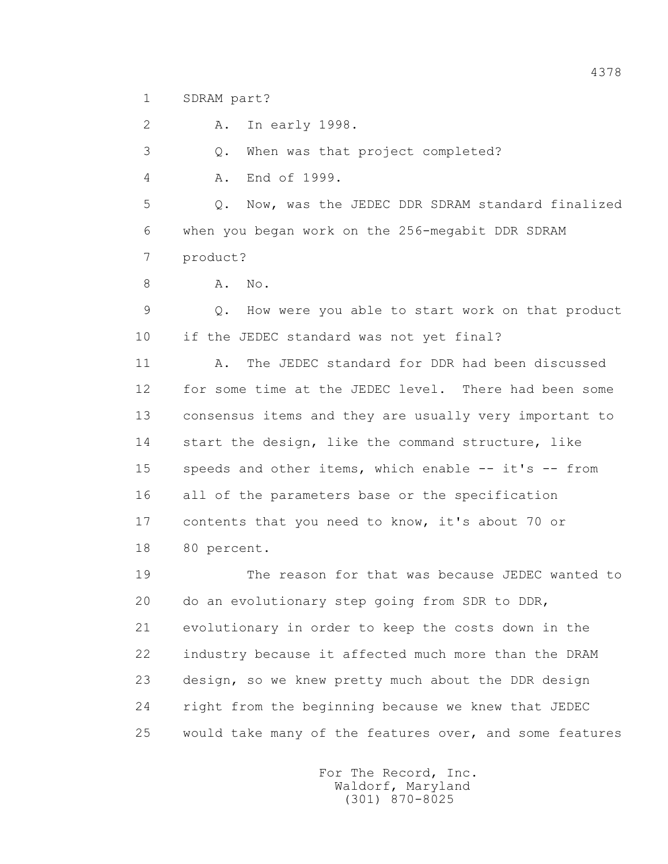1 SDRAM part?

2 A. In early 1998.

3 Q. When was that project completed?

4 A. End of 1999.

 5 Q. Now, was the JEDEC DDR SDRAM standard finalized 6 when you began work on the 256-megabit DDR SDRAM 7 product?

8 A. No.

 9 Q. How were you able to start work on that product 10 if the JEDEC standard was not yet final?

 11 A. The JEDEC standard for DDR had been discussed 12 for some time at the JEDEC level. There had been some 13 consensus items and they are usually very important to 14 start the design, like the command structure, like 15 speeds and other items, which enable -- it's -- from 16 all of the parameters base or the specification 17 contents that you need to know, it's about 70 or 18 80 percent.

 19 The reason for that was because JEDEC wanted to 20 do an evolutionary step going from SDR to DDR, 21 evolutionary in order to keep the costs down in the 22 industry because it affected much more than the DRAM 23 design, so we knew pretty much about the DDR design 24 right from the beginning because we knew that JEDEC 25 would take many of the features over, and some features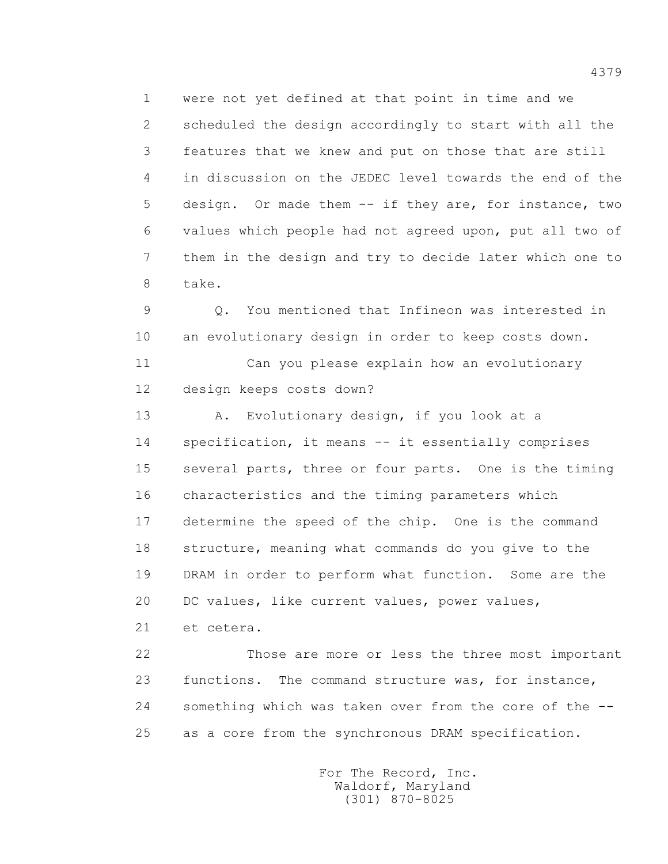1 were not yet defined at that point in time and we 2 scheduled the design accordingly to start with all the 3 features that we knew and put on those that are still 4 in discussion on the JEDEC level towards the end of the 5 design. Or made them -- if they are, for instance, two 6 values which people had not agreed upon, put all two of 7 them in the design and try to decide later which one to 8 take.

 9 Q. You mentioned that Infineon was interested in 10 an evolutionary design in order to keep costs down.

 11 Can you please explain how an evolutionary 12 design keeps costs down?

 13 A. Evolutionary design, if you look at a 14 specification, it means -- it essentially comprises 15 several parts, three or four parts. One is the timing 16 characteristics and the timing parameters which 17 determine the speed of the chip. One is the command 18 structure, meaning what commands do you give to the 19 DRAM in order to perform what function. Some are the 20 DC values, like current values, power values,

21 et cetera.

 22 Those are more or less the three most important 23 functions. The command structure was, for instance, 24 something which was taken over from the core of the -- 25 as a core from the synchronous DRAM specification.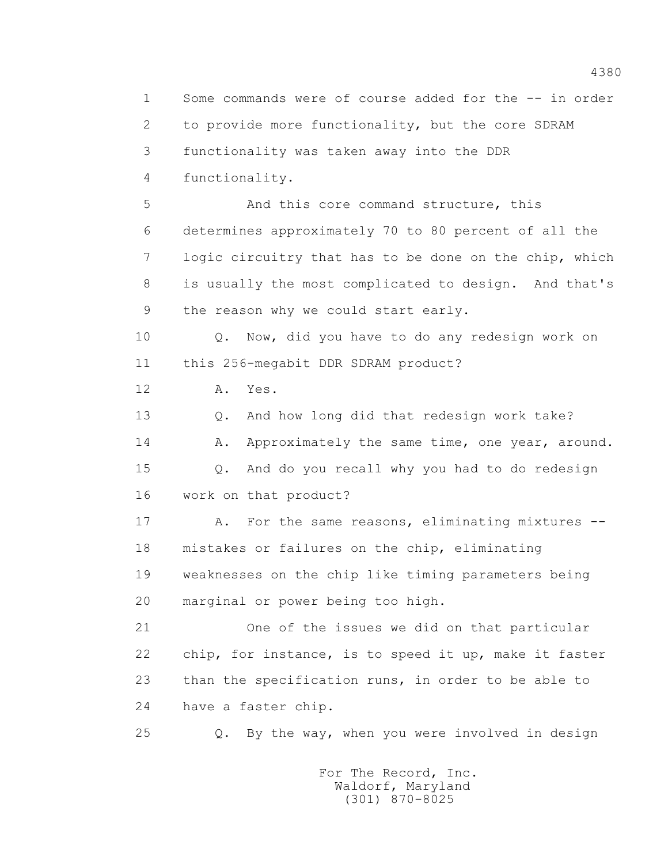1 Some commands were of course added for the -- in order 2 to provide more functionality, but the core SDRAM 3 functionality was taken away into the DDR 4 functionality. 5 And this core command structure, this 6 determines approximately 70 to 80 percent of all the 7 logic circuitry that has to be done on the chip, which 8 is usually the most complicated to design. And that's 9 the reason why we could start early. 10 Q. Now, did you have to do any redesign work on 11 this 256-megabit DDR SDRAM product? 12 A. Yes. 13 Q. And how long did that redesign work take? 14 A. Approximately the same time, one year, around. 15 Q. And do you recall why you had to do redesign 16 work on that product? 17 A. For the same reasons, eliminating mixtures -- 18 mistakes or failures on the chip, eliminating 19 weaknesses on the chip like timing parameters being 20 marginal or power being too high. 21 One of the issues we did on that particular 22 chip, for instance, is to speed it up, make it faster 23 than the specification runs, in order to be able to 24 have a faster chip. 25 Q. By the way, when you were involved in design For The Record, Inc.

 Waldorf, Maryland (301) 870-8025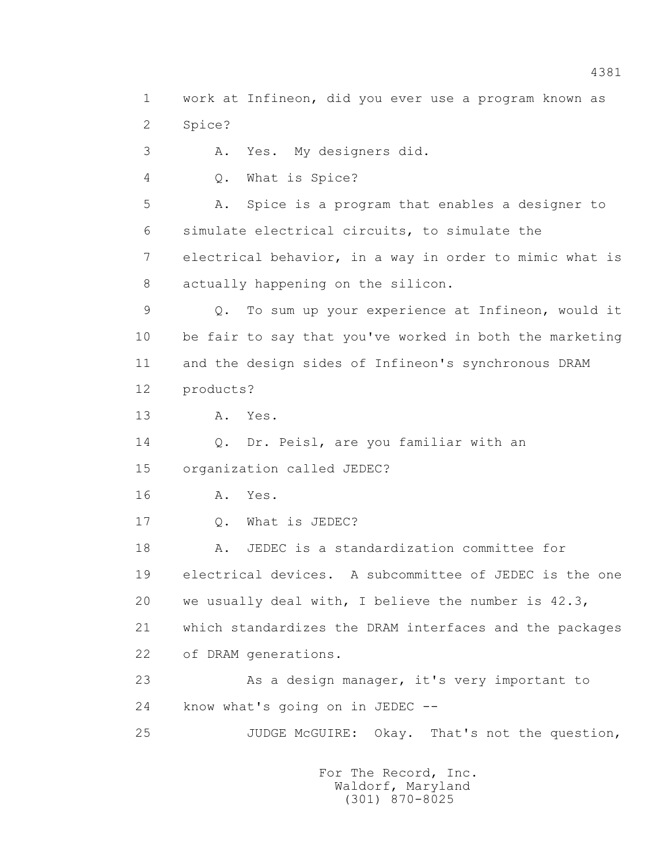1 work at Infineon, did you ever use a program known as 2 Spice? 3 A. Yes. My designers did. 4 Q. What is Spice? 5 A. Spice is a program that enables a designer to 6 simulate electrical circuits, to simulate the 7 electrical behavior, in a way in order to mimic what is 8 actually happening on the silicon. 9 Q. To sum up your experience at Infineon, would it 10 be fair to say that you've worked in both the marketing 11 and the design sides of Infineon's synchronous DRAM 12 products? 13 A. Yes. 14 Q. Dr. Peisl, are you familiar with an 15 organization called JEDEC? 16 **A.** Yes. 17 Q. What is JEDEC? 18 A. JEDEC is a standardization committee for 19 electrical devices. A subcommittee of JEDEC is the one 20 we usually deal with, I believe the number is 42.3, 21 which standardizes the DRAM interfaces and the packages 22 of DRAM generations. 23 As a design manager, it's very important to 24 know what's going on in JEDEC -- 25 JUDGE McGUIRE: Okay. That's not the question,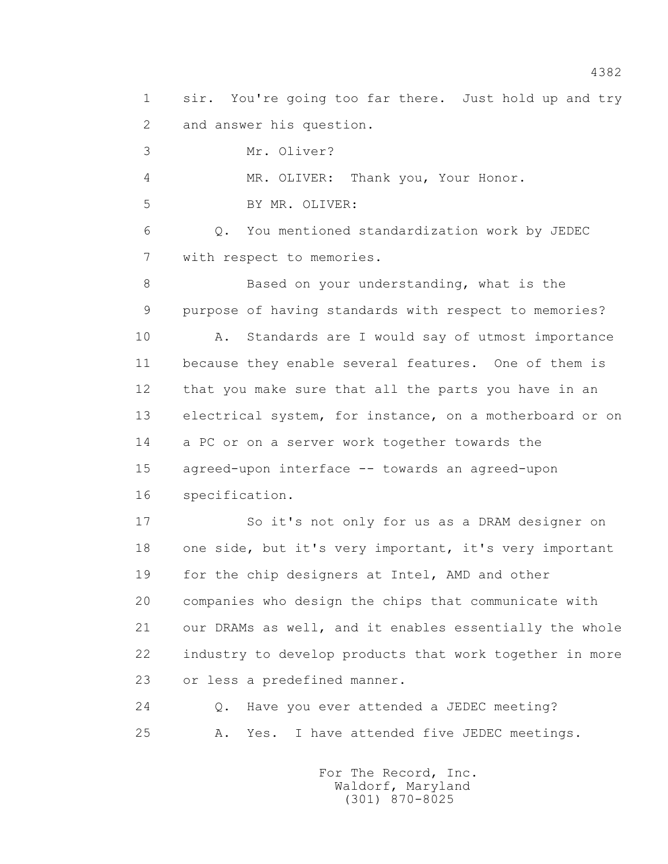1 sir. You're going too far there. Just hold up and try 2 and answer his question.

3 Mr. Oliver?

4 MR. OLIVER: Thank you, Your Honor.

5 BY MR. OLIVER:

 6 Q. You mentioned standardization work by JEDEC 7 with respect to memories.

 8 Based on your understanding, what is the 9 purpose of having standards with respect to memories? 10 A. Standards are I would say of utmost importance 11 because they enable several features. One of them is 12 that you make sure that all the parts you have in an 13 electrical system, for instance, on a motherboard or on 14 a PC or on a server work together towards the 15 agreed-upon interface -- towards an agreed-upon 16 specification.

 17 So it's not only for us as a DRAM designer on 18 one side, but it's very important, it's very important 19 for the chip designers at Intel, AMD and other 20 companies who design the chips that communicate with 21 our DRAMs as well, and it enables essentially the whole 22 industry to develop products that work together in more 23 or less a predefined manner.

 24 Q. Have you ever attended a JEDEC meeting? 25 A. Yes. I have attended five JEDEC meetings.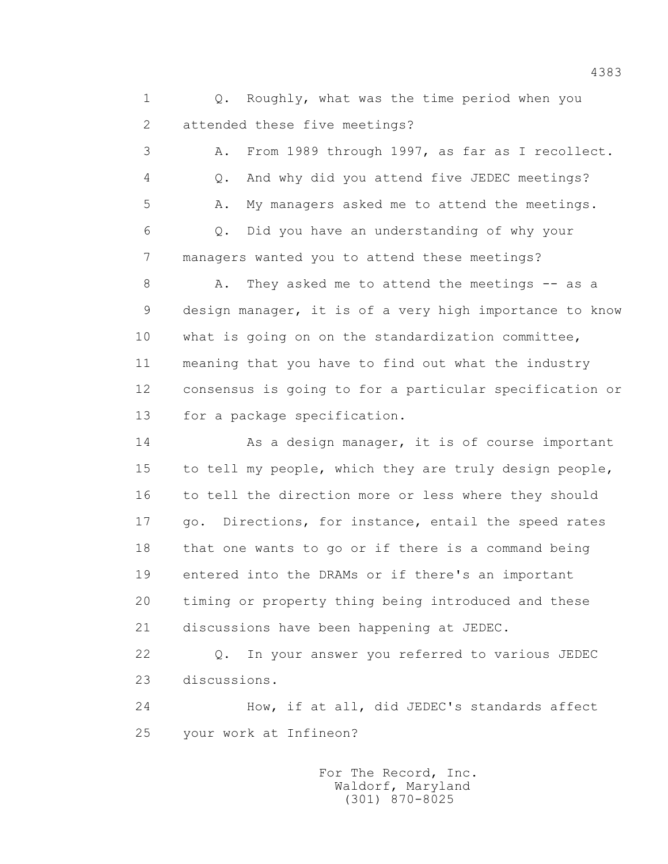1 0. Roughly, what was the time period when you 2 attended these five meetings?

 3 A. From 1989 through 1997, as far as I recollect. 4 Q. And why did you attend five JEDEC meetings? 5 A. My managers asked me to attend the meetings. 6 Q. Did you have an understanding of why your 7 managers wanted you to attend these meetings?

8 A. They asked me to attend the meetings -- as a 9 design manager, it is of a very high importance to know 10 what is going on on the standardization committee, 11 meaning that you have to find out what the industry 12 consensus is going to for a particular specification or 13 for a package specification.

14 As a design manager, it is of course important 15 to tell my people, which they are truly design people, 16 to tell the direction more or less where they should 17 go. Directions, for instance, entail the speed rates 18 that one wants to go or if there is a command being 19 entered into the DRAMs or if there's an important 20 timing or property thing being introduced and these 21 discussions have been happening at JEDEC.

 22 Q. In your answer you referred to various JEDEC 23 discussions.

 24 How, if at all, did JEDEC's standards affect 25 your work at Infineon?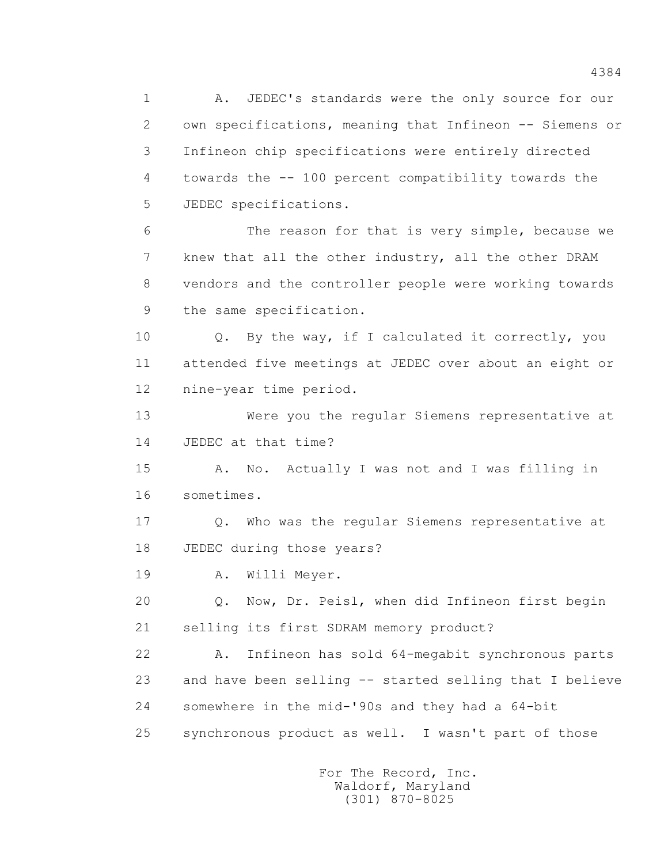1 A. JEDEC's standards were the only source for our 2 own specifications, meaning that Infineon -- Siemens or 3 Infineon chip specifications were entirely directed 4 towards the -- 100 percent compatibility towards the 5 JEDEC specifications. 6 The reason for that is very simple, because we 7 knew that all the other industry, all the other DRAM 8 vendors and the controller people were working towards 9 the same specification. 10 Q. By the way, if I calculated it correctly, you 11 attended five meetings at JEDEC over about an eight or 12 nine-year time period. 13 Were you the regular Siemens representative at 14 JEDEC at that time? 15 A. No. Actually I was not and I was filling in 16 sometimes. 17 Q. Who was the regular Siemens representative at 18 JEDEC during those years? 19 A. Willi Meyer. 20 Q. Now, Dr. Peisl, when did Infineon first begin 21 selling its first SDRAM memory product? 22 A. Infineon has sold 64-megabit synchronous parts 23 and have been selling -- started selling that I believe 24 somewhere in the mid-'90s and they had a 64-bit 25 synchronous product as well. I wasn't part of those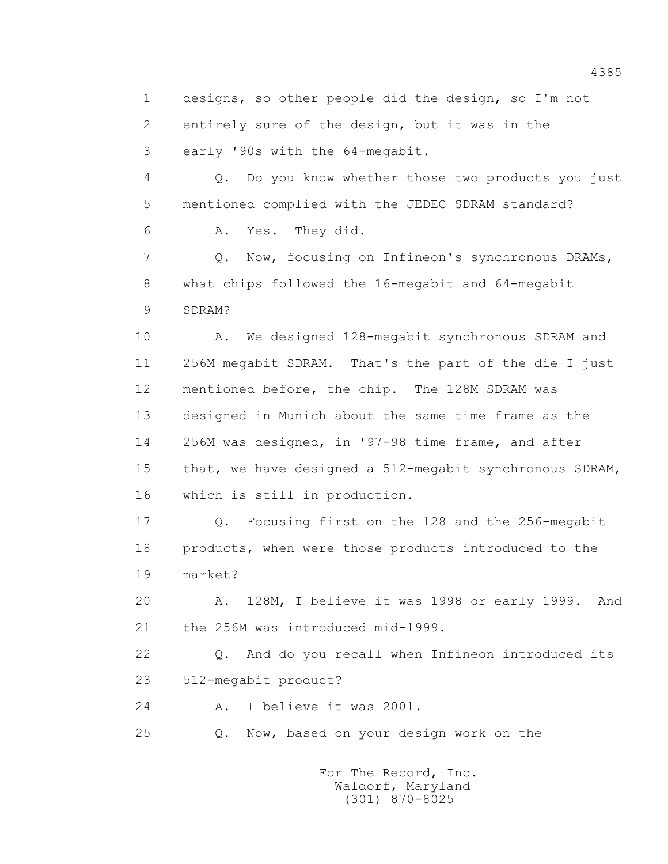1 designs, so other people did the design, so I'm not 2 entirely sure of the design, but it was in the 3 early '90s with the 64-megabit. 4 Q. Do you know whether those two products you just 5 mentioned complied with the JEDEC SDRAM standard? 6 A. Yes. They did. 7 Q. Now, focusing on Infineon's synchronous DRAMs, 8 what chips followed the 16-megabit and 64-megabit 9 SDRAM? 10 A. We designed 128-megabit synchronous SDRAM and 11 256M megabit SDRAM. That's the part of the die I just 12 mentioned before, the chip. The 128M SDRAM was 13 designed in Munich about the same time frame as the 14 256M was designed, in '97-98 time frame, and after 15 that, we have designed a 512-megabit synchronous SDRAM, 16 which is still in production. 17 Q. Focusing first on the 128 and the 256-megabit 18 products, when were those products introduced to the 19 market? 20 A. 128M, I believe it was 1998 or early 1999. And 21 the 256M was introduced mid-1999. 22 Q. And do you recall when Infineon introduced its 23 512-megabit product? 24 A. I believe it was 2001.

25 Q. Now, based on your design work on the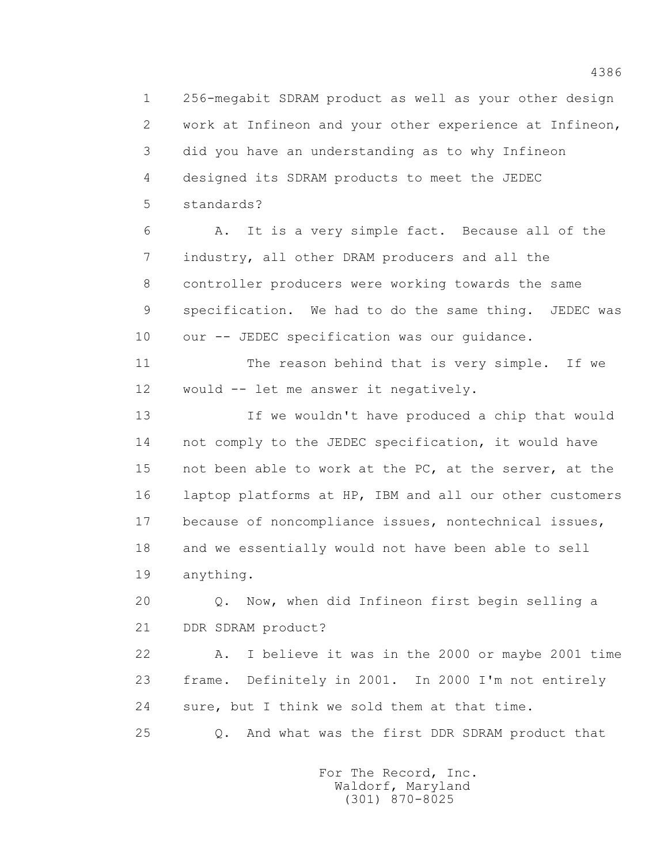1 256-megabit SDRAM product as well as your other design 2 work at Infineon and your other experience at Infineon, 3 did you have an understanding as to why Infineon 4 designed its SDRAM products to meet the JEDEC 5 standards?

 6 A. It is a very simple fact. Because all of the 7 industry, all other DRAM producers and all the 8 controller producers were working towards the same 9 specification. We had to do the same thing. JEDEC was 10 our -- JEDEC specification was our quidance.

 11 The reason behind that is very simple. If we 12 would -- let me answer it negatively.

 13 If we wouldn't have produced a chip that would 14 not comply to the JEDEC specification, it would have 15 not been able to work at the PC, at the server, at the 16 laptop platforms at HP, IBM and all our other customers 17 because of noncompliance issues, nontechnical issues, 18 and we essentially would not have been able to sell 19 anything.

 20 Q. Now, when did Infineon first begin selling a 21 DDR SDRAM product?

 22 A. I believe it was in the 2000 or maybe 2001 time 23 frame. Definitely in 2001. In 2000 I'm not entirely 24 sure, but I think we sold them at that time.

25 Q. And what was the first DDR SDRAM product that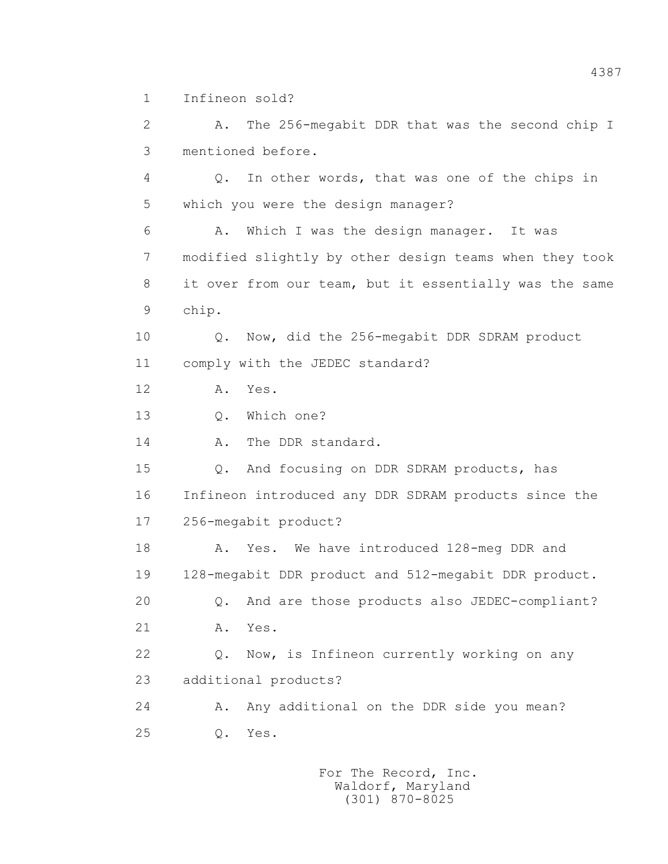1 Infineon sold?

 2 A. The 256-megabit DDR that was the second chip I 3 mentioned before.

 4 Q. In other words, that was one of the chips in 5 which you were the design manager?

 6 A. Which I was the design manager. It was 7 modified slightly by other design teams when they took 8 it over from our team, but it essentially was the same 9 chip.

 10 Q. Now, did the 256-megabit DDR SDRAM product 11 comply with the JEDEC standard?

12 A. Yes.

13 Q. Which one?

14 A. The DDR standard.

 15 Q. And focusing on DDR SDRAM products, has 16 Infineon introduced any DDR SDRAM products since the 17 256-megabit product?

18 A. Yes. We have introduced 128-meg DDR and 19 128-megabit DDR product and 512-megabit DDR product. 20 Q. And are those products also JEDEC-compliant? 21 A. Yes.

 22 Q. Now, is Infineon currently working on any 23 additional products?

 24 A. Any additional on the DDR side you mean? 25 Q. Yes.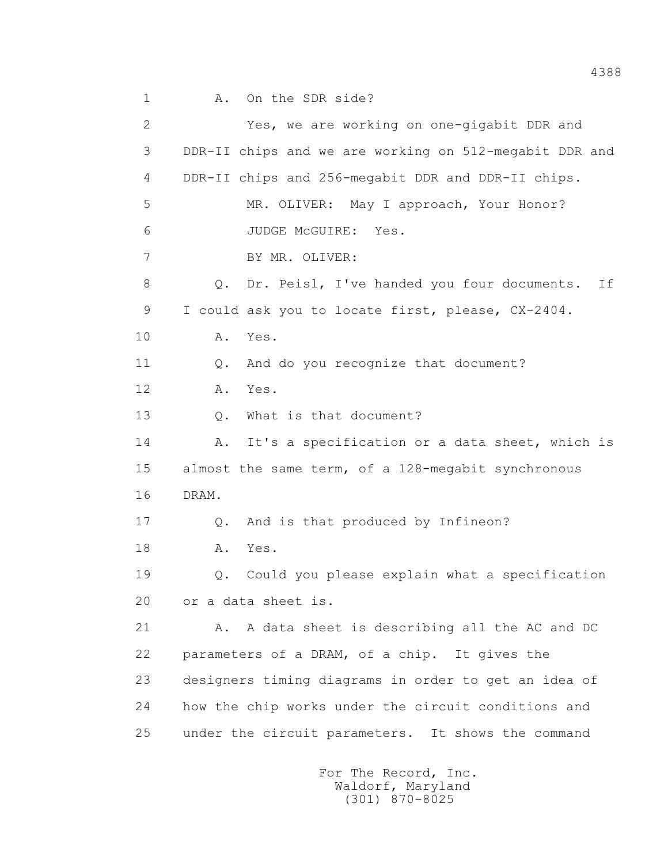2 Yes, we are working on one-gigabit DDR and 3 DDR-II chips and we are working on 512-megabit DDR and 4 DDR-II chips and 256-megabit DDR and DDR-II chips. 5 MR. OLIVER: May I approach, Your Honor? 6 JUDGE McGUIRE: Yes. 7 BY MR. OLIVER: 8 Q. Dr. Peisl, I've handed you four documents. If 9 I could ask you to locate first, please, CX-2404. 10 A. Yes. 11 0. And do you recognize that document? 12 A. Yes. 13 Q. What is that document? 14 A. It's a specification or a data sheet, which is 15 almost the same term, of a 128-megabit synchronous 16 DRAM. 17 Q. And is that produced by Infineon? 18 **A.** Yes. 19 Q. Could you please explain what a specification 20 or a data sheet is. 21 A. A data sheet is describing all the AC and DC 22 parameters of a DRAM, of a chip. It gives the 23 designers timing diagrams in order to get an idea of 24 how the chip works under the circuit conditions and 25 under the circuit parameters. It shows the command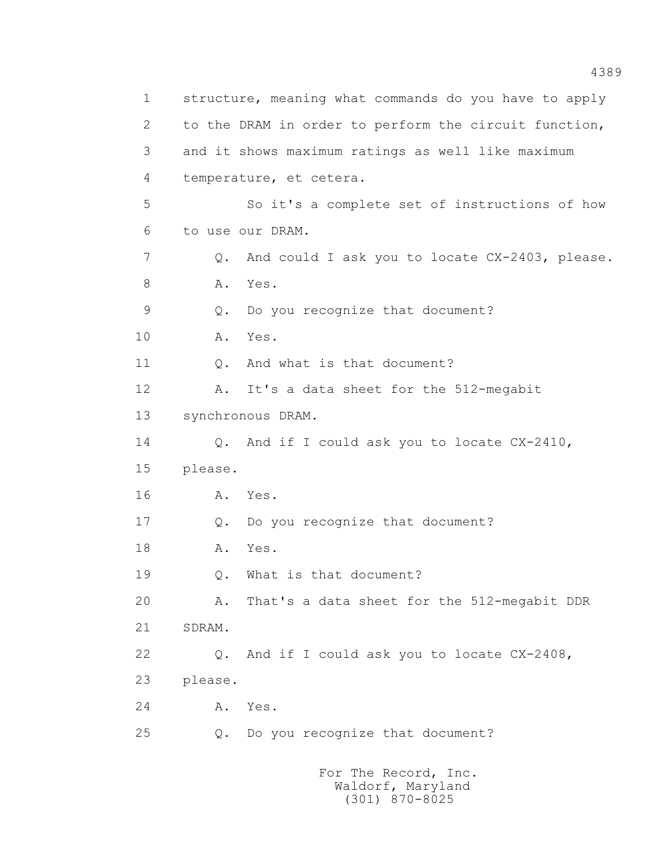1 structure, meaning what commands do you have to apply 2 to the DRAM in order to perform the circuit function, 3 and it shows maximum ratings as well like maximum 4 temperature, et cetera. 5 So it's a complete set of instructions of how 6 to use our DRAM. 7 Q. And could I ask you to locate CX-2403, please. 8 A. Yes. 9 Q. Do you recognize that document? 10 A. Yes. 11 Q. And what is that document? 12 A. It's a data sheet for the 512-megabit 13 synchronous DRAM. 14 Q. And if I could ask you to locate CX-2410, 15 please. 16 A. Yes. 17 Q. Do you recognize that document? 18 **A.** Yes. 19 Q. What is that document? 20 A. That's a data sheet for the 512-megabit DDR 21 SDRAM. 22 Q. And if I could ask you to locate CX-2408, 23 please. 24 A. Yes. 25 Q. Do you recognize that document? For The Record, Inc.

 Waldorf, Maryland (301) 870-8025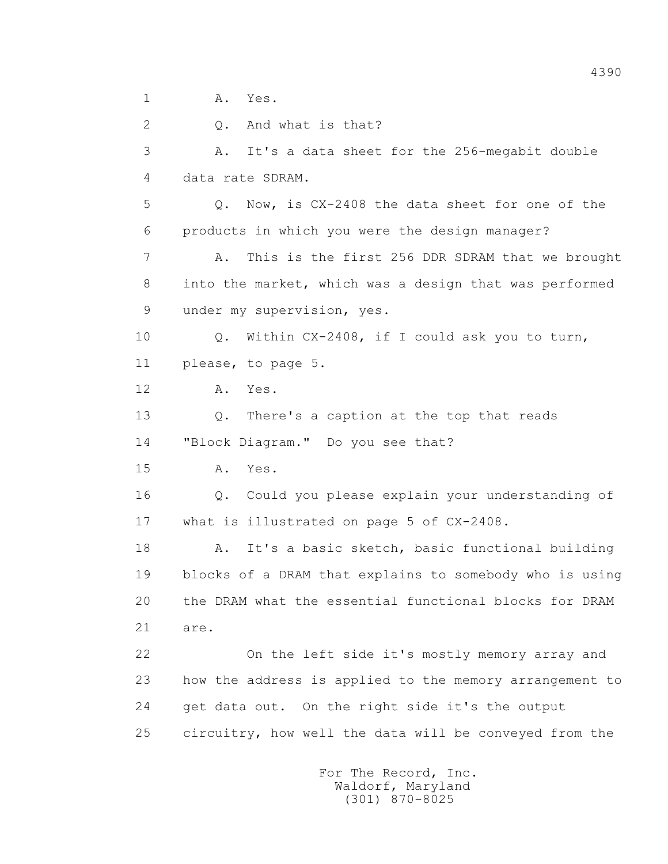1 A. Yes.

 2 Q. And what is that? 3 A. It's a data sheet for the 256-megabit double 4 data rate SDRAM. 5 Q. Now, is CX-2408 the data sheet for one of the 6 products in which you were the design manager? 7 A. This is the first 256 DDR SDRAM that we brought 8 into the market, which was a design that was performed 9 under my supervision, yes. 10 Q. Within CX-2408, if I could ask you to turn, 11 please, to page 5. 12 A. Yes. 13 Q. There's a caption at the top that reads 14 "Block Diagram." Do you see that? 15 A. Yes. 16 Q. Could you please explain your understanding of 17 what is illustrated on page 5 of CX-2408. 18 A. It's a basic sketch, basic functional building 19 blocks of a DRAM that explains to somebody who is using 20 the DRAM what the essential functional blocks for DRAM 21 are. 22 On the left side it's mostly memory array and 23 how the address is applied to the memory arrangement to 24 get data out. On the right side it's the output 25 circuitry, how well the data will be conveyed from the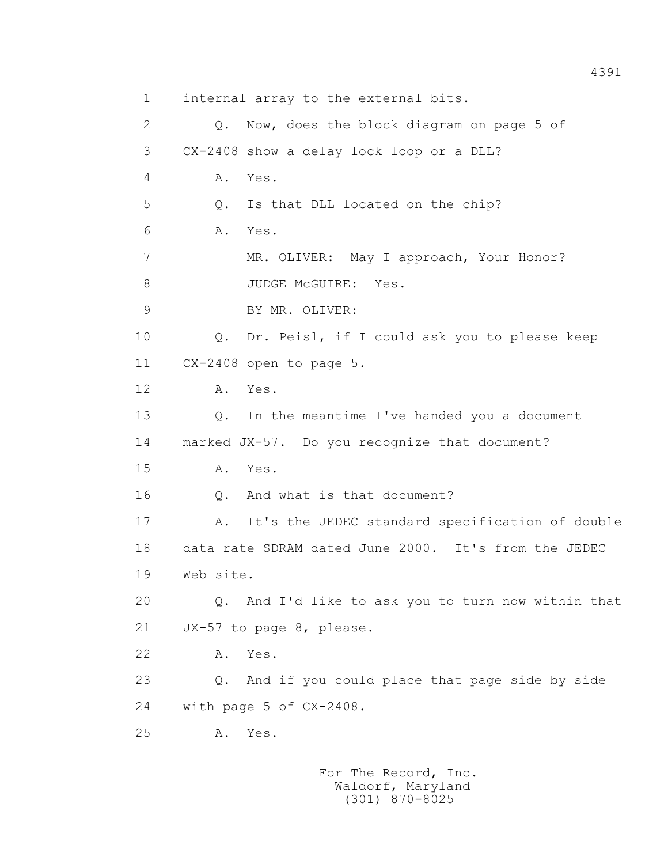1 internal array to the external bits. 2 Q. Now, does the block diagram on page 5 of 3 CX-2408 show a delay lock loop or a DLL? 4 A. Yes. 5 Q. Is that DLL located on the chip? 6 A. Yes. 7 MR. OLIVER: May I approach, Your Honor? 8 JUDGE McGUIRE: Yes. 9 BY MR. OLIVER: 10 Q. Dr. Peisl, if I could ask you to please keep 11 CX-2408 open to page 5. 12 A. Yes. 13 Q. In the meantime I've handed you a document 14 marked JX-57. Do you recognize that document? 15 A. Yes. 16 Q. And what is that document? 17 A. It's the JEDEC standard specification of double 18 data rate SDRAM dated June 2000. It's from the JEDEC 19 Web site. 20 Q. And I'd like to ask you to turn now within that 21 JX-57 to page 8, please. 22 A. Yes. 23 Q. And if you could place that page side by side 24 with page 5 of CX-2408. 25 A. Yes.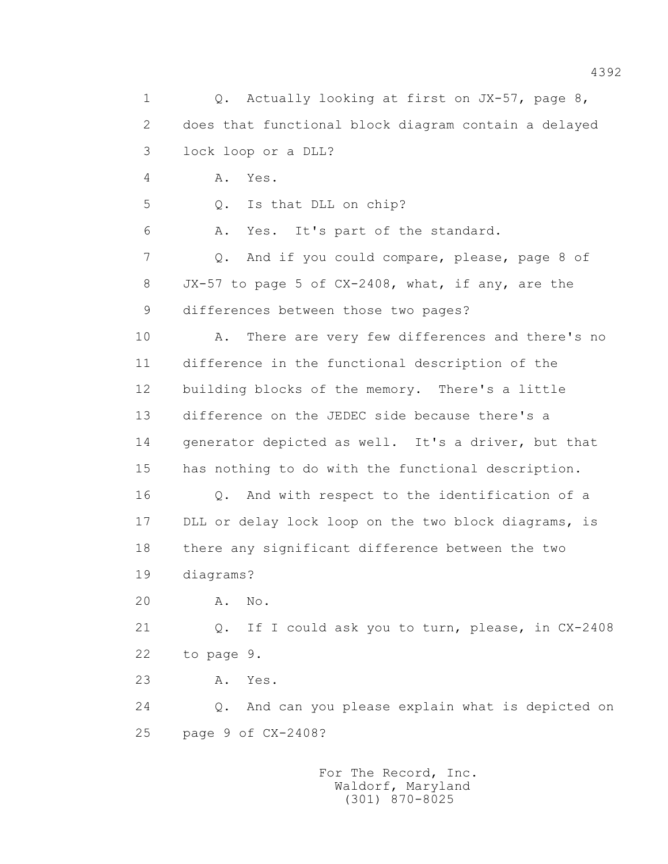1 0. Actually looking at first on JX-57, page 8, 2 does that functional block diagram contain a delayed 3 lock loop or a DLL? 4 A. Yes. 5 Q. Is that DLL on chip? 6 A. Yes. It's part of the standard. 7 Q. And if you could compare, please, page 8 of 8 JX-57 to page 5 of CX-2408, what, if any, are the 9 differences between those two pages? 10 A. There are very few differences and there's no 11 difference in the functional description of the 12 building blocks of the memory. There's a little 13 difference on the JEDEC side because there's a 14 generator depicted as well. It's a driver, but that 15 has nothing to do with the functional description. 16 Q. And with respect to the identification of a 17 DLL or delay lock loop on the two block diagrams, is 18 there any significant difference between the two 19 diagrams? 20 A. No. 21 Q. If I could ask you to turn, please, in CX-2408 22 to page 9. 23 A. Yes. 24 Q. And can you please explain what is depicted on 25 page 9 of CX-2408?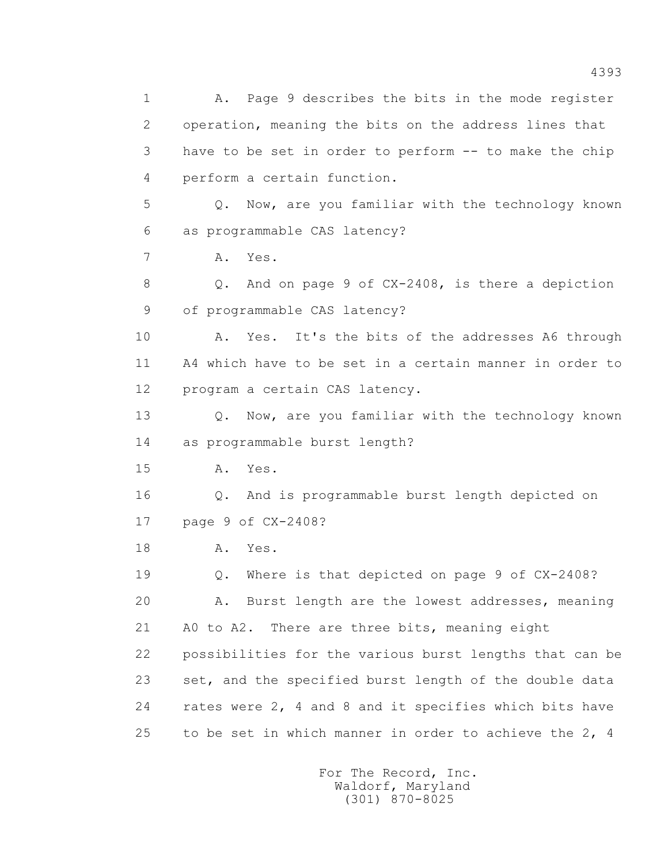1 A. Page 9 describes the bits in the mode register 2 operation, meaning the bits on the address lines that 3 have to be set in order to perform -- to make the chip 4 perform a certain function. 5 Q. Now, are you familiar with the technology known 6 as programmable CAS latency? 7 A. Yes. 8 Q. And on page 9 of CX-2408, is there a depiction 9 of programmable CAS latency? 10 A. Yes. It's the bits of the addresses A6 through 11 A4 which have to be set in a certain manner in order to 12 program a certain CAS latency. 13 Q. Now, are you familiar with the technology known 14 as programmable burst length? 15 A. Yes. 16 Q. And is programmable burst length depicted on 17 page 9 of CX-2408? 18 **A.** Yes. 19 Q. Where is that depicted on page 9 of CX-2408? 20 A. Burst length are the lowest addresses, meaning 21 A0 to A2. There are three bits, meaning eight 22 possibilities for the various burst lengths that can be 23 set, and the specified burst length of the double data 24 rates were 2, 4 and 8 and it specifies which bits have 25 to be set in which manner in order to achieve the 2, 4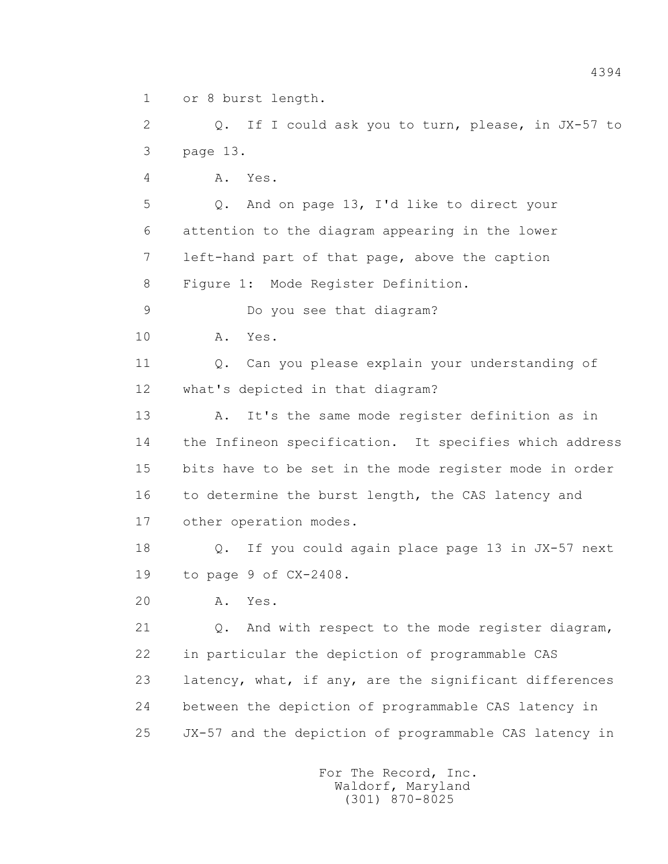1 or 8 burst length.

 2 Q. If I could ask you to turn, please, in JX-57 to 3 page 13.

4 A. Yes.

 5 Q. And on page 13, I'd like to direct your 6 attention to the diagram appearing in the lower 7 left-hand part of that page, above the caption 8 Figure 1: Mode Register Definition.

9 Do you see that diagram?

10 A. Yes.

 11 Q. Can you please explain your understanding of 12 what's depicted in that diagram?

 13 A. It's the same mode register definition as in 14 the Infineon specification. It specifies which address 15 bits have to be set in the mode register mode in order 16 to determine the burst length, the CAS latency and 17 other operation modes.

 18 Q. If you could again place page 13 in JX-57 next 19 to page 9 of CX-2408.

20 A. Yes.

 21 Q. And with respect to the mode register diagram, 22 in particular the depiction of programmable CAS 23 latency, what, if any, are the significant differences 24 between the depiction of programmable CAS latency in 25 JX-57 and the depiction of programmable CAS latency in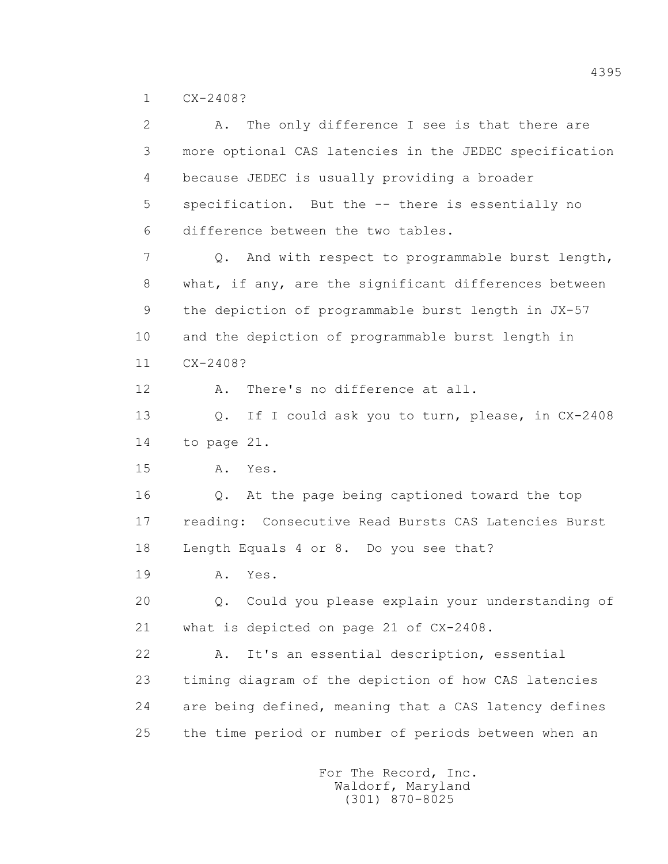1 CX-2408?

 2 A. The only difference I see is that there are 3 more optional CAS latencies in the JEDEC specification 4 because JEDEC is usually providing a broader 5 specification. But the -- there is essentially no 6 difference between the two tables. 7 Q. And with respect to programmable burst length, 8 what, if any, are the significant differences between 9 the depiction of programmable burst length in JX-57 10 and the depiction of programmable burst length in 11 CX-2408? 12 A. There's no difference at all. 13 Q. If I could ask you to turn, please, in CX-2408 14 to page 21. 15 A. Yes. 16 Q. At the page being captioned toward the top 17 reading: Consecutive Read Bursts CAS Latencies Burst 18 Length Equals 4 or 8. Do you see that? 19 **A.** Yes. 20 Q. Could you please explain your understanding of 21 what is depicted on page 21 of CX-2408. 22 A. It's an essential description, essential 23 timing diagram of the depiction of how CAS latencies 24 are being defined, meaning that a CAS latency defines 25 the time period or number of periods between when an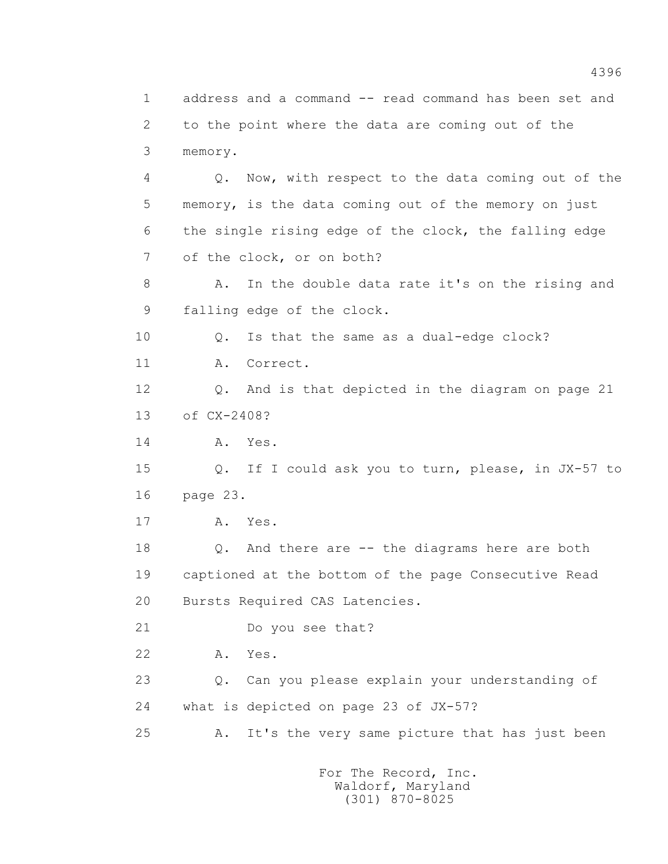1 address and a command -- read command has been set and 2 to the point where the data are coming out of the 3 memory. 4 Q. Now, with respect to the data coming out of the 5 memory, is the data coming out of the memory on just 6 the single rising edge of the clock, the falling edge 7 of the clock, or on both? 8 A. In the double data rate it's on the rising and 9 falling edge of the clock. 10 Q. Is that the same as a dual-edge clock? 11 A. Correct. 12 Q. And is that depicted in the diagram on page 21 13 of CX-2408? 14 **A.** Yes. 15 Q. If I could ask you to turn, please, in JX-57 to 16 page 23. 17 A. Yes. 18 Q. And there are -- the diagrams here are both 19 captioned at the bottom of the page Consecutive Read 20 Bursts Required CAS Latencies. 21 Do you see that? 22 A. Yes. 23 Q. Can you please explain your understanding of 24 what is depicted on page 23 of JX-57? 25 A. It's the very same picture that has just been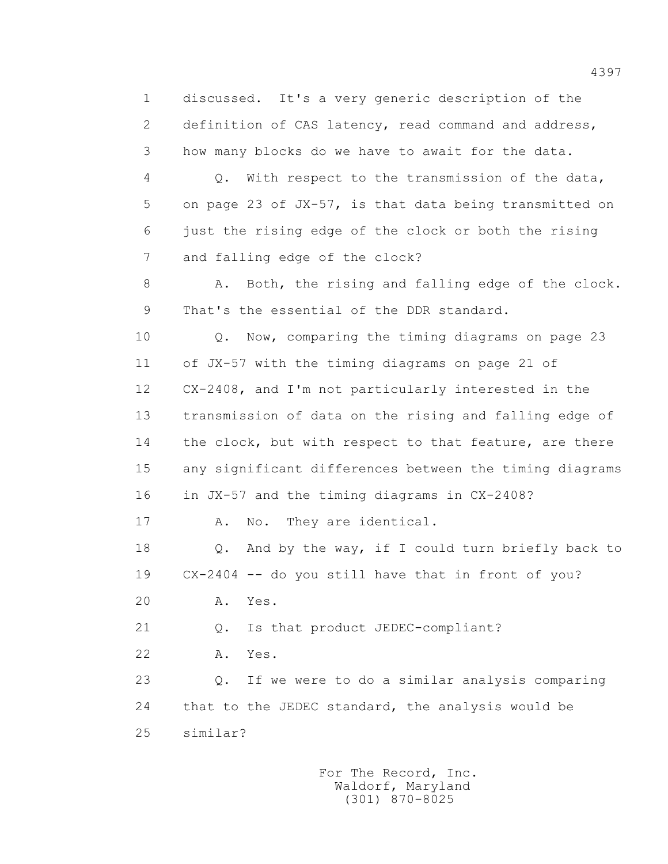1 discussed. It's a very generic description of the 2 definition of CAS latency, read command and address, 3 how many blocks do we have to await for the data.

 4 Q. With respect to the transmission of the data, 5 on page 23 of JX-57, is that data being transmitted on 6 just the rising edge of the clock or both the rising 7 and falling edge of the clock?

 8 A. Both, the rising and falling edge of the clock. 9 That's the essential of the DDR standard.

 10 Q. Now, comparing the timing diagrams on page 23 11 of JX-57 with the timing diagrams on page 21 of 12 CX-2408, and I'm not particularly interested in the 13 transmission of data on the rising and falling edge of 14 the clock, but with respect to that feature, are there 15 any significant differences between the timing diagrams 16 in JX-57 and the timing diagrams in CX-2408?

17 A. No. They are identical.

 18 Q. And by the way, if I could turn briefly back to 19 CX-2404 -- do you still have that in front of you?

20 A. Yes.

21 Q. Is that product JEDEC-compliant?

22 A. Yes.

 23 Q. If we were to do a similar analysis comparing 24 that to the JEDEC standard, the analysis would be 25 similar?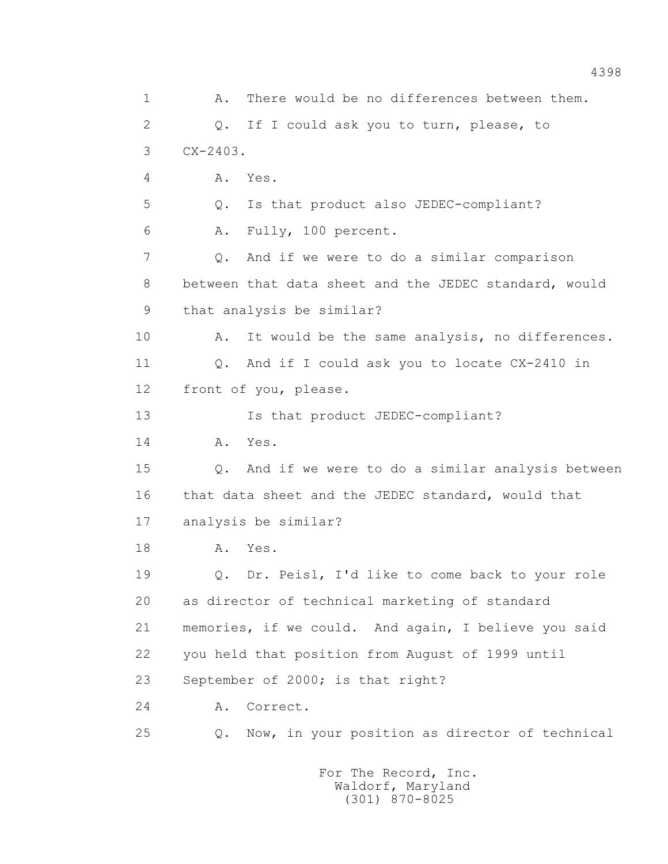1 A. There would be no differences between them. 2 Q. If I could ask you to turn, please, to 3 CX-2403. 4 A. Yes. 5 Q. Is that product also JEDEC-compliant? 6 A. Fully, 100 percent. 7 Q. And if we were to do a similar comparison 8 between that data sheet and the JEDEC standard, would 9 that analysis be similar? 10 A. It would be the same analysis, no differences. 11 0. And if I could ask you to locate CX-2410 in 12 front of you, please. 13 Is that product JEDEC-compliant? 14 **A.** Yes. 15 Q. And if we were to do a similar analysis between 16 that data sheet and the JEDEC standard, would that 17 analysis be similar? 18 **A.** Yes. 19 Q. Dr. Peisl, I'd like to come back to your role 20 as director of technical marketing of standard 21 memories, if we could. And again, I believe you said 22 you held that position from August of 1999 until 23 September of 2000; is that right? 24 A. Correct. 25 Q. Now, in your position as director of technical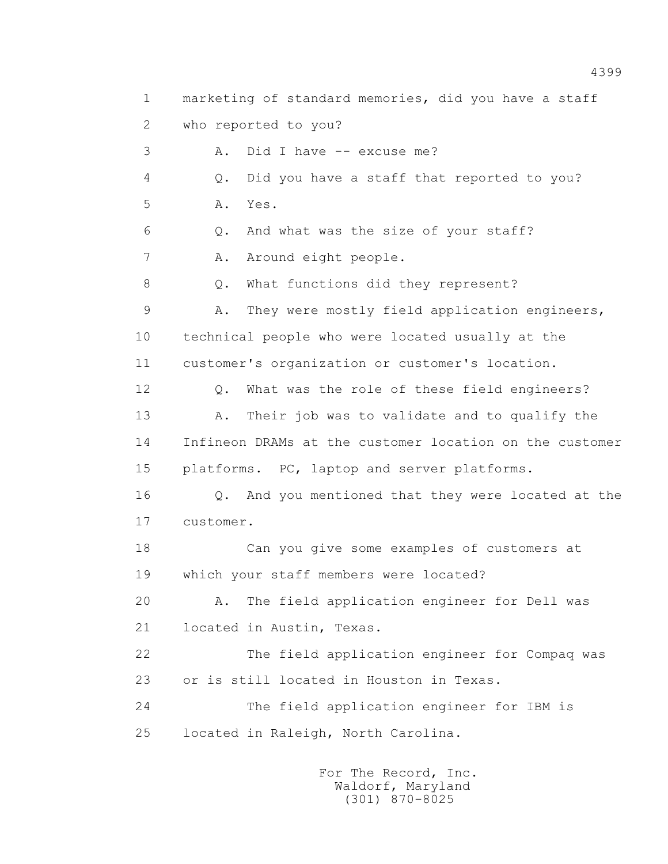1 marketing of standard memories, did you have a staff 2 who reported to you? 3 A. Did I have -- excuse me? 4 Q. Did you have a staff that reported to you? 5 A. Yes. 6 Q. And what was the size of your staff? 7 A. Around eight people. 8 Q. What functions did they represent? 9 A. They were mostly field application engineers, 10 technical people who were located usually at the 11 customer's organization or customer's location. 12 Q. What was the role of these field engineers? 13 A. Their job was to validate and to qualify the 14 Infineon DRAMs at the customer location on the customer 15 platforms. PC, laptop and server platforms. 16 Q. And you mentioned that they were located at the 17 customer. 18 Can you give some examples of customers at 19 which your staff members were located? 20 A. The field application engineer for Dell was 21 located in Austin, Texas. 22 The field application engineer for Compaq was 23 or is still located in Houston in Texas. 24 The field application engineer for IBM is 25 located in Raleigh, North Carolina.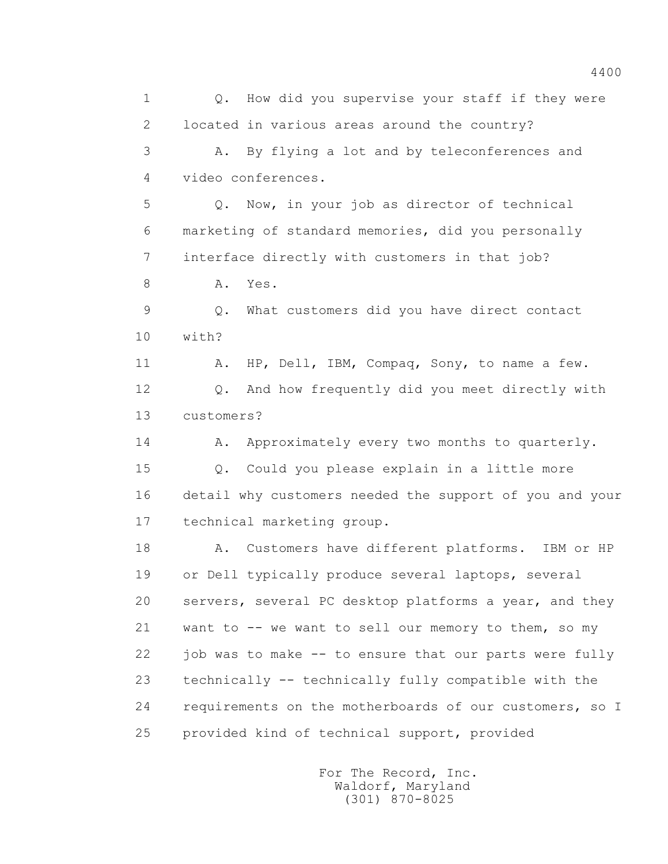1 0. How did you supervise your staff if they were 2 located in various areas around the country? 3 A. By flying a lot and by teleconferences and 4 video conferences. 5 Q. Now, in your job as director of technical 6 marketing of standard memories, did you personally 7 interface directly with customers in that job? 8 A. Yes. 9 Q. What customers did you have direct contact 10 with? 11 A. HP, Dell, IBM, Compaq, Sony, to name a few. 12 Q. And how frequently did you meet directly with 13 customers? 14 A. Approximately every two months to quarterly. 15 Q. Could you please explain in a little more 16 detail why customers needed the support of you and your 17 technical marketing group. 18 A. Customers have different platforms. IBM or HP 19 or Dell typically produce several laptops, several 20 servers, several PC desktop platforms a year, and they 21 want to -- we want to sell our memory to them, so my 22 job was to make -- to ensure that our parts were fully 23 technically -- technically fully compatible with the 24 requirements on the motherboards of our customers, so I 25 provided kind of technical support, provided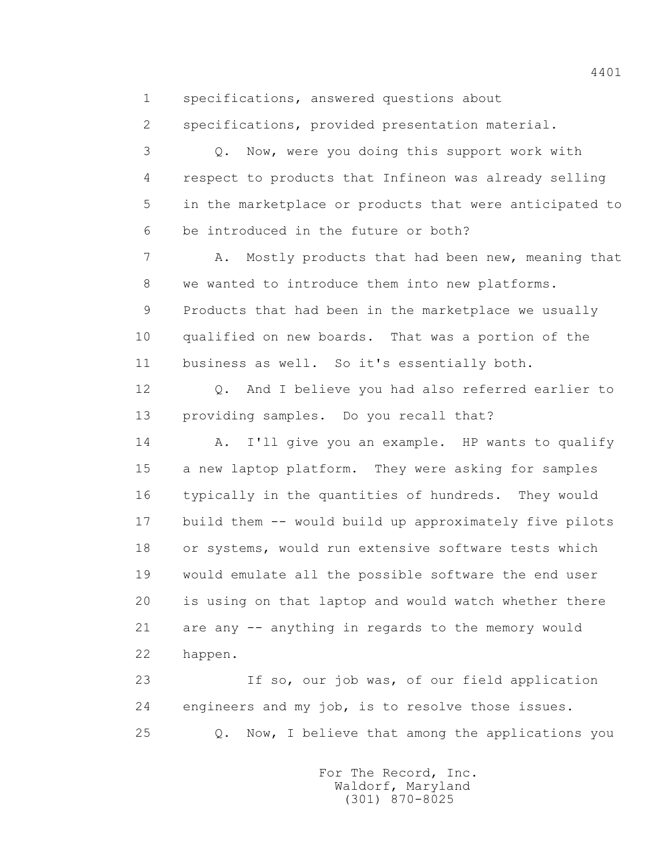1 specifications, answered questions about

2 specifications, provided presentation material.

 3 Q. Now, were you doing this support work with 4 respect to products that Infineon was already selling 5 in the marketplace or products that were anticipated to 6 be introduced in the future or both?

7 A. Mostly products that had been new, meaning that 8 we wanted to introduce them into new platforms. 9 Products that had been in the marketplace we usually 10 qualified on new boards. That was a portion of the 11 business as well. So it's essentially both.

 12 Q. And I believe you had also referred earlier to 13 providing samples. Do you recall that?

 14 A. I'll give you an example. HP wants to qualify 15 a new laptop platform. They were asking for samples 16 typically in the quantities of hundreds. They would 17 build them -- would build up approximately five pilots 18 or systems, would run extensive software tests which 19 would emulate all the possible software the end user 20 is using on that laptop and would watch whether there 21 are any -- anything in regards to the memory would 22 happen.

 23 If so, our job was, of our field application 24 engineers and my job, is to resolve those issues. 25 Q. Now, I believe that among the applications you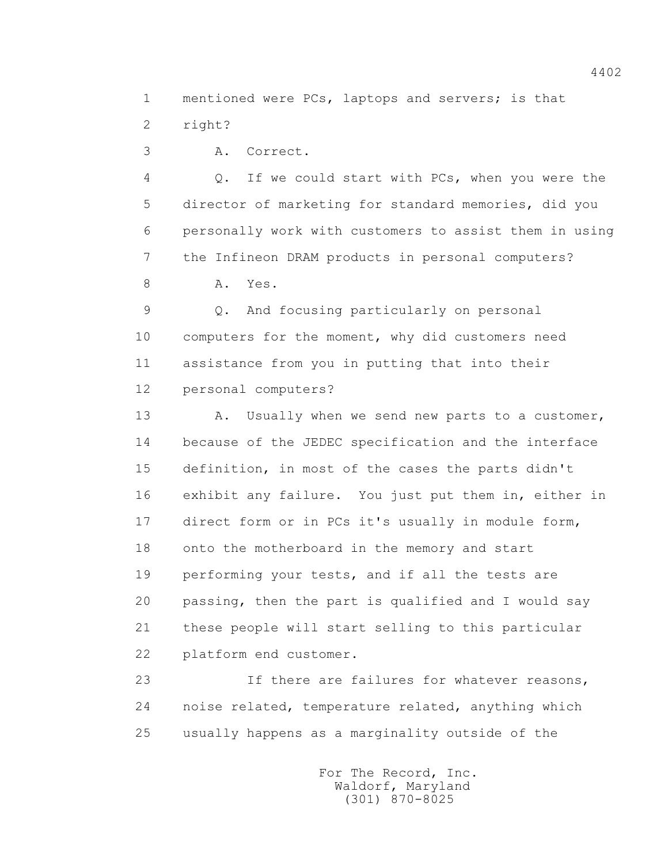1 mentioned were PCs, laptops and servers; is that 2 right?

3 A. Correct.

 4 Q. If we could start with PCs, when you were the 5 director of marketing for standard memories, did you 6 personally work with customers to assist them in using 7 the Infineon DRAM products in personal computers?

8 A. Yes.

 9 Q. And focusing particularly on personal 10 computers for the moment, why did customers need 11 assistance from you in putting that into their 12 personal computers?

13 A. Usually when we send new parts to a customer, 14 because of the JEDEC specification and the interface 15 definition, in most of the cases the parts didn't 16 exhibit any failure. You just put them in, either in 17 direct form or in PCs it's usually in module form, 18 onto the motherboard in the memory and start 19 performing your tests, and if all the tests are 20 passing, then the part is qualified and I would say 21 these people will start selling to this particular 22 platform end customer.

 23 If there are failures for whatever reasons, 24 noise related, temperature related, anything which 25 usually happens as a marginality outside of the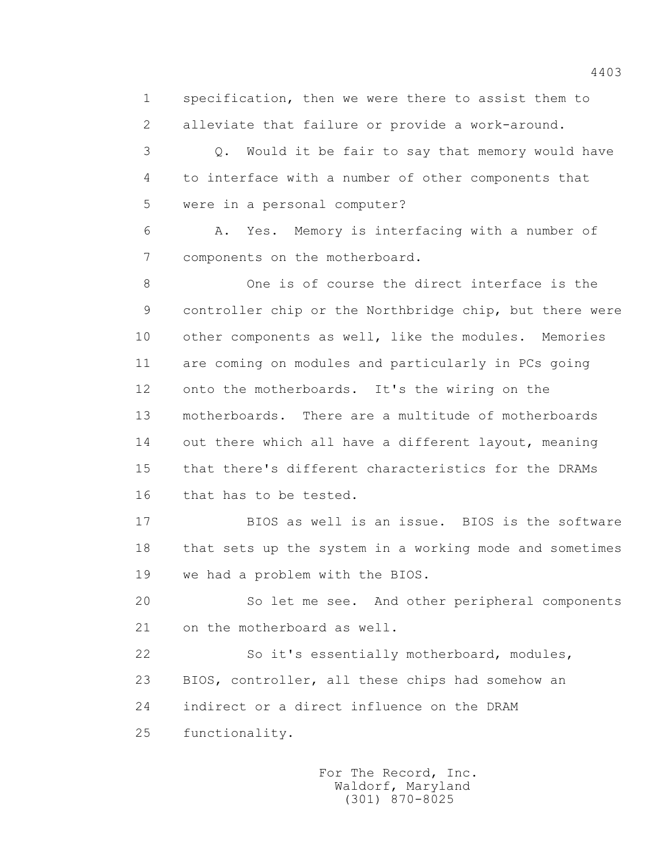1 specification, then we were there to assist them to 2 alleviate that failure or provide a work-around.

 3 Q. Would it be fair to say that memory would have 4 to interface with a number of other components that 5 were in a personal computer?

 6 A. Yes. Memory is interfacing with a number of 7 components on the motherboard.

 8 One is of course the direct interface is the 9 controller chip or the Northbridge chip, but there were 10 other components as well, like the modules. Memories 11 are coming on modules and particularly in PCs going 12 onto the motherboards. It's the wiring on the 13 motherboards. There are a multitude of motherboards 14 out there which all have a different layout, meaning 15 that there's different characteristics for the DRAMs 16 that has to be tested.

 17 BIOS as well is an issue. BIOS is the software 18 that sets up the system in a working mode and sometimes 19 we had a problem with the BIOS.

 20 So let me see. And other peripheral components 21 on the motherboard as well.

 22 So it's essentially motherboard, modules, 23 BIOS, controller, all these chips had somehow an 24 indirect or a direct influence on the DRAM 25 functionality.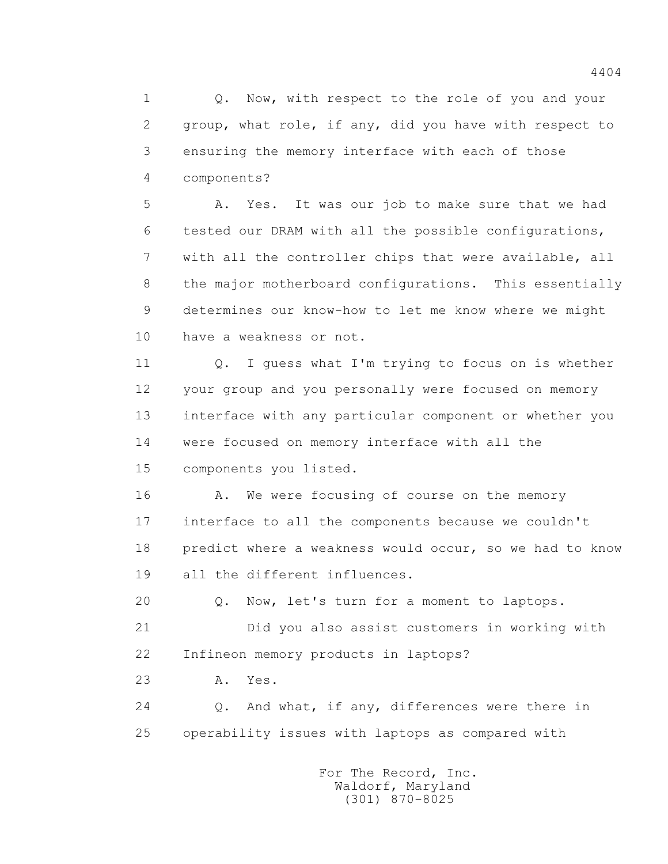1 0. Now, with respect to the role of you and your 2 group, what role, if any, did you have with respect to 3 ensuring the memory interface with each of those 4 components?

 5 A. Yes. It was our job to make sure that we had 6 tested our DRAM with all the possible configurations, 7 with all the controller chips that were available, all 8 the major motherboard configurations. This essentially 9 determines our know-how to let me know where we might 10 have a weakness or not.

 11 Q. I guess what I'm trying to focus on is whether 12 your group and you personally were focused on memory 13 interface with any particular component or whether you 14 were focused on memory interface with all the 15 components you listed.

16 A. We were focusing of course on the memory 17 interface to all the components because we couldn't 18 predict where a weakness would occur, so we had to know 19 all the different influences.

 20 Q. Now, let's turn for a moment to laptops. 21 Did you also assist customers in working with 22 Infineon memory products in laptops?

23 A. Yes.

 24 Q. And what, if any, differences were there in 25 operability issues with laptops as compared with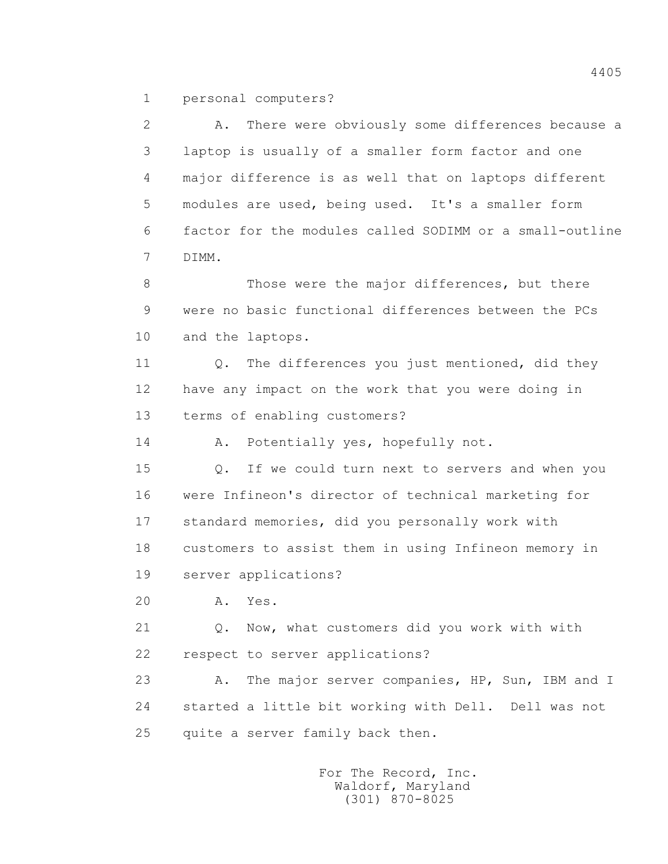1 personal computers?

 2 A. There were obviously some differences because a 3 laptop is usually of a smaller form factor and one 4 major difference is as well that on laptops different 5 modules are used, being used. It's a smaller form 6 factor for the modules called SODIMM or a small-outline 7 DIMM.

8 Those were the major differences, but there 9 were no basic functional differences between the PCs 10 and the laptops.

11 0. The differences you just mentioned, did they 12 have any impact on the work that you were doing in 13 terms of enabling customers?

14 A. Potentially yes, hopefully not.

 15 Q. If we could turn next to servers and when you 16 were Infineon's director of technical marketing for 17 standard memories, did you personally work with 18 customers to assist them in using Infineon memory in 19 server applications?

20 A. Yes.

 21 Q. Now, what customers did you work with with 22 respect to server applications?

23 A. The major server companies, HP, Sun, IBM and I 24 started a little bit working with Dell. Dell was not 25 quite a server family back then.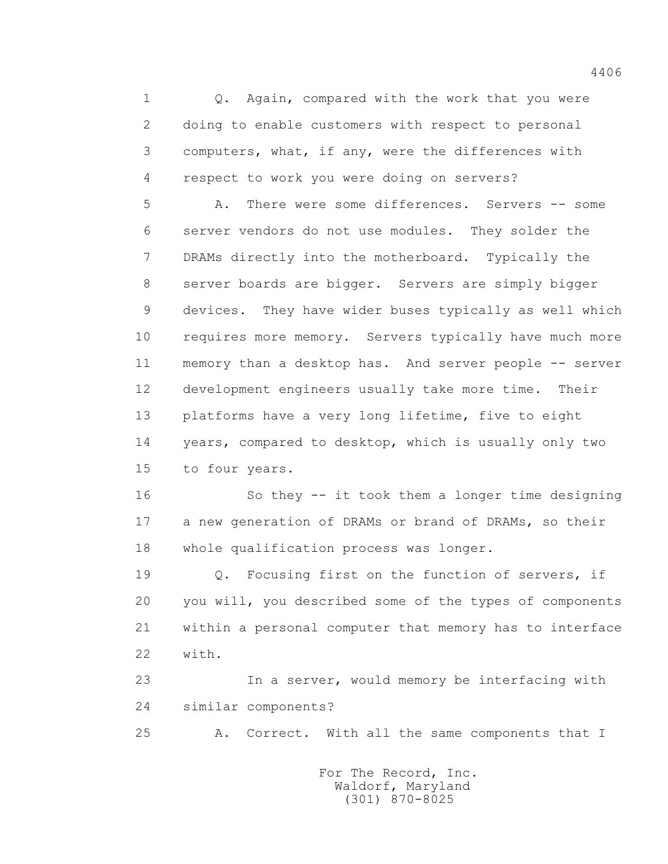1 0. Again, compared with the work that you were 2 doing to enable customers with respect to personal 3 computers, what, if any, were the differences with 4 respect to work you were doing on servers?

 5 A. There were some differences. Servers -- some 6 server vendors do not use modules. They solder the 7 DRAMs directly into the motherboard. Typically the 8 server boards are bigger. Servers are simply bigger 9 devices. They have wider buses typically as well which 10 requires more memory. Servers typically have much more 11 memory than a desktop has. And server people -- server 12 development engineers usually take more time. Their 13 platforms have a very long lifetime, five to eight 14 years, compared to desktop, which is usually only two 15 to four years.

 16 So they -- it took them a longer time designing 17 a new generation of DRAMs or brand of DRAMs, so their 18 whole qualification process was longer.

 19 Q. Focusing first on the function of servers, if 20 you will, you described some of the types of components 21 within a personal computer that memory has to interface 22 with.

 23 In a server, would memory be interfacing with 24 similar components?

25 A. Correct. With all the same components that I

 For The Record, Inc. Waldorf, Maryland (301) 870-8025

4406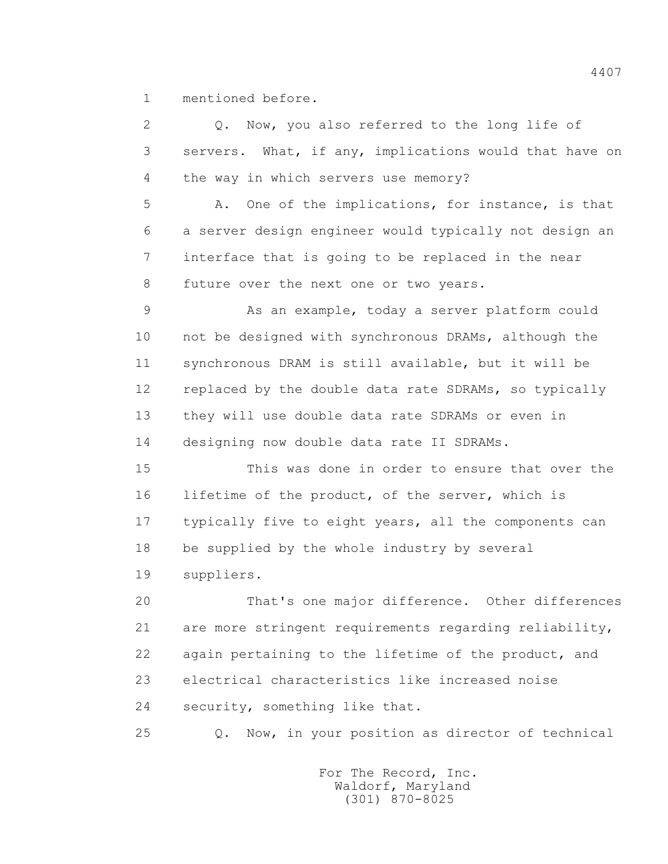1 mentioned before.

| $\overline{2}$ | Q. Now, you also referred to the long life of           |
|----------------|---------------------------------------------------------|
| 3              | servers. What, if any, implications would that have on  |
| 4              | the way in which servers use memory?                    |
| 5              | One of the implications, for instance, is that<br>Α.    |
| 6              | a server design engineer would typically not design an  |
| 7              | interface that is going to be replaced in the near      |
| 8              | future over the next one or two years.                  |
| 9              | As an example, today a server platform could            |
| 10             | not be designed with synchronous DRAMs, although the    |
| 11             | synchronous DRAM is still available, but it will be     |
| 12             | replaced by the double data rate SDRAMs, so typically   |
| 13             | they will use double data rate SDRAMs or even in        |
| 14             | designing now double data rate II SDRAMs.               |
| 15             | This was done in order to ensure that over the          |
| 16             | lifetime of the product, of the server, which is        |
| 17             | typically five to eight years, all the components can   |
| 18             | be supplied by the whole industry by several            |
| 19             | suppliers.                                              |
| 20             | That's one major difference. Other differences          |
| 21             | are more stringent requirements regarding reliability,  |
| 22             | again pertaining to the lifetime of the product, and    |
| 23             | electrical characteristics like increased noise         |
| 24             | security, something like that.                          |
| 25             | Now, in your position as director of technical<br>$Q$ . |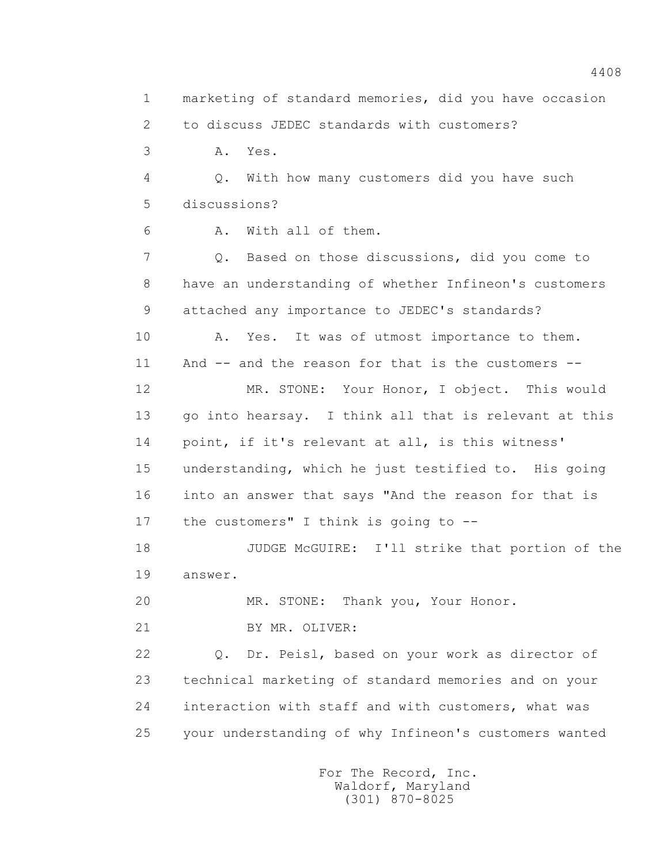1 marketing of standard memories, did you have occasion 2 to discuss JEDEC standards with customers? 3 A. Yes. 4 Q. With how many customers did you have such 5 discussions? 6 A. With all of them. 7 Q. Based on those discussions, did you come to 8 have an understanding of whether Infineon's customers 9 attached any importance to JEDEC's standards? 10 A. Yes. It was of utmost importance to them. 11 And -- and the reason for that is the customers -- 12 MR. STONE: Your Honor, I object. This would 13 go into hearsay. I think all that is relevant at this 14 point, if it's relevant at all, is this witness' 15 understanding, which he just testified to. His going 16 into an answer that says "And the reason for that is 17 the customers" I think is going to -- 18 JUDGE McGUIRE: I'll strike that portion of the 19 answer. 20 MR. STONE: Thank you, Your Honor. 21 BY MR. OLIVER: 22 Q. Dr. Peisl, based on your work as director of 23 technical marketing of standard memories and on your 24 interaction with staff and with customers, what was 25 your understanding of why Infineon's customers wanted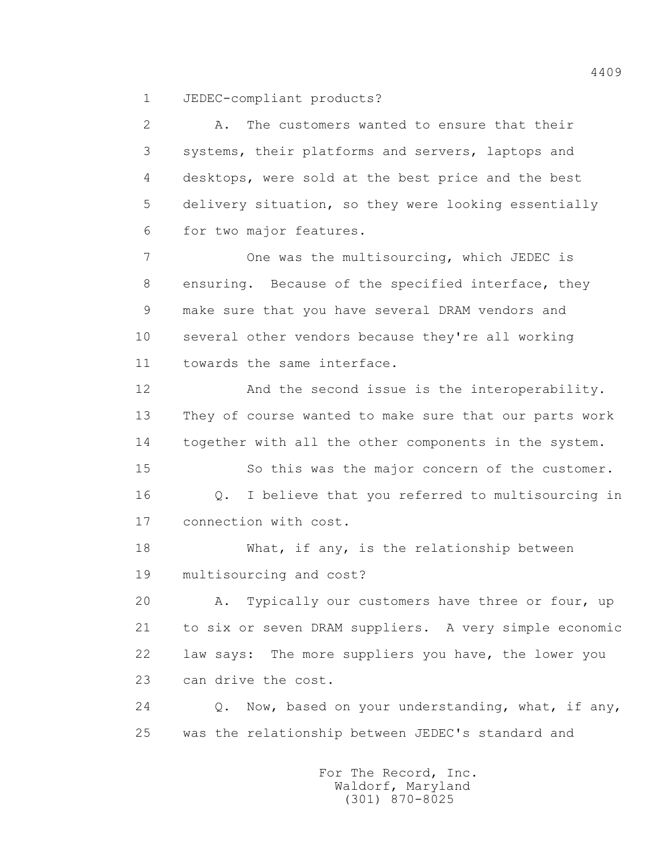1 JEDEC-compliant products?

 2 A. The customers wanted to ensure that their 3 systems, their platforms and servers, laptops and 4 desktops, were sold at the best price and the best 5 delivery situation, so they were looking essentially 6 for two major features. 7 One was the multisourcing, which JEDEC is 8 ensuring. Because of the specified interface, they 9 make sure that you have several DRAM vendors and 10 several other vendors because they're all working 11 towards the same interface. 12 And the second issue is the interoperability. 13 They of course wanted to make sure that our parts work 14 together with all the other components in the system. 15 So this was the major concern of the customer. 16 Q. I believe that you referred to multisourcing in 17 connection with cost. 18 What, if any, is the relationship between 19 multisourcing and cost? 20 A. Typically our customers have three or four, up 21 to six or seven DRAM suppliers. A very simple economic 22 law says: The more suppliers you have, the lower you 23 can drive the cost. 24 Q. Now, based on your understanding, what, if any, 25 was the relationship between JEDEC's standard and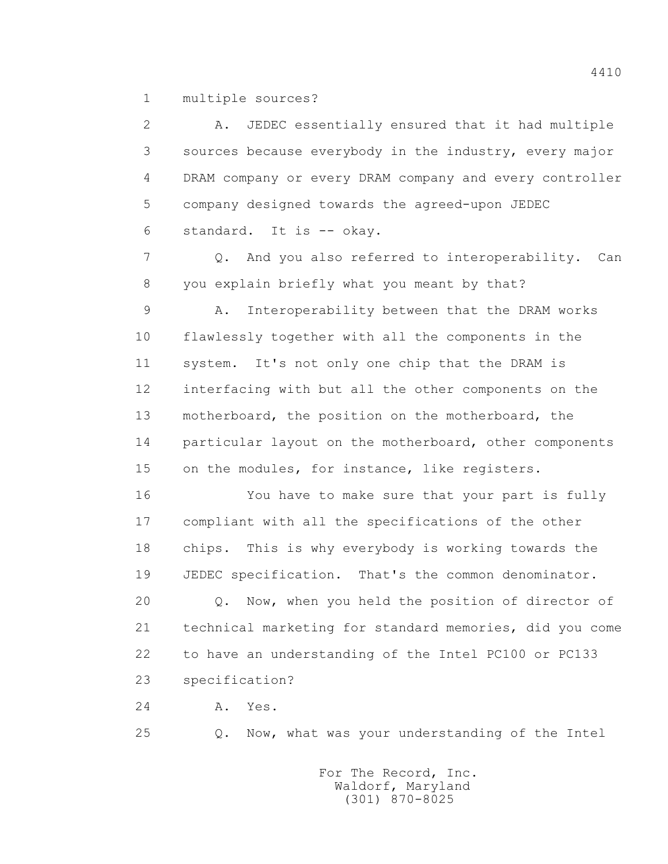1 multiple sources?

 2 A. JEDEC essentially ensured that it had multiple 3 sources because everybody in the industry, every major 4 DRAM company or every DRAM company and every controller 5 company designed towards the agreed-upon JEDEC 6 standard. It is -- okay. 7 Q. And you also referred to interoperability. Can 8 you explain briefly what you meant by that? 9 A. Interoperability between that the DRAM works 10 flawlessly together with all the components in the 11 system. It's not only one chip that the DRAM is 12 interfacing with but all the other components on the 13 motherboard, the position on the motherboard, the 14 particular layout on the motherboard, other components 15 on the modules, for instance, like registers. 16 You have to make sure that your part is fully 17 compliant with all the specifications of the other 18 chips. This is why everybody is working towards the 19 JEDEC specification. That's the common denominator. 20 Q. Now, when you held the position of director of 21 technical marketing for standard memories, did you come 22 to have an understanding of the Intel PC100 or PC133 23 specification?

24 A. Yes.

25 Q. Now, what was your understanding of the Intel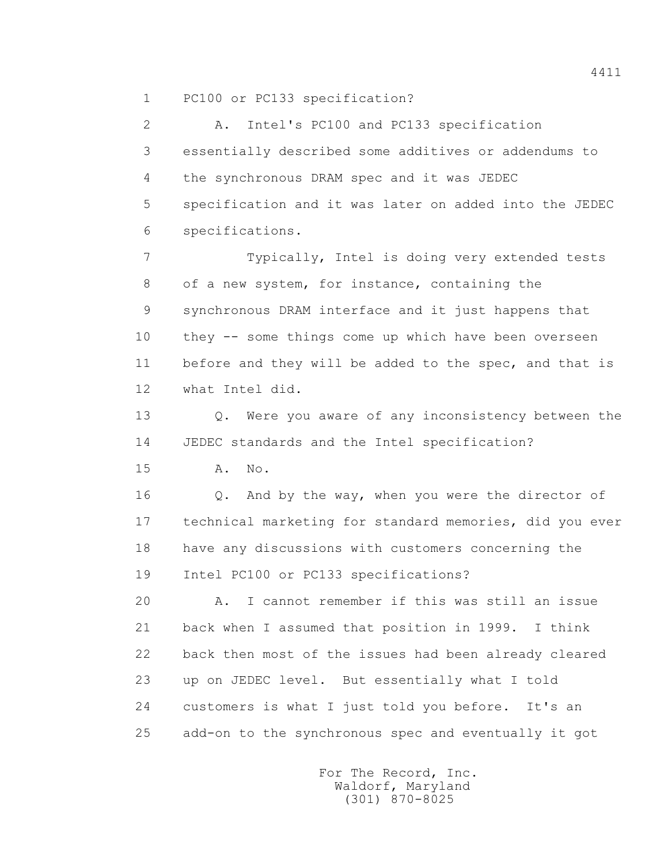1 PC100 or PC133 specification?

 2 A. Intel's PC100 and PC133 specification 3 essentially described some additives or addendums to 4 the synchronous DRAM spec and it was JEDEC 5 specification and it was later on added into the JEDEC 6 specifications.

 7 Typically, Intel is doing very extended tests 8 of a new system, for instance, containing the 9 synchronous DRAM interface and it just happens that 10 they -- some things come up which have been overseen 11 before and they will be added to the spec, and that is 12 what Intel did.

 13 Q. Were you aware of any inconsistency between the 14 JEDEC standards and the Intel specification?

15 A. No.

16 0. And by the way, when you were the director of 17 technical marketing for standard memories, did you ever 18 have any discussions with customers concerning the 19 Intel PC100 or PC133 specifications?

 20 A. I cannot remember if this was still an issue 21 back when I assumed that position in 1999. I think 22 back then most of the issues had been already cleared 23 up on JEDEC level. But essentially what I told 24 customers is what I just told you before. It's an 25 add-on to the synchronous spec and eventually it got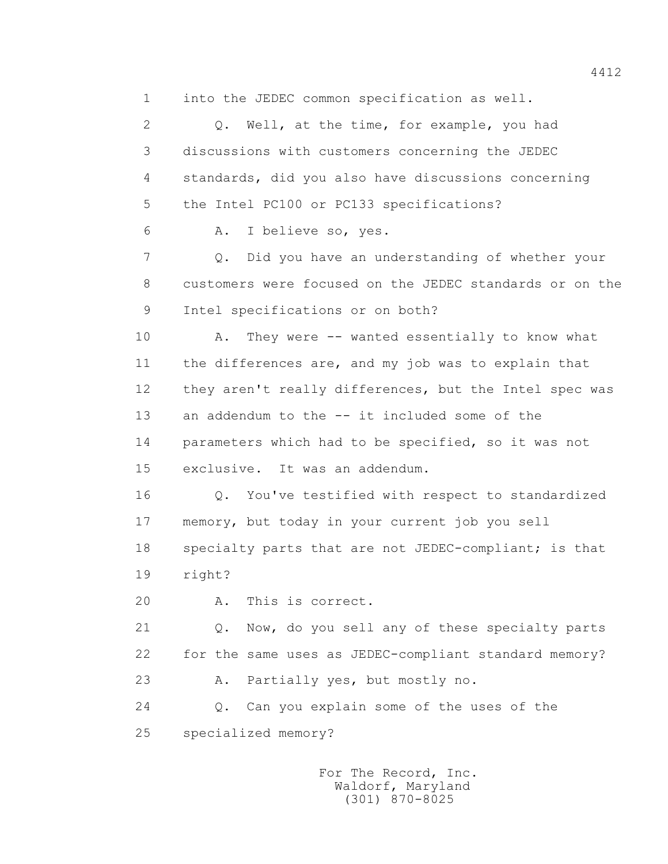1 into the JEDEC common specification as well.

 2 Q. Well, at the time, for example, you had 3 discussions with customers concerning the JEDEC 4 standards, did you also have discussions concerning 5 the Intel PC100 or PC133 specifications?

6 A. I believe so, yes.

 7 Q. Did you have an understanding of whether your 8 customers were focused on the JEDEC standards or on the 9 Intel specifications or on both?

10 A. They were -- wanted essentially to know what 11 the differences are, and my job was to explain that 12 they aren't really differences, but the Intel spec was 13 an addendum to the -- it included some of the 14 parameters which had to be specified, so it was not 15 exclusive. It was an addendum.

 16 Q. You've testified with respect to standardized 17 memory, but today in your current job you sell 18 specialty parts that are not JEDEC-compliant; is that 19 right?

20 A. This is correct.

 21 Q. Now, do you sell any of these specialty parts 22 for the same uses as JEDEC-compliant standard memory? 23 A. Partially yes, but mostly no.

 24 Q. Can you explain some of the uses of the 25 specialized memory?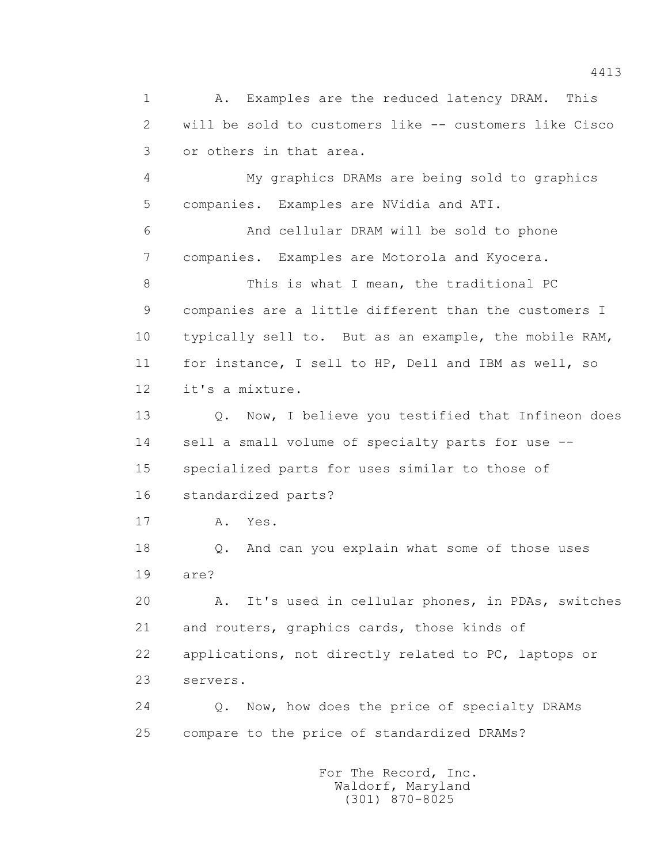1 A. Examples are the reduced latency DRAM. This 2 will be sold to customers like -- customers like Cisco 3 or others in that area. 4 My graphics DRAMs are being sold to graphics 5 companies. Examples are NVidia and ATI. 6 And cellular DRAM will be sold to phone 7 companies. Examples are Motorola and Kyocera. 8 This is what I mean, the traditional PC 9 companies are a little different than the customers I 10 typically sell to. But as an example, the mobile RAM, 11 for instance, I sell to HP, Dell and IBM as well, so 12 it's a mixture. 13 Q. Now, I believe you testified that Infineon does 14 sell a small volume of specialty parts for use -- 15 specialized parts for uses similar to those of 16 standardized parts? 17 A. Yes. 18 Q. And can you explain what some of those uses 19 are? 20 A. It's used in cellular phones, in PDAs, switches 21 and routers, graphics cards, those kinds of 22 applications, not directly related to PC, laptops or 23 servers. 24 Q. Now, how does the price of specialty DRAMs 25 compare to the price of standardized DRAMs?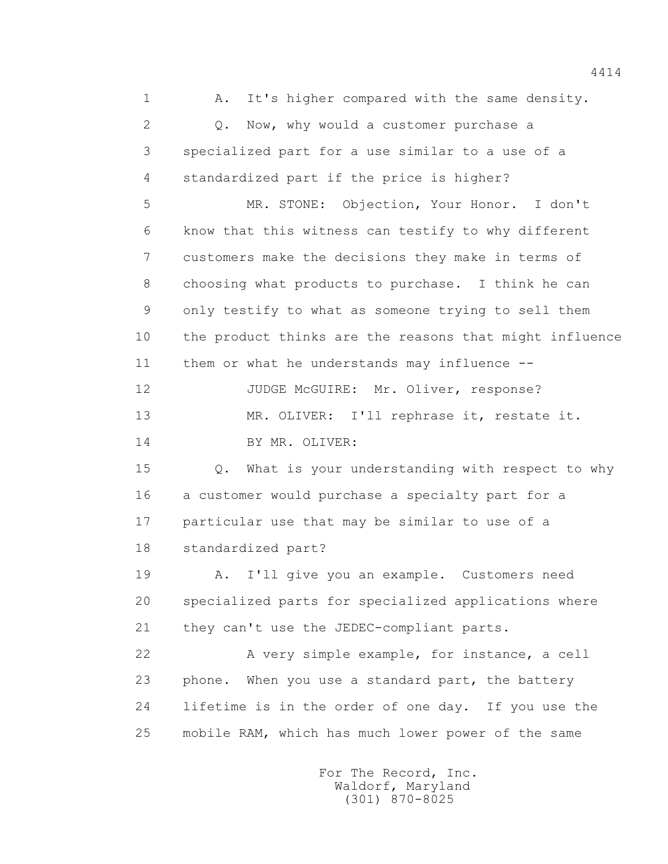1 A. It's higher compared with the same density. 2 Q. Now, why would a customer purchase a 3 specialized part for a use similar to a use of a 4 standardized part if the price is higher? 5 MR. STONE: Objection, Your Honor. I don't 6 know that this witness can testify to why different 7 customers make the decisions they make in terms of 8 choosing what products to purchase. I think he can 9 only testify to what as someone trying to sell them 10 the product thinks are the reasons that might influence 11 them or what he understands may influence -- 12 JUDGE McGUIRE: Mr. Oliver, response? 13 MR. OLIVER: I'll rephrase it, restate it. 14 BY MR. OLIVER: 15 Q. What is your understanding with respect to why 16 a customer would purchase a specialty part for a 17 particular use that may be similar to use of a 18 standardized part? 19 A. I'll give you an example. Customers need 20 specialized parts for specialized applications where 21 they can't use the JEDEC-compliant parts. 22 A very simple example, for instance, a cell 23 phone. When you use a standard part, the battery 24 lifetime is in the order of one day. If you use the 25 mobile RAM, which has much lower power of the same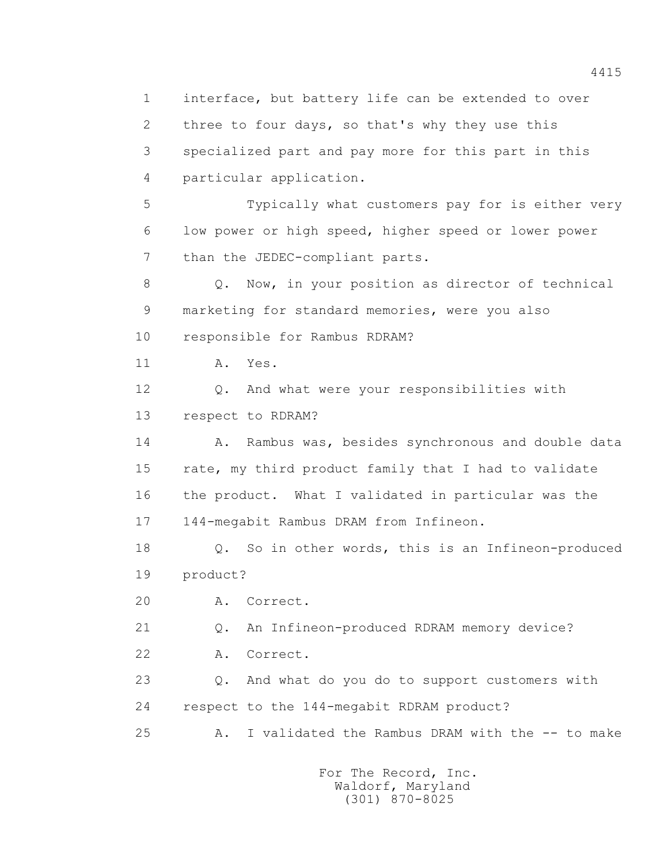1 interface, but battery life can be extended to over 2 three to four days, so that's why they use this 3 specialized part and pay more for this part in this 4 particular application. 5 Typically what customers pay for is either very 6 low power or high speed, higher speed or lower power 7 than the JEDEC-compliant parts. 8 Q. Now, in your position as director of technical 9 marketing for standard memories, were you also 10 responsible for Rambus RDRAM? 11 A. Yes. 12 Q. And what were your responsibilities with 13 respect to RDRAM? 14 A. Rambus was, besides synchronous and double data 15 rate, my third product family that I had to validate 16 the product. What I validated in particular was the 17 144-megabit Rambus DRAM from Infineon. 18 Q. So in other words, this is an Infineon-produced 19 product? 20 A. Correct. 21 Q. An Infineon-produced RDRAM memory device? 22 A. Correct. 23 Q. And what do you do to support customers with 24 respect to the 144-megabit RDRAM product? 25 A. I validated the Rambus DRAM with the -- to make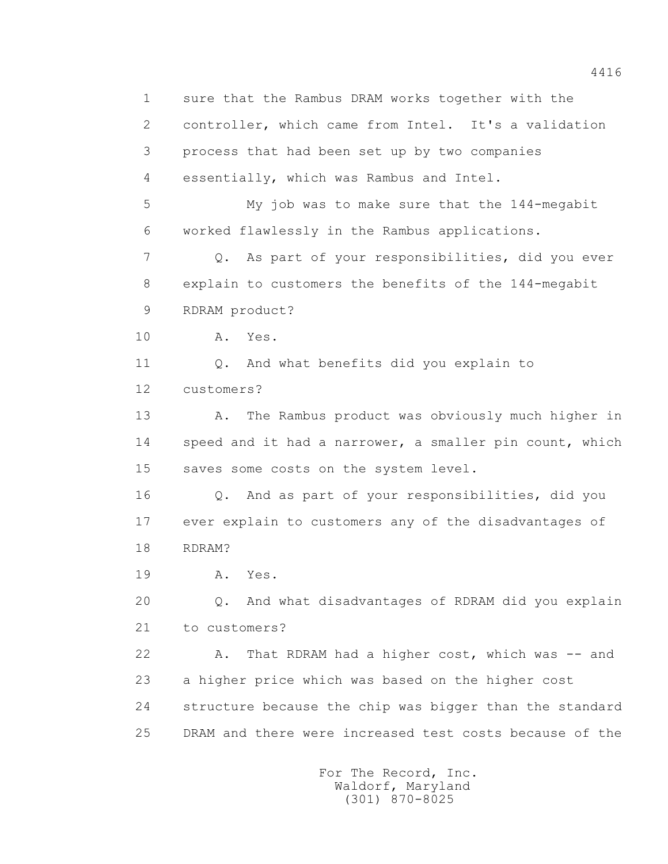1 sure that the Rambus DRAM works together with the 2 controller, which came from Intel. It's a validation 3 process that had been set up by two companies 4 essentially, which was Rambus and Intel. 5 My job was to make sure that the 144-megabit 6 worked flawlessly in the Rambus applications. 7 Q. As part of your responsibilities, did you ever 8 explain to customers the benefits of the 144-megabit 9 RDRAM product? 10 A. Yes. 11 0. And what benefits did you explain to 12 customers? 13 A. The Rambus product was obviously much higher in 14 speed and it had a narrower, a smaller pin count, which 15 saves some costs on the system level. 16 Q. And as part of your responsibilities, did you 17 ever explain to customers any of the disadvantages of 18 RDRAM? 19 **A.** Yes. 20 Q. And what disadvantages of RDRAM did you explain 21 to customers? 22 A. That RDRAM had a higher cost, which was -- and 23 a higher price which was based on the higher cost 24 structure because the chip was bigger than the standard 25 DRAM and there were increased test costs because of the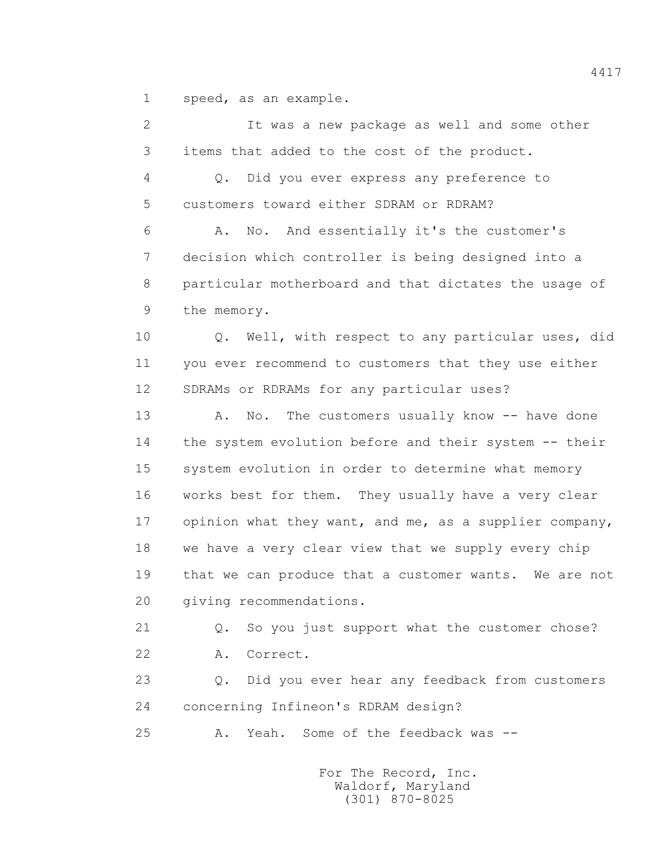1 speed, as an example.

 2 It was a new package as well and some other 3 items that added to the cost of the product. 4 Q. Did you ever express any preference to 5 customers toward either SDRAM or RDRAM? 6 A. No. And essentially it's the customer's 7 decision which controller is being designed into a 8 particular motherboard and that dictates the usage of 9 the memory. 10 Q. Well, with respect to any particular uses, did 11 you ever recommend to customers that they use either 12 SDRAMs or RDRAMs for any particular uses? 13 A. No. The customers usually know -- have done 14 the system evolution before and their system -- their 15 system evolution in order to determine what memory 16 works best for them. They usually have a very clear 17 opinion what they want, and me, as a supplier company, 18 we have a very clear view that we supply every chip 19 that we can produce that a customer wants. We are not 20 giving recommendations. 21 Q. So you just support what the customer chose? 22 A. Correct. 23 Q. Did you ever hear any feedback from customers 24 concerning Infineon's RDRAM design? 25 A. Yeah. Some of the feedback was -- For The Record, Inc. Waldorf, Maryland

(301) 870-8025

4417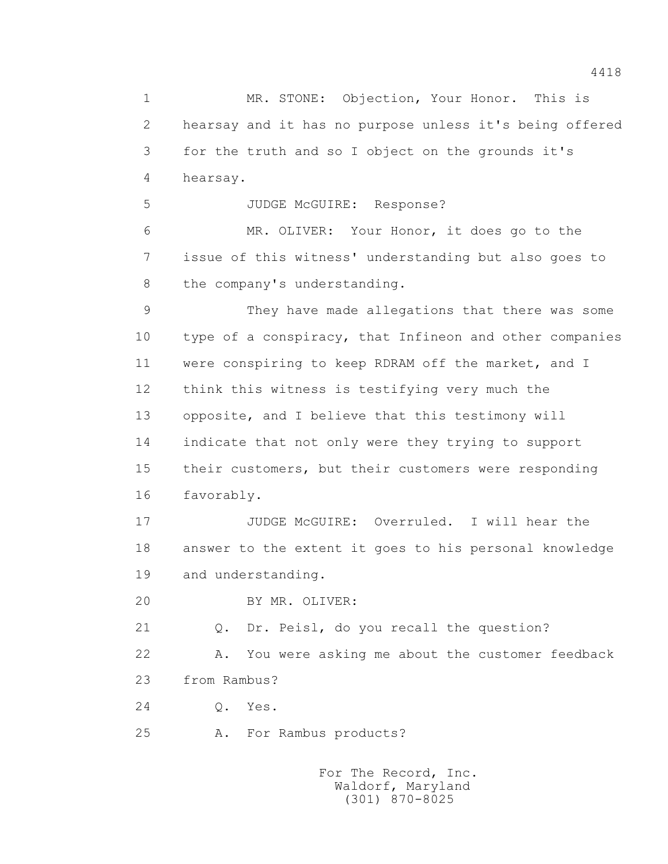1 MR. STONE: Objection, Your Honor. This is 2 hearsay and it has no purpose unless it's being offered 3 for the truth and so I object on the grounds it's 4 hearsay. 5 JUDGE McGUIRE: Response? 6 MR. OLIVER: Your Honor, it does go to the 7 issue of this witness' understanding but also goes to 8 the company's understanding. 9 They have made allegations that there was some 10 type of a conspiracy, that Infineon and other companies 11 were conspiring to keep RDRAM off the market, and I 12 think this witness is testifying very much the 13 opposite, and I believe that this testimony will 14 indicate that not only were they trying to support 15 their customers, but their customers were responding 16 favorably. 17 JUDGE McGUIRE: Overruled. I will hear the 18 answer to the extent it goes to his personal knowledge 19 and understanding. 20 BY MR. OLIVER: 21 Q. Dr. Peisl, do you recall the question? 22 A. You were asking me about the customer feedback 23 from Rambus? 24 Q. Yes. 25 A. For Rambus products?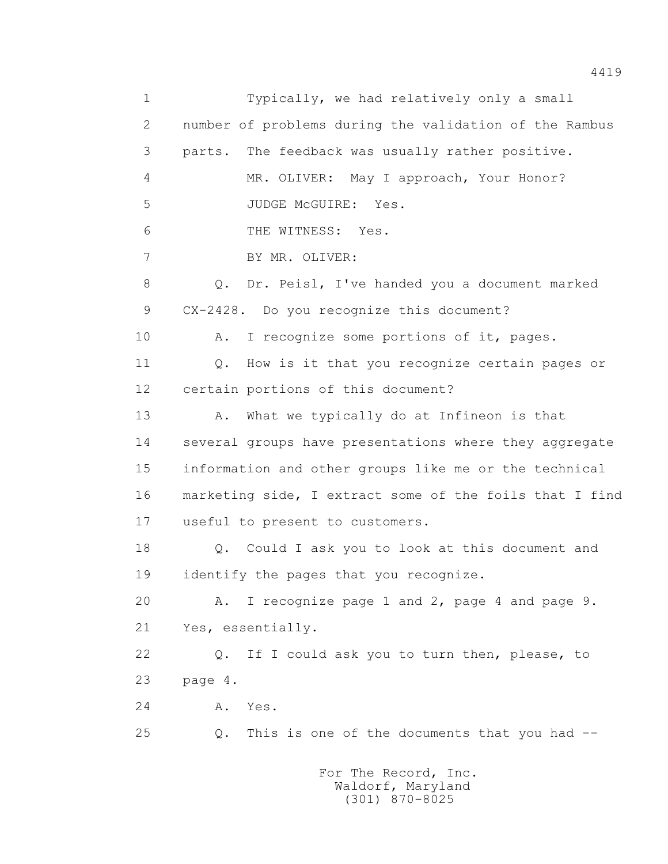1 Typically, we had relatively only a small 2 number of problems during the validation of the Rambus 3 parts. The feedback was usually rather positive. 4 MR. OLIVER: May I approach, Your Honor? 5 JUDGE McGUIRE: Yes. 6 THE WITNESS: Yes. 7 BY MR. OLIVER: 8 Q. Dr. Peisl, I've handed you a document marked 9 CX-2428. Do you recognize this document? 10 A. I recognize some portions of it, pages. 11 Q. How is it that you recognize certain pages or 12 certain portions of this document? 13 A. What we typically do at Infineon is that 14 several groups have presentations where they aggregate 15 information and other groups like me or the technical 16 marketing side, I extract some of the foils that I find 17 useful to present to customers. 18 Q. Could I ask you to look at this document and 19 identify the pages that you recognize. 20 A. I recognize page 1 and 2, page 4 and page 9. 21 Yes, essentially. 22 Q. If I could ask you to turn then, please, to 23 page 4. 24 A. Yes. 25 Q. This is one of the documents that you had --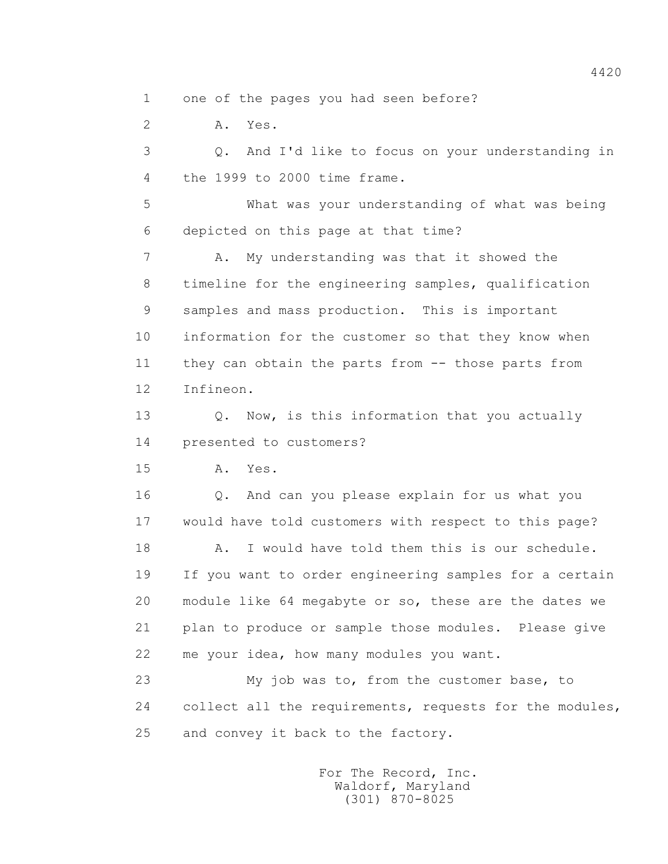1 one of the pages you had seen before?

2 A. Yes.

 3 Q. And I'd like to focus on your understanding in 4 the 1999 to 2000 time frame.

 5 What was your understanding of what was being 6 depicted on this page at that time?

7 A. My understanding was that it showed the 8 timeline for the engineering samples, qualification 9 samples and mass production. This is important 10 information for the customer so that they know when 11 they can obtain the parts from -- those parts from 12 Infineon.

13 0. Now, is this information that you actually 14 presented to customers?

15 A. Yes.

 16 Q. And can you please explain for us what you 17 would have told customers with respect to this page?

 18 A. I would have told them this is our schedule. 19 If you want to order engineering samples for a certain 20 module like 64 megabyte or so, these are the dates we 21 plan to produce or sample those modules. Please give 22 me your idea, how many modules you want.

 23 My job was to, from the customer base, to 24 collect all the requirements, requests for the modules, 25 and convey it back to the factory.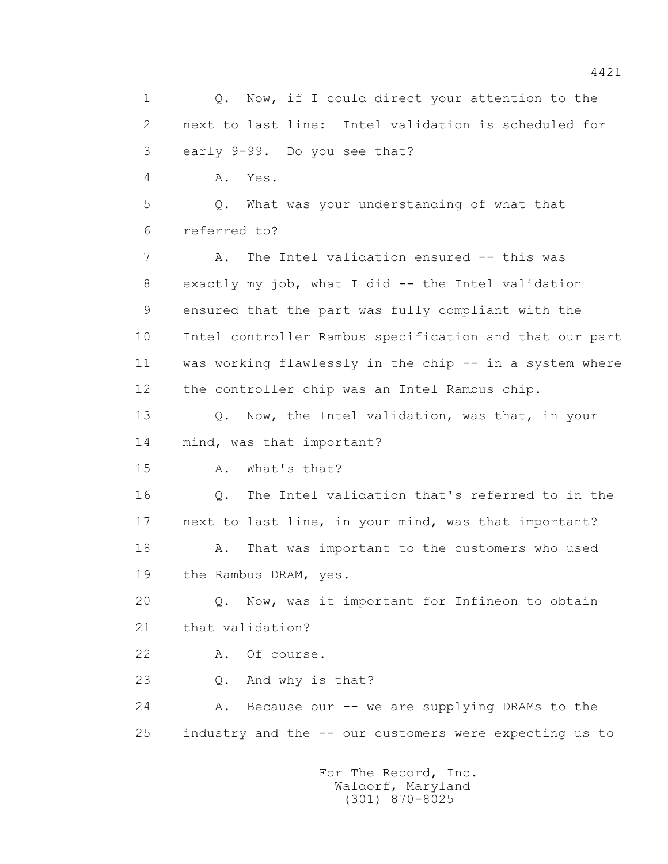1 0. Now, if I could direct your attention to the 2 next to last line: Intel validation is scheduled for 3 early 9-99. Do you see that? 4 A. Yes. 5 Q. What was your understanding of what that 6 referred to? 7 A. The Intel validation ensured -- this was 8 exactly my job, what I did -- the Intel validation 9 ensured that the part was fully compliant with the 10 Intel controller Rambus specification and that our part 11 was working flawlessly in the chip -- in a system where 12 the controller chip was an Intel Rambus chip. 13 Q. Now, the Intel validation, was that, in your 14 mind, was that important? 15 A. What's that? 16 Q. The Intel validation that's referred to in the 17 next to last line, in your mind, was that important? 18 A. That was important to the customers who used 19 the Rambus DRAM, yes. 20 Q. Now, was it important for Infineon to obtain 21 that validation? 22 A. Of course. 23 Q. And why is that? 24 A. Because our -- we are supplying DRAMs to the 25 industry and the -- our customers were expecting us to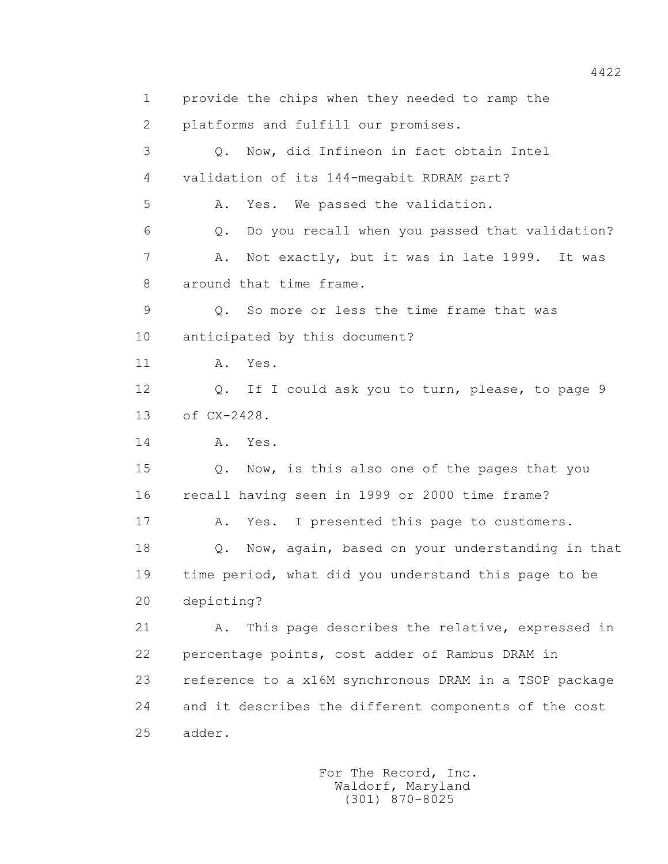1 provide the chips when they needed to ramp the 2 platforms and fulfill our promises. 3 Q. Now, did Infineon in fact obtain Intel 4 validation of its 144-megabit RDRAM part? 5 A. Yes. We passed the validation. 6 Q. Do you recall when you passed that validation? 7 A. Not exactly, but it was in late 1999. It was 8 around that time frame. 9 Q. So more or less the time frame that was 10 anticipated by this document? 11 A. Yes. 12 Q. If I could ask you to turn, please, to page 9 13 of CX-2428. 14 **A.** Yes. 15 Q. Now, is this also one of the pages that you 16 recall having seen in 1999 or 2000 time frame? 17 A. Yes. I presented this page to customers. 18 Q. Now, again, based on your understanding in that 19 time period, what did you understand this page to be 20 depicting? 21 A. This page describes the relative, expressed in 22 percentage points, cost adder of Rambus DRAM in 23 reference to a x16M synchronous DRAM in a TSOP package 24 and it describes the different components of the cost 25 adder.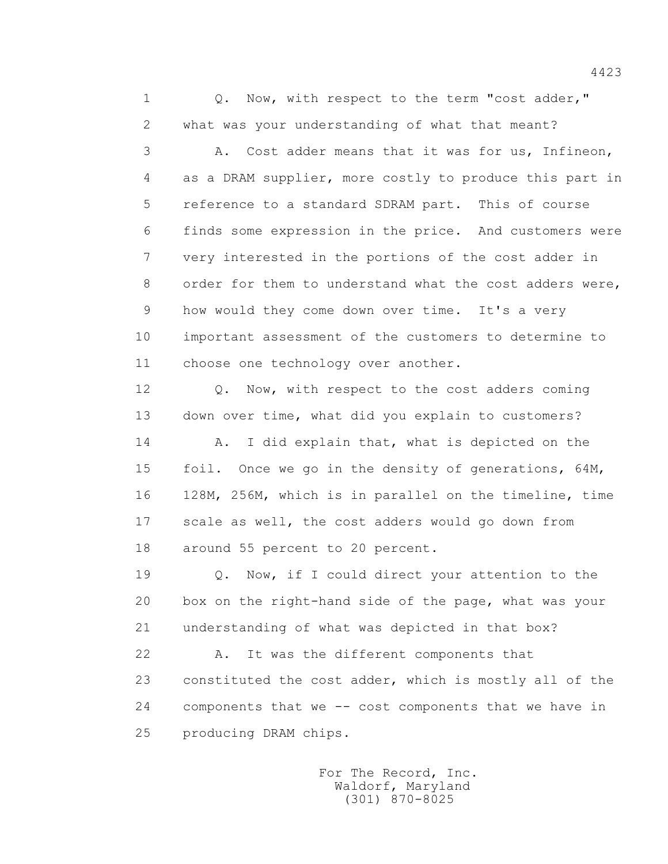1 0. Now, with respect to the term "cost adder," 2 what was your understanding of what that meant? 3 A. Cost adder means that it was for us, Infineon, 4 as a DRAM supplier, more costly to produce this part in 5 reference to a standard SDRAM part. This of course 6 finds some expression in the price. And customers were 7 very interested in the portions of the cost adder in 8 order for them to understand what the cost adders were, 9 how would they come down over time. It's a very

 10 important assessment of the customers to determine to 11 choose one technology over another.

12 Q. Now, with respect to the cost adders coming 13 down over time, what did you explain to customers?

14 A. I did explain that, what is depicted on the 15 foil. Once we go in the density of generations, 64M, 16 128M, 256M, which is in parallel on the timeline, time 17 scale as well, the cost adders would go down from 18 around 55 percent to 20 percent.

 19 Q. Now, if I could direct your attention to the 20 box on the right-hand side of the page, what was your 21 understanding of what was depicted in that box?

 22 A. It was the different components that 23 constituted the cost adder, which is mostly all of the 24 components that we -- cost components that we have in 25 producing DRAM chips.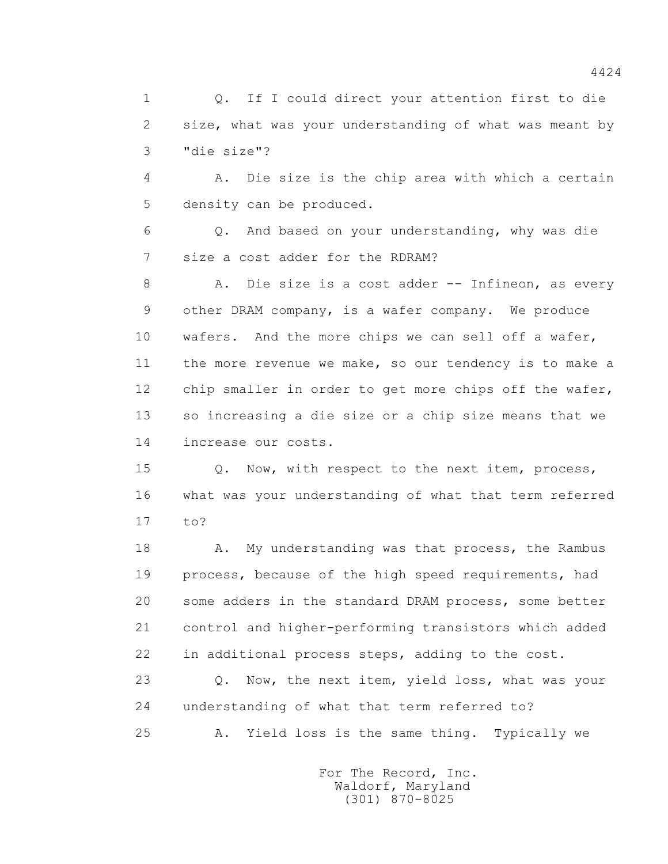1 0. If I could direct your attention first to die 2 size, what was your understanding of what was meant by 3 "die size"?

 4 A. Die size is the chip area with which a certain 5 density can be produced.

 6 Q. And based on your understanding, why was die 7 size a cost adder for the RDRAM?

 8 A. Die size is a cost adder -- Infineon, as every 9 other DRAM company, is a wafer company. We produce 10 wafers. And the more chips we can sell off a wafer, 11 the more revenue we make, so our tendency is to make a 12 chip smaller in order to get more chips off the wafer, 13 so increasing a die size or a chip size means that we 14 increase our costs.

 15 Q. Now, with respect to the next item, process, 16 what was your understanding of what that term referred 17 to?

18 A. My understanding was that process, the Rambus 19 process, because of the high speed requirements, had 20 some adders in the standard DRAM process, some better 21 control and higher-performing transistors which added 22 in additional process steps, adding to the cost.

 23 Q. Now, the next item, yield loss, what was your 24 understanding of what that term referred to?

25 A. Yield loss is the same thing. Typically we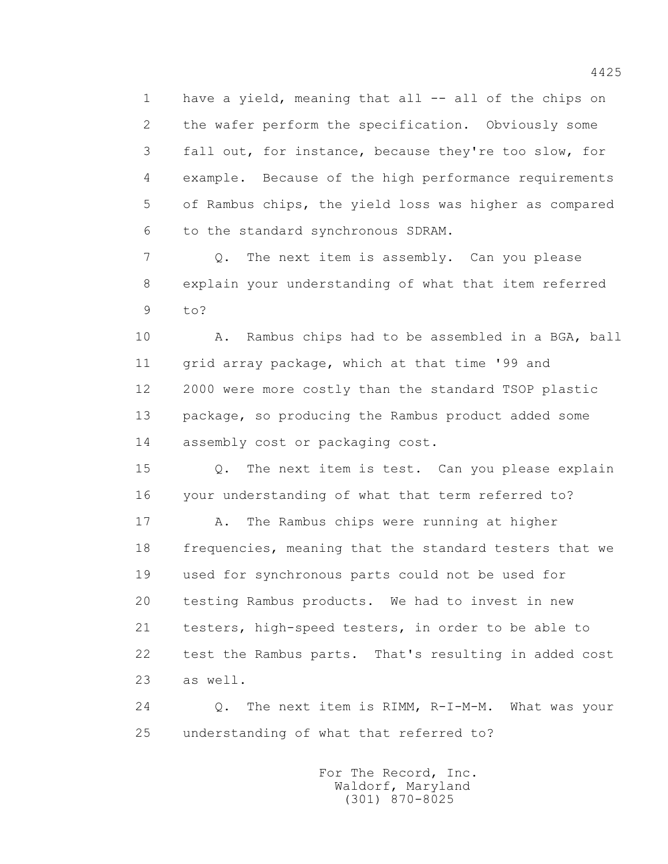1 have a yield, meaning that all -- all of the chips on 2 the wafer perform the specification. Obviously some 3 fall out, for instance, because they're too slow, for 4 example. Because of the high performance requirements 5 of Rambus chips, the yield loss was higher as compared 6 to the standard synchronous SDRAM.

 7 Q. The next item is assembly. Can you please 8 explain your understanding of what that item referred 9 to?

10 A. Rambus chips had to be assembled in a BGA, ball 11 grid array package, which at that time '99 and 12 2000 were more costly than the standard TSOP plastic 13 package, so producing the Rambus product added some 14 assembly cost or packaging cost.

 15 Q. The next item is test. Can you please explain 16 your understanding of what that term referred to?

 17 A. The Rambus chips were running at higher 18 frequencies, meaning that the standard testers that we 19 used for synchronous parts could not be used for 20 testing Rambus products. We had to invest in new 21 testers, high-speed testers, in order to be able to 22 test the Rambus parts. That's resulting in added cost 23 as well.

 24 Q. The next item is RIMM, R-I-M-M. What was your 25 understanding of what that referred to?

> For The Record, Inc. Waldorf, Maryland (301) 870-8025

4425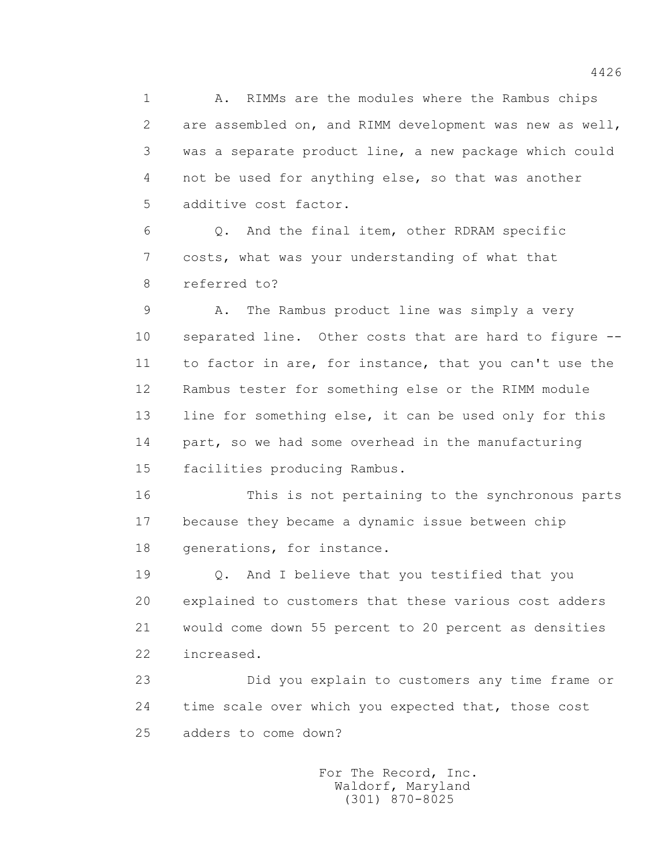1 A. RIMMs are the modules where the Rambus chips 2 are assembled on, and RIMM development was new as well, 3 was a separate product line, a new package which could 4 not be used for anything else, so that was another 5 additive cost factor.

 6 Q. And the final item, other RDRAM specific 7 costs, what was your understanding of what that 8 referred to?

 9 A. The Rambus product line was simply a very 10 separated line. Other costs that are hard to figure -- 11 to factor in are, for instance, that you can't use the 12 Rambus tester for something else or the RIMM module 13 line for something else, it can be used only for this 14 part, so we had some overhead in the manufacturing 15 facilities producing Rambus.

 16 This is not pertaining to the synchronous parts 17 because they became a dynamic issue between chip 18 generations, for instance.

 19 Q. And I believe that you testified that you 20 explained to customers that these various cost adders 21 would come down 55 percent to 20 percent as densities 22 increased.

 23 Did you explain to customers any time frame or 24 time scale over which you expected that, those cost 25 adders to come down?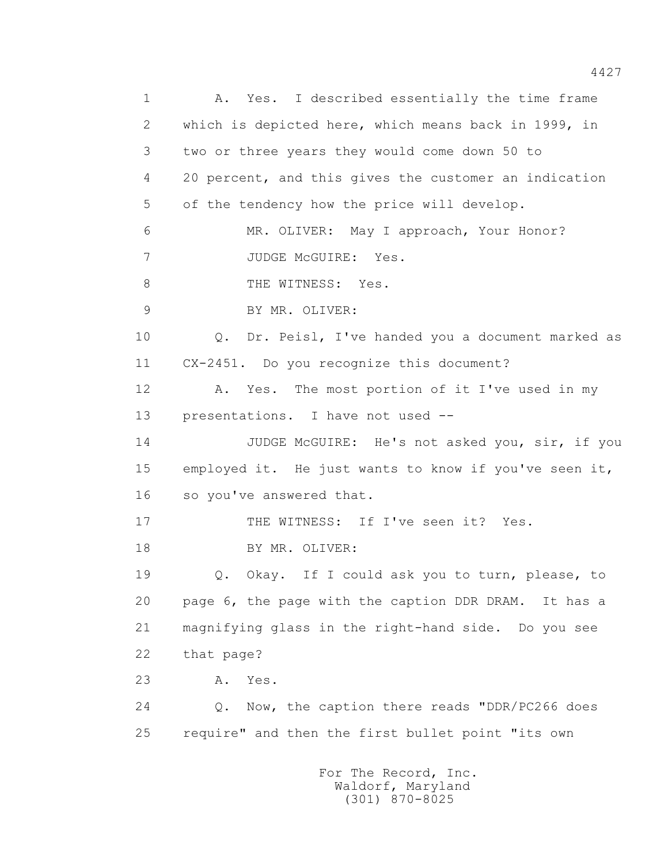1 A. Yes. I described essentially the time frame 2 which is depicted here, which means back in 1999, in 3 two or three years they would come down 50 to 4 20 percent, and this gives the customer an indication 5 of the tendency how the price will develop. 6 MR. OLIVER: May I approach, Your Honor? 7 JUDGE McGUIRE: Yes. 8 THE WITNESS: Yes. 9 BY MR. OLIVER: 10 Q. Dr. Peisl, I've handed you a document marked as 11 CX-2451. Do you recognize this document? 12 A. Yes. The most portion of it I've used in my 13 presentations. I have not used -- 14 JUDGE McGUIRE: He's not asked you, sir, if you 15 employed it. He just wants to know if you've seen it, 16 so you've answered that. 17 THE WITNESS: If I've seen it? Yes. 18 BY MR. OLIVER: 19 Q. Okay. If I could ask you to turn, please, to 20 page 6, the page with the caption DDR DRAM. It has a 21 magnifying glass in the right-hand side. Do you see 22 that page? 23 A. Yes. 24 Q. Now, the caption there reads "DDR/PC266 does 25 require" and then the first bullet point "its own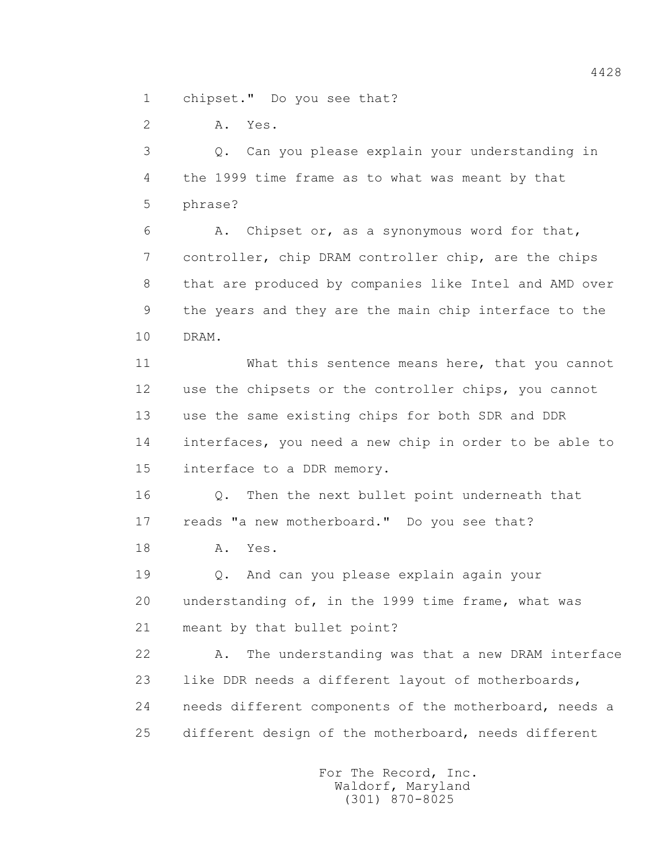1 chipset." Do you see that?

2 A. Yes.

 3 Q. Can you please explain your understanding in 4 the 1999 time frame as to what was meant by that 5 phrase?

 6 A. Chipset or, as a synonymous word for that, 7 controller, chip DRAM controller chip, are the chips 8 that are produced by companies like Intel and AMD over 9 the years and they are the main chip interface to the 10 DRAM.

 11 What this sentence means here, that you cannot 12 use the chipsets or the controller chips, you cannot 13 use the same existing chips for both SDR and DDR 14 interfaces, you need a new chip in order to be able to 15 interface to a DDR memory.

 16 Q. Then the next bullet point underneath that 17 reads "a new motherboard." Do you see that?

18 **A.** Yes.

 19 Q. And can you please explain again your 20 understanding of, in the 1999 time frame, what was 21 meant by that bullet point?

 22 A. The understanding was that a new DRAM interface 23 like DDR needs a different layout of motherboards, 24 needs different components of the motherboard, needs a 25 different design of the motherboard, needs different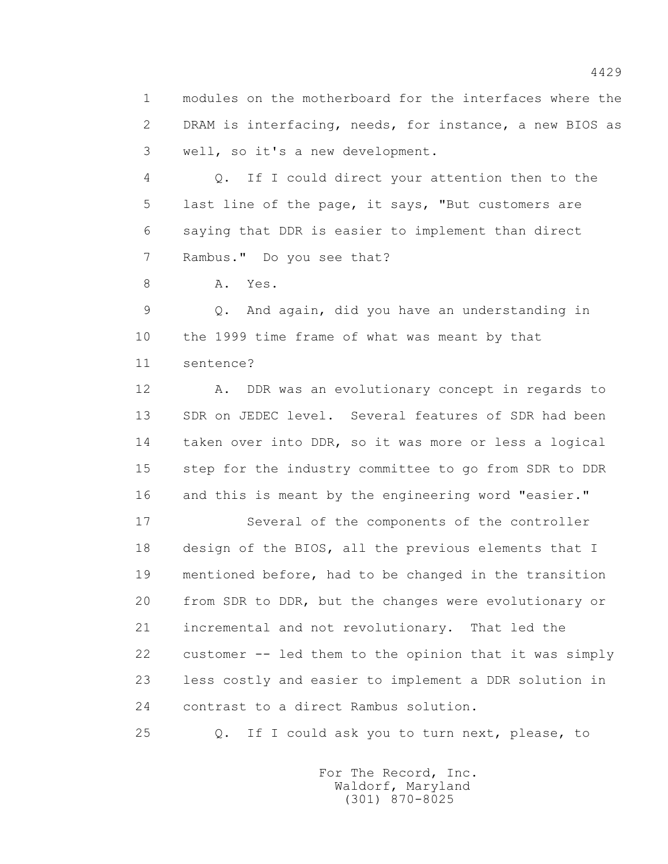1 modules on the motherboard for the interfaces where the 2 DRAM is interfacing, needs, for instance, a new BIOS as 3 well, so it's a new development.

 4 Q. If I could direct your attention then to the 5 last line of the page, it says, "But customers are 6 saying that DDR is easier to implement than direct 7 Rambus." Do you see that?

8 A. Yes.

 9 Q. And again, did you have an understanding in 10 the 1999 time frame of what was meant by that 11 sentence?

 12 A. DDR was an evolutionary concept in regards to 13 SDR on JEDEC level. Several features of SDR had been 14 taken over into DDR, so it was more or less a logical 15 step for the industry committee to go from SDR to DDR 16 and this is meant by the engineering word "easier."

 17 Several of the components of the controller 18 design of the BIOS, all the previous elements that I 19 mentioned before, had to be changed in the transition 20 from SDR to DDR, but the changes were evolutionary or 21 incremental and not revolutionary. That led the 22 customer -- led them to the opinion that it was simply 23 less costly and easier to implement a DDR solution in 24 contrast to a direct Rambus solution.

25 Q. If I could ask you to turn next, please, to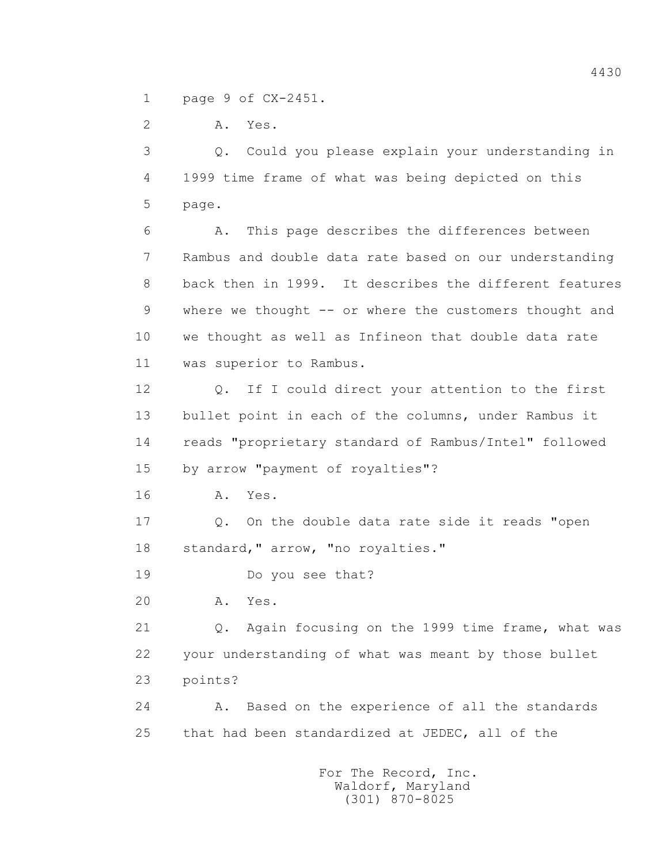1 page 9 of CX-2451.

2 A. Yes.

 3 Q. Could you please explain your understanding in 4 1999 time frame of what was being depicted on this 5 page.

 6 A. This page describes the differences between 7 Rambus and double data rate based on our understanding 8 back then in 1999. It describes the different features 9 where we thought -- or where the customers thought and 10 we thought as well as Infineon that double data rate 11 was superior to Rambus.

 12 Q. If I could direct your attention to the first 13 bullet point in each of the columns, under Rambus it 14 reads "proprietary standard of Rambus/Intel" followed 15 by arrow "payment of royalties"?

16 **A.** Yes.

 17 Q. On the double data rate side it reads "open 18 standard," arrow, "no royalties."

19 Do you see that?

20 A. Yes.

 21 Q. Again focusing on the 1999 time frame, what was 22 your understanding of what was meant by those bullet 23 points?

 24 A. Based on the experience of all the standards 25 that had been standardized at JEDEC, all of the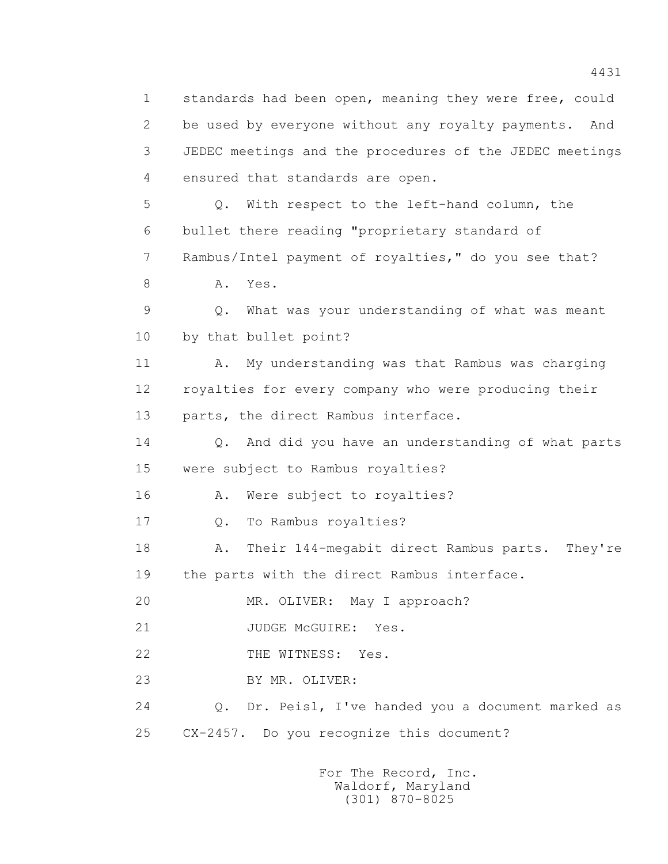1 standards had been open, meaning they were free, could 2 be used by everyone without any royalty payments. And 3 JEDEC meetings and the procedures of the JEDEC meetings 4 ensured that standards are open. 5 Q. With respect to the left-hand column, the 6 bullet there reading "proprietary standard of 7 Rambus/Intel payment of royalties," do you see that? 8 A. Yes. 9 Q. What was your understanding of what was meant 10 by that bullet point? 11 A. My understanding was that Rambus was charging 12 royalties for every company who were producing their 13 parts, the direct Rambus interface. 14 Q. And did you have an understanding of what parts 15 were subject to Rambus royalties? 16 A. Were subject to royalties? 17 0. To Rambus royalties? 18 A. Their 144-megabit direct Rambus parts. They're 19 the parts with the direct Rambus interface. 20 MR. OLIVER: May I approach? 21 JUDGE McGUIRE: Yes. 22 THE WITNESS: Yes. 23 BY MR. OLIVER: 24 Q. Dr. Peisl, I've handed you a document marked as 25 CX-2457. Do you recognize this document?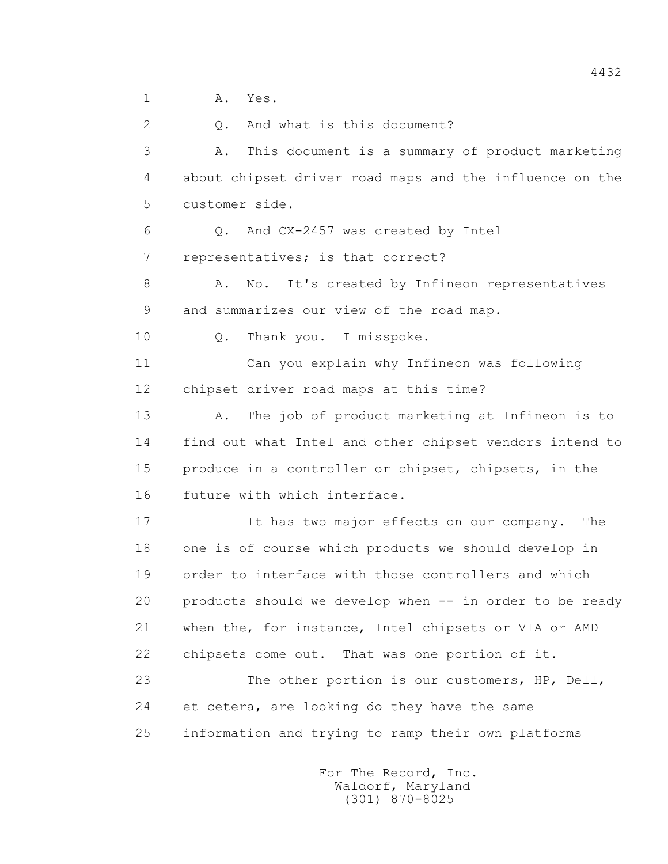1 A. Yes.

 2 Q. And what is this document? 3 A. This document is a summary of product marketing 4 about chipset driver road maps and the influence on the 5 customer side. 6 Q. And CX-2457 was created by Intel 7 representatives; is that correct? 8 A. No. It's created by Infineon representatives 9 and summarizes our view of the road map. 10 Q. Thank you. I misspoke. 11 Can you explain why Infineon was following 12 chipset driver road maps at this time? 13 A. The job of product marketing at Infineon is to 14 find out what Intel and other chipset vendors intend to 15 produce in a controller or chipset, chipsets, in the 16 future with which interface. 17 It has two major effects on our company. The 18 one is of course which products we should develop in 19 order to interface with those controllers and which 20 products should we develop when -- in order to be ready 21 when the, for instance, Intel chipsets or VIA or AMD 22 chipsets come out. That was one portion of it. 23 The other portion is our customers, HP, Dell, 24 et cetera, are looking do they have the same 25 information and trying to ramp their own platforms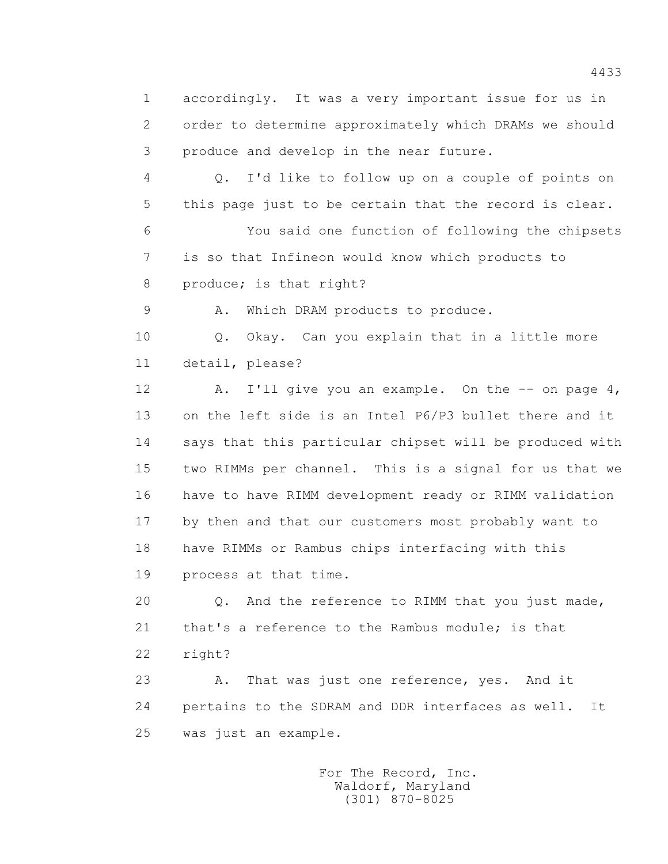1 accordingly. It was a very important issue for us in 2 order to determine approximately which DRAMs we should 3 produce and develop in the near future.

 4 Q. I'd like to follow up on a couple of points on 5 this page just to be certain that the record is clear. 6 You said one function of following the chipsets 7 is so that Infineon would know which products to 8 produce; is that right?

9 A. Which DRAM products to produce.

 10 Q. Okay. Can you explain that in a little more 11 detail, please?

12 A. I'll give you an example. On the -- on page 4, 13 on the left side is an Intel P6/P3 bullet there and it 14 says that this particular chipset will be produced with 15 two RIMMs per channel. This is a signal for us that we 16 have to have RIMM development ready or RIMM validation 17 by then and that our customers most probably want to 18 have RIMMs or Rambus chips interfacing with this 19 process at that time.

20 0. And the reference to RIMM that you just made, 21 that's a reference to the Rambus module; is that 22 right?

23 A. That was just one reference, yes. And it 24 pertains to the SDRAM and DDR interfaces as well. It 25 was just an example.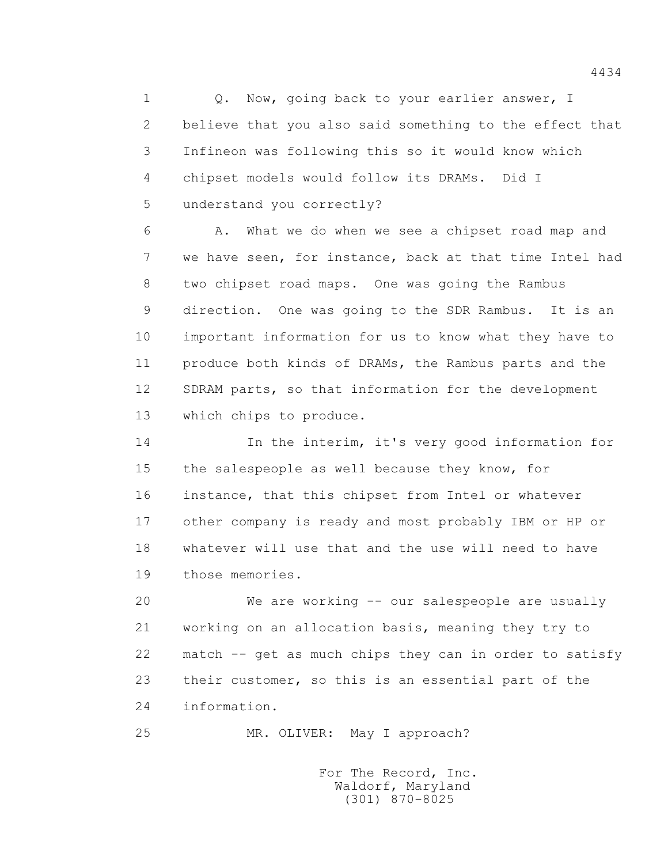1 0. Now, going back to your earlier answer, I 2 believe that you also said something to the effect that 3 Infineon was following this so it would know which 4 chipset models would follow its DRAMs. Did I 5 understand you correctly?

 6 A. What we do when we see a chipset road map and 7 we have seen, for instance, back at that time Intel had 8 two chipset road maps. One was going the Rambus 9 direction. One was going to the SDR Rambus. It is an 10 important information for us to know what they have to 11 produce both kinds of DRAMs, the Rambus parts and the 12 SDRAM parts, so that information for the development 13 which chips to produce.

 14 In the interim, it's very good information for 15 the salespeople as well because they know, for 16 instance, that this chipset from Intel or whatever 17 other company is ready and most probably IBM or HP or 18 whatever will use that and the use will need to have 19 those memories.

 20 We are working -- our salespeople are usually 21 working on an allocation basis, meaning they try to 22 match -- get as much chips they can in order to satisfy 23 their customer, so this is an essential part of the 24 information.

25 MR. OLIVER: May I approach?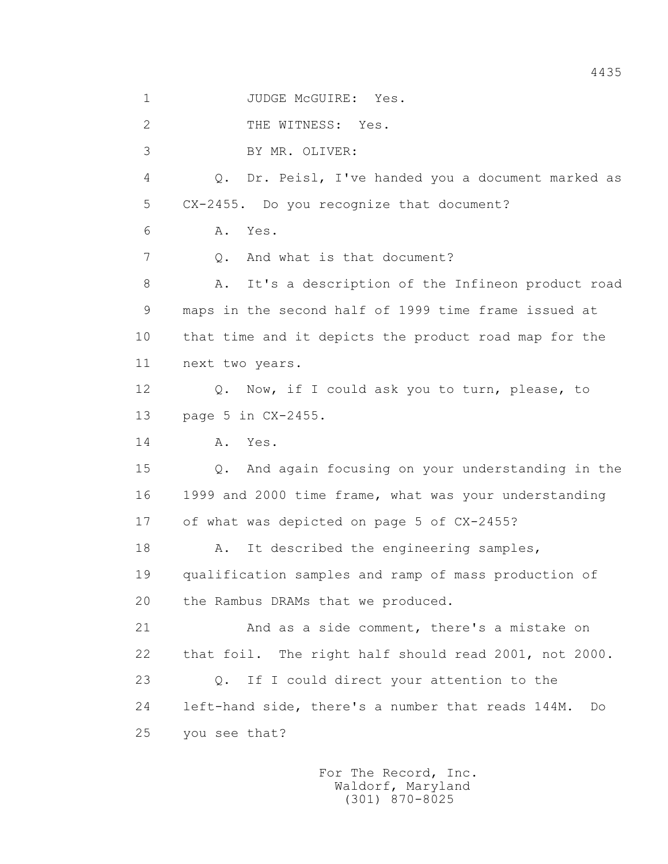1 JUDGE McGUIRE: Yes.

2 THE WITNESS: Yes.

3 BY MR. OLIVER:

 4 Q. Dr. Peisl, I've handed you a document marked as 5 CX-2455. Do you recognize that document?

6 A. Yes.

7 0. And what is that document?

 8 A. It's a description of the Infineon product road 9 maps in the second half of 1999 time frame issued at 10 that time and it depicts the product road map for the 11 next two years.

 12 Q. Now, if I could ask you to turn, please, to 13 page 5 in CX-2455.

14 **A.** Yes.

 15 Q. And again focusing on your understanding in the 16 1999 and 2000 time frame, what was your understanding 17 of what was depicted on page 5 of CX-2455?

18 A. It described the engineering samples, 19 qualification samples and ramp of mass production of 20 the Rambus DRAMs that we produced.

 21 And as a side comment, there's a mistake on 22 that foil. The right half should read 2001, not 2000. 23 Q. If I could direct your attention to the 24 left-hand side, there's a number that reads 144M. Do 25 you see that?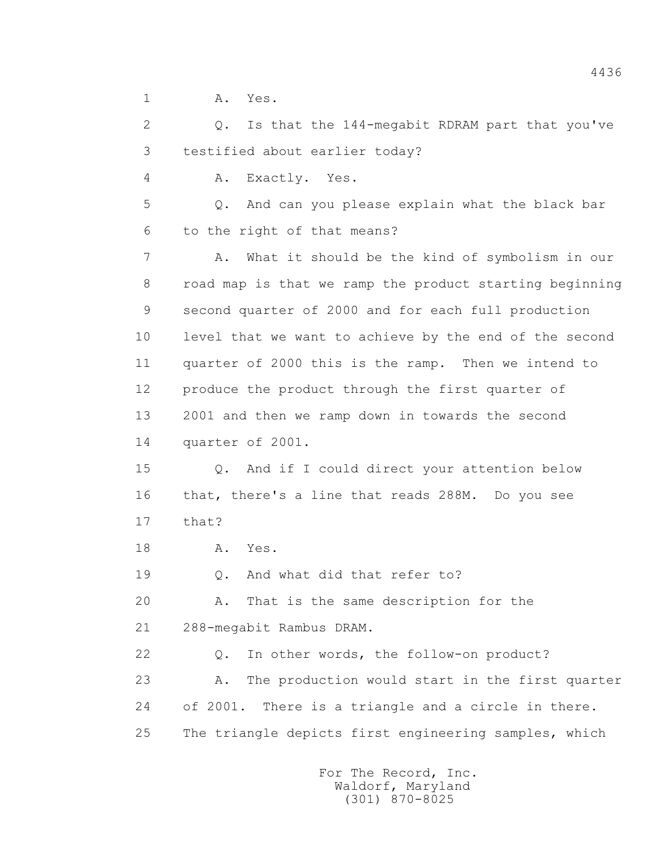1 A. Yes.

 2 Q. Is that the 144-megabit RDRAM part that you've 3 testified about earlier today?

4 A. Exactly. Yes.

 5 Q. And can you please explain what the black bar 6 to the right of that means?

 7 A. What it should be the kind of symbolism in our 8 road map is that we ramp the product starting beginning 9 second quarter of 2000 and for each full production 10 level that we want to achieve by the end of the second 11 quarter of 2000 this is the ramp. Then we intend to 12 produce the product through the first quarter of 13 2001 and then we ramp down in towards the second 14 quarter of 2001.

 15 Q. And if I could direct your attention below 16 that, there's a line that reads 288M. Do you see 17 that?

18 **A.** Yes.

19 Q. And what did that refer to?

 20 A. That is the same description for the 21 288-megabit Rambus DRAM.

 22 Q. In other words, the follow-on product? 23 A. The production would start in the first quarter 24 of 2001. There is a triangle and a circle in there. 25 The triangle depicts first engineering samples, which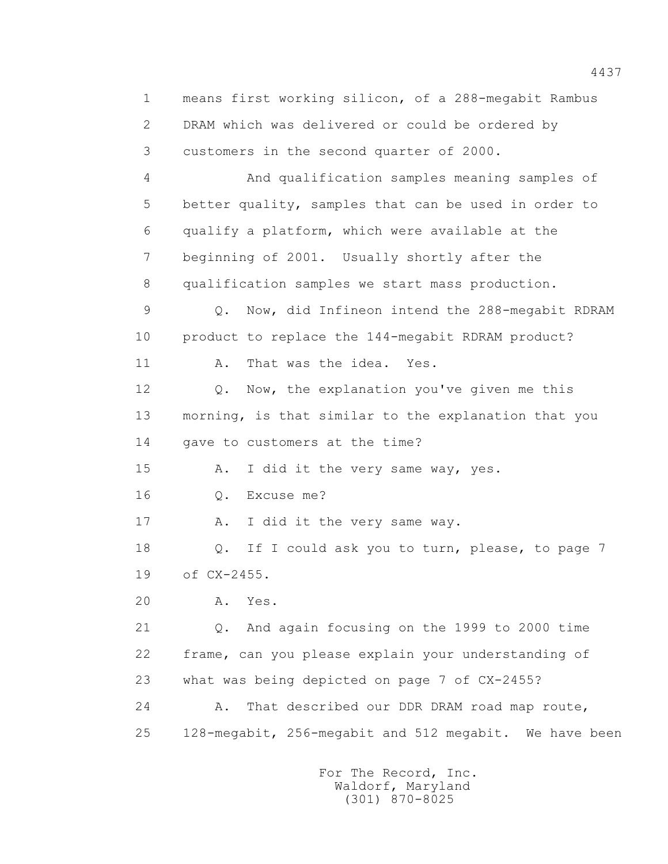1 means first working silicon, of a 288-megabit Rambus 2 DRAM which was delivered or could be ordered by 3 customers in the second quarter of 2000. 4 And qualification samples meaning samples of 5 better quality, samples that can be used in order to 6 qualify a platform, which were available at the 7 beginning of 2001. Usually shortly after the 8 qualification samples we start mass production. 9 Q. Now, did Infineon intend the 288-megabit RDRAM 10 product to replace the 144-megabit RDRAM product? 11 A. That was the idea. Yes. 12 Q. Now, the explanation you've given me this 13 morning, is that similar to the explanation that you 14 gave to customers at the time? 15 A. I did it the very same way, yes. 16 Q. Excuse me? 17 A. I did it the very same way. 18 Q. If I could ask you to turn, please, to page 7 19 of CX-2455. 20 A. Yes. 21 Q. And again focusing on the 1999 to 2000 time 22 frame, can you please explain your understanding of 23 what was being depicted on page 7 of CX-2455? 24 A. That described our DDR DRAM road map route, 25 128-megabit, 256-megabit and 512 megabit. We have been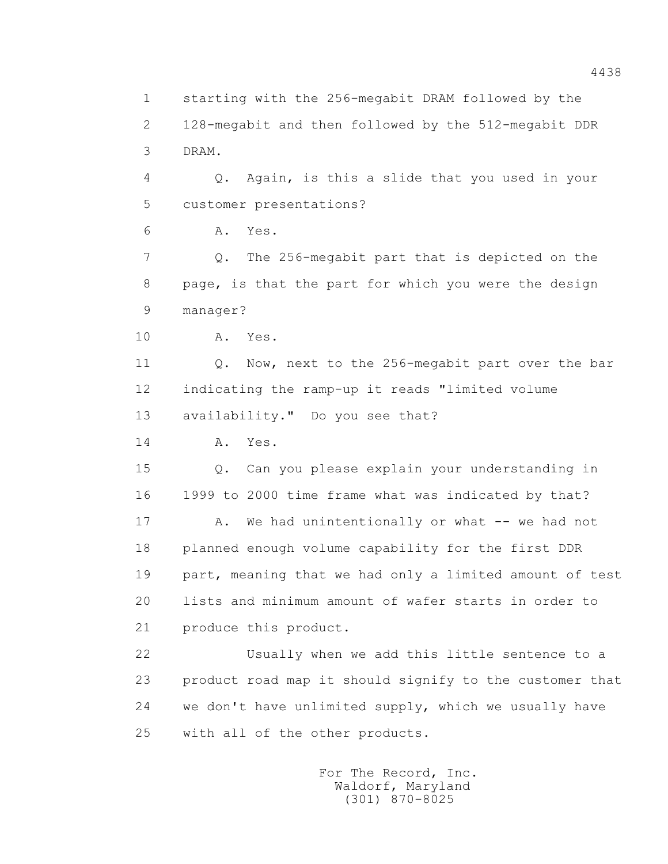2 128-megabit and then followed by the 512-megabit DDR 3 DRAM. 4 Q. Again, is this a slide that you used in your 5 customer presentations? 6 A. Yes. 7 Q. The 256-megabit part that is depicted on the 8 page, is that the part for which you were the design 9 manager? 10 A. Yes. 11 0. Now, next to the 256-megabit part over the bar 12 indicating the ramp-up it reads "limited volume 13 availability." Do you see that? 14 **A.** Yes. 15 Q. Can you please explain your understanding in 16 1999 to 2000 time frame what was indicated by that? 17 A. We had unintentionally or what -- we had not 18 planned enough volume capability for the first DDR 19 part, meaning that we had only a limited amount of test 20 lists and minimum amount of wafer starts in order to 21 produce this product. 22 Usually when we add this little sentence to a 23 product road map it should signify to the customer that 24 we don't have unlimited supply, which we usually have 25 with all of the other products.

1 starting with the 256-megabit DRAM followed by the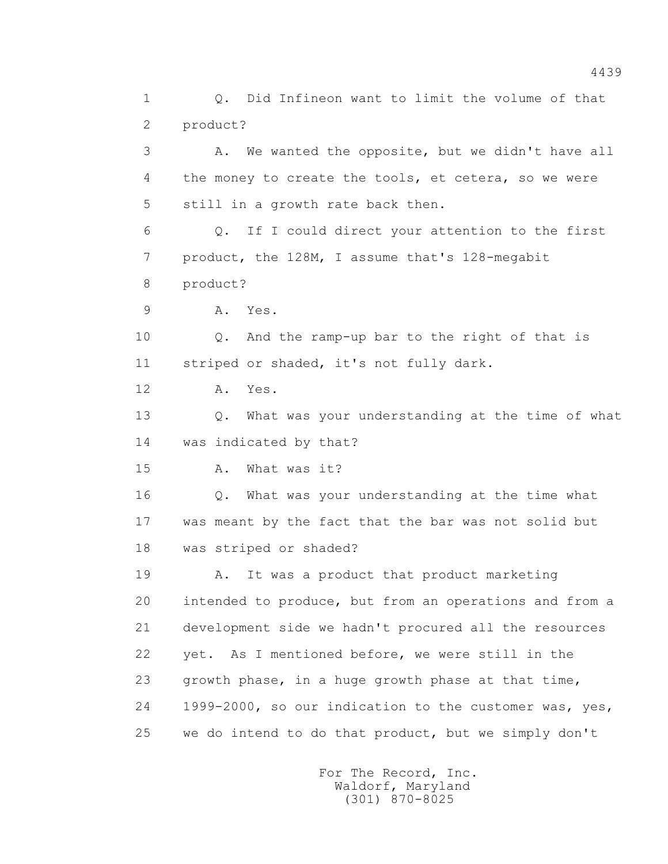1 Q. Did Infineon want to limit the volume of that 2 product? 3 A. We wanted the opposite, but we didn't have all 4 the money to create the tools, et cetera, so we were 5 still in a growth rate back then. 6 Q. If I could direct your attention to the first 7 product, the 128M, I assume that's 128-megabit 8 product? 9 A. Yes. 10 Q. And the ramp-up bar to the right of that is 11 striped or shaded, it's not fully dark. 12 A. Yes. 13 Q. What was your understanding at the time of what 14 was indicated by that? 15 A. What was it? 16 Q. What was your understanding at the time what 17 was meant by the fact that the bar was not solid but 18 was striped or shaded? 19 A. It was a product that product marketing 20 intended to produce, but from an operations and from a 21 development side we hadn't procured all the resources 22 yet. As I mentioned before, we were still in the 23 growth phase, in a huge growth phase at that time, 24 1999-2000, so our indication to the customer was, yes, 25 we do intend to do that product, but we simply don't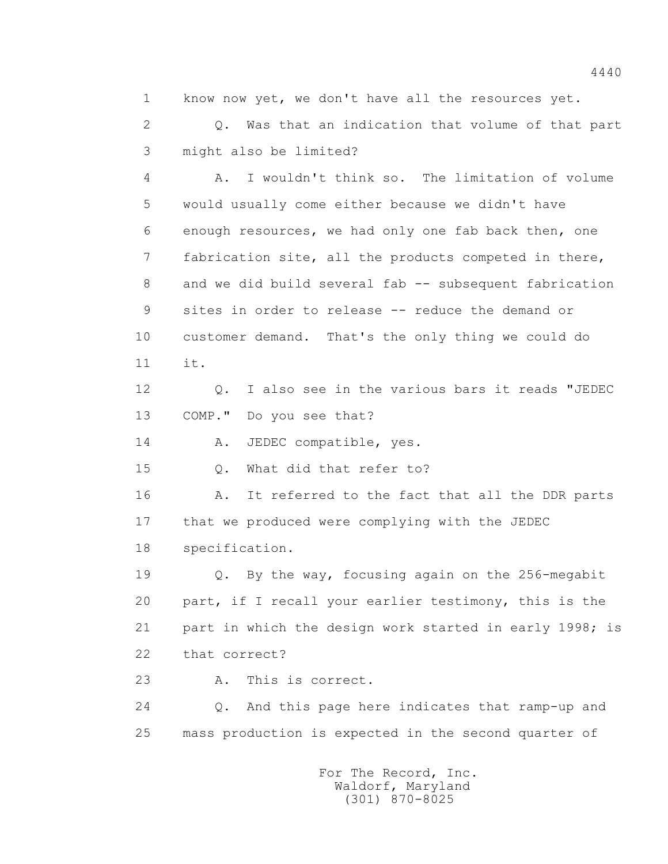1 know now yet, we don't have all the resources yet.

 2 Q. Was that an indication that volume of that part 3 might also be limited?

 4 A. I wouldn't think so. The limitation of volume 5 would usually come either because we didn't have 6 enough resources, we had only one fab back then, one 7 fabrication site, all the products competed in there, 8 and we did build several fab -- subsequent fabrication 9 sites in order to release -- reduce the demand or 10 customer demand. That's the only thing we could do  $11$   $i^+$ .

 12 Q. I also see in the various bars it reads "JEDEC 13 COMP." Do you see that?

14 A. JEDEC compatible, yes.

15 Q. What did that refer to?

16 A. It referred to the fact that all the DDR parts 17 that we produced were complying with the JEDEC 18 specification.

 19 Q. By the way, focusing again on the 256-megabit 20 part, if I recall your earlier testimony, this is the 21 part in which the design work started in early 1998; is 22 that correct?

23 A. This is correct.

 24 Q. And this page here indicates that ramp-up and 25 mass production is expected in the second quarter of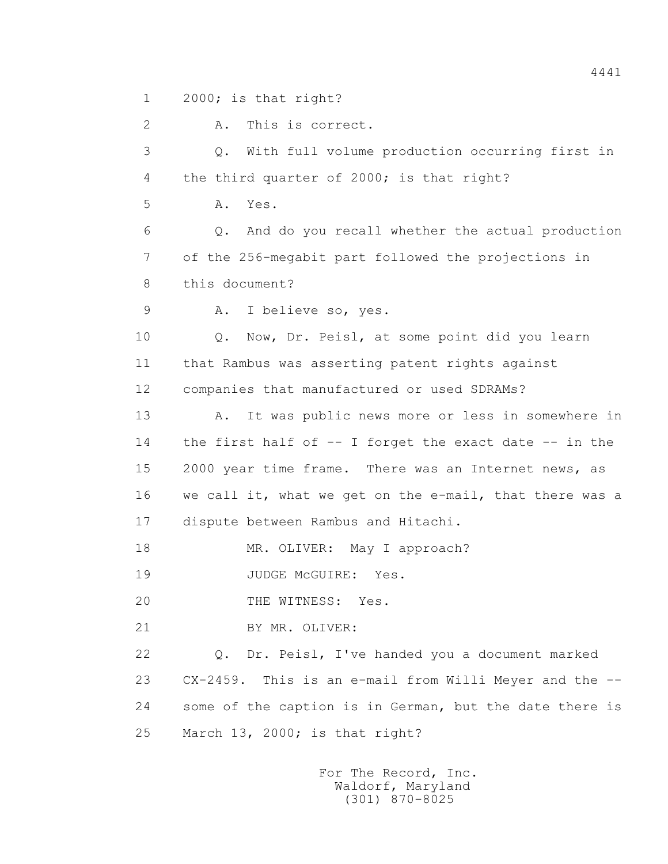1 2000; is that right?

 2 A. This is correct. 3 Q. With full volume production occurring first in 4 the third quarter of 2000; is that right? 5 A. Yes. 6 Q. And do you recall whether the actual production 7 of the 256-megabit part followed the projections in 8 this document? 9 A. I believe so, yes. 10 Q. Now, Dr. Peisl, at some point did you learn 11 that Rambus was asserting patent rights against 12 companies that manufactured or used SDRAMs? 13 A. It was public news more or less in somewhere in 14 the first half of -- I forget the exact date -- in the 15 2000 year time frame. There was an Internet news, as 16 we call it, what we get on the e-mail, that there was a 17 dispute between Rambus and Hitachi. 18 MR. OLIVER: May I approach? 19 JUDGE McGUIRE: Yes. 20 THE WITNESS: Yes. 21 BY MR. OLIVER: 22 Q. Dr. Peisl, I've handed you a document marked 23 CX-2459. This is an e-mail from Willi Meyer and the -- 24 some of the caption is in German, but the date there is 25 March 13, 2000; is that right?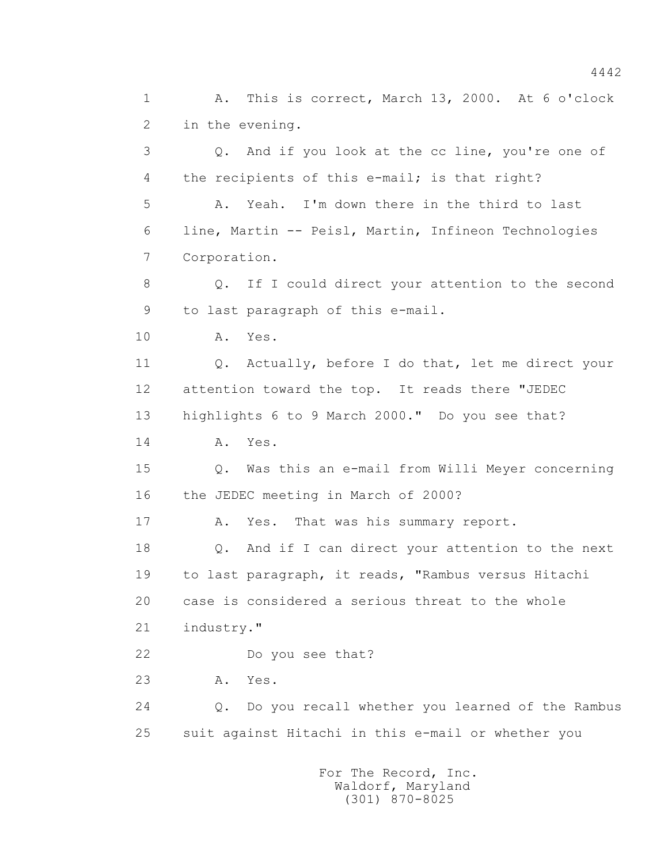1 A. This is correct, March 13, 2000. At 6 o'clock 2 in the evening. 3 Q. And if you look at the cc line, you're one of 4 the recipients of this e-mail; is that right? 5 A. Yeah. I'm down there in the third to last 6 line, Martin -- Peisl, Martin, Infineon Technologies 7 Corporation. 8 Q. If I could direct your attention to the second 9 to last paragraph of this e-mail. 10 A. Yes. 11 0. Actually, before I do that, let me direct your 12 attention toward the top. It reads there "JEDEC 13 highlights 6 to 9 March 2000." Do you see that? 14 **A.** Yes. 15 Q. Was this an e-mail from Willi Meyer concerning 16 the JEDEC meeting in March of 2000? 17 A. Yes. That was his summary report. 18 Q. And if I can direct your attention to the next 19 to last paragraph, it reads, "Rambus versus Hitachi 20 case is considered a serious threat to the whole 21 industry." 22 Do you see that? 23 A. Yes. 24 Q. Do you recall whether you learned of the Rambus 25 suit against Hitachi in this e-mail or whether you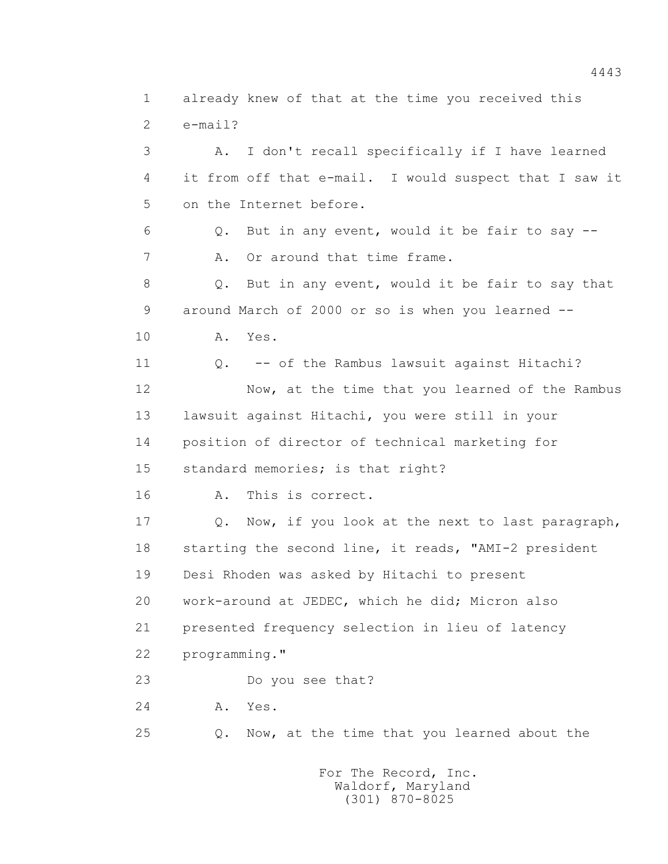1 already knew of that at the time you received this 2 e-mail? 3 A. I don't recall specifically if I have learned 4 it from off that e-mail. I would suspect that I saw it 5 on the Internet before. 6 Q. But in any event, would it be fair to say -- 7 A. Or around that time frame. 8 Q. But in any event, would it be fair to say that 9 around March of 2000 or so is when you learned -- 10 A. Yes. 11 Q. -- of the Rambus lawsuit against Hitachi? 12 Now, at the time that you learned of the Rambus 13 lawsuit against Hitachi, you were still in your 14 position of director of technical marketing for 15 standard memories; is that right? 16 A. This is correct. 17 Q. Now, if you look at the next to last paragraph, 18 starting the second line, it reads, "AMI-2 president 19 Desi Rhoden was asked by Hitachi to present 20 work-around at JEDEC, which he did; Micron also 21 presented frequency selection in lieu of latency 22 programming." 23 Do you see that? 24 A. Yes. 25 Q. Now, at the time that you learned about the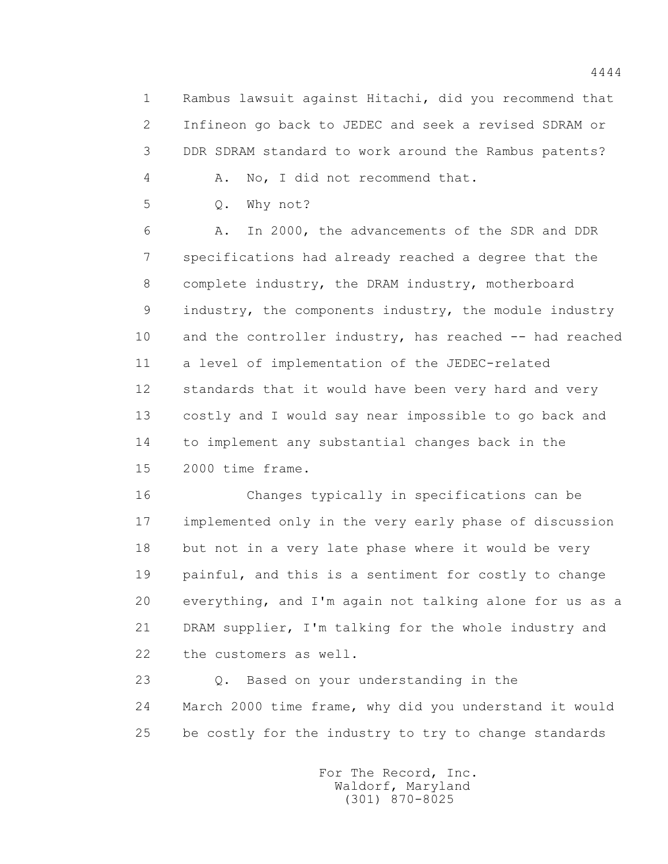1 Rambus lawsuit against Hitachi, did you recommend that 2 Infineon go back to JEDEC and seek a revised SDRAM or 3 DDR SDRAM standard to work around the Rambus patents?

4 A. No, I did not recommend that.

5 Q. Why not?

 6 A. In 2000, the advancements of the SDR and DDR 7 specifications had already reached a degree that the 8 complete industry, the DRAM industry, motherboard 9 industry, the components industry, the module industry 10 and the controller industry, has reached -- had reached 11 a level of implementation of the JEDEC-related 12 standards that it would have been very hard and very 13 costly and I would say near impossible to go back and 14 to implement any substantial changes back in the 15 2000 time frame.

 16 Changes typically in specifications can be 17 implemented only in the very early phase of discussion 18 but not in a very late phase where it would be very 19 painful, and this is a sentiment for costly to change 20 everything, and I'm again not talking alone for us as a 21 DRAM supplier, I'm talking for the whole industry and 22 the customers as well.

 23 Q. Based on your understanding in the 24 March 2000 time frame, why did you understand it would 25 be costly for the industry to try to change standards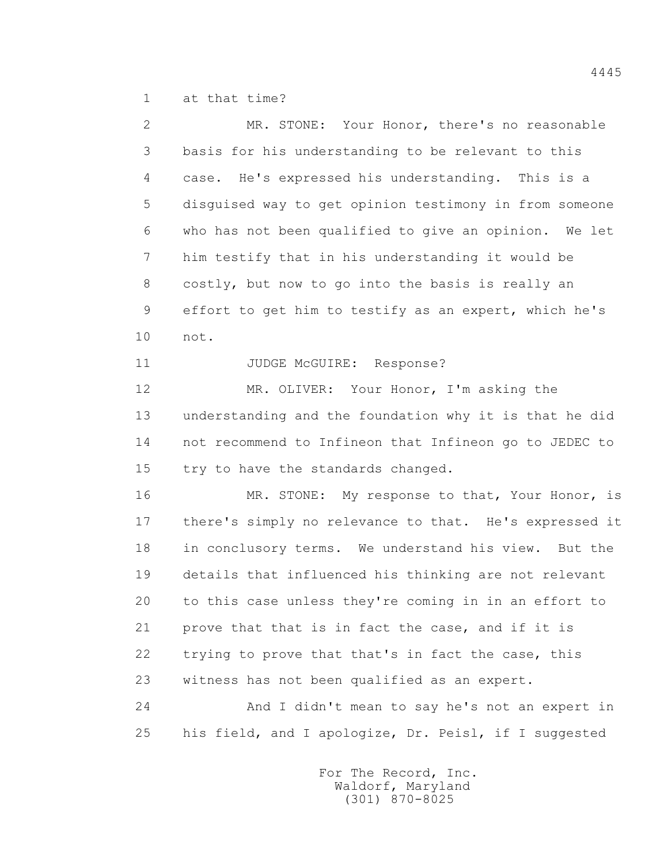1 at that time?

| $\overline{2}$ | MR. STONE: Your Honor, there's no reasonable           |
|----------------|--------------------------------------------------------|
| 3              | basis for his understanding to be relevant to this     |
| 4              | case. He's expressed his understanding. This is a      |
| 5              | disquised way to get opinion testimony in from someone |
| 6              | who has not been qualified to give an opinion. We let  |
| 7              | him testify that in his understanding it would be      |
| 8              | costly, but now to go into the basis is really an      |
| 9              | effort to get him to testify as an expert, which he's  |
| 10             | not.                                                   |
| 11             | JUDGE McGUIRE: Response?                               |
| 12             | MR. OLIVER: Your Honor, I'm asking the                 |
| 13             | understanding and the foundation why it is that he did |
| 14             | not recommend to Infineon that Infineon go to JEDEC to |
| 15             | try to have the standards changed.                     |
| 16             | MR. STONE: My response to that, Your Honor, is         |
| 17             | there's simply no relevance to that. He's expressed it |
| 18             | in conclusory terms. We understand his view. But the   |
| 19             | details that influenced his thinking are not relevant  |
| 20             | to this case unless they're coming in in an effort to  |
| 21             | prove that that is in fact the case, and if it is      |
| 22             | trying to prove that that's in fact the case, this     |
| 23             | witness has not been qualified as an expert.           |
| 24             | And I didn't mean to say he's not an expert in         |
| 25             | his field, and I apologize, Dr. Peisl, if I suggested  |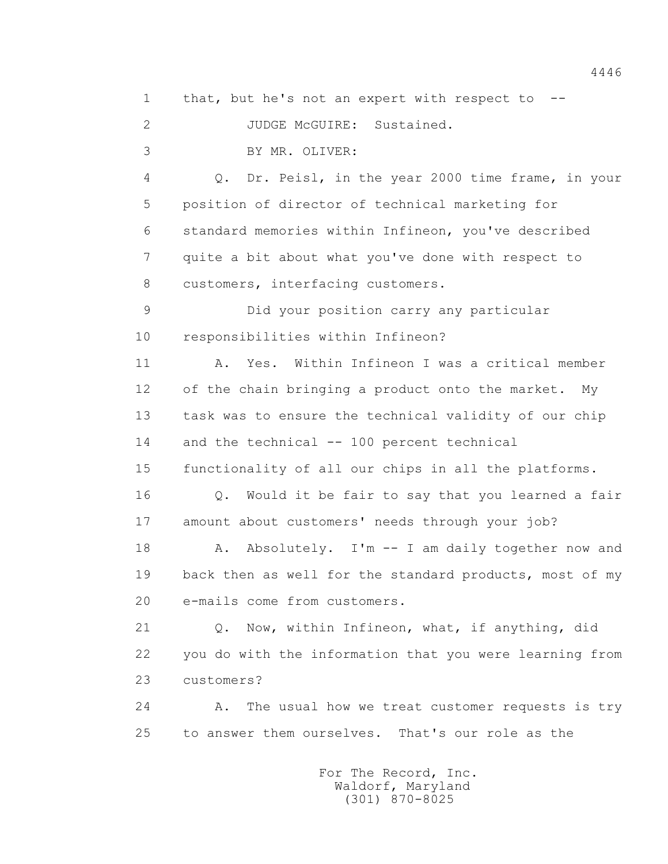4446 1 that, but he's not an expert with respect to -- 2 JUDGE McGUIRE: Sustained.

3 BY MR. OLIVER:

 4 Q. Dr. Peisl, in the year 2000 time frame, in your 5 position of director of technical marketing for 6 standard memories within Infineon, you've described 7 quite a bit about what you've done with respect to 8 customers, interfacing customers.

 9 Did your position carry any particular 10 responsibilities within Infineon?

 11 A. Yes. Within Infineon I was a critical member 12 of the chain bringing a product onto the market. My 13 task was to ensure the technical validity of our chip 14 and the technical -- 100 percent technical

15 functionality of all our chips in all the platforms.

 16 Q. Would it be fair to say that you learned a fair 17 amount about customers' needs through your job?

18 A. Absolutely. I'm -- I am daily together now and 19 back then as well for the standard products, most of my 20 e-mails come from customers.

 21 Q. Now, within Infineon, what, if anything, did 22 you do with the information that you were learning from 23 customers?

 24 A. The usual how we treat customer requests is try 25 to answer them ourselves. That's our role as the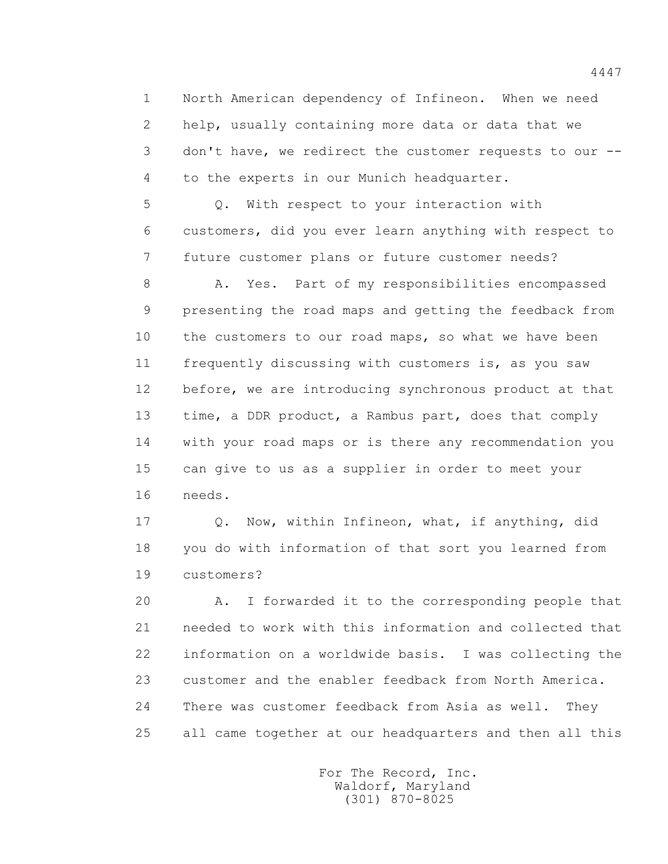1 North American dependency of Infineon. When we need 2 help, usually containing more data or data that we 3 don't have, we redirect the customer requests to our -- 4 to the experts in our Munich headquarter.

 5 Q. With respect to your interaction with 6 customers, did you ever learn anything with respect to 7 future customer plans or future customer needs?

 8 A. Yes. Part of my responsibilities encompassed 9 presenting the road maps and getting the feedback from 10 the customers to our road maps, so what we have been 11 frequently discussing with customers is, as you saw 12 before, we are introducing synchronous product at that 13 time, a DDR product, a Rambus part, does that comply 14 with your road maps or is there any recommendation you 15 can give to us as a supplier in order to meet your 16 needs.

 17 Q. Now, within Infineon, what, if anything, did 18 you do with information of that sort you learned from 19 customers?

 20 A. I forwarded it to the corresponding people that 21 needed to work with this information and collected that 22 information on a worldwide basis. I was collecting the 23 customer and the enabler feedback from North America. 24 There was customer feedback from Asia as well. They 25 all came together at our headquarters and then all this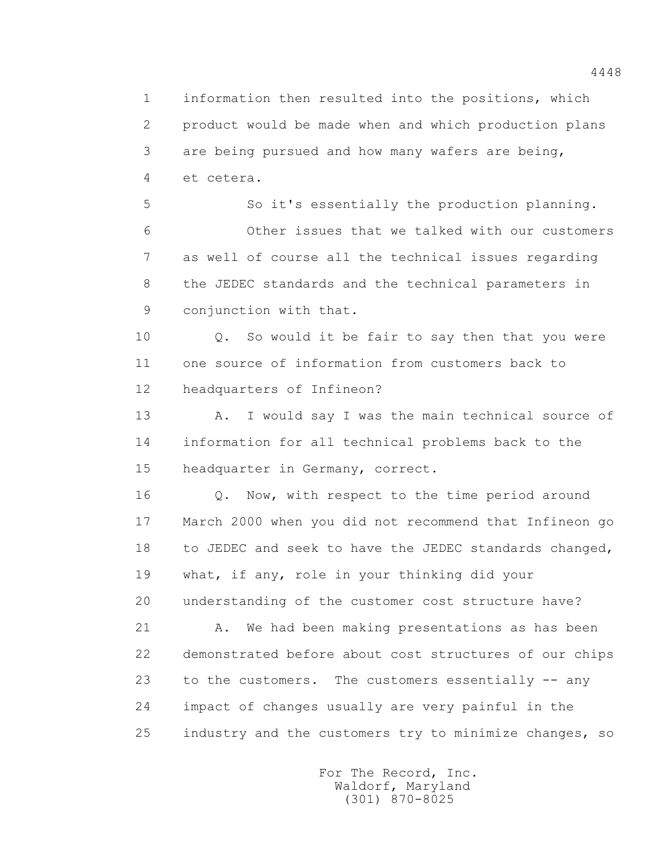1 information then resulted into the positions, which 2 product would be made when and which production plans 3 are being pursued and how many wafers are being, 4 et cetera.

 5 So it's essentially the production planning. 6 Other issues that we talked with our customers 7 as well of course all the technical issues regarding 8 the JEDEC standards and the technical parameters in 9 conjunction with that.

 10 Q. So would it be fair to say then that you were 11 one source of information from customers back to 12 headquarters of Infineon?

13 A. I would say I was the main technical source of 14 information for all technical problems back to the 15 headquarter in Germany, correct.

 16 Q. Now, with respect to the time period around 17 March 2000 when you did not recommend that Infineon go 18 to JEDEC and seek to have the JEDEC standards changed, 19 what, if any, role in your thinking did your 20 understanding of the customer cost structure have?

21 A. We had been making presentations as has been 22 demonstrated before about cost structures of our chips 23 to the customers. The customers essentially -- any 24 impact of changes usually are very painful in the 25 industry and the customers try to minimize changes, so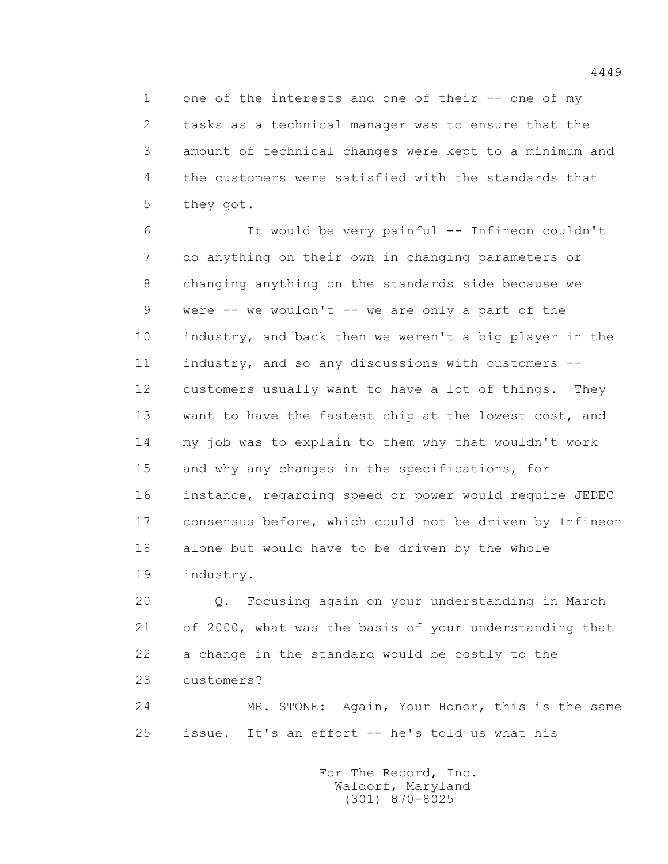1 one of the interests and one of their -- one of my 2 tasks as a technical manager was to ensure that the 3 amount of technical changes were kept to a minimum and 4 the customers were satisfied with the standards that 5 they got.

 6 It would be very painful -- Infineon couldn't 7 do anything on their own in changing parameters or 8 changing anything on the standards side because we 9 were -- we wouldn't -- we are only a part of the 10 industry, and back then we weren't a big player in the 11 industry, and so any discussions with customers -- 12 customers usually want to have a lot of things. They 13 want to have the fastest chip at the lowest cost, and 14 my job was to explain to them why that wouldn't work 15 and why any changes in the specifications, for 16 instance, regarding speed or power would require JEDEC 17 consensus before, which could not be driven by Infineon 18 alone but would have to be driven by the whole 19 industry.

 20 Q. Focusing again on your understanding in March 21 of 2000, what was the basis of your understanding that 22 a change in the standard would be costly to the 23 customers?

 24 MR. STONE: Again, Your Honor, this is the same 25 issue. It's an effort -- he's told us what his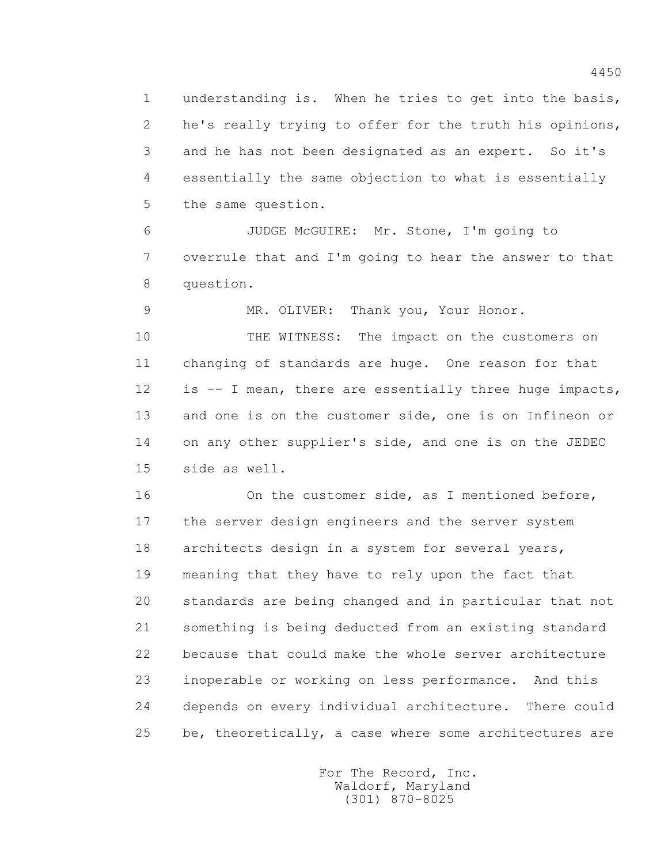1 understanding is. When he tries to get into the basis, 2 he's really trying to offer for the truth his opinions, 3 and he has not been designated as an expert. So it's 4 essentially the same objection to what is essentially 5 the same question.

 6 JUDGE McGUIRE: Mr. Stone, I'm going to 7 overrule that and I'm going to hear the answer to that 8 question.

9 MR. OLIVER: Thank you, Your Honor.

 10 THE WITNESS: The impact on the customers on 11 changing of standards are huge. One reason for that 12 is -- I mean, there are essentially three huge impacts, 13 and one is on the customer side, one is on Infineon or 14 on any other supplier's side, and one is on the JEDEC 15 side as well.

16 On the customer side, as I mentioned before, 17 the server design engineers and the server system 18 architects design in a system for several years, 19 meaning that they have to rely upon the fact that 20 standards are being changed and in particular that not 21 something is being deducted from an existing standard 22 because that could make the whole server architecture 23 inoperable or working on less performance. And this 24 depends on every individual architecture. There could 25 be, theoretically, a case where some architectures are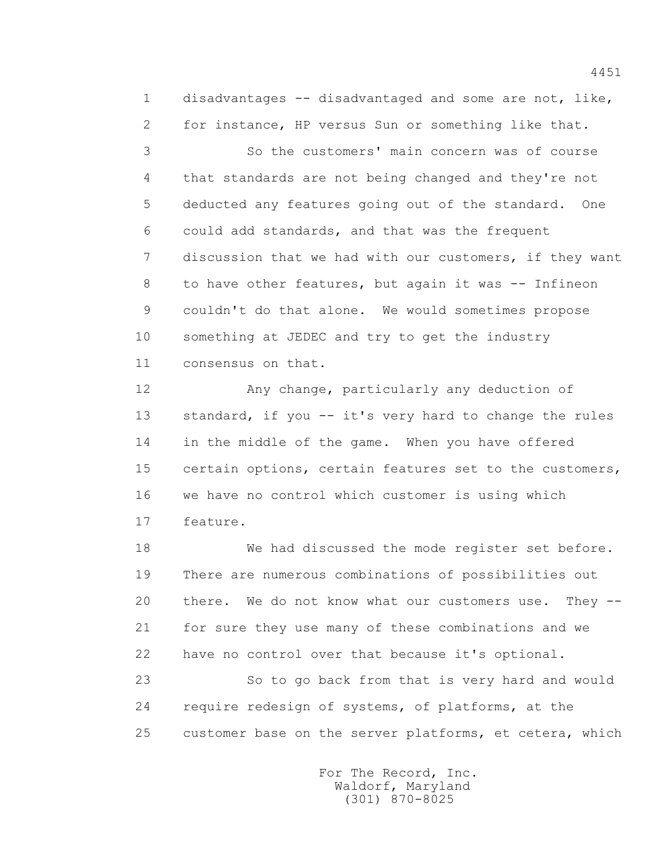1 disadvantages -- disadvantaged and some are not, like, 2 for instance, HP versus Sun or something like that.

 3 So the customers' main concern was of course 4 that standards are not being changed and they're not 5 deducted any features going out of the standard. One 6 could add standards, and that was the frequent 7 discussion that we had with our customers, if they want 8 to have other features, but again it was -- Infineon 9 couldn't do that alone. We would sometimes propose 10 something at JEDEC and try to get the industry 11 consensus on that.

 12 Any change, particularly any deduction of 13 standard, if you -- it's very hard to change the rules 14 in the middle of the game. When you have offered 15 certain options, certain features set to the customers, 16 we have no control which customer is using which 17 feature.

 18 We had discussed the mode register set before. 19 There are numerous combinations of possibilities out 20 there. We do not know what our customers use. They -- 21 for sure they use many of these combinations and we 22 have no control over that because it's optional. 23 So to go back from that is very hard and would 24 require redesign of systems, of platforms, at the 25 customer base on the server platforms, et cetera, which

> For The Record, Inc. Waldorf, Maryland (301) 870-8025

4451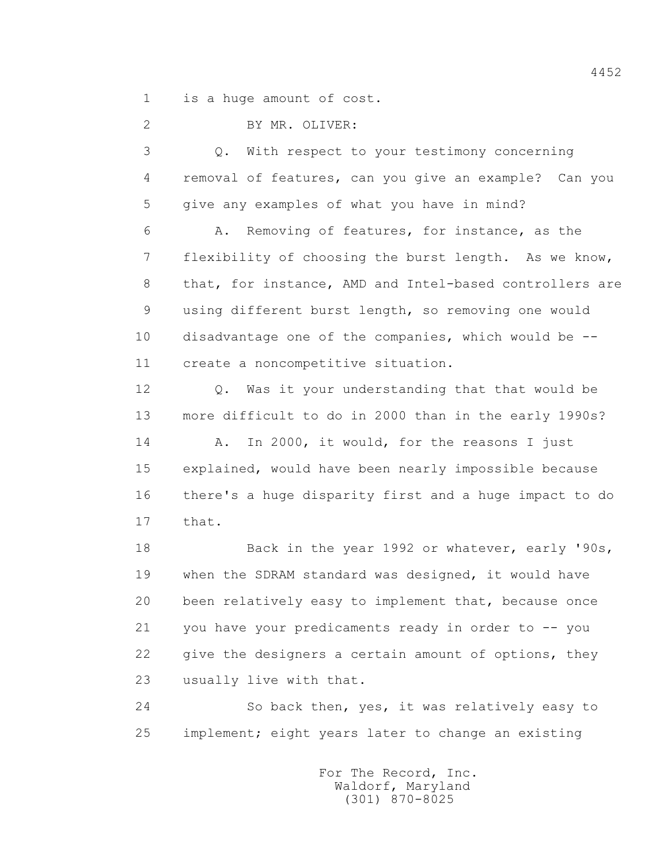1 is a huge amount of cost.

2 BY MR. OLIVER:

 3 Q. With respect to your testimony concerning 4 removal of features, can you give an example? Can you 5 give any examples of what you have in mind?

 6 A. Removing of features, for instance, as the 7 flexibility of choosing the burst length. As we know, 8 that, for instance, AMD and Intel-based controllers are 9 using different burst length, so removing one would 10 disadvantage one of the companies, which would be -- 11 create a noncompetitive situation.

 12 Q. Was it your understanding that that would be 13 more difficult to do in 2000 than in the early 1990s?

 14 A. In 2000, it would, for the reasons I just 15 explained, would have been nearly impossible because 16 there's a huge disparity first and a huge impact to do 17 that.

18 Back in the year 1992 or whatever, early '90s, 19 when the SDRAM standard was designed, it would have 20 been relatively easy to implement that, because once 21 you have your predicaments ready in order to -- you 22 give the designers a certain amount of options, they 23 usually live with that.

 24 So back then, yes, it was relatively easy to 25 implement; eight years later to change an existing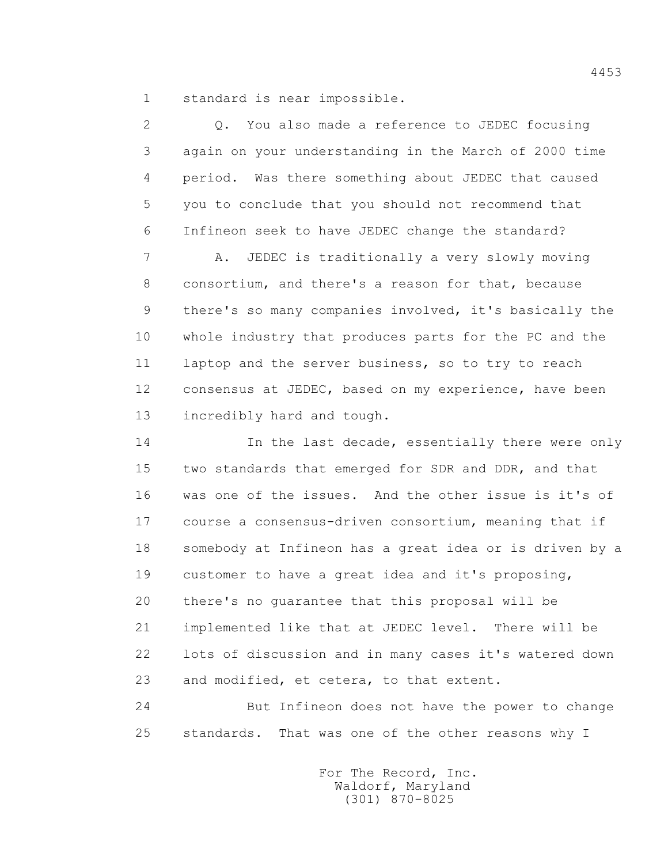1 standard is near impossible.

 2 Q. You also made a reference to JEDEC focusing 3 again on your understanding in the March of 2000 time 4 period. Was there something about JEDEC that caused 5 you to conclude that you should not recommend that 6 Infineon seek to have JEDEC change the standard? 7 A. JEDEC is traditionally a very slowly moving 8 consortium, and there's a reason for that, because 9 there's so many companies involved, it's basically the 10 whole industry that produces parts for the PC and the 11 laptop and the server business, so to try to reach 12 consensus at JEDEC, based on my experience, have been 13 incredibly hard and tough.

14 **In the last decade, essentially there were only**  15 two standards that emerged for SDR and DDR, and that 16 was one of the issues. And the other issue is it's of 17 course a consensus-driven consortium, meaning that if 18 somebody at Infineon has a great idea or is driven by a 19 customer to have a great idea and it's proposing, 20 there's no guarantee that this proposal will be 21 implemented like that at JEDEC level. There will be 22 lots of discussion and in many cases it's watered down 23 and modified, et cetera, to that extent.

 24 But Infineon does not have the power to change 25 standards. That was one of the other reasons why I

> For The Record, Inc. Waldorf, Maryland (301) 870-8025

4453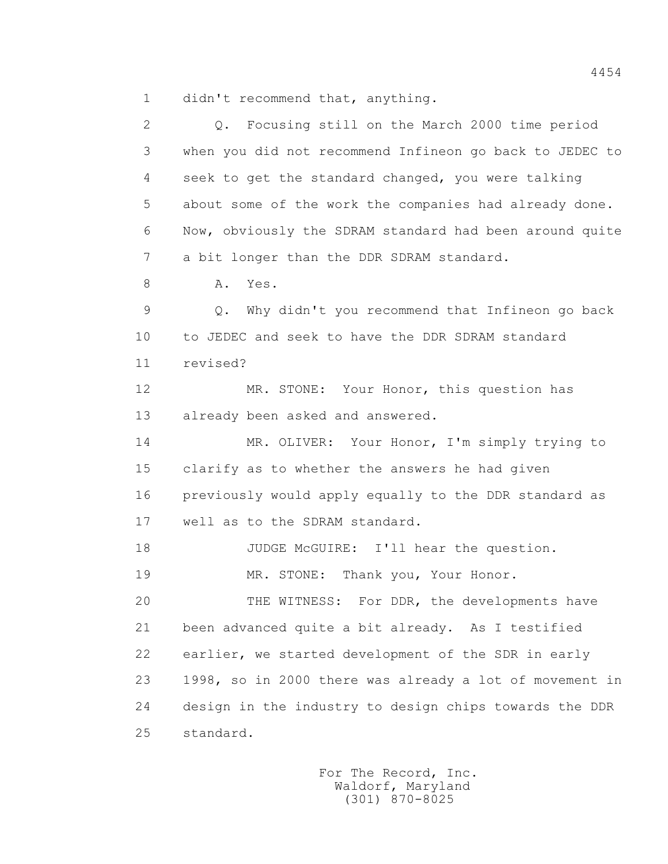1 didn't recommend that, anything.

| $\mathbf{2}$ | Focusing still on the March 2000 time period<br>$Q$ .   |
|--------------|---------------------------------------------------------|
| 3            | when you did not recommend Infineon go back to JEDEC to |
| 4            | seek to get the standard changed, you were talking      |
| 5            | about some of the work the companies had already done.  |
| 6            | Now, obviously the SDRAM standard had been around quite |
| 7            | a bit longer than the DDR SDRAM standard.               |
| 8            | Α.<br>Yes.                                              |
| 9            | Why didn't you recommend that Infineon go back<br>Q.    |
| 10           | to JEDEC and seek to have the DDR SDRAM standard        |
| 11           | revised?                                                |
| 12           | MR. STONE: Your Honor, this question has                |
| 13           | already been asked and answered.                        |
| 14           | MR. OLIVER: Your Honor, I'm simply trying to            |
| 15           | clarify as to whether the answers he had given          |
| 16           | previously would apply equally to the DDR standard as   |
| 17           | well as to the SDRAM standard.                          |
| 18           | JUDGE McGUIRE: I'll hear the question.                  |
| 19           | MR. STONE: Thank you, Your Honor.                       |
| 20           | THE WITNESS: For DDR, the developments have             |
| 21           | been advanced quite a bit already. As I testified       |
| 22           | earlier, we started development of the SDR in early     |
| 23           | 1998, so in 2000 there was already a lot of movement in |
| 24           | design in the industry to design chips towards the DDR  |
| 25           | standard.                                               |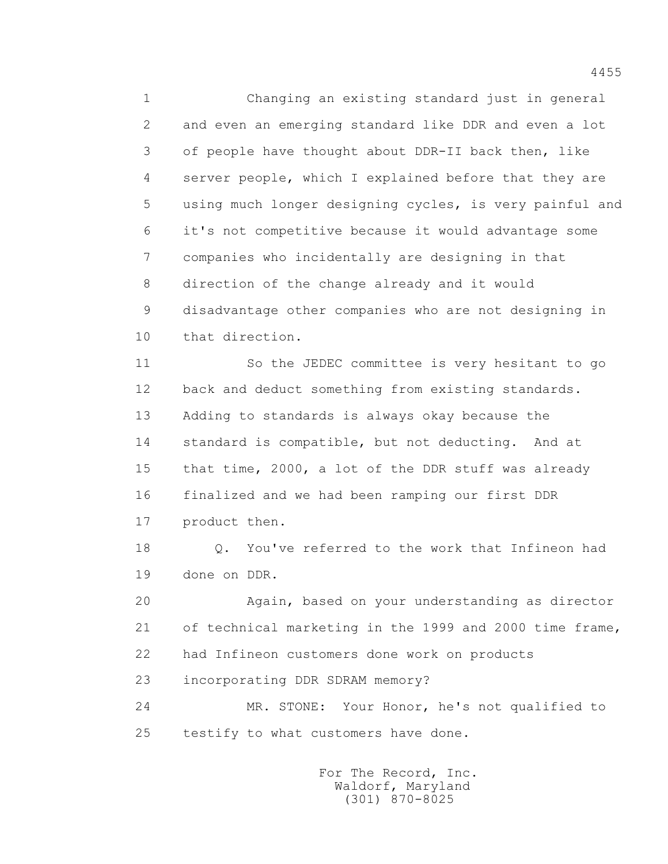1 Changing an existing standard just in general 2 and even an emerging standard like DDR and even a lot 3 of people have thought about DDR-II back then, like 4 server people, which I explained before that they are 5 using much longer designing cycles, is very painful and 6 it's not competitive because it would advantage some 7 companies who incidentally are designing in that 8 direction of the change already and it would 9 disadvantage other companies who are not designing in 10 that direction. 11 So the JEDEC committee is very hesitant to go 12 back and deduct something from existing standards.

 13 Adding to standards is always okay because the 14 standard is compatible, but not deducting. And at 15 that time, 2000, a lot of the DDR stuff was already 16 finalized and we had been ramping our first DDR 17 product then.

18 0. You've referred to the work that Infineon had 19 done on DDR.

 20 Again, based on your understanding as director 21 of technical marketing in the 1999 and 2000 time frame, 22 had Infineon customers done work on products

23 incorporating DDR SDRAM memory?

 24 MR. STONE: Your Honor, he's not qualified to 25 testify to what customers have done.

> For The Record, Inc. Waldorf, Maryland (301) 870-8025

4455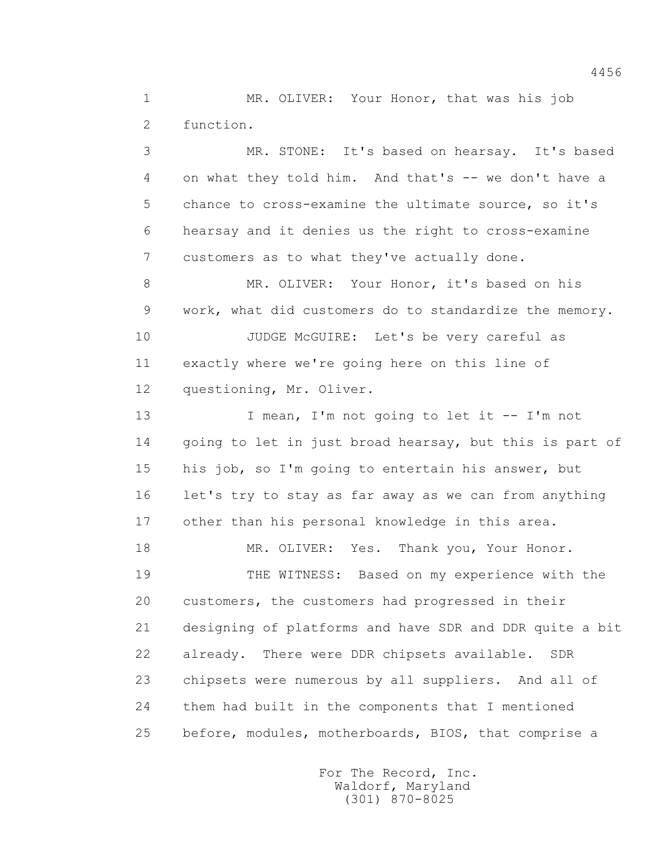1 MR. OLIVER: Your Honor, that was his job 2 function.

 3 MR. STONE: It's based on hearsay. It's based 4 on what they told him. And that's -- we don't have a 5 chance to cross-examine the ultimate source, so it's 6 hearsay and it denies us the right to cross-examine 7 customers as to what they've actually done. 8 MR. OLIVER: Your Honor, it's based on his 9 work, what did customers do to standardize the memory. 10 JUDGE McGUIRE: Let's be very careful as 11 exactly where we're going here on this line of 12 questioning, Mr. Oliver. 13 I mean, I'm not going to let it -- I'm not 14 going to let in just broad hearsay, but this is part of 15 his job, so I'm going to entertain his answer, but 16 let's try to stay as far away as we can from anything 17 other than his personal knowledge in this area. 18 MR. OLIVER: Yes. Thank you, Your Honor. 19 THE WITNESS: Based on my experience with the 20 customers, the customers had progressed in their 21 designing of platforms and have SDR and DDR quite a bit 22 already. There were DDR chipsets available. SDR 23 chipsets were numerous by all suppliers. And all of 24 them had built in the components that I mentioned

25 before, modules, motherboards, BIOS, that comprise a

 For The Record, Inc. Waldorf, Maryland (301) 870-8025

4456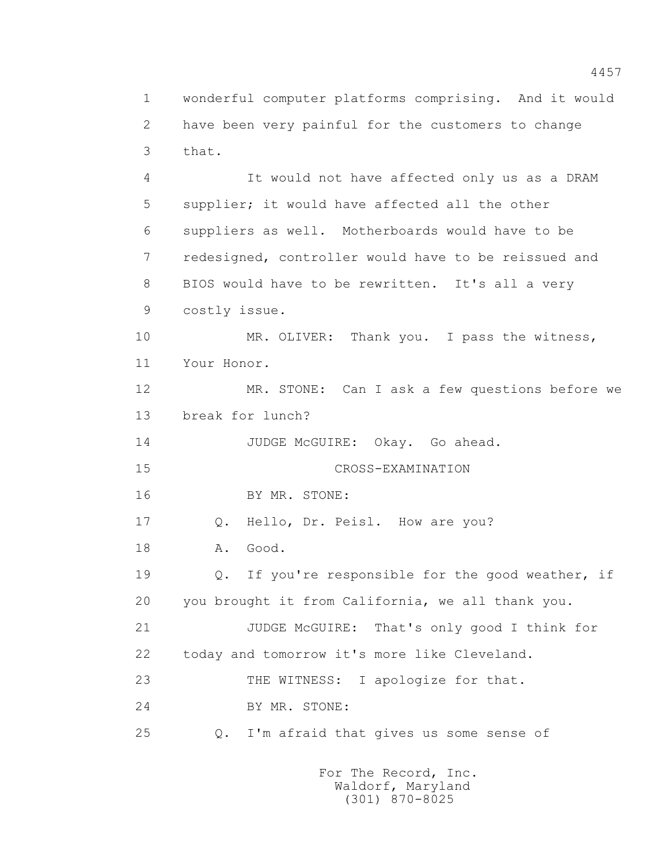1 wonderful computer platforms comprising. And it would 2 have been very painful for the customers to change 3 that. 4 It would not have affected only us as a DRAM 5 supplier; it would have affected all the other 6 suppliers as well. Motherboards would have to be 7 redesigned, controller would have to be reissued and 8 BIOS would have to be rewritten. It's all a very 9 costly issue. 10 MR. OLIVER: Thank you. I pass the witness, 11 Your Honor. 12 MR. STONE: Can I ask a few questions before we 13 break for lunch? 14 JUDGE McGUIRE: Okay. Go ahead. 15 CROSS-EXAMINATION 16 BY MR. STONE: 17 0. Hello, Dr. Peisl. How are you? 18 A. Good.

 19 Q. If you're responsible for the good weather, if 20 you brought it from California, we all thank you. 21 JUDGE McGUIRE: That's only good I think for 22 today and tomorrow it's more like Cleveland. 23 THE WITNESS: I apologize for that. 24 BY MR. STONE: 25 Q. I'm afraid that gives us some sense of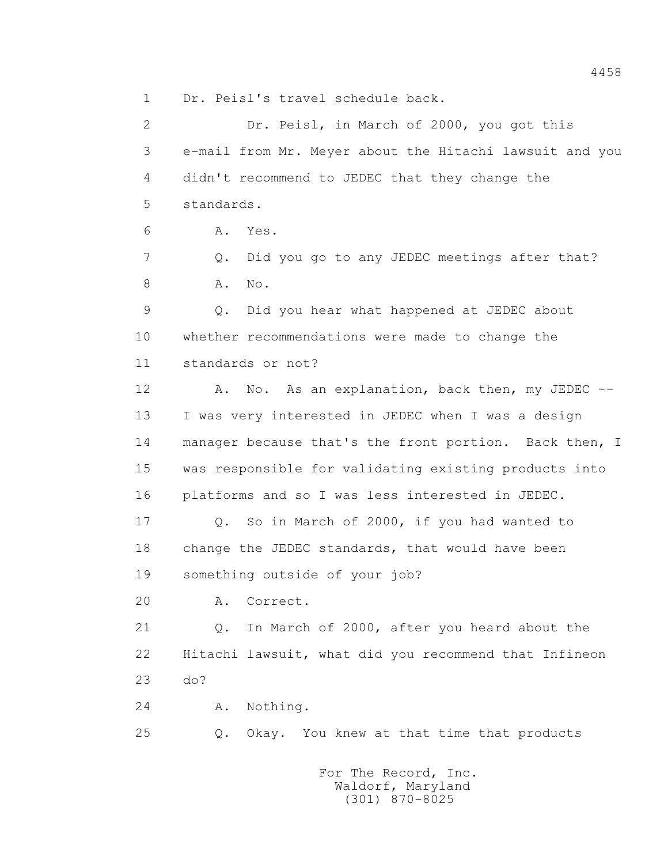1 Dr. Peisl's travel schedule back.

 2 Dr. Peisl, in March of 2000, you got this 3 e-mail from Mr. Meyer about the Hitachi lawsuit and you 4 didn't recommend to JEDEC that they change the 5 standards. 6 A. Yes. 7 Q. Did you go to any JEDEC meetings after that? 8 A. No. 9 Q. Did you hear what happened at JEDEC about 10 whether recommendations were made to change the 11 standards or not? 12 A. No. As an explanation, back then, my JEDEC -- 13 I was very interested in JEDEC when I was a design 14 manager because that's the front portion. Back then, I 15 was responsible for validating existing products into 16 platforms and so I was less interested in JEDEC. 17 Q. So in March of 2000, if you had wanted to 18 change the JEDEC standards, that would have been 19 something outside of your job? 20 A. Correct. 21 Q. In March of 2000, after you heard about the 22 Hitachi lawsuit, what did you recommend that Infineon 23 do? 24 A. Nothing. 25 Q. Okay. You knew at that time that products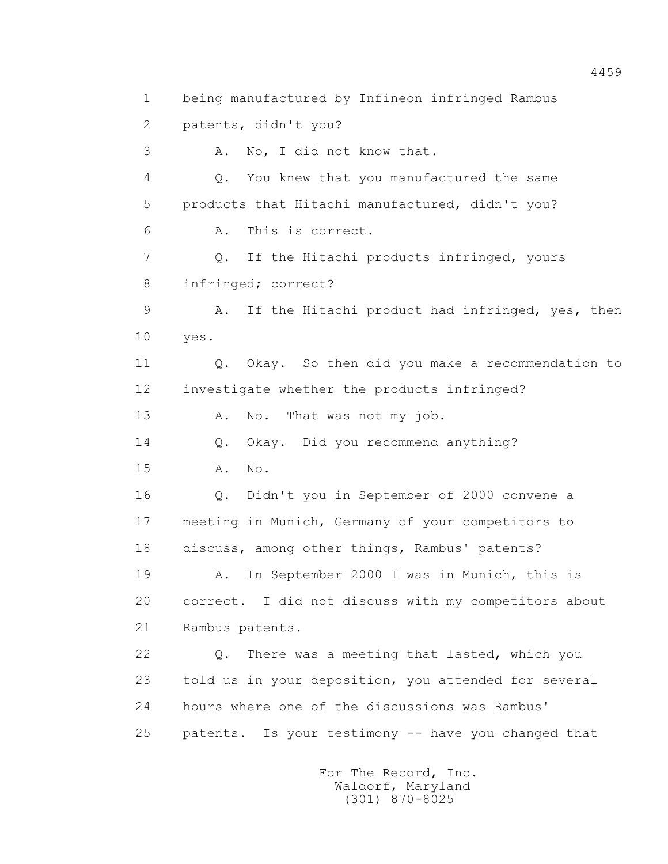1 being manufactured by Infineon infringed Rambus 2 patents, didn't you? 3 A. No, I did not know that. 4 Q. You knew that you manufactured the same 5 products that Hitachi manufactured, didn't you? 6 A. This is correct. 7 Q. If the Hitachi products infringed, yours 8 infringed; correct? 9 A. If the Hitachi product had infringed, yes, then 10 yes. 11 Q. Okay. So then did you make a recommendation to 12 investigate whether the products infringed? 13 A. No. That was not my job. 14 Q. Okay. Did you recommend anything? 15 A. No. 16 Q. Didn't you in September of 2000 convene a 17 meeting in Munich, Germany of your competitors to 18 discuss, among other things, Rambus' patents? 19 A. In September 2000 I was in Munich, this is 20 correct. I did not discuss with my competitors about 21 Rambus patents. 22 Q. There was a meeting that lasted, which you 23 told us in your deposition, you attended for several 24 hours where one of the discussions was Rambus' 25 patents. Is your testimony -- have you changed that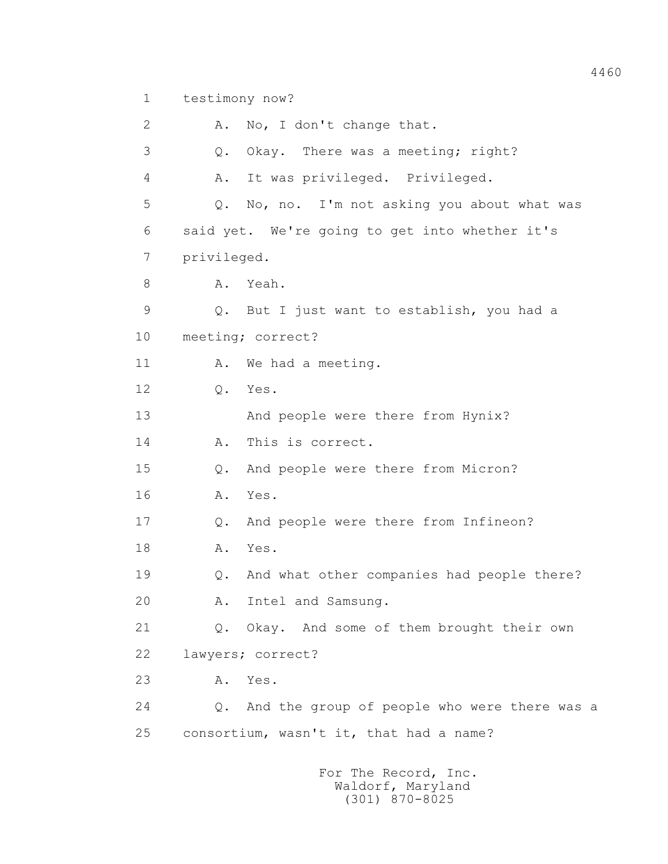1 testimony now?

2 A. No, I don't change that. 3 Q. Okay. There was a meeting; right? 4 A. It was privileged. Privileged. 5 Q. No, no. I'm not asking you about what was 6 said yet. We're going to get into whether it's 7 privileged. 8 A. Yeah. 9 Q. But I just want to establish, you had a 10 meeting; correct? 11 A. We had a meeting. 12 Q. Yes. 13 And people were there from Hynix? 14 A. This is correct. 15 Q. And people were there from Micron? 16 A. Yes. 17 Q. And people were there from Infineon? 18 **A.** Yes. 19 Q. And what other companies had people there? 20 A. Intel and Samsung. 21 Q. Okay. And some of them brought their own 22 lawyers; correct? 23 A. Yes. 24 Q. And the group of people who were there was a 25 consortium, wasn't it, that had a name?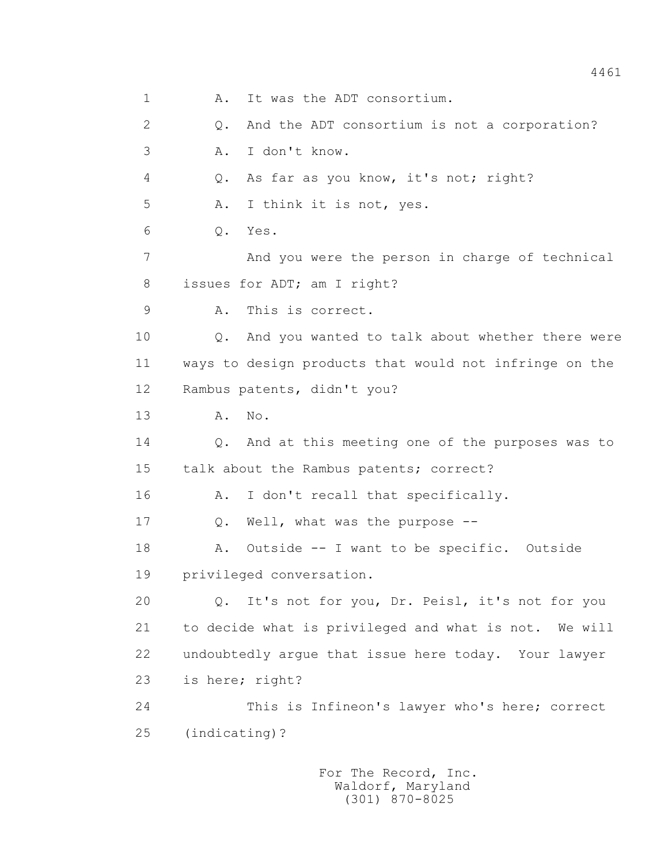1 A. It was the ADT consortium. 2 Q. And the ADT consortium is not a corporation? 3 A. I don't know. 4 Q. As far as you know, it's not; right? 5 A. I think it is not, yes. 6 Q. Yes. 7 And you were the person in charge of technical 8 issues for ADT; am I right? 9 A. This is correct. 10 Q. And you wanted to talk about whether there were 11 ways to design products that would not infringe on the 12 Rambus patents, didn't you? 13 A. No. 14 Q. And at this meeting one of the purposes was to 15 talk about the Rambus patents; correct? 16 A. I don't recall that specifically. 17 Q. Well, what was the purpose -- 18 A. Outside -- I want to be specific. Outside 19 privileged conversation. 20 Q. It's not for you, Dr. Peisl, it's not for you 21 to decide what is privileged and what is not. We will 22 undoubtedly argue that issue here today. Your lawyer 23 is here; right? 24 This is Infineon's lawyer who's here; correct 25 (indicating)?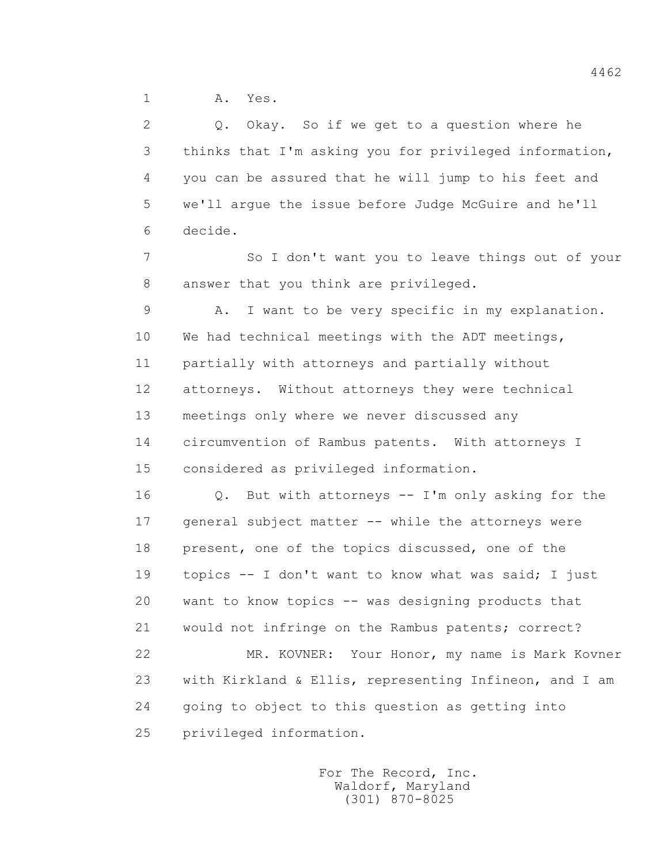1 A. Yes.

 2 Q. Okay. So if we get to a question where he 3 thinks that I'm asking you for privileged information, 4 you can be assured that he will jump to his feet and 5 we'll argue the issue before Judge McGuire and he'll 6 decide.

 7 So I don't want you to leave things out of your 8 answer that you think are privileged.

 9 A. I want to be very specific in my explanation. 10 We had technical meetings with the ADT meetings, 11 partially with attorneys and partially without 12 attorneys. Without attorneys they were technical 13 meetings only where we never discussed any 14 circumvention of Rambus patents. With attorneys I 15 considered as privileged information.

 16 Q. But with attorneys -- I'm only asking for the 17 general subject matter -- while the attorneys were 18 present, one of the topics discussed, one of the 19 topics -- I don't want to know what was said; I just 20 want to know topics -- was designing products that 21 would not infringe on the Rambus patents; correct? 22 MR. KOVNER: Your Honor, my name is Mark Kovner

 23 with Kirkland & Ellis, representing Infineon, and I am 24 going to object to this question as getting into 25 privileged information.

> For The Record, Inc. Waldorf, Maryland (301) 870-8025

4462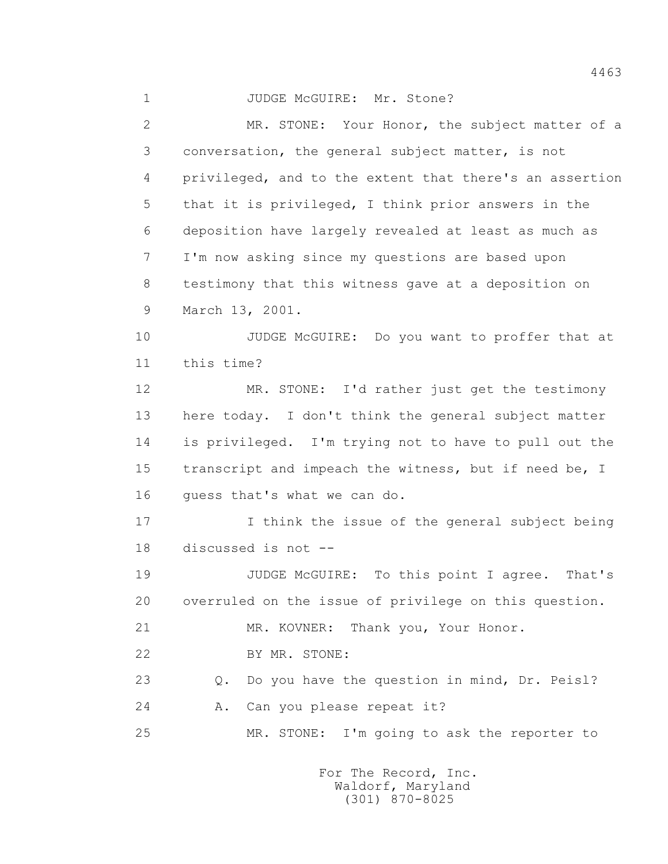1 JUDGE McGUIRE: Mr. Stone? 2 MR. STONE: Your Honor, the subject matter of a 3 conversation, the general subject matter, is not 4 privileged, and to the extent that there's an assertion 5 that it is privileged, I think prior answers in the 6 deposition have largely revealed at least as much as 7 I'm now asking since my questions are based upon 8 testimony that this witness gave at a deposition on 9 March 13, 2001. 10 JUDGE McGUIRE: Do you want to proffer that at 11 this time? 12 MR. STONE: I'd rather just get the testimony 13 here today. I don't think the general subject matter 14 is privileged. I'm trying not to have to pull out the 15 transcript and impeach the witness, but if need be, I 16 quess that's what we can do. 17 I think the issue of the general subject being 18 discussed is not -- 19 JUDGE McGUIRE: To this point I agree. That's 20 overruled on the issue of privilege on this question. 21 MR. KOVNER: Thank you, Your Honor. 22 BY MR. STONE: 23 Q. Do you have the question in mind, Dr. Peisl? 24 A. Can you please repeat it? 25 MR. STONE: I'm going to ask the reporter to

> For The Record, Inc. Waldorf, Maryland (301) 870-8025

4463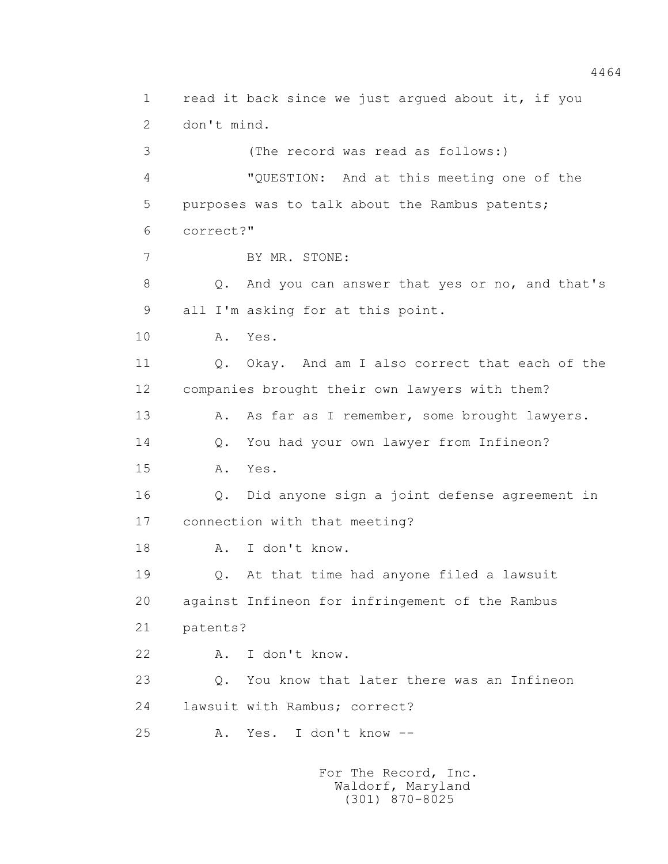1 read it back since we just argued about it, if you 2 don't mind. 3 (The record was read as follows:) 4 "QUESTION: And at this meeting one of the 5 purposes was to talk about the Rambus patents; 6 correct?" 7 BY MR. STONE: 8 Q. And you can answer that yes or no, and that's 9 all I'm asking for at this point. 10 A. Yes. 11 0. Okay. And am I also correct that each of the 12 companies brought their own lawyers with them? 13 A. As far as I remember, some brought lawyers. 14 Q. You had your own lawyer from Infineon? 15 A. Yes. 16 Q. Did anyone sign a joint defense agreement in 17 connection with that meeting? 18 A. I don't know. 19 Q. At that time had anyone filed a lawsuit 20 against Infineon for infringement of the Rambus 21 patents? 22 A. I don't know. 23 Q. You know that later there was an Infineon 24 lawsuit with Rambus; correct? 25 A. Yes. I don't know --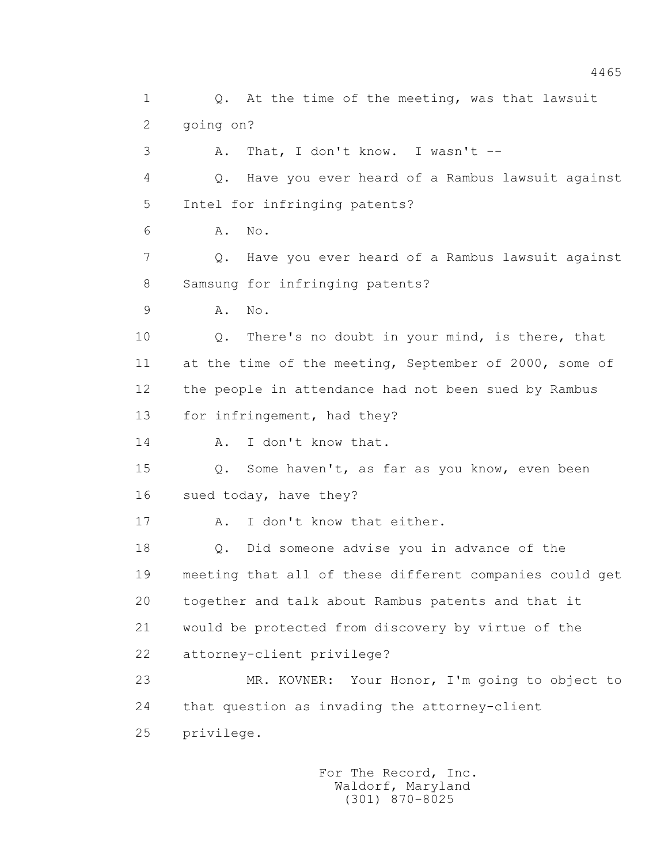1 0. At the time of the meeting, was that lawsuit 2 going on? 3 A. That, I don't know. I wasn't -- 4 Q. Have you ever heard of a Rambus lawsuit against 5 Intel for infringing patents? 6 A. No. 7 Q. Have you ever heard of a Rambus lawsuit against 8 Samsung for infringing patents? 9 A. No. 10 Q. There's no doubt in your mind, is there, that 11 at the time of the meeting, September of 2000, some of 12 the people in attendance had not been sued by Rambus 13 for infringement, had they? 14 A. I don't know that. 15 Q. Some haven't, as far as you know, even been 16 sued today, have they? 17 A. I don't know that either. 18 Q. Did someone advise you in advance of the 19 meeting that all of these different companies could get 20 together and talk about Rambus patents and that it 21 would be protected from discovery by virtue of the 22 attorney-client privilege? 23 MR. KOVNER: Your Honor, I'm going to object to 24 that question as invading the attorney-client 25 privilege.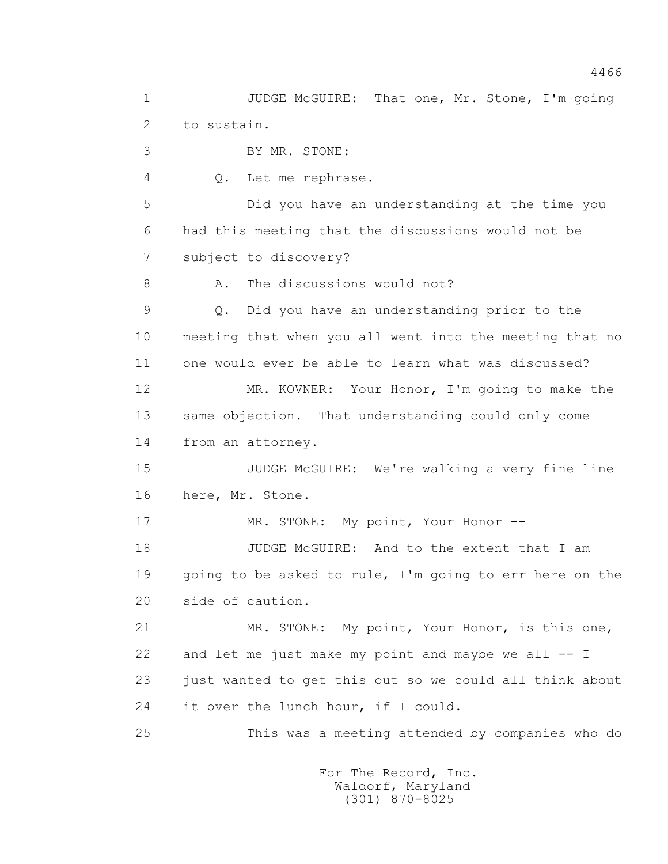1 JUDGE McGUIRE: That one, Mr. Stone, I'm going 2 to sustain. 3 BY MR. STONE: 4 Q. Let me rephrase. 5 Did you have an understanding at the time you 6 had this meeting that the discussions would not be 7 subject to discovery? 8 A. The discussions would not? 9 Q. Did you have an understanding prior to the 10 meeting that when you all went into the meeting that no 11 one would ever be able to learn what was discussed? 12 MR. KOVNER: Your Honor, I'm going to make the 13 same objection. That understanding could only come 14 from an attorney. 15 JUDGE McGUIRE: We're walking a very fine line 16 here, Mr. Stone. 17 MR. STONE: My point, Your Honor --18 JUDGE McGUIRE: And to the extent that I am 19 going to be asked to rule, I'm going to err here on the 20 side of caution. 21 MR. STONE: My point, Your Honor, is this one, 22 and let me just make my point and maybe we all -- I 23 just wanted to get this out so we could all think about 24 it over the lunch hour, if I could. 25 This was a meeting attended by companies who do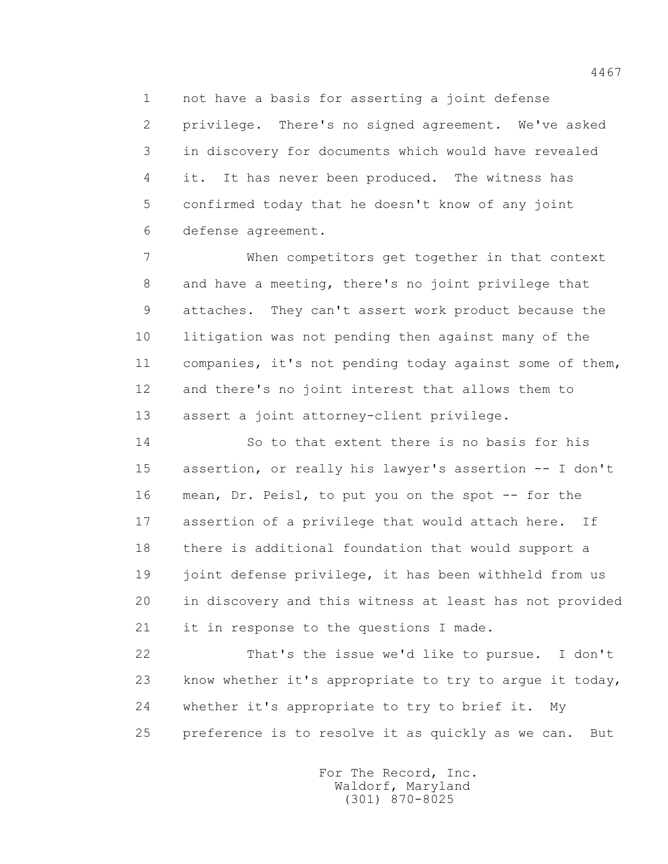1 not have a basis for asserting a joint defense 2 privilege. There's no signed agreement. We've asked 3 in discovery for documents which would have revealed 4 it. It has never been produced. The witness has 5 confirmed today that he doesn't know of any joint 6 defense agreement.

 7 When competitors get together in that context 8 and have a meeting, there's no joint privilege that 9 attaches. They can't assert work product because the 10 litigation was not pending then against many of the 11 companies, it's not pending today against some of them, 12 and there's no joint interest that allows them to 13 assert a joint attorney-client privilege.

 14 So to that extent there is no basis for his 15 assertion, or really his lawyer's assertion -- I don't 16 mean, Dr. Peisl, to put you on the spot -- for the 17 assertion of a privilege that would attach here. If 18 there is additional foundation that would support a 19 joint defense privilege, it has been withheld from us 20 in discovery and this witness at least has not provided 21 it in response to the questions I made.

 22 That's the issue we'd like to pursue. I don't 23 know whether it's appropriate to try to argue it today, 24 whether it's appropriate to try to brief it. My 25 preference is to resolve it as quickly as we can. But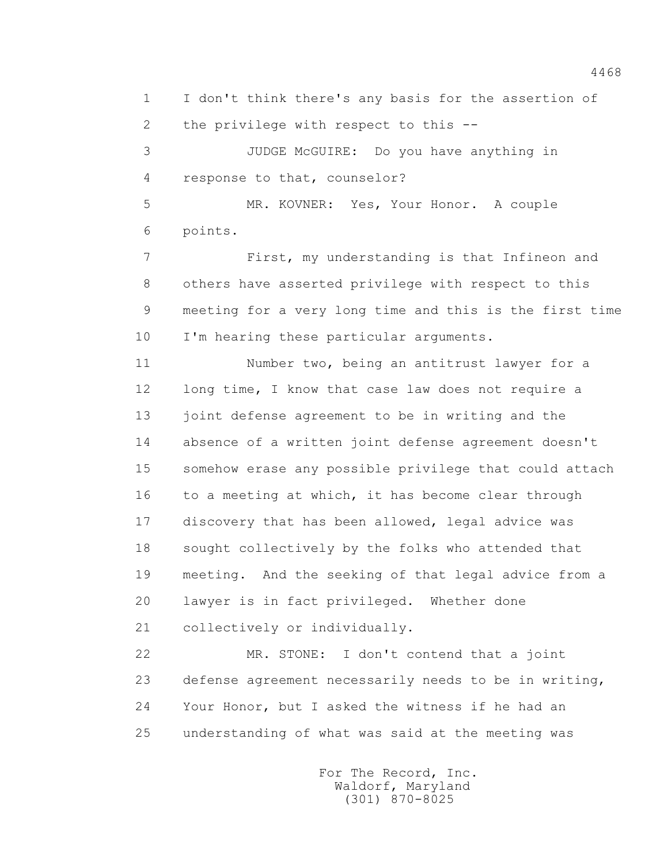1 I don't think there's any basis for the assertion of 2 the privilege with respect to this --

 3 JUDGE McGUIRE: Do you have anything in 4 response to that, counselor?

 5 MR. KOVNER: Yes, Your Honor. A couple 6 points.

 7 First, my understanding is that Infineon and 8 others have asserted privilege with respect to this 9 meeting for a very long time and this is the first time 10 I'm hearing these particular arguments.

 11 Number two, being an antitrust lawyer for a 12 long time, I know that case law does not require a 13 joint defense agreement to be in writing and the 14 absence of a written joint defense agreement doesn't 15 somehow erase any possible privilege that could attach 16 to a meeting at which, it has become clear through 17 discovery that has been allowed, legal advice was 18 sought collectively by the folks who attended that 19 meeting. And the seeking of that legal advice from a 20 lawyer is in fact privileged. Whether done 21 collectively or individually.

 22 MR. STONE: I don't contend that a joint 23 defense agreement necessarily needs to be in writing, 24 Your Honor, but I asked the witness if he had an 25 understanding of what was said at the meeting was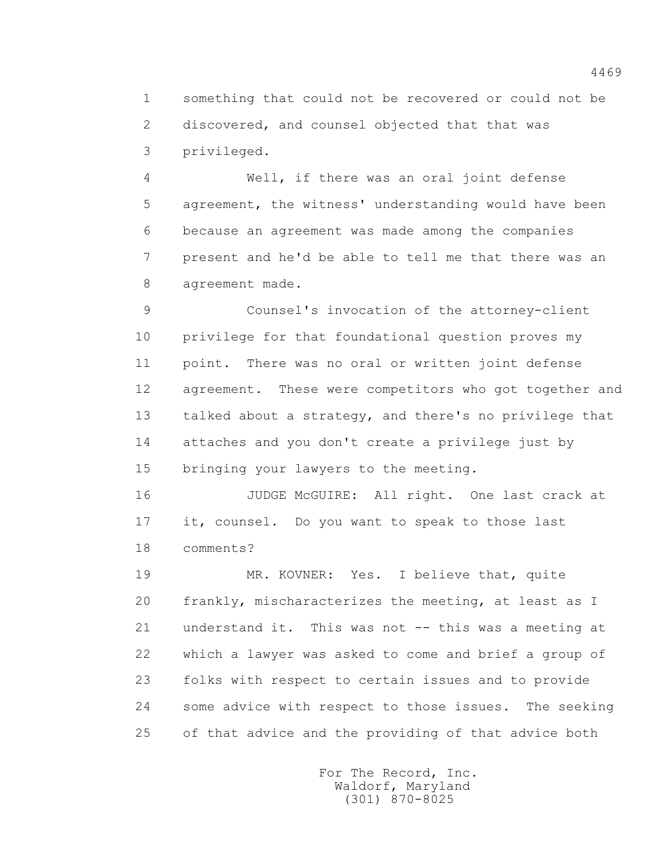1 something that could not be recovered or could not be 2 discovered, and counsel objected that that was 3 privileged.

 4 Well, if there was an oral joint defense 5 agreement, the witness' understanding would have been 6 because an agreement was made among the companies 7 present and he'd be able to tell me that there was an 8 agreement made.

 9 Counsel's invocation of the attorney-client 10 privilege for that foundational question proves my 11 point. There was no oral or written joint defense 12 agreement. These were competitors who got together and 13 talked about a strategy, and there's no privilege that 14 attaches and you don't create a privilege just by 15 bringing your lawyers to the meeting.

 16 JUDGE McGUIRE: All right. One last crack at 17 it, counsel. Do you want to speak to those last 18 comments?

 19 MR. KOVNER: Yes. I believe that, quite 20 frankly, mischaracterizes the meeting, at least as I 21 understand it. This was not -- this was a meeting at 22 which a lawyer was asked to come and brief a group of 23 folks with respect to certain issues and to provide 24 some advice with respect to those issues. The seeking 25 of that advice and the providing of that advice both

> For The Record, Inc. Waldorf, Maryland (301) 870-8025

4469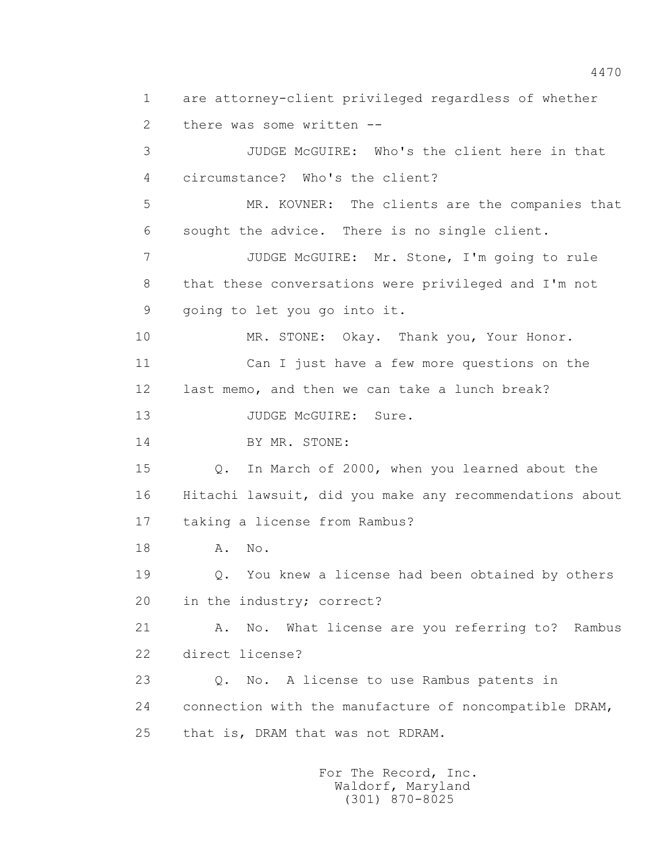1 are attorney-client privileged regardless of whether 2 there was some written -- 3 JUDGE McGUIRE: Who's the client here in that 4 circumstance? Who's the client? 5 MR. KOVNER: The clients are the companies that 6 sought the advice. There is no single client. 7 JUDGE McGUIRE: Mr. Stone, I'm going to rule 8 that these conversations were privileged and I'm not 9 going to let you go into it. 10 MR. STONE: Okay. Thank you, Your Honor. 11 Can I just have a few more questions on the 12 last memo, and then we can take a lunch break? 13 JUDGE McGUIRE: Sure. 14 BY MR. STONE: 15 Q. In March of 2000, when you learned about the 16 Hitachi lawsuit, did you make any recommendations about 17 taking a license from Rambus? 18 A. No. 19 Q. You knew a license had been obtained by others 20 in the industry; correct? 21 A. No. What license are you referring to? Rambus 22 direct license? 23 Q. No. A license to use Rambus patents in 24 connection with the manufacture of noncompatible DRAM, 25 that is, DRAM that was not RDRAM.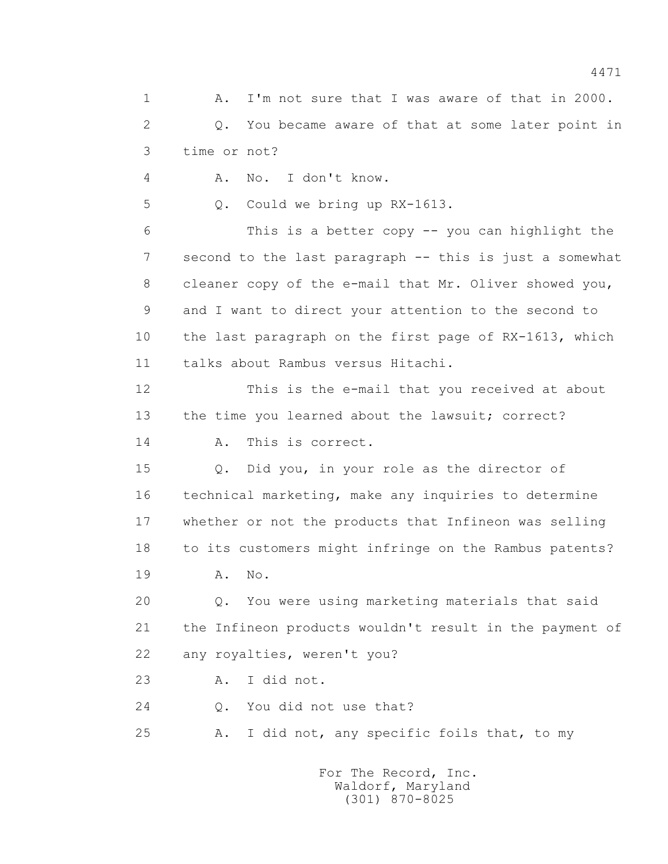1 A. I'm not sure that I was aware of that in 2000. 2 Q. You became aware of that at some later point in 3 time or not? 4 A. No. I don't know. 5 Q. Could we bring up RX-1613. 6 This is a better copy -- you can highlight the 7 second to the last paragraph -- this is just a somewhat 8 cleaner copy of the e-mail that Mr. Oliver showed you, 9 and I want to direct your attention to the second to 10 the last paragraph on the first page of RX-1613, which 11 talks about Rambus versus Hitachi. 12 This is the e-mail that you received at about 13 the time you learned about the lawsuit; correct? 14 A. This is correct. 15 Q. Did you, in your role as the director of 16 technical marketing, make any inquiries to determine 17 whether or not the products that Infineon was selling 18 to its customers might infringe on the Rambus patents? 19 A. No. 20 Q. You were using marketing materials that said 21 the Infineon products wouldn't result in the payment of 22 any royalties, weren't you? 23 A. I did not. 24 O. You did not use that? 25 A. I did not, any specific foils that, to my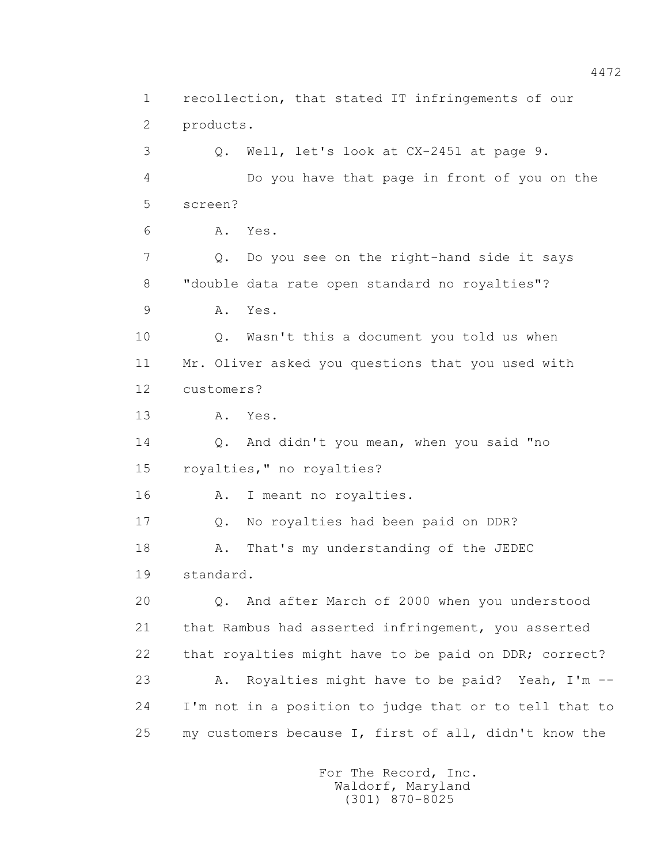1 recollection, that stated IT infringements of our 2 products. 3 Q. Well, let's look at CX-2451 at page 9. 4 Do you have that page in front of you on the 5 screen? 6 A. Yes. 7 Q. Do you see on the right-hand side it says 8 "double data rate open standard no royalties"? 9 A. Yes. 10 Q. Wasn't this a document you told us when 11 Mr. Oliver asked you questions that you used with 12 customers? 13 A. Yes. 14 Q. And didn't you mean, when you said "no 15 royalties," no royalties? 16 A. I meant no royalties. 17 Q. No royalties had been paid on DDR? 18 A. That's my understanding of the JEDEC 19 standard. 20 Q. And after March of 2000 when you understood 21 that Rambus had asserted infringement, you asserted 22 that royalties might have to be paid on DDR; correct? 23 A. Royalties might have to be paid? Yeah, I'm -- 24 I'm not in a position to judge that or to tell that to 25 my customers because I, first of all, didn't know the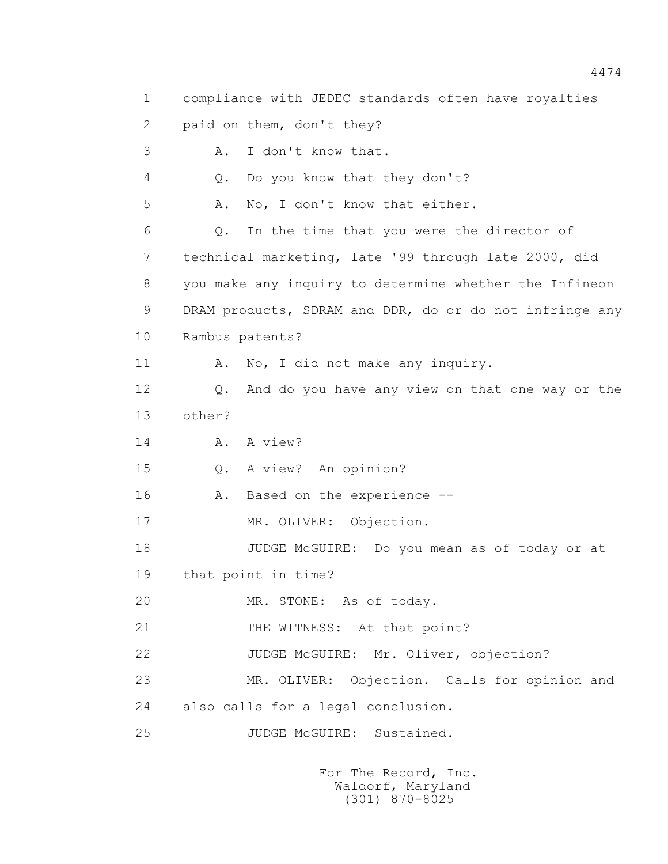1 compliance with JEDEC standards often have royalties 2 paid on them, don't they? 3 A. I don't know that. 4 Q. Do you know that they don't? 5 A. No, I don't know that either. 6 Q. In the time that you were the director of 7 technical marketing, late '99 through late 2000, did 8 you make any inquiry to determine whether the Infineon 9 DRAM products, SDRAM and DDR, do or do not infringe any 10 Rambus patents? 11 A. No, I did not make any inquiry. 12 Q. And do you have any view on that one way or the 13 other? 14 A. A view? 15 Q. A view? An opinion? 16 A. Based on the experience -- 17 MR. OLIVER: Objection. 18 JUDGE McGUIRE: Do you mean as of today or at 19 that point in time? 20 MR. STONE: As of today. 21 THE WITNESS: At that point? 22 JUDGE McGUIRE: Mr. Oliver, objection? 23 MR. OLIVER: Objection. Calls for opinion and 24 also calls for a legal conclusion. 25 JUDGE McGUIRE: Sustained.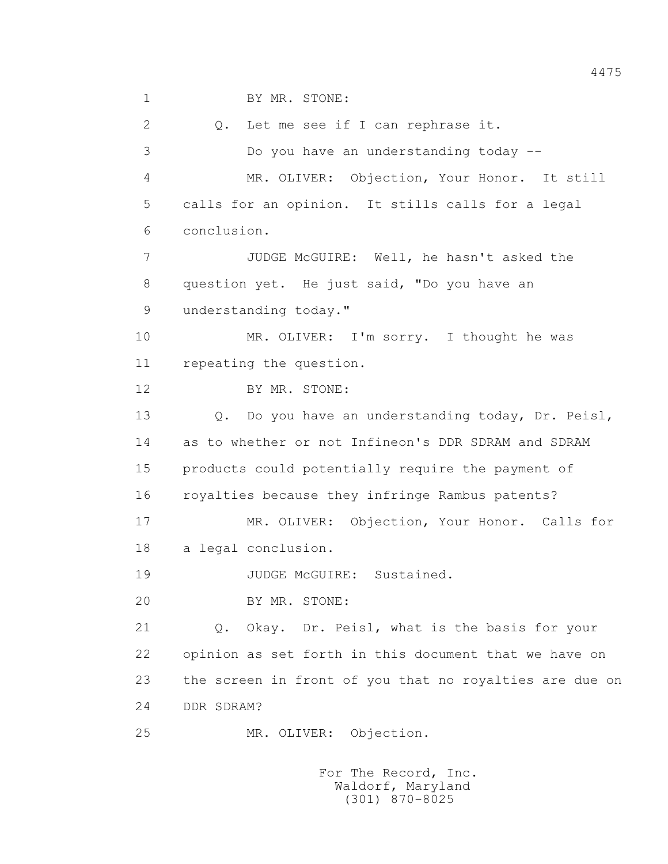1 BY MR. STONE:

 2 Q. Let me see if I can rephrase it. 3 Do you have an understanding today -- 4 MR. OLIVER: Objection, Your Honor. It still 5 calls for an opinion. It stills calls for a legal 6 conclusion. 7 JUDGE McGUIRE: Well, he hasn't asked the 8 question yet. He just said, "Do you have an 9 understanding today." 10 MR. OLIVER: I'm sorry. I thought he was 11 repeating the question. 12 BY MR. STONE: 13 Q. Do you have an understanding today, Dr. Peisl, 14 as to whether or not Infineon's DDR SDRAM and SDRAM 15 products could potentially require the payment of 16 royalties because they infringe Rambus patents? 17 MR. OLIVER: Objection, Your Honor. Calls for 18 a legal conclusion. 19 JUDGE McGUIRE: Sustained. 20 BY MR. STONE: 21 Q. Okay. Dr. Peisl, what is the basis for your 22 opinion as set forth in this document that we have on 23 the screen in front of you that no royalties are due on 24 DDR SDRAM? 25 MR. OLIVER: Objection.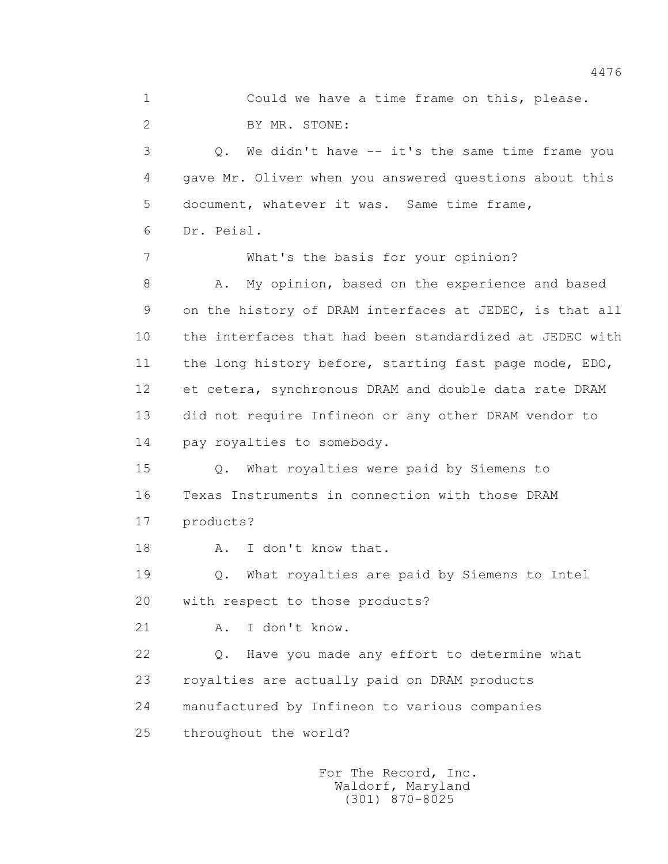1 Could we have a time frame on this, please. 2 BY MR. STONE: 3 Q. We didn't have -- it's the same time frame you 4 gave Mr. Oliver when you answered questions about this 5 document, whatever it was. Same time frame, 6 Dr. Peisl. 7 What's the basis for your opinion? 8 A. My opinion, based on the experience and based 9 on the history of DRAM interfaces at JEDEC, is that all 10 the interfaces that had been standardized at JEDEC with 11 the long history before, starting fast page mode, EDO, 12 et cetera, synchronous DRAM and double data rate DRAM 13 did not require Infineon or any other DRAM vendor to 14 pay royalties to somebody. 15 Q. What royalties were paid by Siemens to 16 Texas Instruments in connection with those DRAM 17 products? 18 A. I don't know that. 19 Q. What royalties are paid by Siemens to Intel 20 with respect to those products? 21 A. I don't know. 22 Q. Have you made any effort to determine what 23 royalties are actually paid on DRAM products 24 manufactured by Infineon to various companies 25 throughout the world?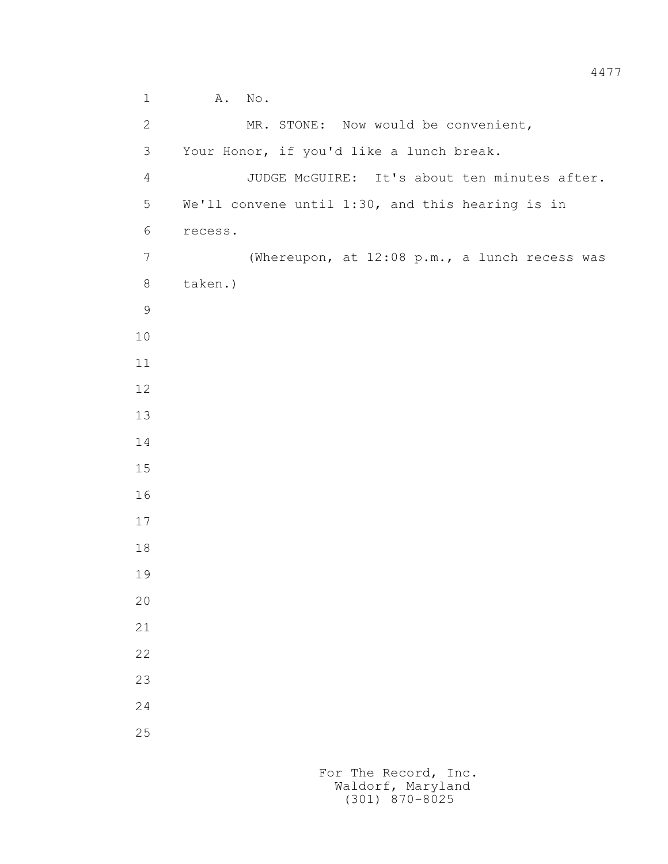1 A. No. 2 MR. STONE: Now would be convenient, 3 Your Honor, if you'd like a lunch break. 4 JUDGE McGUIRE: It's about ten minutes after. 5 We'll convene until 1:30, and this hearing is in 6 recess. 7 (Whereupon, at 12:08 p.m., a lunch recess was 8 taken.)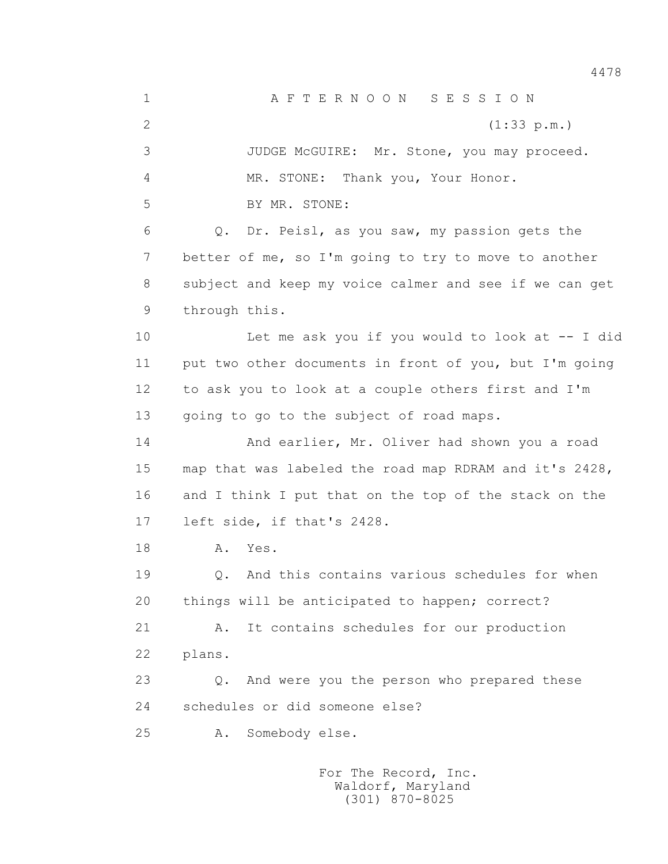1 A F T E R N O O N S E S S I O N 2 (1:33 p.m.) 3 JUDGE McGUIRE: Mr. Stone, you may proceed. 4 MR. STONE: Thank you, Your Honor. 5 BY MR. STONE: 6 Q. Dr. Peisl, as you saw, my passion gets the 7 better of me, so I'm going to try to move to another 8 subject and keep my voice calmer and see if we can get 9 through this. 10 Let me ask you if you would to look at -- I did 11 put two other documents in front of you, but I'm going 12 to ask you to look at a couple others first and I'm 13 going to go to the subject of road maps. 14 And earlier, Mr. Oliver had shown you a road 15 map that was labeled the road map RDRAM and it's 2428, 16 and I think I put that on the top of the stack on the 17 left side, if that's 2428. 18 **A.** Yes. 19 Q. And this contains various schedules for when 20 things will be anticipated to happen; correct? 21 A. It contains schedules for our production 22 plans. 23 Q. And were you the person who prepared these 24 schedules or did someone else? 25 A. Somebody else.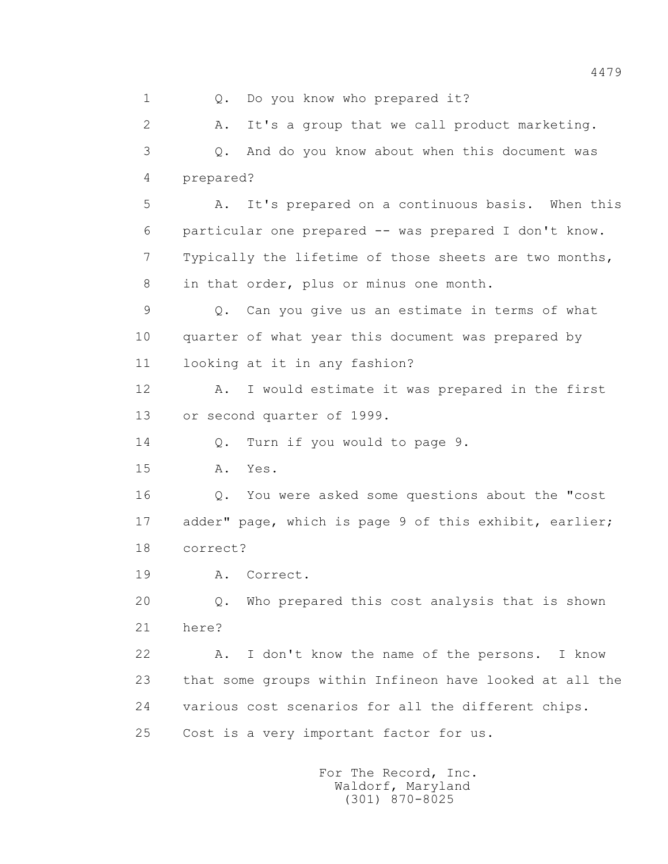1 0. Do you know who prepared it? 2 A. It's a group that we call product marketing. 3 Q. And do you know about when this document was 4 prepared? 5 A. It's prepared on a continuous basis. When this 6 particular one prepared -- was prepared I don't know. 7 Typically the lifetime of those sheets are two months, 8 in that order, plus or minus one month. 9 Q. Can you give us an estimate in terms of what 10 quarter of what year this document was prepared by 11 looking at it in any fashion? 12 A. I would estimate it was prepared in the first 13 or second quarter of 1999. 14 Q. Turn if you would to page 9. 15 A. Yes. 16 Q. You were asked some questions about the "cost 17 adder" page, which is page 9 of this exhibit, earlier; 18 correct? 19 A. Correct. 20 Q. Who prepared this cost analysis that is shown 21 here? 22 A. I don't know the name of the persons. I know 23 that some groups within Infineon have looked at all the 24 various cost scenarios for all the different chips. 25 Cost is a very important factor for us.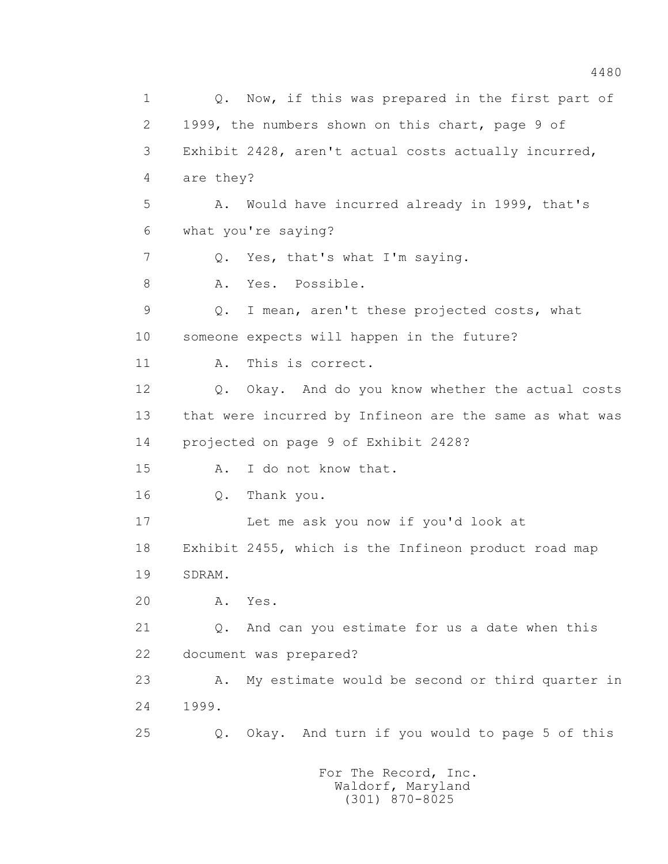1 Q. Now, if this was prepared in the first part of 2 1999, the numbers shown on this chart, page 9 of 3 Exhibit 2428, aren't actual costs actually incurred, 4 are they? 5 A. Would have incurred already in 1999, that's 6 what you're saying? 7 Q. Yes, that's what I'm saying. 8 A. Yes. Possible. 9 Q. I mean, aren't these projected costs, what 10 someone expects will happen in the future? 11 A. This is correct. 12 Q. Okay. And do you know whether the actual costs 13 that were incurred by Infineon are the same as what was 14 projected on page 9 of Exhibit 2428? 15 A. I do not know that. 16 Q. Thank you. 17 Let me ask you now if you'd look at 18 Exhibit 2455, which is the Infineon product road map 19 SDRAM. 20 A. Yes. 21 Q. And can you estimate for us a date when this 22 document was prepared? 23 A. My estimate would be second or third quarter in 24 1999. 25 Q. Okay. And turn if you would to page 5 of this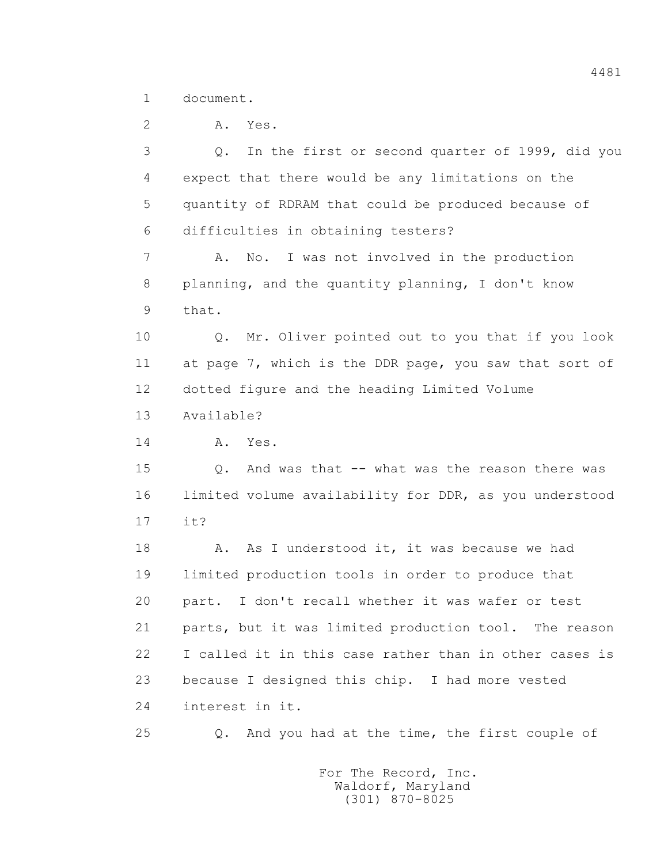1 document.

2 A. Yes. 3 Q. In the first or second quarter of 1999, did you 4 expect that there would be any limitations on the 5 quantity of RDRAM that could be produced because of 6 difficulties in obtaining testers? 7 A. No. I was not involved in the production 8 planning, and the quantity planning, I don't know 9 that. 10 Q. Mr. Oliver pointed out to you that if you look 11 at page 7, which is the DDR page, you saw that sort of 12 dotted figure and the heading Limited Volume 13 Available? 14 A. Yes. 15 Q. And was that -- what was the reason there was 16 limited volume availability for DDR, as you understood 17 it? 18 A. As I understood it, it was because we had 19 limited production tools in order to produce that 20 part. I don't recall whether it was wafer or test 21 parts, but it was limited production tool. The reason 22 I called it in this case rather than in other cases is 23 because I designed this chip. I had more vested 24 interest in it. 25 Q. And you had at the time, the first couple of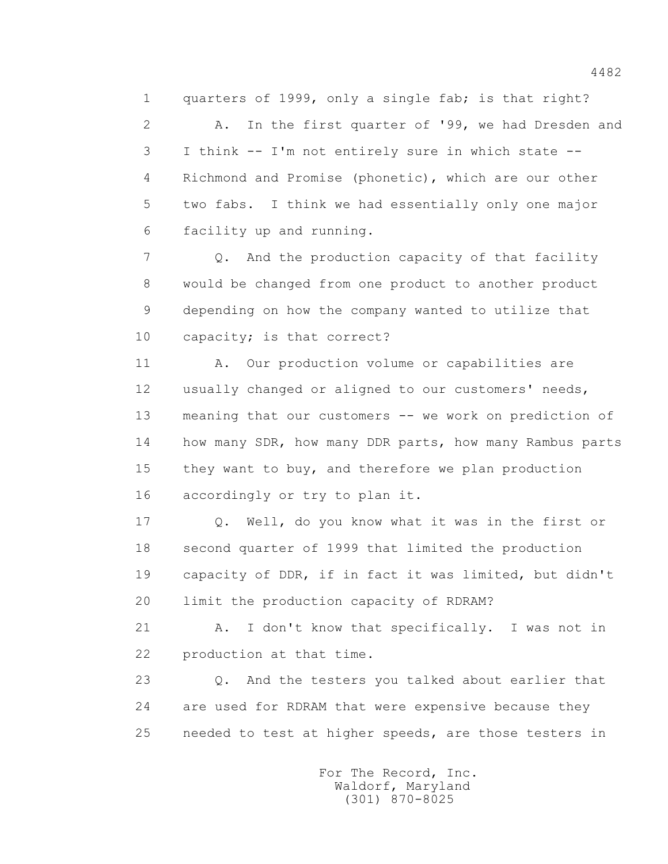1 quarters of 1999, only a single fab; is that right?

 2 A. In the first quarter of '99, we had Dresden and 3 I think -- I'm not entirely sure in which state -- 4 Richmond and Promise (phonetic), which are our other 5 two fabs. I think we had essentially only one major 6 facility up and running.

 7 Q. And the production capacity of that facility 8 would be changed from one product to another product 9 depending on how the company wanted to utilize that 10 capacity; is that correct?

 11 A. Our production volume or capabilities are 12 usually changed or aligned to our customers' needs, 13 meaning that our customers -- we work on prediction of 14 how many SDR, how many DDR parts, how many Rambus parts 15 they want to buy, and therefore we plan production 16 accordingly or try to plan it.

 17 Q. Well, do you know what it was in the first or 18 second quarter of 1999 that limited the production 19 capacity of DDR, if in fact it was limited, but didn't 20 limit the production capacity of RDRAM?

 21 A. I don't know that specifically. I was not in 22 production at that time.

 23 Q. And the testers you talked about earlier that 24 are used for RDRAM that were expensive because they 25 needed to test at higher speeds, are those testers in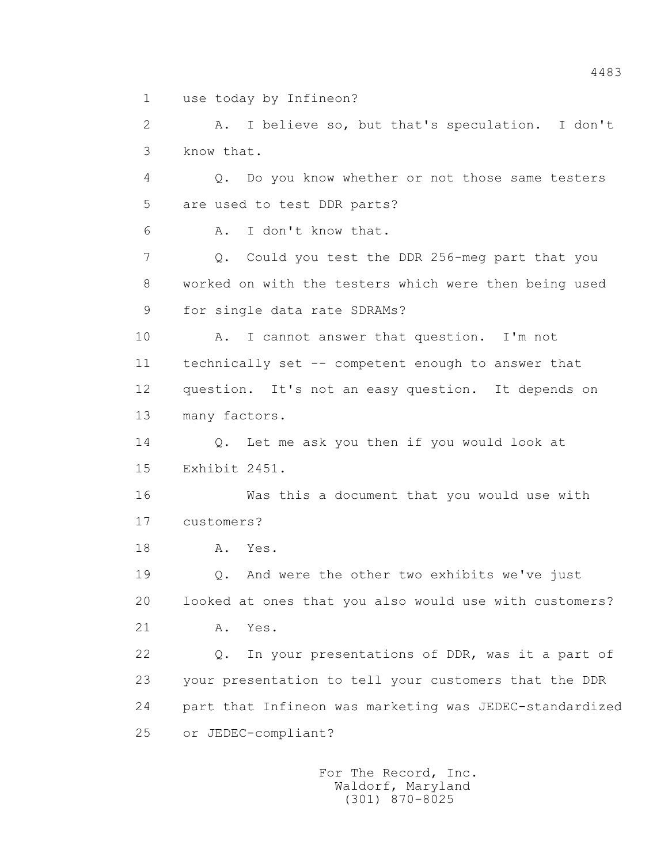1 use today by Infineon?

 2 A. I believe so, but that's speculation. I don't 3 know that.

 4 Q. Do you know whether or not those same testers 5 are used to test DDR parts?

6 A. I don't know that.

 7 Q. Could you test the DDR 256-meg part that you 8 worked on with the testers which were then being used 9 for single data rate SDRAMs?

 10 A. I cannot answer that question. I'm not 11 technically set -- competent enough to answer that 12 question. It's not an easy question. It depends on 13 many factors.

 14 Q. Let me ask you then if you would look at 15 Exhibit 2451.

 16 Was this a document that you would use with 17 customers?

18 **A.** Yes.

 19 Q. And were the other two exhibits we've just 20 looked at ones that you also would use with customers?

21 A. Yes.

 22 Q. In your presentations of DDR, was it a part of 23 your presentation to tell your customers that the DDR 24 part that Infineon was marketing was JEDEC-standardized 25 or JEDEC-compliant?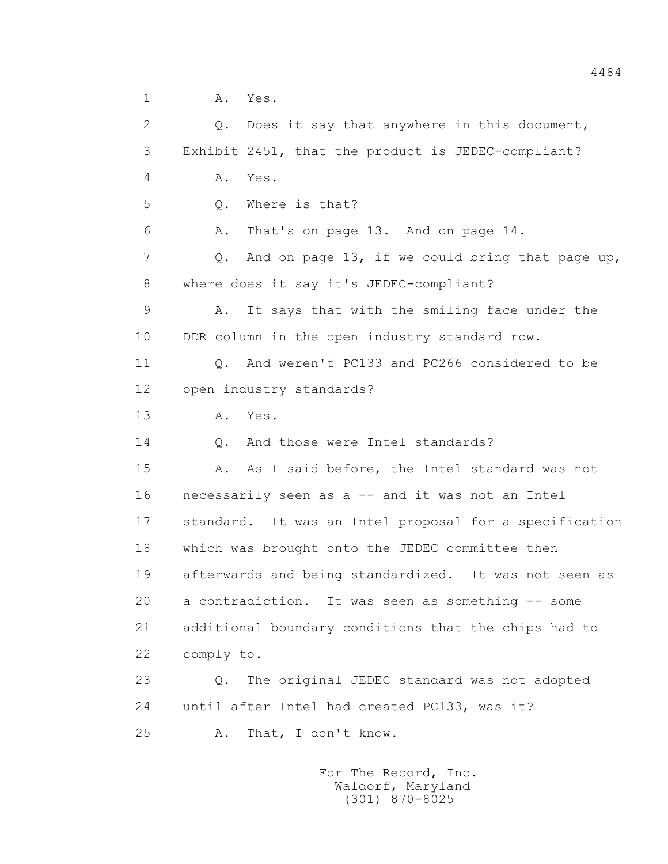1 A. Yes.

 2 Q. Does it say that anywhere in this document, 3 Exhibit 2451, that the product is JEDEC-compliant? 4 A. Yes. 5 0. Where is that? 6 A. That's on page 13. And on page 14. 7 Q. And on page 13, if we could bring that page up, 8 where does it say it's JEDEC-compliant? 9 A. It says that with the smiling face under the 10 DDR column in the open industry standard row. 11 Q. And weren't PC133 and PC266 considered to be 12 open industry standards? 13 A. Yes. 14 O. And those were Intel standards? 15 A. As I said before, the Intel standard was not 16 necessarily seen as a -- and it was not an Intel 17 standard. It was an Intel proposal for a specification 18 which was brought onto the JEDEC committee then 19 afterwards and being standardized. It was not seen as 20 a contradiction. It was seen as something -- some 21 additional boundary conditions that the chips had to 22 comply to. 23 Q. The original JEDEC standard was not adopted 24 until after Intel had created PC133, was it? 25 A. That, I don't know.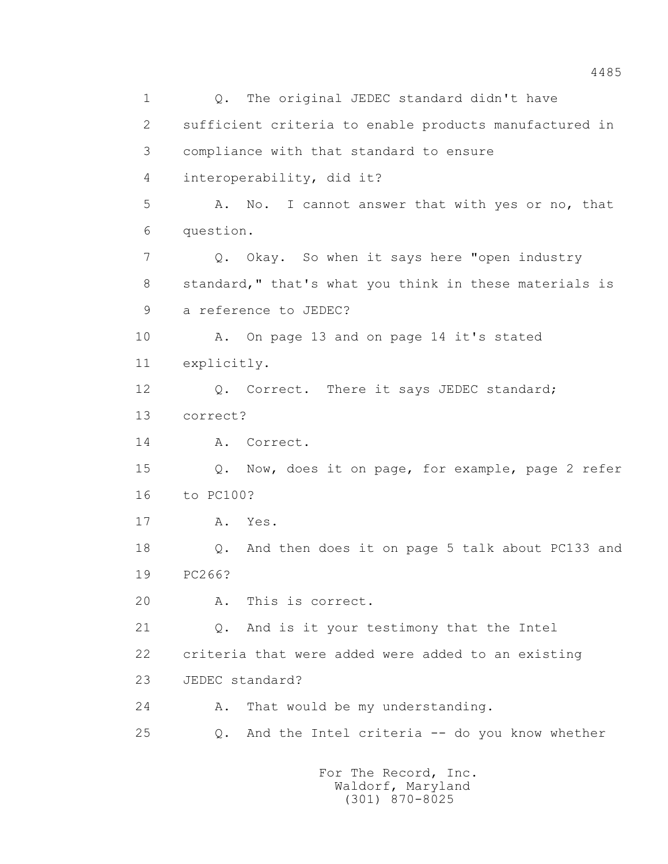1 0. The original JEDEC standard didn't have 2 sufficient criteria to enable products manufactured in 3 compliance with that standard to ensure 4 interoperability, did it? 5 A. No. I cannot answer that with yes or no, that 6 question. 7 Q. Okay. So when it says here "open industry 8 standard," that's what you think in these materials is 9 a reference to JEDEC? 10 A. On page 13 and on page 14 it's stated 11 explicitly. 12 Q. Correct. There it says JEDEC standard; 13 correct? 14 A. Correct. 15 Q. Now, does it on page, for example, page 2 refer 16 to PC100? 17 A. Yes. 18 Q. And then does it on page 5 talk about PC133 and 19 PC266? 20 A. This is correct. 21 Q. And is it your testimony that the Intel 22 criteria that were added were added to an existing 23 JEDEC standard? 24 A. That would be my understanding. 25 Q. And the Intel criteria -- do you know whether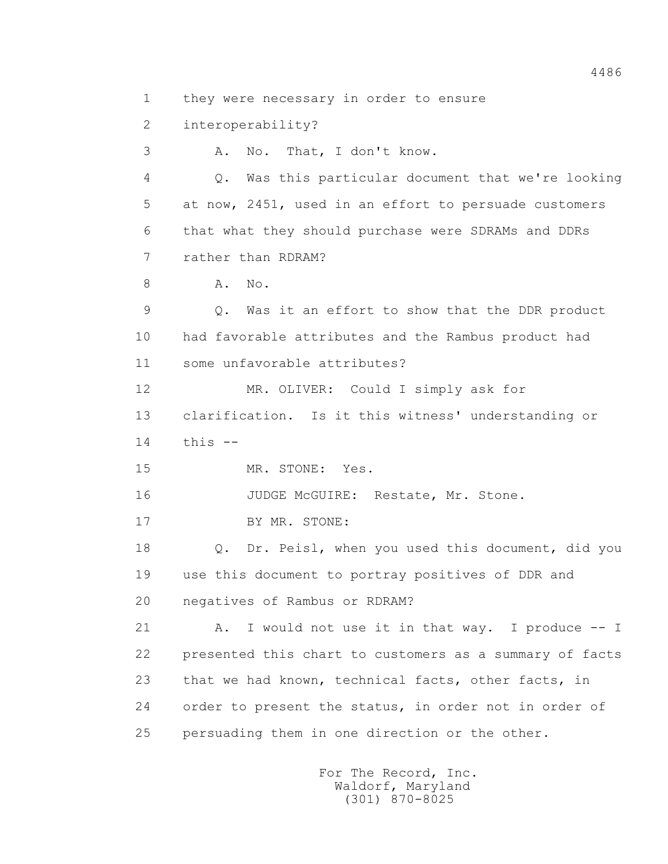1 they were necessary in order to ensure

2 interoperability?

3 A. No. That, I don't know.

 4 Q. Was this particular document that we're looking 5 at now, 2451, used in an effort to persuade customers 6 that what they should purchase were SDRAMs and DDRs 7 rather than RDRAM?

8 A. No.

 9 Q. Was it an effort to show that the DDR product 10 had favorable attributes and the Rambus product had 11 some unfavorable attributes?

 12 MR. OLIVER: Could I simply ask for 13 clarification. Is it this witness' understanding or  $14$  this  $-$ 

15 MR. STONE: Yes.

16 JUDGE McGUIRE: Restate, Mr. Stone.

17 BY MR. STONE:

 18 Q. Dr. Peisl, when you used this document, did you 19 use this document to portray positives of DDR and 20 negatives of Rambus or RDRAM?

21 A. I would not use it in that way. I produce -- I 22 presented this chart to customers as a summary of facts 23 that we had known, technical facts, other facts, in 24 order to present the status, in order not in order of 25 persuading them in one direction or the other.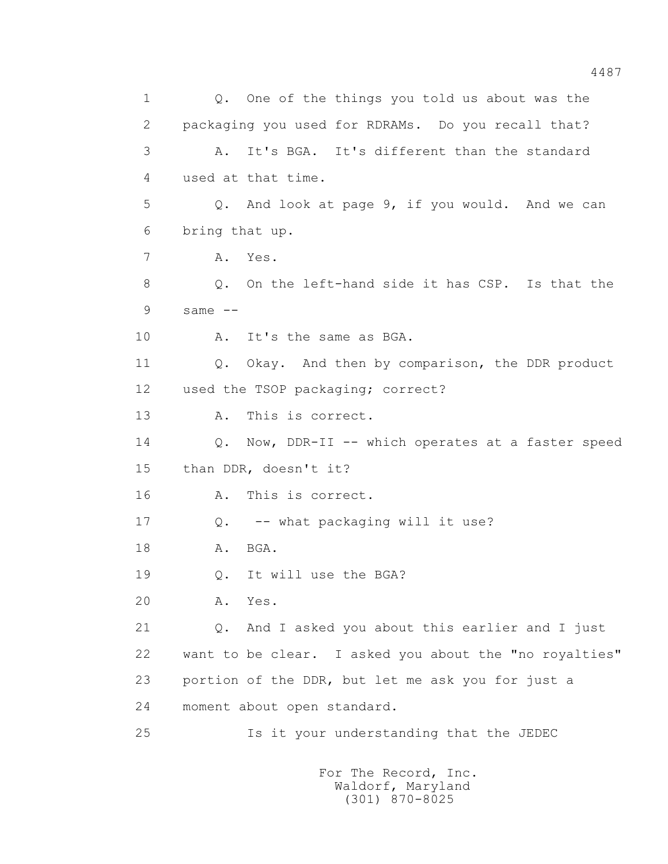1 Q. One of the things you told us about was the 2 packaging you used for RDRAMs. Do you recall that? 3 A. It's BGA. It's different than the standard 4 used at that time. 5 Q. And look at page 9, if you would. And we can 6 bring that up. 7 A. Yes. 8 Q. On the left-hand side it has CSP. Is that the  $9$  same  $-$  10 A. It's the same as BGA. 11 Q. Okay. And then by comparison, the DDR product 12 used the TSOP packaging; correct? 13 A. This is correct. 14 Q. Now, DDR-II -- which operates at a faster speed 15 than DDR, doesn't it? 16 A. This is correct. 17 Q. -- what packaging will it use? 18 A. BGA. 19 Q. It will use the BGA? 20 A. Yes. 21 Q. And I asked you about this earlier and I just 22 want to be clear. I asked you about the "no royalties" 23 portion of the DDR, but let me ask you for just a 24 moment about open standard. 25 Is it your understanding that the JEDEC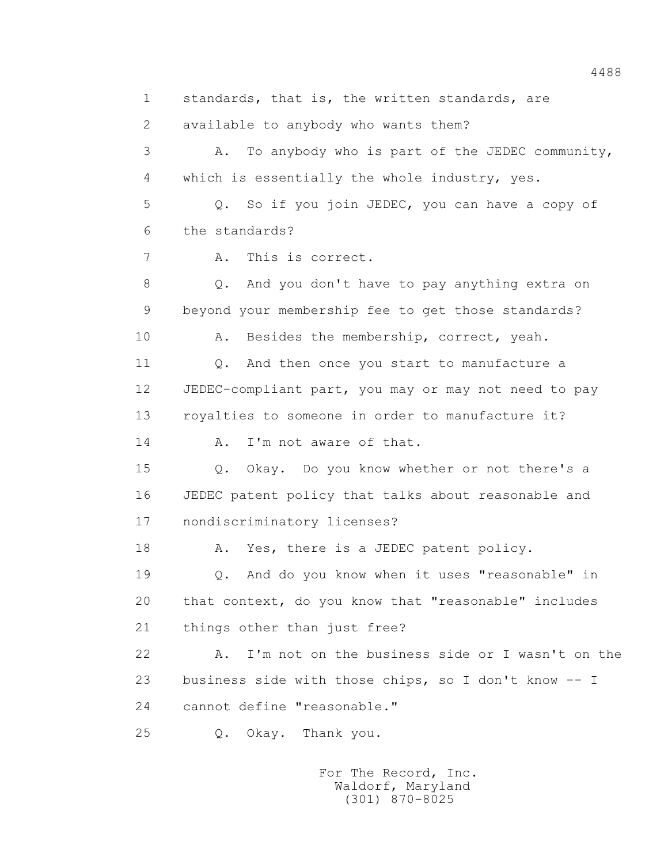1 standards, that is, the written standards, are 2 available to anybody who wants them? 3 A. To anybody who is part of the JEDEC community, 4 which is essentially the whole industry, yes. 5 Q. So if you join JEDEC, you can have a copy of 6 the standards? 7 A. This is correct. 8 Q. And you don't have to pay anything extra on 9 beyond your membership fee to get those standards? 10 A. Besides the membership, correct, yeah. 11 0. And then once you start to manufacture a 12 JEDEC-compliant part, you may or may not need to pay 13 royalties to someone in order to manufacture it? 14 A. I'm not aware of that. 15 Q. Okay. Do you know whether or not there's a 16 JEDEC patent policy that talks about reasonable and 17 nondiscriminatory licenses? 18 A. Yes, there is a JEDEC patent policy. 19 Q. And do you know when it uses "reasonable" in 20 that context, do you know that "reasonable" includes 21 things other than just free? 22 A. I'm not on the business side or I wasn't on the 23 business side with those chips, so I don't know -- I 24 cannot define "reasonable." 25 Q. Okay. Thank you.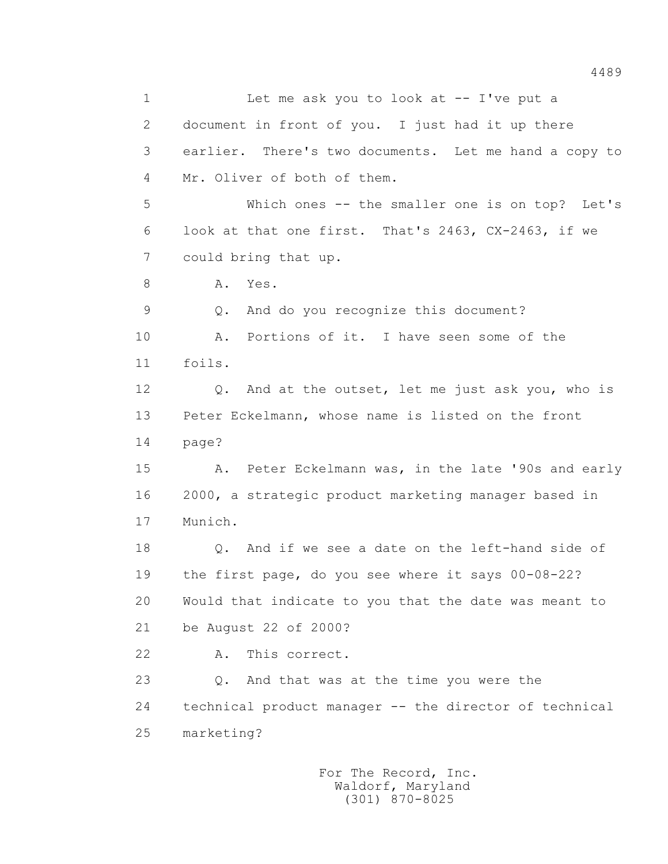1 Let me ask you to look at -- I've put a 2 document in front of you. I just had it up there 3 earlier. There's two documents. Let me hand a copy to 4 Mr. Oliver of both of them. 5 Which ones -- the smaller one is on top? Let's 6 look at that one first. That's 2463, CX-2463, if we 7 could bring that up. 8 A. Yes. 9 Q. And do you recognize this document? 10 A. Portions of it. I have seen some of the 11 foils. 12 Q. And at the outset, let me just ask you, who is 13 Peter Eckelmann, whose name is listed on the front 14 page? 15 A. Peter Eckelmann was, in the late '90s and early 16 2000, a strategic product marketing manager based in 17 Munich. 18 Q. And if we see a date on the left-hand side of 19 the first page, do you see where it says 00-08-22? 20 Would that indicate to you that the date was meant to 21 be August 22 of 2000? 22 A. This correct. 23 Q. And that was at the time you were the 24 technical product manager -- the director of technical 25 marketing?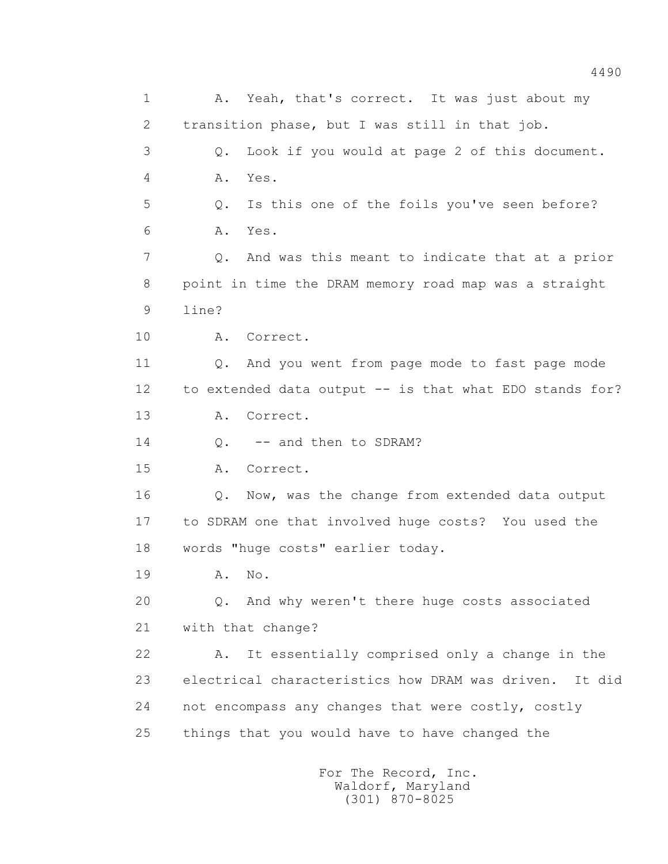1 A. Yeah, that's correct. It was just about my 2 transition phase, but I was still in that job. 3 Q. Look if you would at page 2 of this document. 4 A. Yes. 5 Q. Is this one of the foils you've seen before? 6 A. Yes. 7 Q. And was this meant to indicate that at a prior 8 point in time the DRAM memory road map was a straight 9 line? 10 A. Correct. 11 Q. And you went from page mode to fast page mode 12 to extended data output -- is that what EDO stands for? 13 A. Correct. 14 0. -- and then to SDRAM? 15 A. Correct. 16 Q. Now, was the change from extended data output 17 to SDRAM one that involved huge costs? You used the 18 words "huge costs" earlier today. 19 A. No. 20 Q. And why weren't there huge costs associated 21 with that change? 22 A. It essentially comprised only a change in the 23 electrical characteristics how DRAM was driven. It did 24 not encompass any changes that were costly, costly 25 things that you would have to have changed the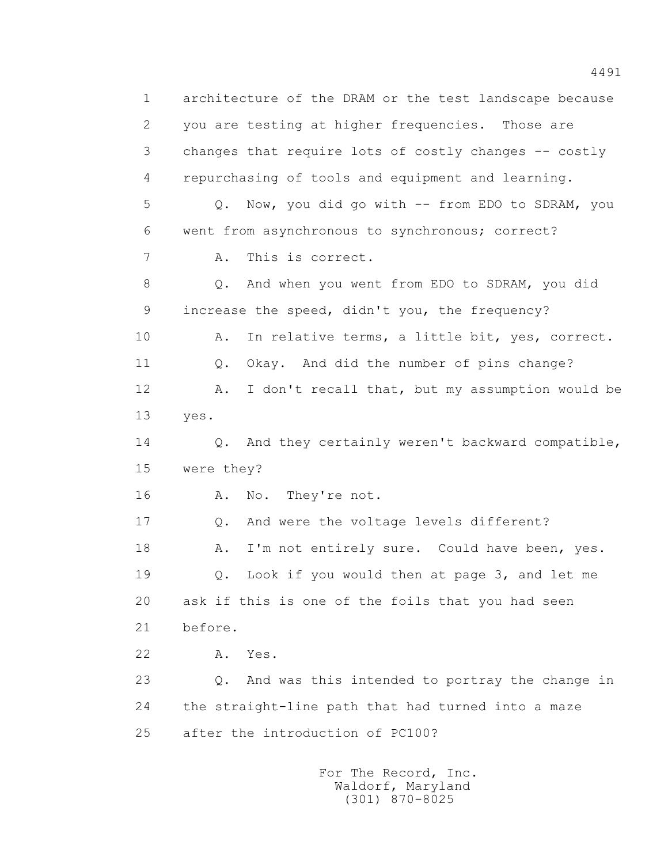1 architecture of the DRAM or the test landscape because 2 you are testing at higher frequencies. Those are 3 changes that require lots of costly changes -- costly 4 repurchasing of tools and equipment and learning. 5 Q. Now, you did go with -- from EDO to SDRAM, you 6 went from asynchronous to synchronous; correct? 7 A. This is correct. 8 Q. And when you went from EDO to SDRAM, you did 9 increase the speed, didn't you, the frequency? 10 A. In relative terms, a little bit, yes, correct. 11 0. Okay. And did the number of pins change? 12 A. I don't recall that, but my assumption would be 13 yes. 14 Q. And they certainly weren't backward compatible, 15 were they? 16 A. No. They're not. 17 0. And were the voltage levels different? 18 A. I'm not entirely sure. Could have been, yes. 19 Q. Look if you would then at page 3, and let me 20 ask if this is one of the foils that you had seen 21 before. 22 A. Yes. 23 Q. And was this intended to portray the change in 24 the straight-line path that had turned into a maze 25 after the introduction of PC100?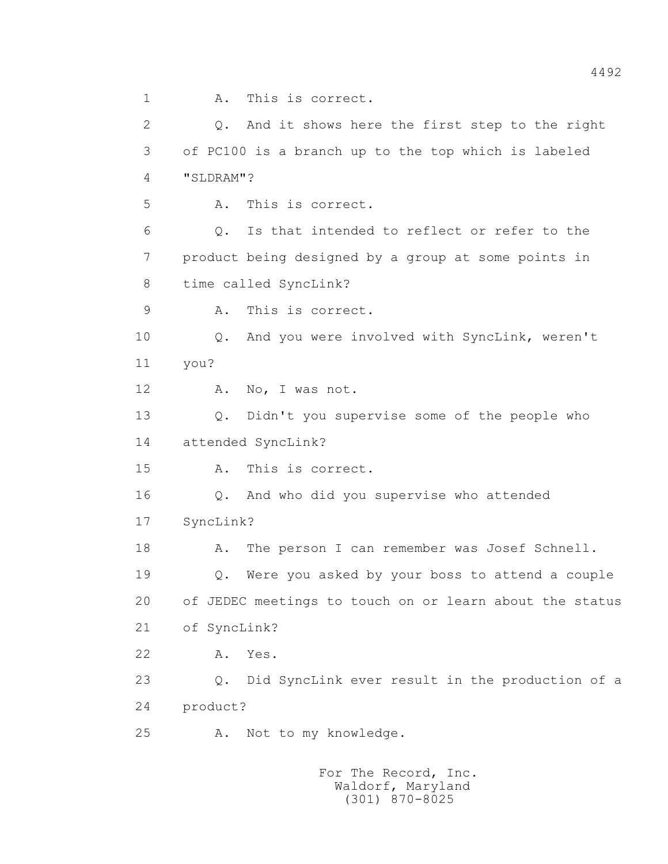1 A. This is correct. 2 Q. And it shows here the first step to the right 3 of PC100 is a branch up to the top which is labeled 4 "SLDRAM"? 5 A. This is correct. 6 Q. Is that intended to reflect or refer to the 7 product being designed by a group at some points in 8 time called SyncLink? 9 A. This is correct. 10 Q. And you were involved with SyncLink, weren't 11 you? 12 A. No, I was not. 13 Q. Didn't you supervise some of the people who 14 attended SyncLink? 15 A. This is correct. 16 Q. And who did you supervise who attended 17 SyncLink? 18 A. The person I can remember was Josef Schnell. 19 Q. Were you asked by your boss to attend a couple 20 of JEDEC meetings to touch on or learn about the status 21 of SyncLink? 22 A. Yes. 23 Q. Did SyncLink ever result in the production of a 24 product? 25 A. Not to my knowledge.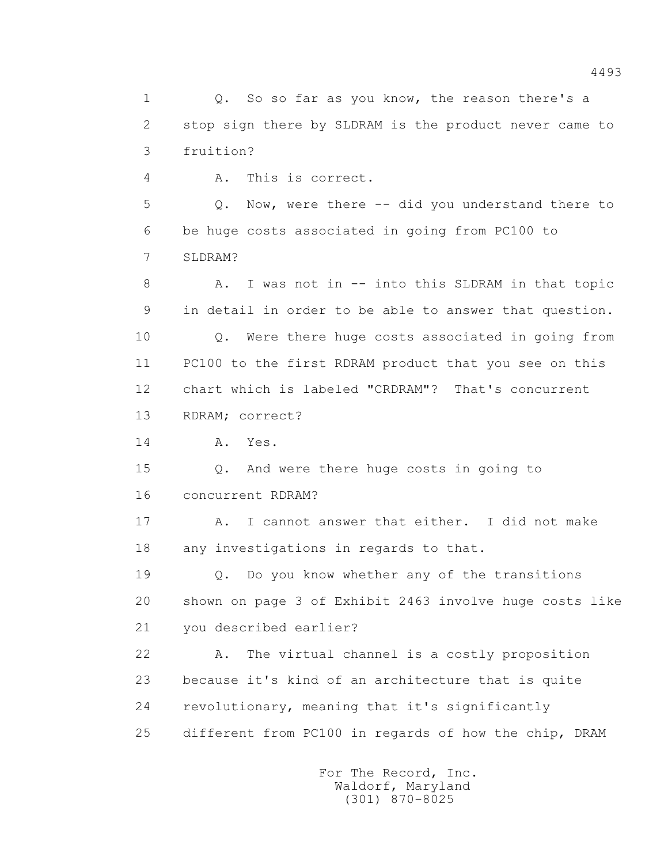1 0. So so far as you know, the reason there's a 2 stop sign there by SLDRAM is the product never came to 3 fruition? 4 A. This is correct. 5 Q. Now, were there -- did you understand there to 6 be huge costs associated in going from PC100 to 7 SLDRAM? 8 A. I was not in -- into this SLDRAM in that topic 9 in detail in order to be able to answer that question. 10 Q. Were there huge costs associated in going from 11 PC100 to the first RDRAM product that you see on this 12 chart which is labeled "CRDRAM"? That's concurrent 13 RDRAM; correct? 14 A. Yes. 15 Q. And were there huge costs in going to 16 concurrent RDRAM? 17 A. I cannot answer that either. I did not make 18 any investigations in regards to that. 19 Q. Do you know whether any of the transitions 20 shown on page 3 of Exhibit 2463 involve huge costs like 21 you described earlier? 22 A. The virtual channel is a costly proposition 23 because it's kind of an architecture that is quite 24 revolutionary, meaning that it's significantly 25 different from PC100 in regards of how the chip, DRAM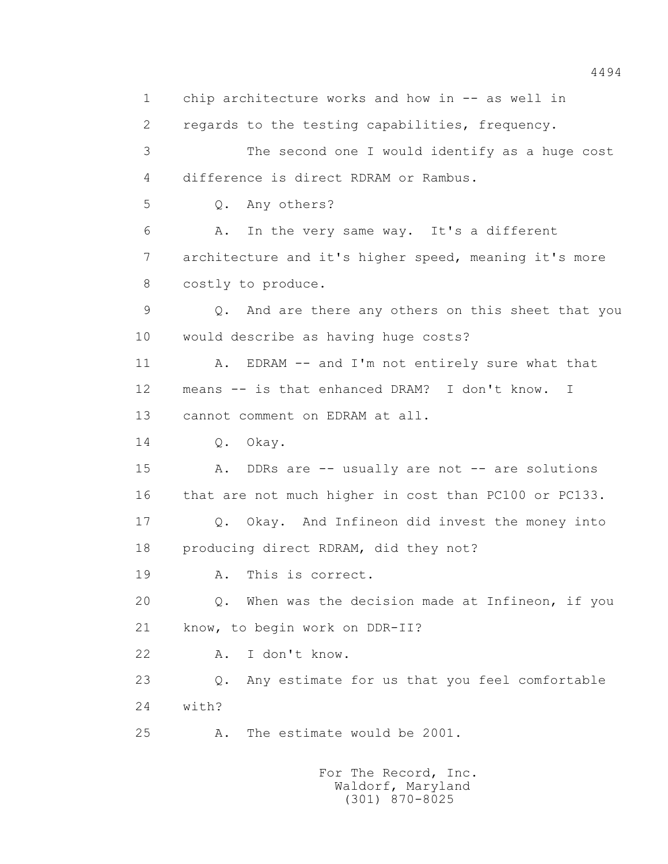1 chip architecture works and how in -- as well in 2 regards to the testing capabilities, frequency. 3 The second one I would identify as a huge cost 4 difference is direct RDRAM or Rambus. 5 Q. Any others? 6 A. In the very same way. It's a different 7 architecture and it's higher speed, meaning it's more 8 costly to produce. 9 Q. And are there any others on this sheet that you 10 would describe as having huge costs? 11 A. EDRAM -- and I'm not entirely sure what that 12 means -- is that enhanced DRAM? I don't know. I 13 cannot comment on EDRAM at all. 14 Q. Okay. 15 A. DDRs are -- usually are not -- are solutions 16 that are not much higher in cost than PC100 or PC133. 17 Q. Okay. And Infineon did invest the money into 18 producing direct RDRAM, did they not? 19 A. This is correct. 20 Q. When was the decision made at Infineon, if you 21 know, to begin work on DDR-II? 22 A. I don't know. 23 Q. Any estimate for us that you feel comfortable 24 with? 25 A. The estimate would be 2001.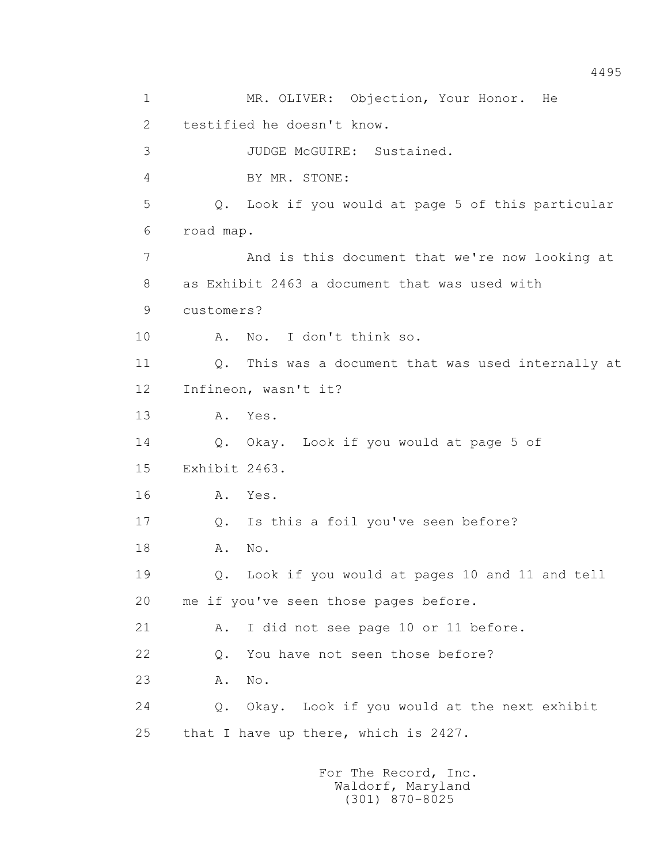1 MR. OLIVER: Objection, Your Honor. He 2 testified he doesn't know. 3 JUDGE McGUIRE: Sustained. 4 BY MR. STONE: 5 Q. Look if you would at page 5 of this particular 6 road map. 7 And is this document that we're now looking at 8 as Exhibit 2463 a document that was used with 9 customers? 10 A. No. I don't think so. 11 Q. This was a document that was used internally at 12 Infineon, wasn't it? 13 A. Yes. 14 Q. Okay. Look if you would at page 5 of 15 Exhibit 2463. 16 A. Yes. 17 Q. Is this a foil you've seen before? 18 A. No. 19 Q. Look if you would at pages 10 and 11 and tell 20 me if you've seen those pages before. 21 A. I did not see page 10 or 11 before. 22 Q. You have not seen those before? 23 A. No. 24 Q. Okay. Look if you would at the next exhibit 25 that I have up there, which is 2427.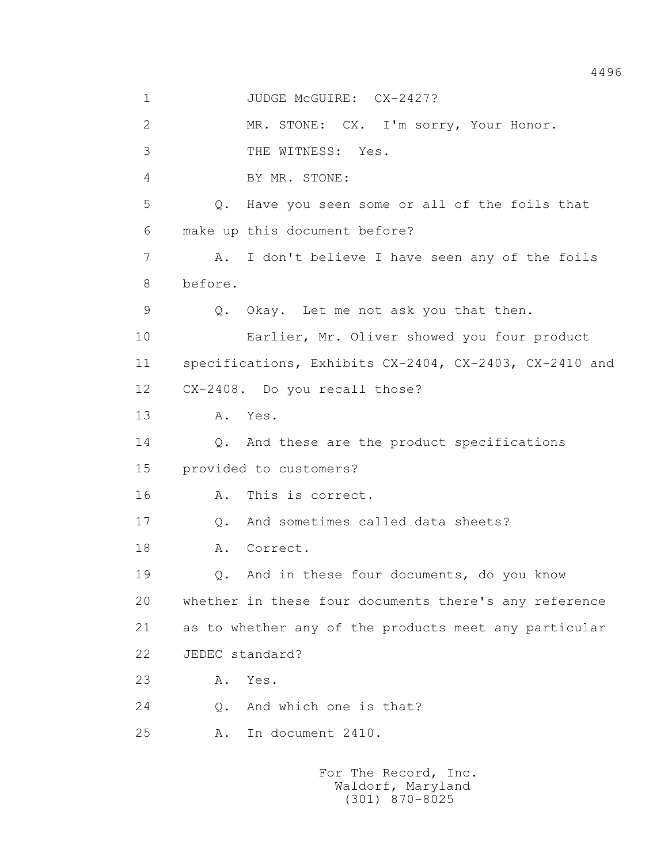1 JUDGE McGUIRE: CX-2427? 2 MR. STONE: CX. I'm sorry, Your Honor. 3 THE WITNESS: Yes. 4 BY MR. STONE: 5 Q. Have you seen some or all of the foils that 6 make up this document before? 7 A. I don't believe I have seen any of the foils 8 before. 9 Q. Okay. Let me not ask you that then. 10 Earlier, Mr. Oliver showed you four product 11 specifications, Exhibits CX-2404, CX-2403, CX-2410 and 12 CX-2408. Do you recall those? 13 A. Yes. 14 Q. And these are the product specifications 15 provided to customers? 16 A. This is correct. 17 Q. And sometimes called data sheets? 18 A. Correct. 19 Q. And in these four documents, do you know 20 whether in these four documents there's any reference 21 as to whether any of the products meet any particular 22 JEDEC standard? 23 A. Yes.

24 Q. And which one is that?

25 A. In document 2410.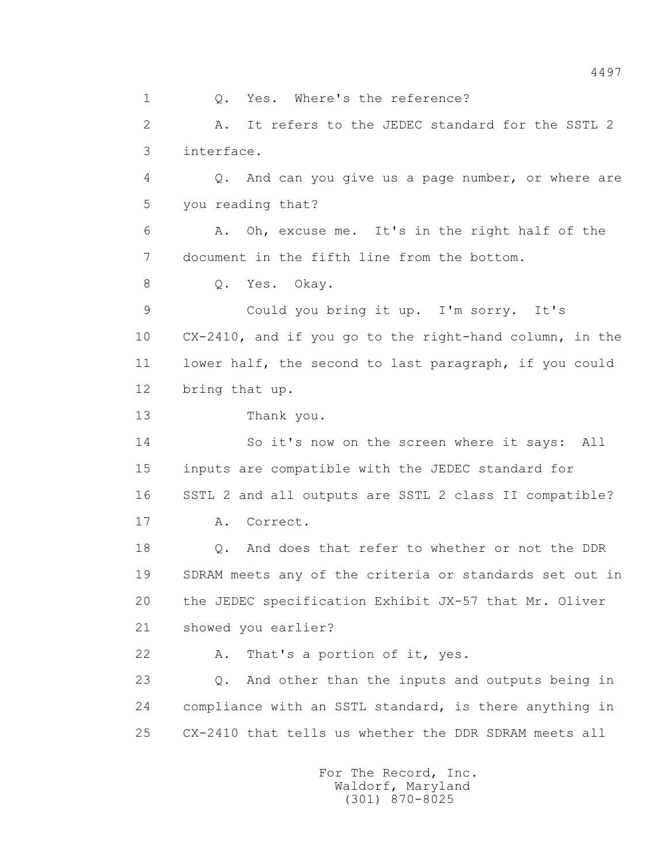1 Q. Yes. Where's the reference? 2 A. It refers to the JEDEC standard for the SSTL 2 3 interface. 4 Q. And can you give us a page number, or where are 5 you reading that? 6 A. Oh, excuse me. It's in the right half of the 7 document in the fifth line from the bottom. 8 Q. Yes. Okay. 9 Could you bring it up. I'm sorry. It's 10 CX-2410, and if you go to the right-hand column, in the 11 lower half, the second to last paragraph, if you could 12 bring that up. 13 Thank you. 14 So it's now on the screen where it says: All 15 inputs are compatible with the JEDEC standard for 16 SSTL 2 and all outputs are SSTL 2 class II compatible? 17 A. Correct. 18 0. And does that refer to whether or not the DDR 19 SDRAM meets any of the criteria or standards set out in 20 the JEDEC specification Exhibit JX-57 that Mr. Oliver 21 showed you earlier? 22 A. That's a portion of it, yes. 23 Q. And other than the inputs and outputs being in 24 compliance with an SSTL standard, is there anything in 25 CX-2410 that tells us whether the DDR SDRAM meets all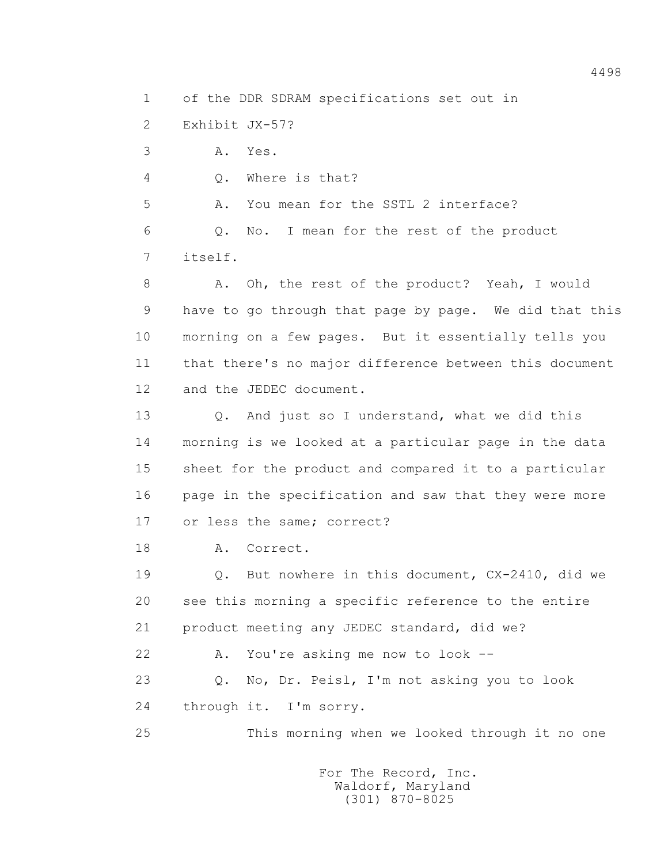1 of the DDR SDRAM specifications set out in

2 Exhibit JX-57?

3 A. Yes.

4 Q. Where is that?

5 A. You mean for the SSTL 2 interface?

 6 Q. No. I mean for the rest of the product 7 itself.

8 A. Oh, the rest of the product? Yeah, I would 9 have to go through that page by page. We did that this 10 morning on a few pages. But it essentially tells you 11 that there's no major difference between this document 12 and the JEDEC document.

13 0. And just so I understand, what we did this 14 morning is we looked at a particular page in the data 15 sheet for the product and compared it to a particular 16 page in the specification and saw that they were more 17 or less the same; correct?

18 A. Correct.

 19 Q. But nowhere in this document, CX-2410, did we 20 see this morning a specific reference to the entire 21 product meeting any JEDEC standard, did we?

22 A. You're asking me now to look --

 23 Q. No, Dr. Peisl, I'm not asking you to look 24 through it. I'm sorry.

25 This morning when we looked through it no one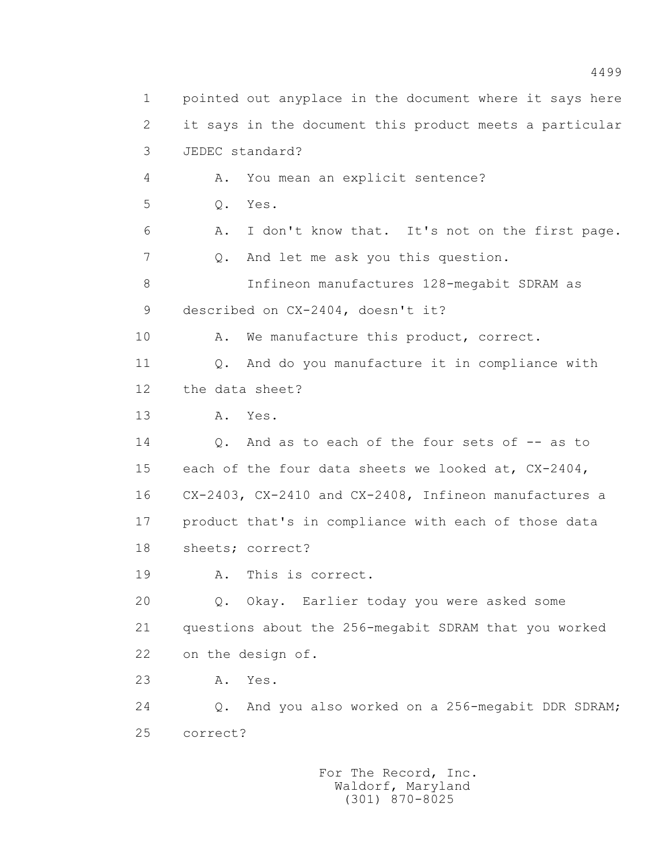1 pointed out anyplace in the document where it says here 2 it says in the document this product meets a particular 3 JEDEC standard? 4 A. You mean an explicit sentence? 5 Q. Yes. 6 A. I don't know that. It's not on the first page. 7 Q. And let me ask you this question. 8 Infineon manufactures 128-megabit SDRAM as 9 described on CX-2404, doesn't it? 10 A. We manufacture this product, correct. 11 Q. And do you manufacture it in compliance with 12 the data sheet? 13 A. Yes. 14 Q. And as to each of the four sets of -- as to 15 each of the four data sheets we looked at, CX-2404, 16 CX-2403, CX-2410 and CX-2408, Infineon manufactures a 17 product that's in compliance with each of those data 18 sheets; correct? 19 A. This is correct. 20 Q. Okay. Earlier today you were asked some 21 questions about the 256-megabit SDRAM that you worked 22 on the design of. 23 A. Yes. 24 Q. And you also worked on a 256-megabit DDR SDRAM; 25 correct?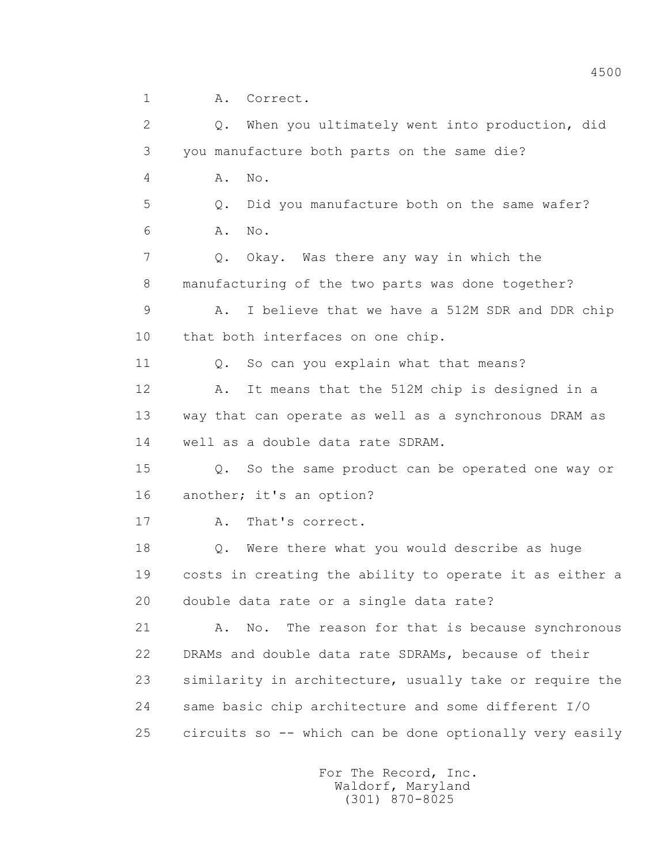1 A. Correct.

 2 Q. When you ultimately went into production, did 3 you manufacture both parts on the same die? 4 A. No. 5 Q. Did you manufacture both on the same wafer? 6 A. No. 7 Q. Okay. Was there any way in which the 8 manufacturing of the two parts was done together? 9 A. I believe that we have a 512M SDR and DDR chip 10 that both interfaces on one chip. 11 0. So can you explain what that means? 12 A. It means that the 512M chip is designed in a 13 way that can operate as well as a synchronous DRAM as 14 well as a double data rate SDRAM. 15 Q. So the same product can be operated one way or 16 another; it's an option? 17 A. That's correct. 18 Q. Were there what you would describe as huge 19 costs in creating the ability to operate it as either a 20 double data rate or a single data rate? 21 A. No. The reason for that is because synchronous 22 DRAMs and double data rate SDRAMs, because of their 23 similarity in architecture, usually take or require the 24 same basic chip architecture and some different I/O 25 circuits so -- which can be done optionally very easily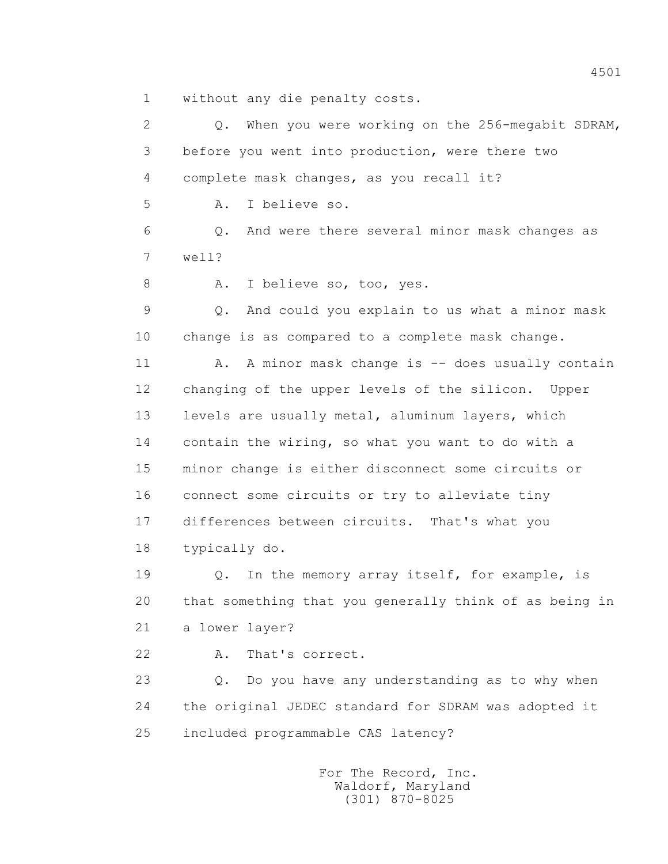1 without any die penalty costs.

 2 Q. When you were working on the 256-megabit SDRAM, 3 before you went into production, were there two 4 complete mask changes, as you recall it? 5 A. I believe so. 6 Q. And were there several minor mask changes as 7 well? 8 A. I believe so, too, yes. 9 Q. And could you explain to us what a minor mask 10 change is as compared to a complete mask change. 11 A. A minor mask change is -- does usually contain 12 changing of the upper levels of the silicon. Upper 13 levels are usually metal, aluminum layers, which 14 contain the wiring, so what you want to do with a 15 minor change is either disconnect some circuits or 16 connect some circuits or try to alleviate tiny 17 differences between circuits. That's what you 18 typically do. 19 Q. In the memory array itself, for example, is 20 that something that you generally think of as being in 21 a lower layer? 22 A. That's correct. 23 Q. Do you have any understanding as to why when 24 the original JEDEC standard for SDRAM was adopted it 25 included programmable CAS latency?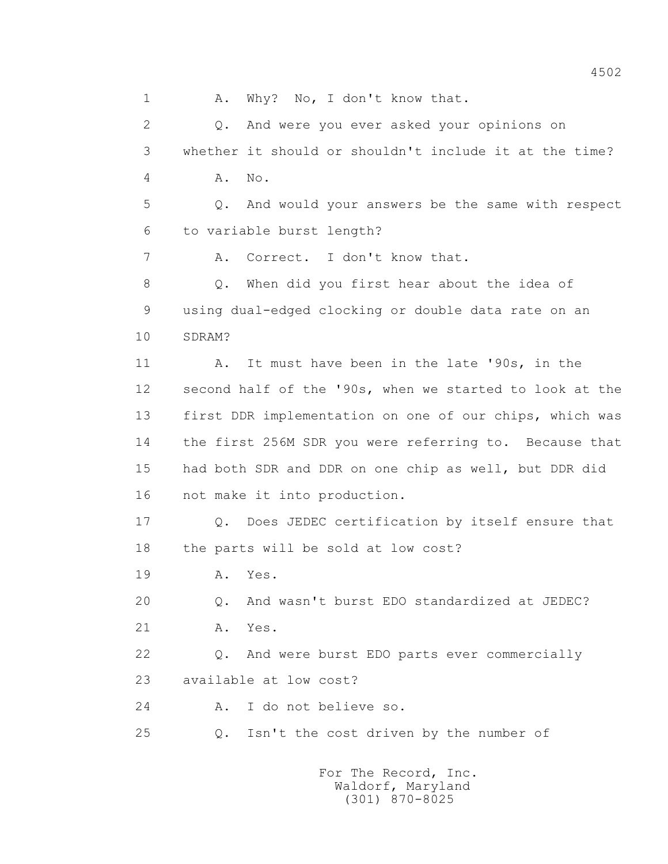1 A. Why? No, I don't know that. 2 Q. And were you ever asked your opinions on 3 whether it should or shouldn't include it at the time? 4 A. No. 5 Q. And would your answers be the same with respect 6 to variable burst length? 7 A. Correct. I don't know that. 8 Q. When did you first hear about the idea of 9 using dual-edged clocking or double data rate on an 10 SDRAM? 11 A. It must have been in the late '90s, in the 12 second half of the '90s, when we started to look at the 13 first DDR implementation on one of our chips, which was 14 the first 256M SDR you were referring to. Because that 15 had both SDR and DDR on one chip as well, but DDR did 16 not make it into production. 17 Q. Does JEDEC certification by itself ensure that 18 the parts will be sold at low cost? 19 A. Yes. 20 Q. And wasn't burst EDO standardized at JEDEC? 21 A. Yes. 22 Q. And were burst EDO parts ever commercially 23 available at low cost? 24 A. I do not believe so. 25 Q. Isn't the cost driven by the number of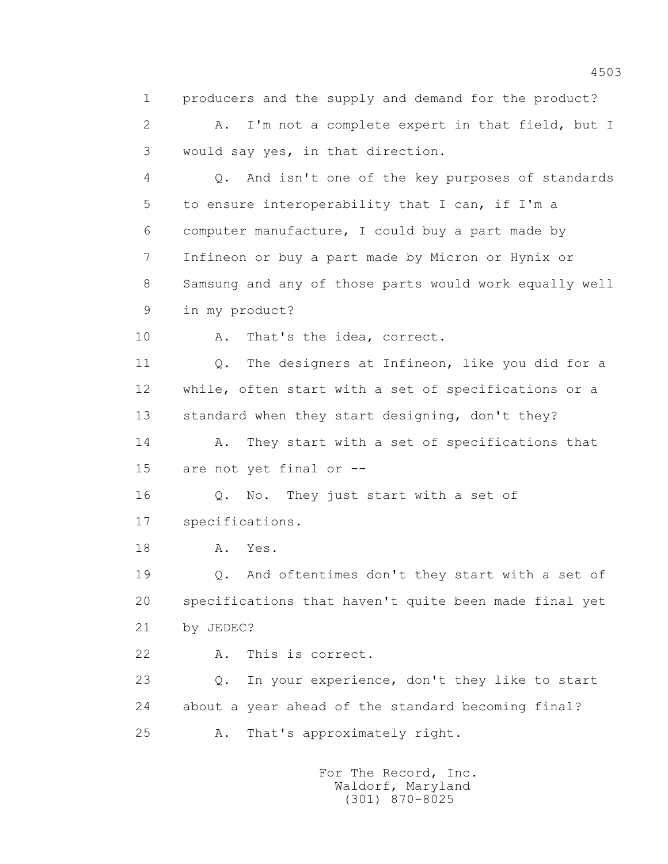1 producers and the supply and demand for the product? 2 A. I'm not a complete expert in that field, but I 3 would say yes, in that direction. 4 Q. And isn't one of the key purposes of standards 5 to ensure interoperability that I can, if I'm a 6 computer manufacture, I could buy a part made by 7 Infineon or buy a part made by Micron or Hynix or 8 Samsung and any of those parts would work equally well 9 in my product? 10 A. That's the idea, correct. 11 Q. The designers at Infineon, like you did for a 12 while, often start with a set of specifications or a 13 standard when they start designing, don't they? 14 A. They start with a set of specifications that 15 are not yet final or -- 16 Q. No. They just start with a set of 17 specifications. 18 **A.** Yes. 19 Q. And oftentimes don't they start with a set of 20 specifications that haven't quite been made final yet 21 by JEDEC? 22 A. This is correct. 23 Q. In your experience, don't they like to start 24 about a year ahead of the standard becoming final? 25 A. That's approximately right.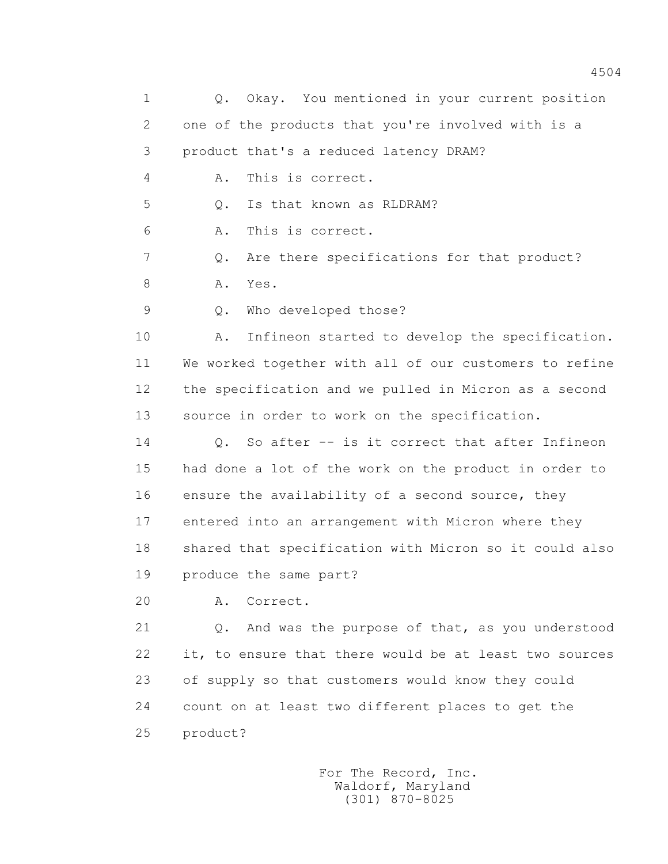1 Q. Okay. You mentioned in your current position 2 one of the products that you're involved with is a 3 product that's a reduced latency DRAM? 4 A. This is correct. 5 Q. Is that known as RLDRAM? 6 A. This is correct. 7 Q. Are there specifications for that product? 8 A. Yes. 9 Q. Who developed those? 10 A. Infineon started to develop the specification. 11 We worked together with all of our customers to refine 12 the specification and we pulled in Micron as a second 13 source in order to work on the specification. 14 Q. So after -- is it correct that after Infineon 15 had done a lot of the work on the product in order to 16 ensure the availability of a second source, they 17 entered into an arrangement with Micron where they 18 shared that specification with Micron so it could also 19 produce the same part? 20 A. Correct. 21 Q. And was the purpose of that, as you understood 22 it, to ensure that there would be at least two sources 23 of supply so that customers would know they could 24 count on at least two different places to get the 25 product?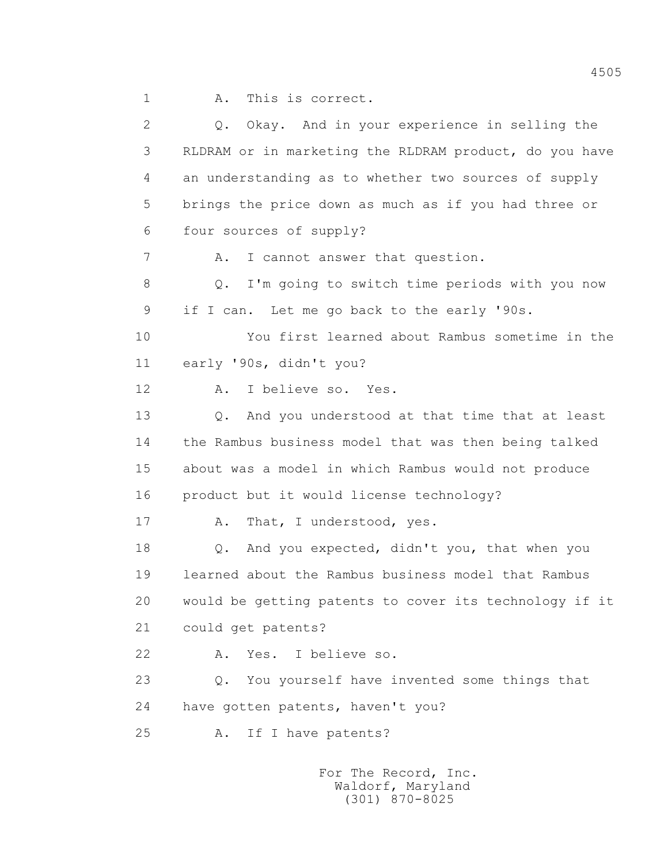1 A. This is correct.

| 2  | Q. Okay. And in your experience in selling the         |
|----|--------------------------------------------------------|
| 3  | RLDRAM or in marketing the RLDRAM product, do you have |
| 4  | an understanding as to whether two sources of supply   |
| 5  | brings the price down as much as if you had three or   |
| 6  | four sources of supply?                                |
| 7  | I cannot answer that question.<br>Α.                   |
| 8  | I'm going to switch time periods with you now<br>Q.    |
| 9  | if I can. Let me go back to the early '90s.            |
| 10 | You first learned about Rambus sometime in the         |
| 11 | early '90s, didn't you?                                |
| 12 | I believe so. Yes.<br>Α.                               |
| 13 | And you understood at that time that at least<br>Q.    |
| 14 | the Rambus business model that was then being talked   |
| 15 | about was a model in which Rambus would not produce    |
| 16 | product but it would license technology?               |
| 17 | That, I understood, yes.<br>Α.                         |
| 18 | And you expected, didn't you, that when you<br>Q.      |
| 19 | learned about the Rambus business model that Rambus    |
| 20 | would be getting patents to cover its technology if it |
| 21 | could get patents?                                     |
| 22 | Yes. I believe so.<br>Α.                               |
| 23 | You yourself have invented some things that<br>$Q$ .   |
| 24 | have gotten patents, haven't you?                      |
| 25 | If I have patents?<br>Α.                               |
|    |                                                        |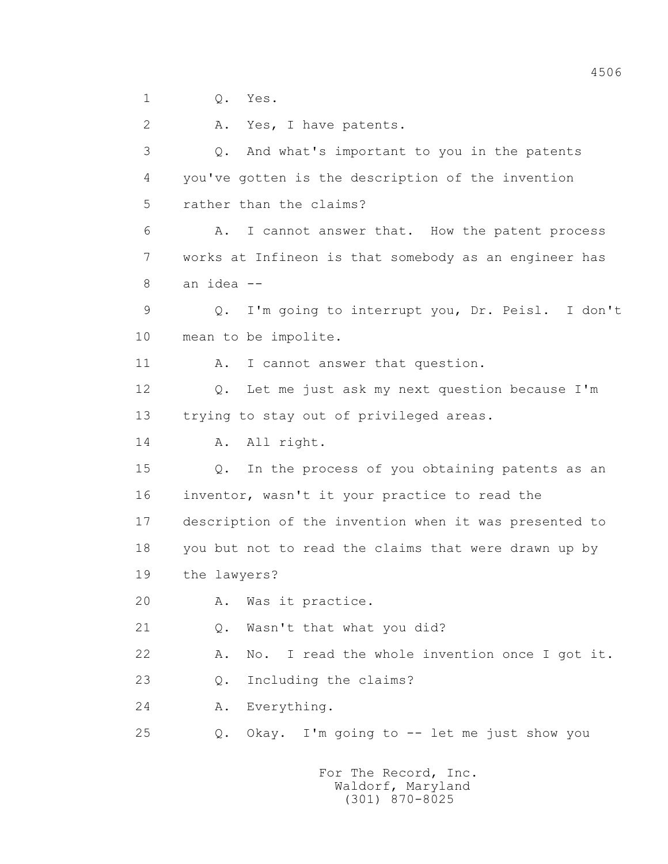1 Q. Yes.

2 A. Yes, I have patents.

 3 Q. And what's important to you in the patents 4 you've gotten is the description of the invention 5 rather than the claims? 6 A. I cannot answer that. How the patent process 7 works at Infineon is that somebody as an engineer has 8 an idea -- 9 Q. I'm going to interrupt you, Dr. Peisl. I don't 10 mean to be impolite. 11 A. I cannot answer that question. 12 Q. Let me just ask my next question because I'm 13 trying to stay out of privileged areas. 14 A. All right. 15 Q. In the process of you obtaining patents as an 16 inventor, wasn't it your practice to read the 17 description of the invention when it was presented to 18 you but not to read the claims that were drawn up by 19 the lawyers? 20 A. Was it practice. 21 Q. Wasn't that what you did? 22 A. No. I read the whole invention once I got it. 23 0. Including the claims? 24 A. Everything. 25 Q. Okay. I'm going to -- let me just show you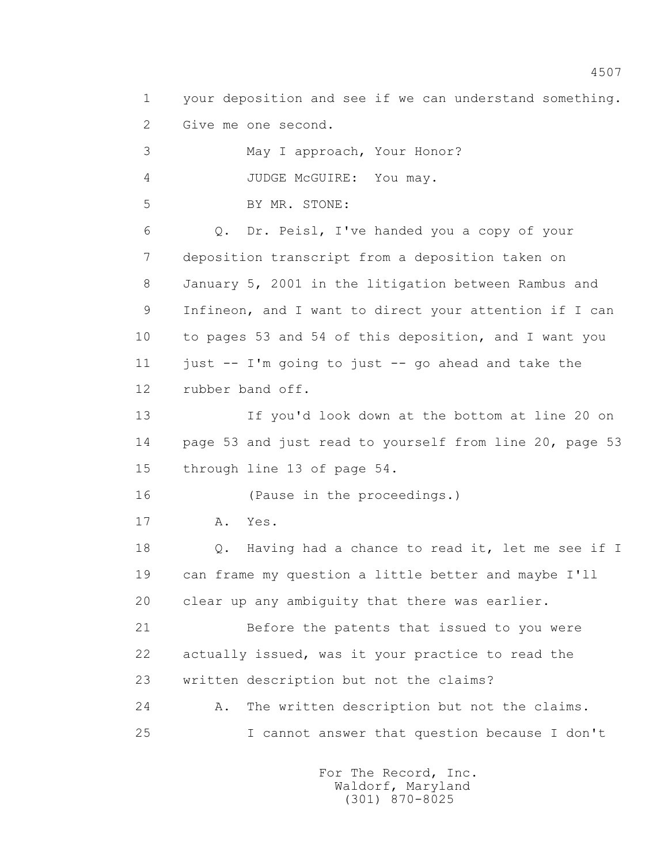1 your deposition and see if we can understand something. 2 Give me one second.

 3 May I approach, Your Honor? 4 JUDGE McGUIRE: You may. 5 BY MR. STONE: 6 Q. Dr. Peisl, I've handed you a copy of your 7 deposition transcript from a deposition taken on 8 January 5, 2001 in the litigation between Rambus and 9 Infineon, and I want to direct your attention if I can 10 to pages 53 and 54 of this deposition, and I want you 11 just  $-$  I'm going to just  $-$  go ahead and take the 12 rubber band off. 13 If you'd look down at the bottom at line 20 on 14 page 53 and just read to yourself from line 20, page 53 15 through line 13 of page 54. 16 (Pause in the proceedings.) 17 A. Yes. 18 Q. Having had a chance to read it, let me see if I 19 can frame my question a little better and maybe I'll 20 clear up any ambiguity that there was earlier. 21 Before the patents that issued to you were 22 actually issued, was it your practice to read the 23 written description but not the claims? 24 A. The written description but not the claims. 25 I cannot answer that question because I don't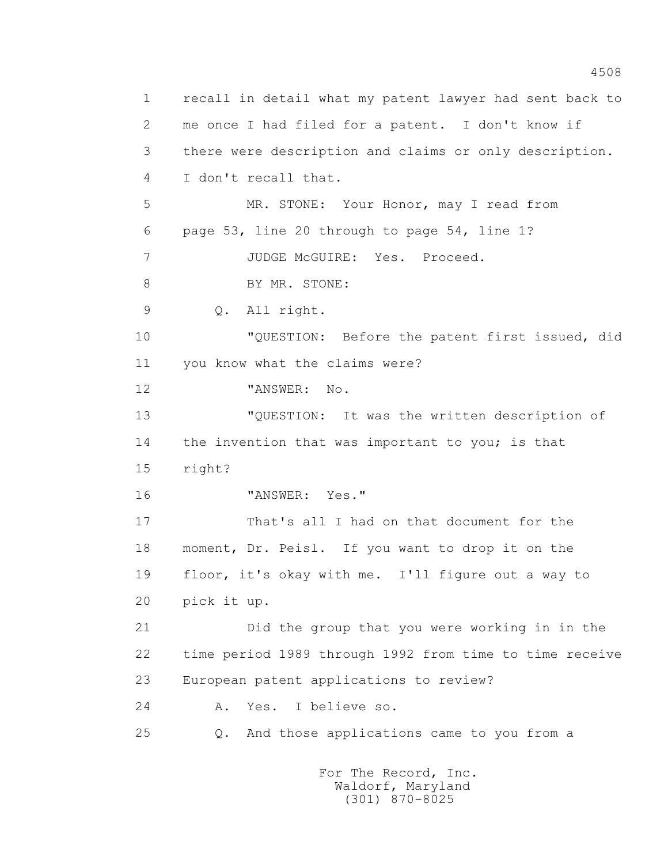1 recall in detail what my patent lawyer had sent back to 2 me once I had filed for a patent. I don't know if 3 there were description and claims or only description. 4 I don't recall that. 5 MR. STONE: Your Honor, may I read from 6 page 53, line 20 through to page 54, line 1? 7 JUDGE McGUIRE: Yes. Proceed. 8 BY MR. STONE: 9 Q. All right. 10 "QUESTION: Before the patent first issued, did 11 you know what the claims were? 12 "ANSWER: No. 13 "QUESTION: It was the written description of 14 the invention that was important to you; is that 15 right? 16 "ANSWER: Yes." 17 That's all I had on that document for the 18 moment, Dr. Peisl. If you want to drop it on the 19 floor, it's okay with me. I'll figure out a way to 20 pick it up. 21 Did the group that you were working in in the 22 time period 1989 through 1992 from time to time receive 23 European patent applications to review? 24 A. Yes. I believe so. 25 Q. And those applications came to you from a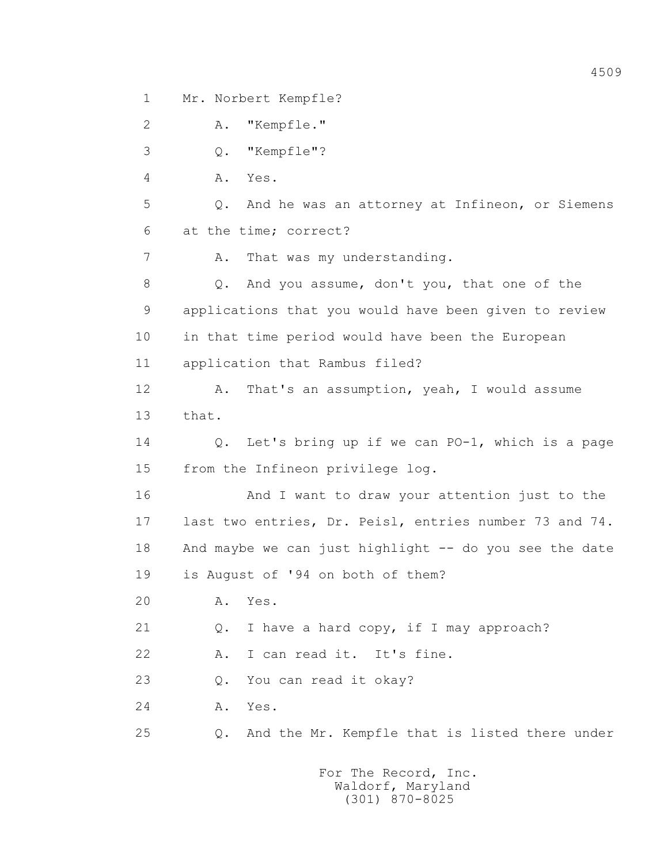1 Mr. Norbert Kempfle?

 2 A. "Kempfle." 3 Q. "Kempfle"? 4 A. Yes. 5 Q. And he was an attorney at Infineon, or Siemens 6 at the time; correct? 7 A. That was my understanding. 8 Q. And you assume, don't you, that one of the 9 applications that you would have been given to review 10 in that time period would have been the European 11 application that Rambus filed? 12 A. That's an assumption, yeah, I would assume 13 that. 14 Q. Let's bring up if we can PO-1, which is a page 15 from the Infineon privilege log. 16 And I want to draw your attention just to the 17 last two entries, Dr. Peisl, entries number 73 and 74. 18 And maybe we can just highlight -- do you see the date 19 is August of '94 on both of them? 20 A. Yes. 21 Q. I have a hard copy, if I may approach? 22 A. I can read it. It's fine. 23 0. You can read it okay? 24 A. Yes. 25 Q. And the Mr. Kempfle that is listed there under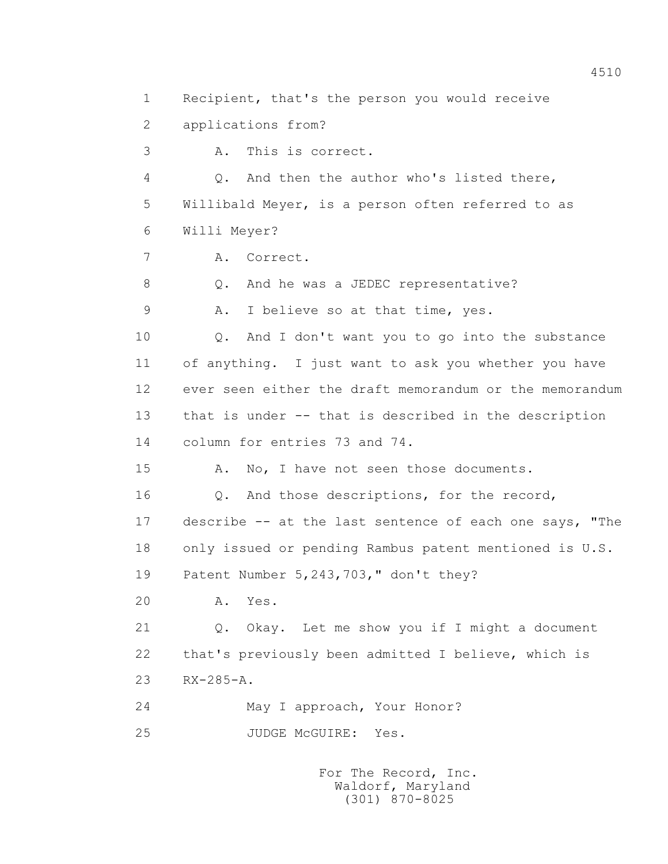1 Recipient, that's the person you would receive 2 applications from? 3 A. This is correct. 4 Q. And then the author who's listed there, 5 Willibald Meyer, is a person often referred to as 6 Willi Meyer? 7 A. Correct. 8 Q. And he was a JEDEC representative? 9 A. I believe so at that time, yes. 10 Q. And I don't want you to go into the substance 11 of anything. I just want to ask you whether you have 12 ever seen either the draft memorandum or the memorandum 13 that is under -- that is described in the description 14 column for entries 73 and 74. 15 A. No, I have not seen those documents. 16 0. And those descriptions, for the record, 17 describe -- at the last sentence of each one says, "The 18 only issued or pending Rambus patent mentioned is U.S. 19 Patent Number 5,243,703," don't they? 20 A. Yes. 21 Q. Okay. Let me show you if I might a document 22 that's previously been admitted I believe, which is 23 RX-285-A. 24 May I approach, Your Honor? 25 JUDGE McGUIRE: Yes.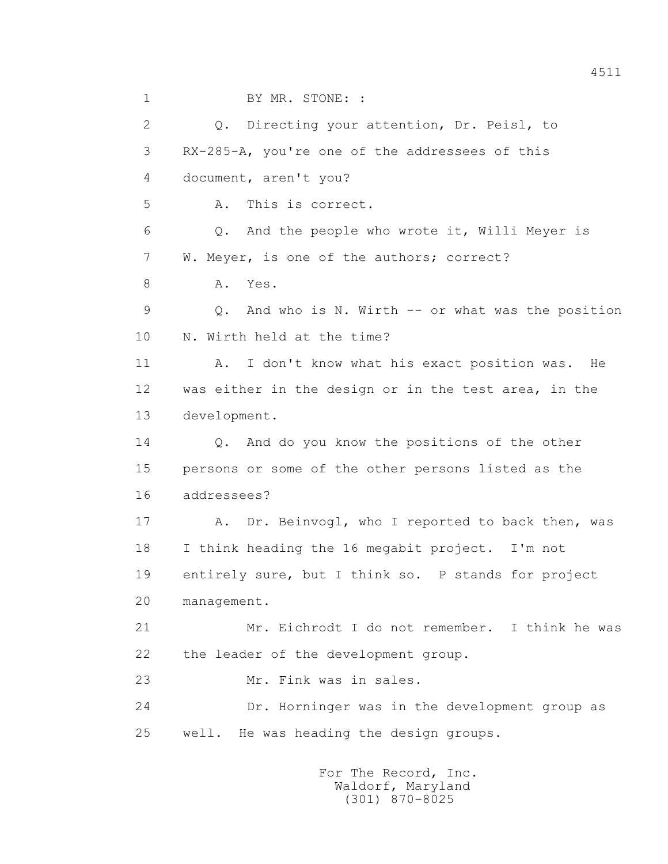1 BY MR. STONE: : 2 Q. Directing your attention, Dr. Peisl, to 3 RX-285-A, you're one of the addressees of this 4 document, aren't you? 5 A. This is correct. 6 Q. And the people who wrote it, Willi Meyer is 7 W. Meyer, is one of the authors; correct? 8 A. Yes. 9 Q. And who is N. Wirth -- or what was the position 10 N. Wirth held at the time? 11 A. I don't know what his exact position was. He 12 was either in the design or in the test area, in the 13 development. 14 Q. And do you know the positions of the other 15 persons or some of the other persons listed as the 16 addressees? 17 A. Dr. Beinvogl, who I reported to back then, was 18 I think heading the 16 megabit project. I'm not 19 entirely sure, but I think so. P stands for project 20 management. 21 Mr. Eichrodt I do not remember. I think he was 22 the leader of the development group. 23 Mr. Fink was in sales. 24 Dr. Horninger was in the development group as 25 well. He was heading the design groups.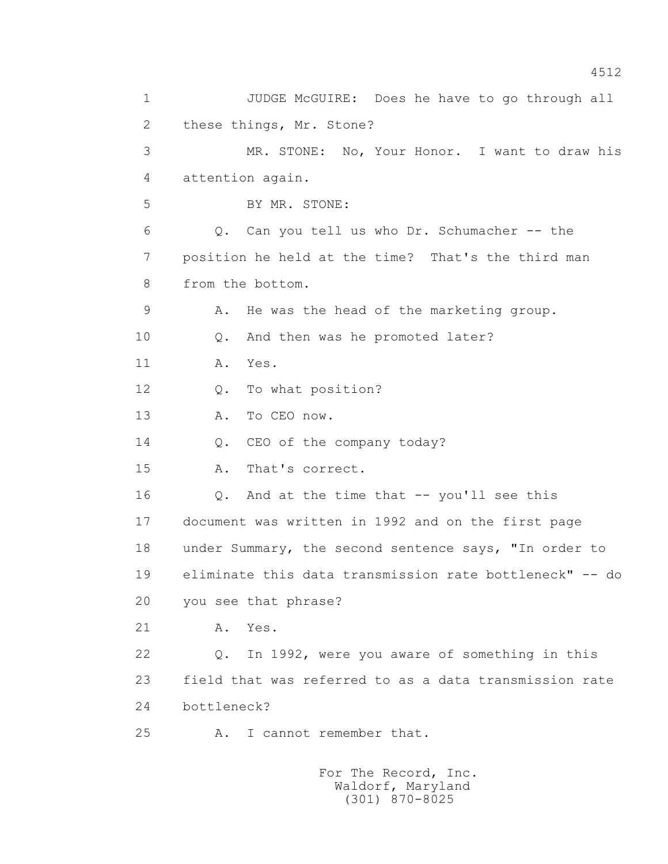1 JUDGE McGUIRE: Does he have to go through all 2 these things, Mr. Stone? 3 MR. STONE: No, Your Honor. I want to draw his 4 attention again. 5 BY MR. STONE: 6 Q. Can you tell us who Dr. Schumacher -- the 7 position he held at the time? That's the third man 8 from the bottom. 9 A. He was the head of the marketing group. 10 Q. And then was he promoted later? 11 A. Yes. 12 Q. To what position? 13 A. To CEO now. 14 Q. CEO of the company today? 15 A. That's correct. 16 Q. And at the time that -- you'll see this 17 document was written in 1992 and on the first page 18 under Summary, the second sentence says, "In order to 19 eliminate this data transmission rate bottleneck" -- do 20 you see that phrase? 21 A. Yes. 22 Q. In 1992, were you aware of something in this 23 field that was referred to as a data transmission rate 24 bottleneck? 25 A. I cannot remember that.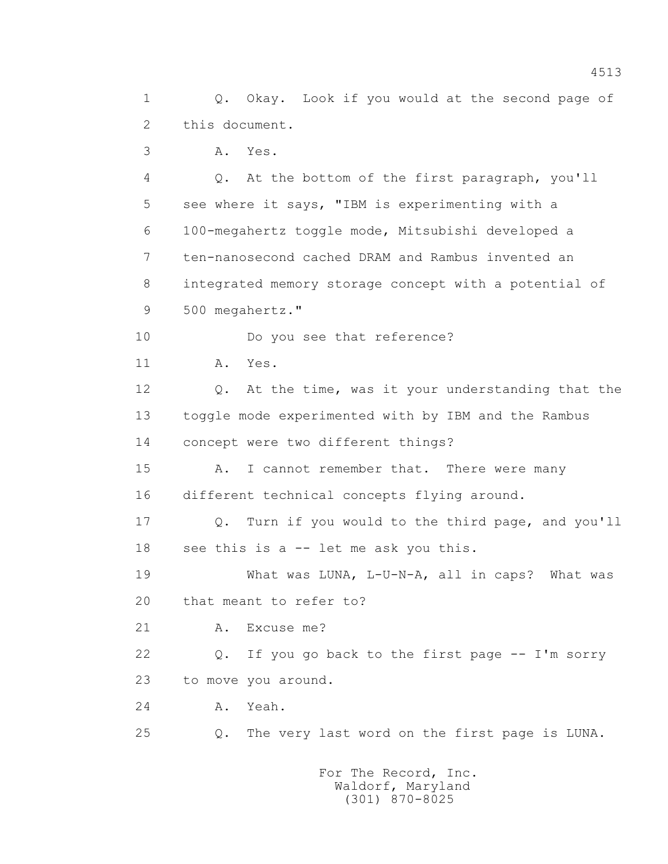1 Q. Okay. Look if you would at the second page of 2 this document.

3 A. Yes.

 4 Q. At the bottom of the first paragraph, you'll 5 see where it says, "IBM is experimenting with a 6 100-megahertz toggle mode, Mitsubishi developed a 7 ten-nanosecond cached DRAM and Rambus invented an 8 integrated memory storage concept with a potential of 9 500 megahertz."

10 Do you see that reference?

11 A. Yes.

 12 Q. At the time, was it your understanding that the 13 toggle mode experimented with by IBM and the Rambus 14 concept were two different things?

15 A. I cannot remember that. There were many 16 different technical concepts flying around.

 17 Q. Turn if you would to the third page, and you'll 18 see this is a -- let me ask you this.

 19 What was LUNA, L-U-N-A, all in caps? What was 20 that meant to refer to?

21 A. Excuse me?

 22 Q. If you go back to the first page -- I'm sorry 23 to move you around.

24 A. Yeah.

25 Q. The very last word on the first page is LUNA.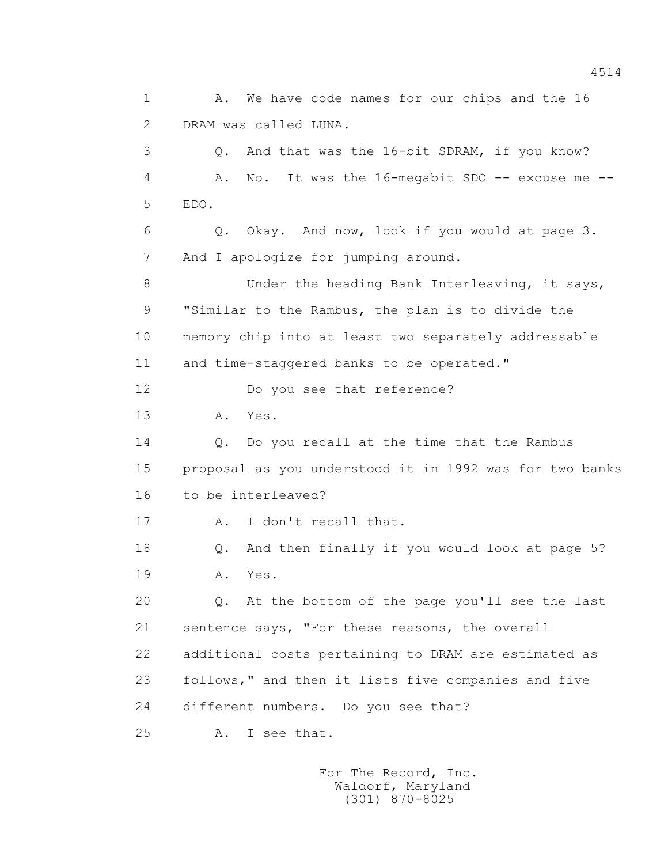1 A. We have code names for our chips and the 16 2 DRAM was called LUNA. 3 Q. And that was the 16-bit SDRAM, if you know? 4 A. No. It was the 16-megabit SDO -- excuse me -- 5 EDO. 6 Q. Okay. And now, look if you would at page 3. 7 And I apologize for jumping around. 8 Under the heading Bank Interleaving, it says, 9 "Similar to the Rambus, the plan is to divide the 10 memory chip into at least two separately addressable 11 and time-staggered banks to be operated." 12 Do you see that reference? 13 A. Yes. 14 0. Do you recall at the time that the Rambus 15 proposal as you understood it in 1992 was for two banks 16 to be interleaved? 17 A. I don't recall that. 18 Q. And then finally if you would look at page 5? 19 A. Yes. 20 Q. At the bottom of the page you'll see the last 21 sentence says, "For these reasons, the overall 22 additional costs pertaining to DRAM are estimated as 23 follows," and then it lists five companies and five 24 different numbers. Do you see that? 25 A. I see that.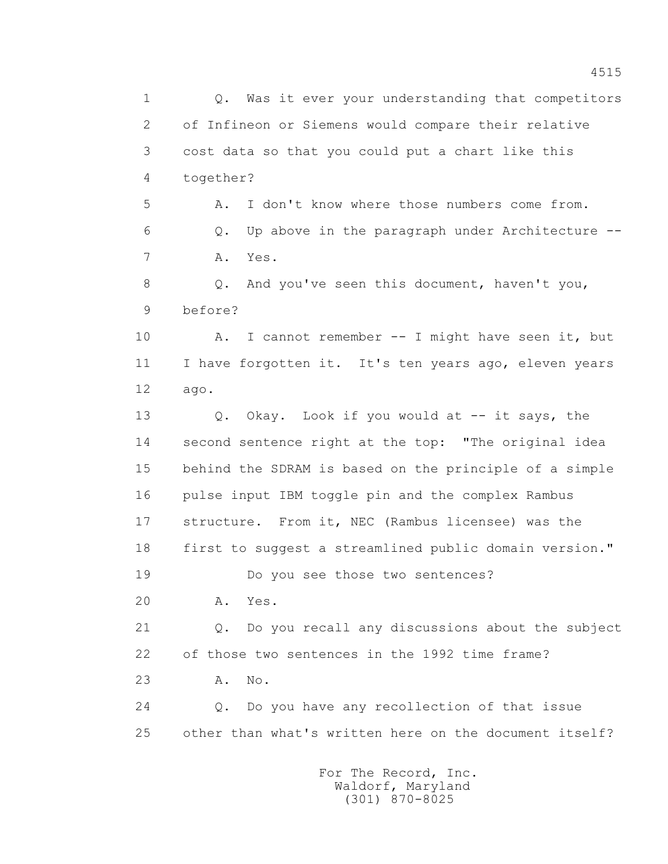1 Q. Was it ever your understanding that competitors 2 of Infineon or Siemens would compare their relative 3 cost data so that you could put a chart like this 4 together? 5 A. I don't know where those numbers come from. 6 Q. Up above in the paragraph under Architecture -- 7 A. Yes. 8 Q. And you've seen this document, haven't you, 9 before? 10 A. I cannot remember -- I might have seen it, but 11 I have forgotten it. It's ten years ago, eleven years 12 ago. 13 Q. Okay. Look if you would at -- it says, the 14 second sentence right at the top: "The original idea 15 behind the SDRAM is based on the principle of a simple 16 pulse input IBM toggle pin and the complex Rambus 17 structure. From it, NEC (Rambus licensee) was the 18 first to suggest a streamlined public domain version." 19 Do you see those two sentences? 20 A. Yes. 21 Q. Do you recall any discussions about the subject 22 of those two sentences in the 1992 time frame? 23 A. No. 24 Q. Do you have any recollection of that issue 25 other than what's written here on the document itself? For The Record, Inc.

 Waldorf, Maryland (301) 870-8025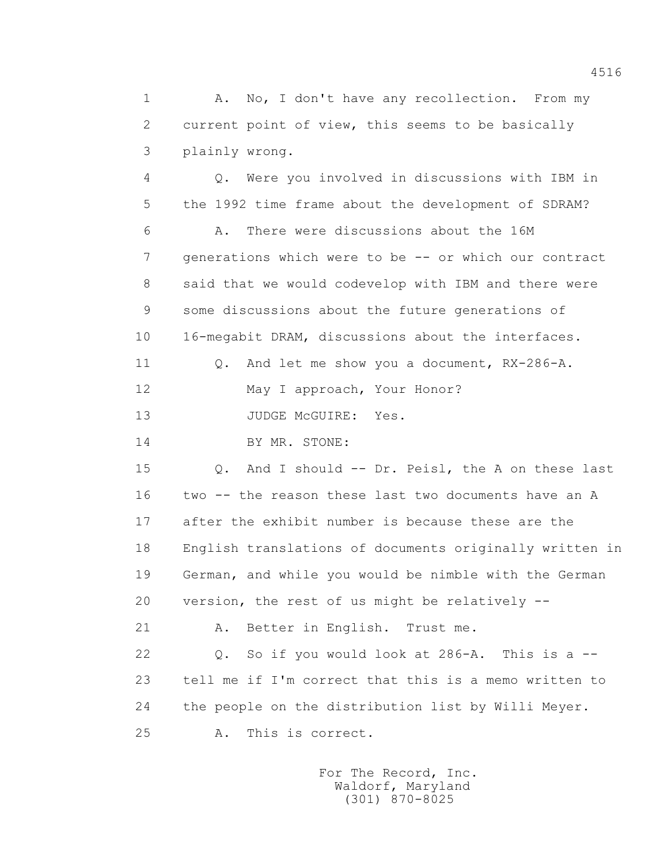1 A. No, I don't have any recollection. From my 2 current point of view, this seems to be basically 3 plainly wrong.

 4 Q. Were you involved in discussions with IBM in 5 the 1992 time frame about the development of SDRAM? 6 A. There were discussions about the 16M 7 generations which were to be -- or which our contract 8 said that we would codevelop with IBM and there were 9 some discussions about the future generations of 10 16-megabit DRAM, discussions about the interfaces.

11 0. And let me show you a document, RX-286-A.

12 May I approach, Your Honor?

13 JUDGE McGUIRE: Yes.

14 BY MR. STONE:

 15 Q. And I should -- Dr. Peisl, the A on these last 16 two -- the reason these last two documents have an A 17 after the exhibit number is because these are the 18 English translations of documents originally written in 19 German, and while you would be nimble with the German 20 version, the rest of us might be relatively --

21 A. Better in English. Trust me.

 22 Q. So if you would look at 286-A. This is a -- 23 tell me if I'm correct that this is a memo written to 24 the people on the distribution list by Willi Meyer. 25 A. This is correct.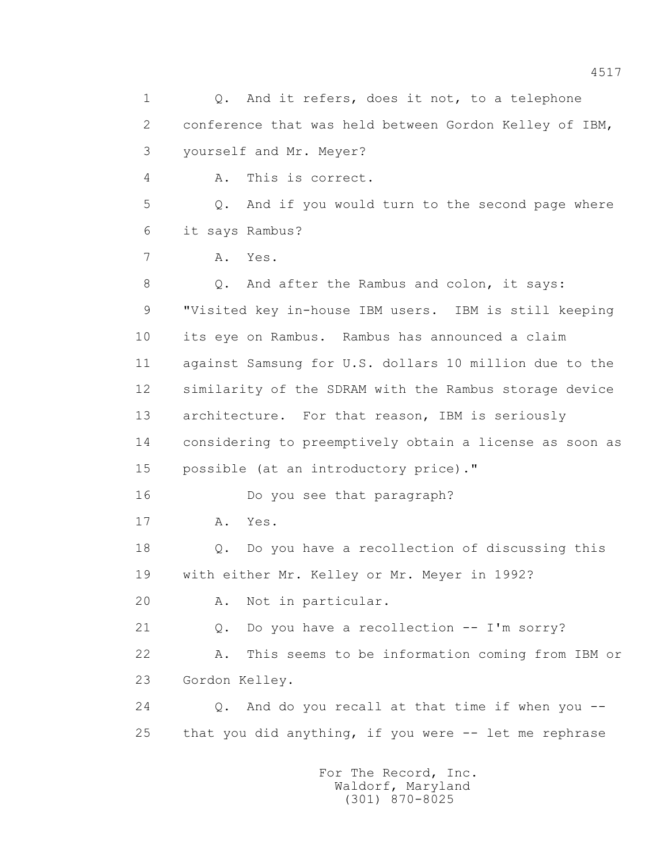1 0. And it refers, does it not, to a telephone 2 conference that was held between Gordon Kelley of IBM, 3 yourself and Mr. Meyer? 4 A. This is correct. 5 Q. And if you would turn to the second page where 6 it says Rambus? 7 A. Yes. 8 Q. And after the Rambus and colon, it says: 9 "Visited key in-house IBM users. IBM is still keeping 10 its eye on Rambus. Rambus has announced a claim 11 against Samsung for U.S. dollars 10 million due to the 12 similarity of the SDRAM with the Rambus storage device 13 architecture. For that reason, IBM is seriously 14 considering to preemptively obtain a license as soon as 15 possible (at an introductory price)." 16 Do you see that paragraph? 17 A. Yes. 18 Q. Do you have a recollection of discussing this 19 with either Mr. Kelley or Mr. Meyer in 1992? 20 A. Not in particular. 21 Q. Do you have a recollection -- I'm sorry? 22 A. This seems to be information coming from IBM or 23 Gordon Kelley. 24 Q. And do you recall at that time if when you -- 25 that you did anything, if you were -- let me rephrase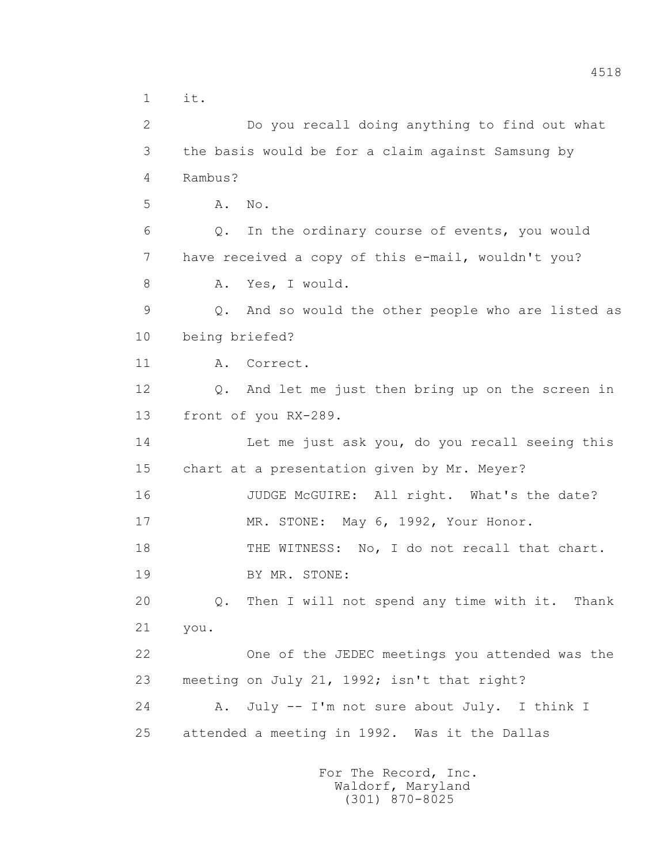1 it. 2 Do you recall doing anything to find out what 3 the basis would be for a claim against Samsung by 4 Rambus? 5 A. No. 6 Q. In the ordinary course of events, you would 7 have received a copy of this e-mail, wouldn't you? 8 A. Yes, I would. 9 Q. And so would the other people who are listed as 10 being briefed? 11 A. Correct. 12 Q. And let me just then bring up on the screen in 13 front of you RX-289. 14 Let me just ask you, do you recall seeing this 15 chart at a presentation given by Mr. Meyer? 16 JUDGE McGUIRE: All right. What's the date? 17 MR. STONE: May 6, 1992, Your Honor. 18 THE WITNESS: No, I do not recall that chart. 19 BY MR. STONE: 20 Q. Then I will not spend any time with it. Thank 21 you. 22 One of the JEDEC meetings you attended was the 23 meeting on July 21, 1992; isn't that right? 24 A. July -- I'm not sure about July. I think I 25 attended a meeting in 1992. Was it the Dallas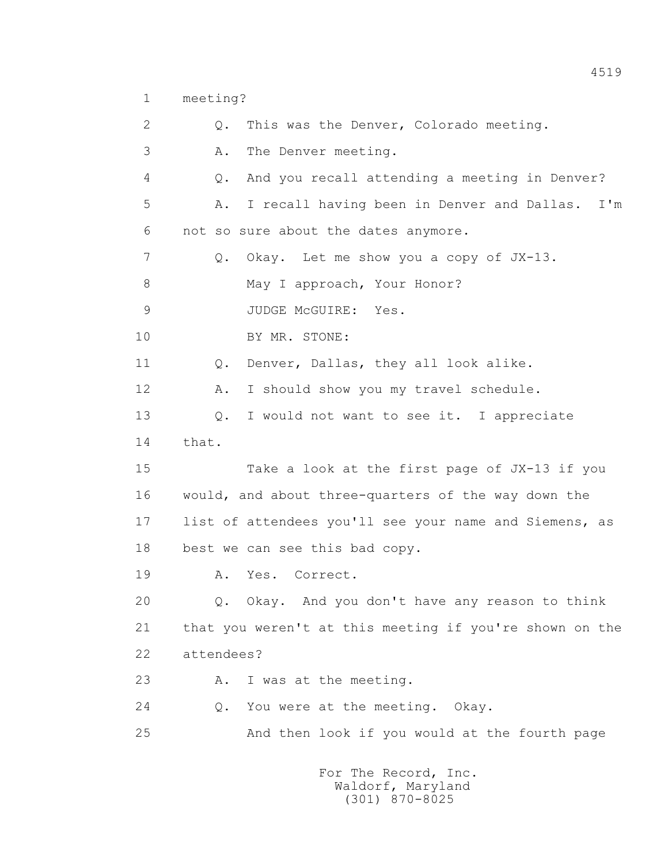1 meeting?

| $\mathbf{2}$  | This was the Denver, Colorado meeting.<br>$Q$ .            |
|---------------|------------------------------------------------------------|
| 3             | The Denver meeting.<br>Α.                                  |
| 4             | And you recall attending a meeting in Denver?<br>Q.        |
| 5             | I recall having been in Denver and Dallas.<br>$I'$ m<br>Α. |
| 6             | not so sure about the dates anymore.                       |
| 7             | Okay. Let me show you a copy of JX-13.<br>Q.               |
| $8\,$         | May I approach, Your Honor?                                |
| $\mathcal{G}$ | JUDGE MCGUIRE:<br>Yes.                                     |
| 10            | BY MR. STONE:                                              |
| 11            | Denver, Dallas, they all look alike.<br>Q.                 |
| 12            | I should show you my travel schedule.<br>Α.                |
| 13            | I would not want to see it. I appreciate<br>$Q$ .          |
| 14            | that.                                                      |
| 15            | Take a look at the first page of JX-13 if you              |
| 16            | would, and about three-quarters of the way down the        |
| 17            | list of attendees you'll see your name and Siemens, as     |
| 18            | best we can see this bad copy.                             |
| 19            | Yes. Correct.<br>Α.                                        |
| 20            | Q. Okay. And you don't have any reason to think            |
| 21            | that you weren't at this meeting if you're shown on the    |
| 22            | attendees?                                                 |
| 23            | I was at the meeting.<br>Α.                                |
| 24            | You were at the meeting. Okay.<br>Q.                       |
| 25            | And then look if you would at the fourth page              |
|               |                                                            |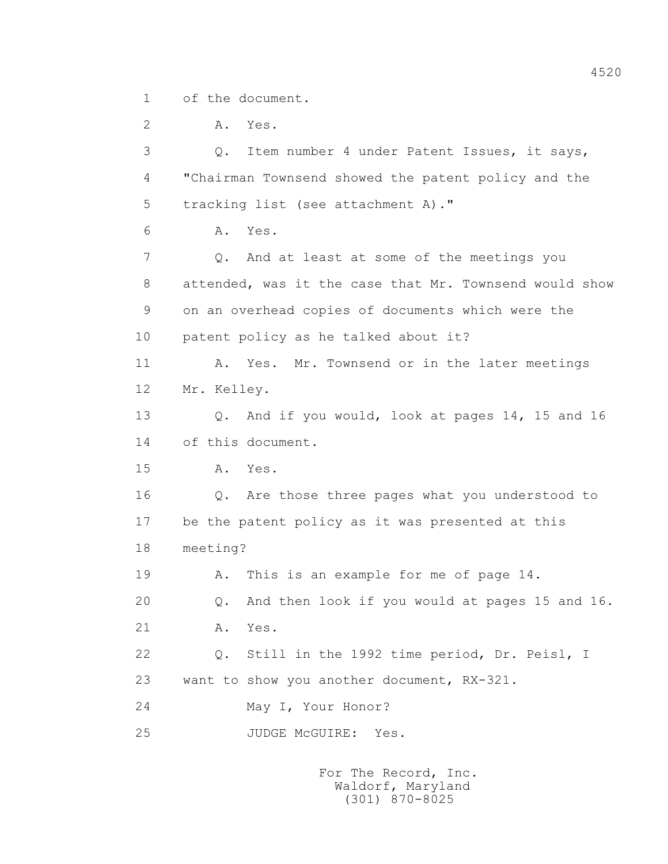1 of the document.

 2 A. Yes. 3 Q. Item number 4 under Patent Issues, it says, 4 "Chairman Townsend showed the patent policy and the 5 tracking list (see attachment A)." 6 A. Yes. 7 Q. And at least at some of the meetings you 8 attended, was it the case that Mr. Townsend would show 9 on an overhead copies of documents which were the 10 patent policy as he talked about it? 11 A. Yes. Mr. Townsend or in the later meetings 12 Mr. Kelley. 13 Q. And if you would, look at pages 14, 15 and 16 14 of this document. 15 A. Yes. 16 Q. Are those three pages what you understood to 17 be the patent policy as it was presented at this 18 meeting? 19 A. This is an example for me of page 14. 20 Q. And then look if you would at pages 15 and 16. 21 A. Yes. 22 Q. Still in the 1992 time period, Dr. Peisl, I 23 want to show you another document, RX-321. 24 May I, Your Honor? 25 JUDGE McGUIRE: Yes.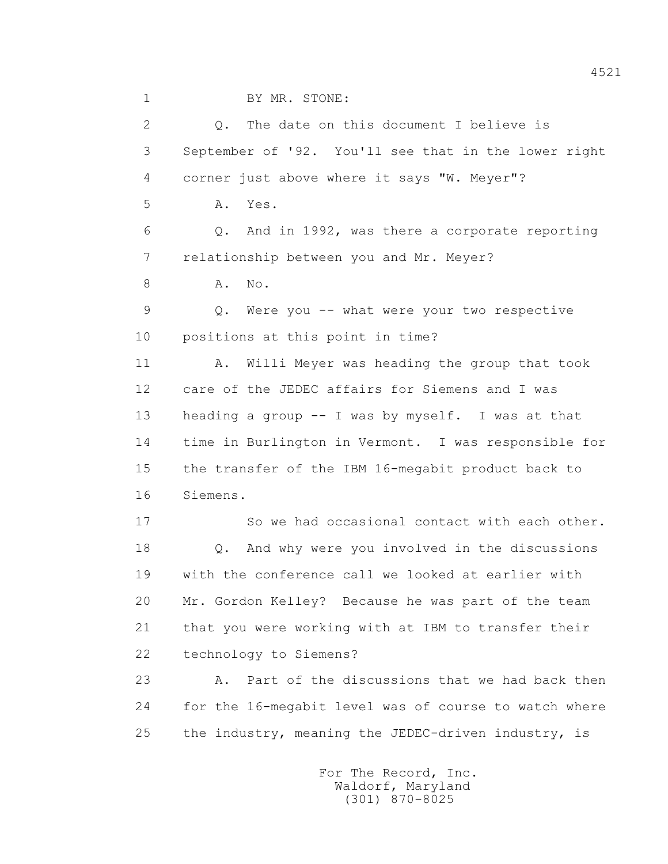1 BY MR. STONE:

 2 Q. The date on this document I believe is 3 September of '92. You'll see that in the lower right 4 corner just above where it says "W. Meyer"? 5 A. Yes. 6 Q. And in 1992, was there a corporate reporting 7 relationship between you and Mr. Meyer? 8 A. No. 9 Q. Were you -- what were your two respective 10 positions at this point in time? 11 A. Willi Meyer was heading the group that took 12 care of the JEDEC affairs for Siemens and I was 13 heading a group -- I was by myself. I was at that 14 time in Burlington in Vermont. I was responsible for 15 the transfer of the IBM 16-megabit product back to 16 Siemens. 17 So we had occasional contact with each other. 18 Q. And why were you involved in the discussions 19 with the conference call we looked at earlier with 20 Mr. Gordon Kelley? Because he was part of the team 21 that you were working with at IBM to transfer their 22 technology to Siemens? 23 A. Part of the discussions that we had back then 24 for the 16-megabit level was of course to watch where 25 the industry, meaning the JEDEC-driven industry, is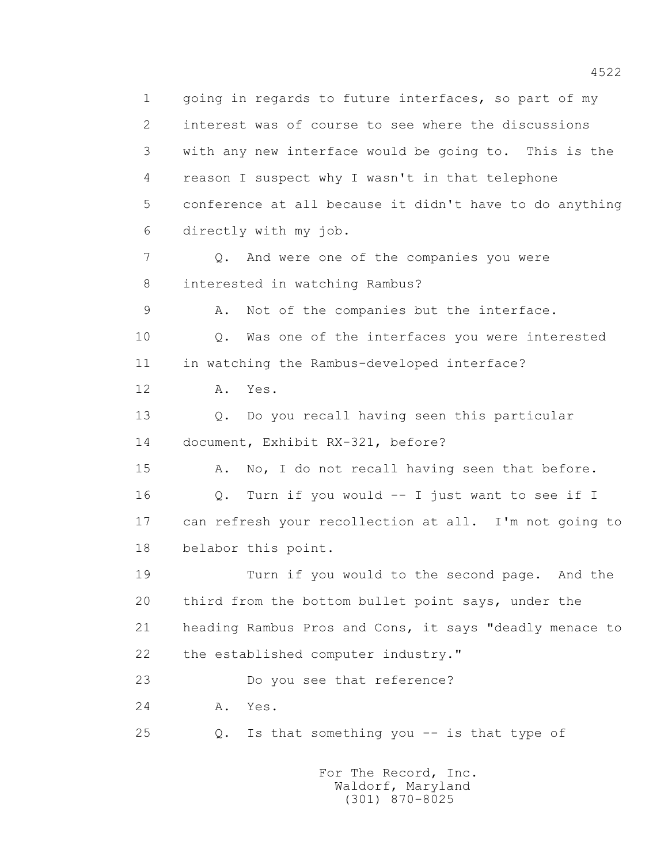1 going in regards to future interfaces, so part of my 2 interest was of course to see where the discussions 3 with any new interface would be going to. This is the 4 reason I suspect why I wasn't in that telephone 5 conference at all because it didn't have to do anything 6 directly with my job. 7 Q. And were one of the companies you were 8 interested in watching Rambus? 9 A. Not of the companies but the interface. 10 Q. Was one of the interfaces you were interested 11 in watching the Rambus-developed interface? 12 A. Yes. 13 Q. Do you recall having seen this particular 14 document, Exhibit RX-321, before? 15 A. No, I do not recall having seen that before. 16 Q. Turn if you would -- I just want to see if I 17 can refresh your recollection at all. I'm not going to 18 belabor this point. 19 Turn if you would to the second page. And the 20 third from the bottom bullet point says, under the 21 heading Rambus Pros and Cons, it says "deadly menace to 22 the established computer industry." 23 Do you see that reference? 24 A. Yes. 25 Q. Is that something you -- is that type of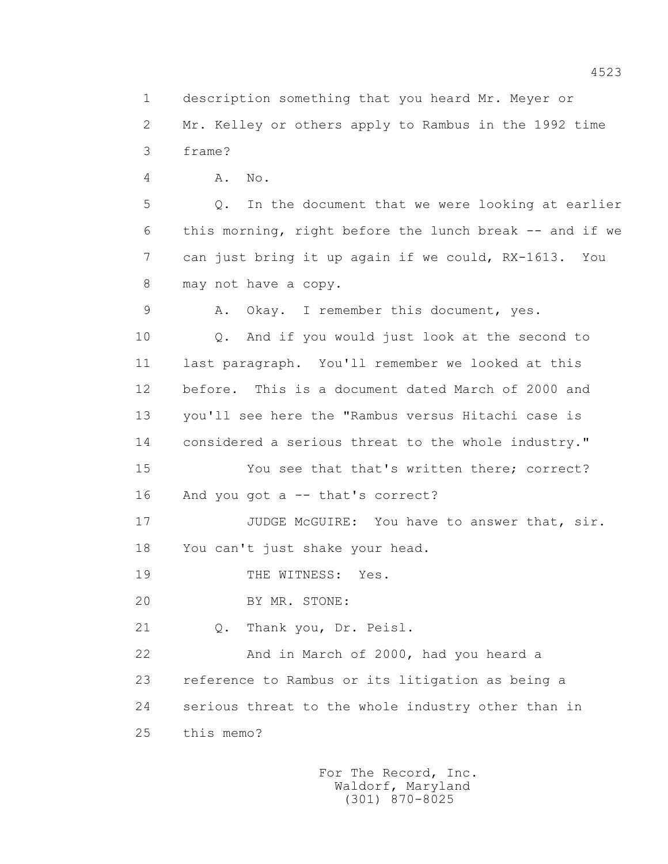1 description something that you heard Mr. Meyer or

 2 Mr. Kelley or others apply to Rambus in the 1992 time 3 frame?

4 A. No.

 5 Q. In the document that we were looking at earlier 6 this morning, right before the lunch break -- and if we 7 can just bring it up again if we could, RX-1613. You 8 may not have a copy.

9 A. Okay. I remember this document, yes.

 10 Q. And if you would just look at the second to 11 last paragraph. You'll remember we looked at this 12 before. This is a document dated March of 2000 and 13 you'll see here the "Rambus versus Hitachi case is 14 considered a serious threat to the whole industry."

 15 You see that that's written there; correct? 16 And you got a -- that's correct?

17 JUDGE McGUIRE: You have to answer that, sir. 18 You can't just shake your head.

19 THE WITNESS: Yes.

20 BY MR. STONE:

21 Q. Thank you, Dr. Peisl.

 22 And in March of 2000, had you heard a 23 reference to Rambus or its litigation as being a 24 serious threat to the whole industry other than in 25 this memo?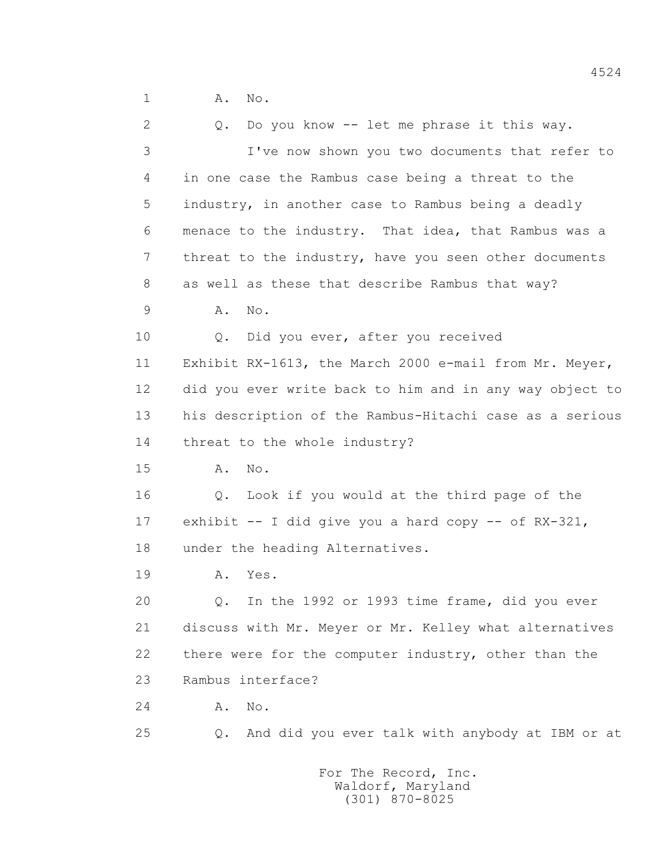1 A. No.

| $\overline{2}$ | Do you know -- let me phrase it this way.<br>$Q$ .      |
|----------------|---------------------------------------------------------|
| 3              | I've now shown you two documents that refer to          |
| 4              | in one case the Rambus case being a threat to the       |
| 5              | industry, in another case to Rambus being a deadly      |
| 6              | menace to the industry. That idea, that Rambus was a    |
| 7              | threat to the industry, have you seen other documents   |
| 8              | as well as these that describe Rambus that way?         |
| 9              | No.<br>Α.                                               |
| 10             | Did you ever, after you received<br>Q.                  |
| 11             | Exhibit RX-1613, the March 2000 e-mail from Mr. Meyer,  |
| 12             | did you ever write back to him and in any way object to |
| 13             | his description of the Rambus-Hitachi case as a serious |
| 14             | threat to the whole industry?                           |
| 15             | Α.<br>No.                                               |
| 16             | Q. Look if you would at the third page of the           |
| 17             | exhibit $-$ I did give you a hard copy $-$ of RX-321,   |
| 18             | under the heading Alternatives.                         |
| 19             | Yes.<br>Α.                                              |
| 20             | In the 1992 or 1993 time frame, did you ever<br>Q.      |
| 21             | discuss with Mr. Meyer or Mr. Kelley what alternatives  |
| 22             | there were for the computer industry, other than the    |
| 23             | Rambus interface?                                       |
| 24             | No.<br>Α.                                               |
| 25             | And did you ever talk with anybody at IBM or at<br>Q.   |
|                |                                                         |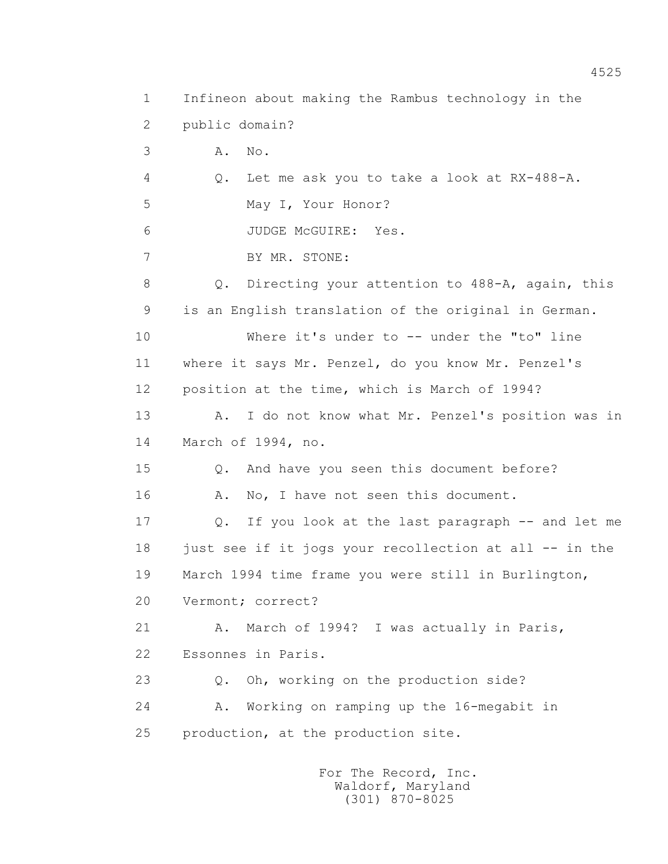1 Infineon about making the Rambus technology in the 2 public domain? 3 A. No. 4 Q. Let me ask you to take a look at RX-488-A. 5 May I, Your Honor? 6 JUDGE McGUIRE: Yes. 7 BY MR. STONE: 8 Q. Directing your attention to 488-A, again, this 9 is an English translation of the original in German. 10 Where it's under to -- under the "to" line 11 where it says Mr. Penzel, do you know Mr. Penzel's 12 position at the time, which is March of 1994? 13 A. I do not know what Mr. Penzel's position was in 14 March of 1994, no. 15 Q. And have you seen this document before? 16 A. No, I have not seen this document. 17 Q. If you look at the last paragraph -- and let me 18 just see if it jogs your recollection at all -- in the 19 March 1994 time frame you were still in Burlington, 20 Vermont; correct? 21 A. March of 1994? I was actually in Paris, 22 Essonnes in Paris. 23 Q. Oh, working on the production side? 24 A. Working on ramping up the 16-megabit in 25 production, at the production site.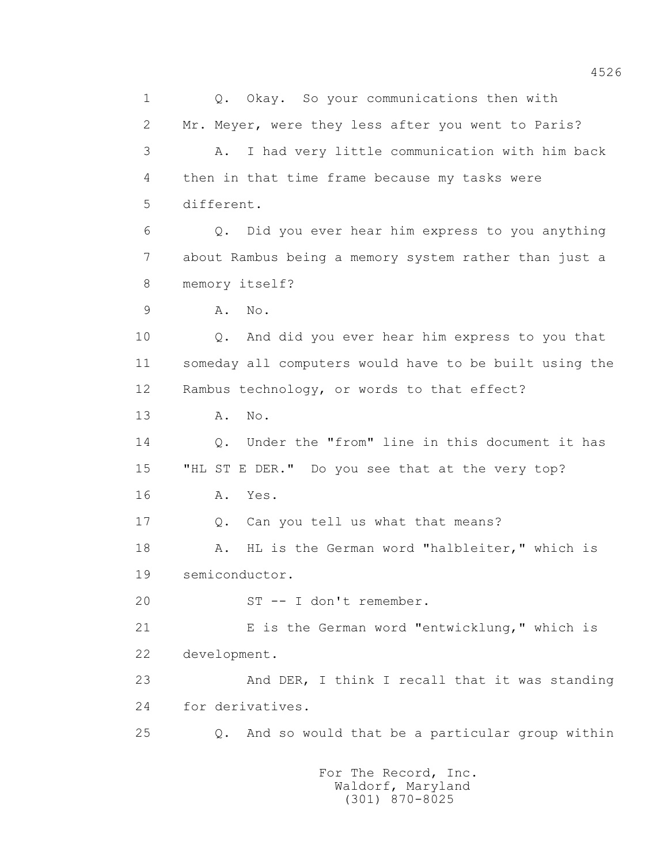1 0. Okay. So your communications then with 2 Mr. Meyer, were they less after you went to Paris? 3 A. I had very little communication with him back 4 then in that time frame because my tasks were 5 different. 6 Q. Did you ever hear him express to you anything 7 about Rambus being a memory system rather than just a 8 memory itself? 9 A. No. 10 Q. And did you ever hear him express to you that 11 someday all computers would have to be built using the 12 Rambus technology, or words to that effect? 13 A. No. 14 Q. Under the "from" line in this document it has 15 "HL ST E DER." Do you see that at the very top? 16 A. Yes. 17 0. Can you tell us what that means? 18 A. HL is the German word "halbleiter," which is 19 semiconductor. 20 ST -- I don't remember. 21 E is the German word "entwicklung," which is 22 development. 23 And DER, I think I recall that it was standing 24 for derivatives. 25 Q. And so would that be a particular group within For The Record, Inc.

 Waldorf, Maryland (301) 870-8025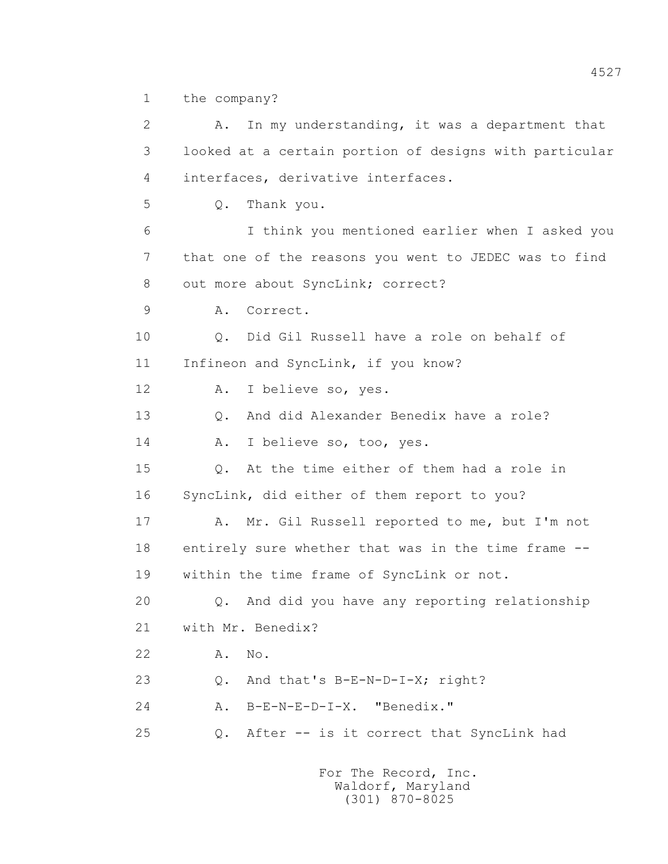1 the company?

 2 A. In my understanding, it was a department that 3 looked at a certain portion of designs with particular 4 interfaces, derivative interfaces. 5 Q. Thank you. 6 I think you mentioned earlier when I asked you 7 that one of the reasons you went to JEDEC was to find 8 out more about SyncLink; correct? 9 A. Correct. 10 Q. Did Gil Russell have a role on behalf of 11 Infineon and SyncLink, if you know? 12 A. I believe so, yes. 13 Q. And did Alexander Benedix have a role? 14 A. I believe so, too, yes. 15 Q. At the time either of them had a role in 16 SyncLink, did either of them report to you? 17 A. Mr. Gil Russell reported to me, but I'm not 18 entirely sure whether that was in the time frame -- 19 within the time frame of SyncLink or not. 20 Q. And did you have any reporting relationship 21 with Mr. Benedix? 22 A. No. 23 O. And that's B-E-N-D-I-X; right? 24 A. B-E-N-E-D-I-X. "Benedix." 25 Q. After -- is it correct that SyncLink had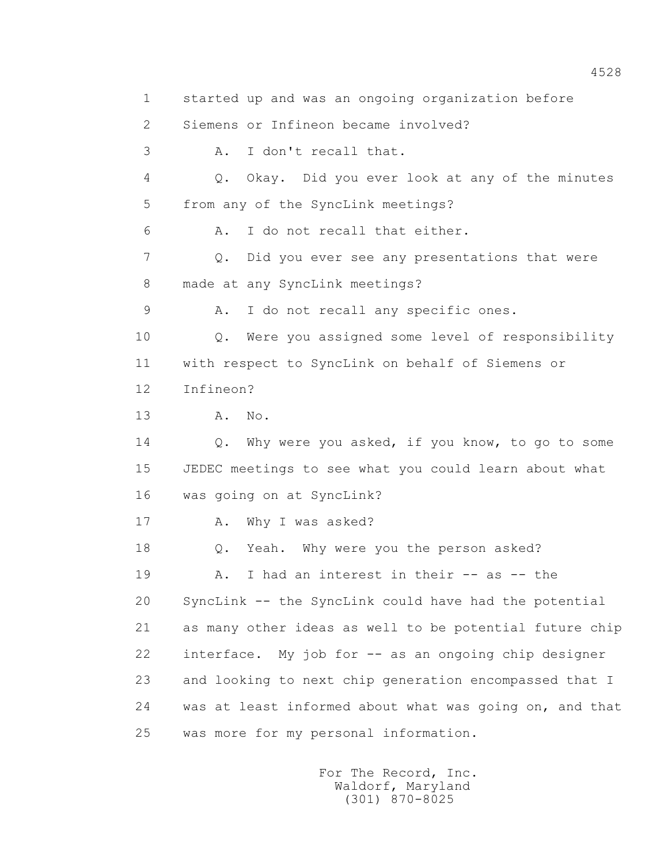1 started up and was an ongoing organization before 2 Siemens or Infineon became involved? 3 A. I don't recall that. 4 Q. Okay. Did you ever look at any of the minutes 5 from any of the SyncLink meetings? 6 A. I do not recall that either. 7 Q. Did you ever see any presentations that were 8 made at any SyncLink meetings? 9 A. I do not recall any specific ones. 10 Q. Were you assigned some level of responsibility 11 with respect to SyncLink on behalf of Siemens or 12 Infineon? 13 A. No. 14 Q. Why were you asked, if you know, to go to some 15 JEDEC meetings to see what you could learn about what 16 was going on at SyncLink? 17 A. Why I was asked? 18 Q. Yeah. Why were you the person asked? 19 A. I had an interest in their -- as -- the 20 SyncLink -- the SyncLink could have had the potential 21 as many other ideas as well to be potential future chip 22 interface. My job for -- as an ongoing chip designer 23 and looking to next chip generation encompassed that I 24 was at least informed about what was going on, and that 25 was more for my personal information.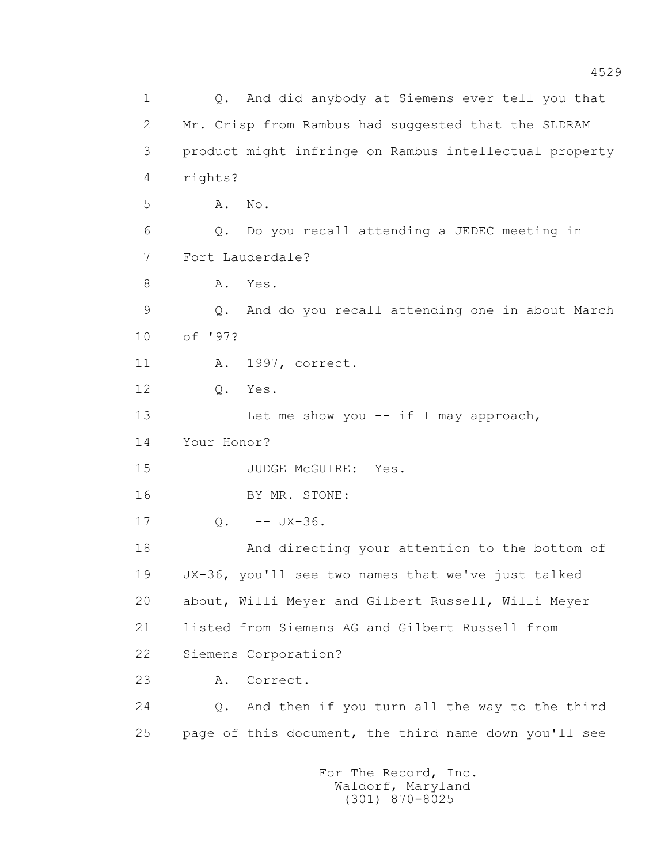1 Q. And did anybody at Siemens ever tell you that 2 Mr. Crisp from Rambus had suggested that the SLDRAM 3 product might infringe on Rambus intellectual property 4 rights? 5 A. No. 6 Q. Do you recall attending a JEDEC meeting in 7 Fort Lauderdale? 8 A. Yes. 9 Q. And do you recall attending one in about March 10 of '97? 11 A. 1997, correct. 12 Q. Yes. 13 Let me show you -- if I may approach, 14 Your Honor? 15 JUDGE McGUIRE: Yes. 16 BY MR. STONE:  $17 \tO. - - JX-36.$  18 And directing your attention to the bottom of 19 JX-36, you'll see two names that we've just talked 20 about, Willi Meyer and Gilbert Russell, Willi Meyer 21 listed from Siemens AG and Gilbert Russell from 22 Siemens Corporation? 23 A. Correct. 24 Q. And then if you turn all the way to the third 25 page of this document, the third name down you'll see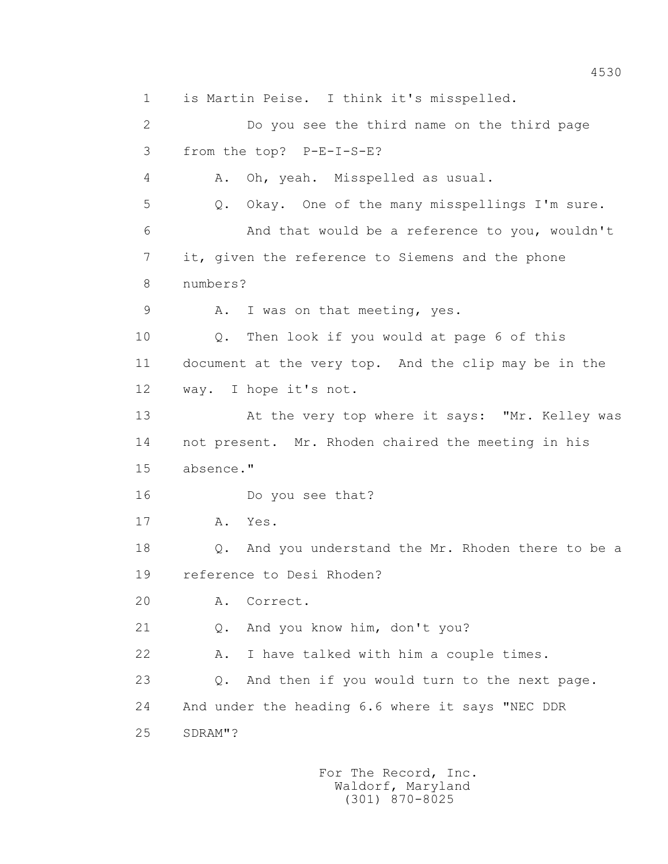1 is Martin Peise. I think it's misspelled. 2 Do you see the third name on the third page 3 from the top? P-E-I-S-E? 4 A. Oh, yeah. Misspelled as usual. 5 Q. Okay. One of the many misspellings I'm sure. 6 And that would be a reference to you, wouldn't 7 it, given the reference to Siemens and the phone 8 numbers? 9 A. I was on that meeting, yes. 10 Q. Then look if you would at page 6 of this 11 document at the very top. And the clip may be in the 12 way. I hope it's not. 13 At the very top where it says: "Mr. Kelley was 14 not present. Mr. Rhoden chaired the meeting in his 15 absence." 16 Do you see that? 17 A. Yes. 18 Q. And you understand the Mr. Rhoden there to be a 19 reference to Desi Rhoden? 20 A. Correct. 21 Q. And you know him, don't you? 22 A. I have talked with him a couple times. 23 Q. And then if you would turn to the next page. 24 And under the heading 6.6 where it says "NEC DDR 25 SDRAM"?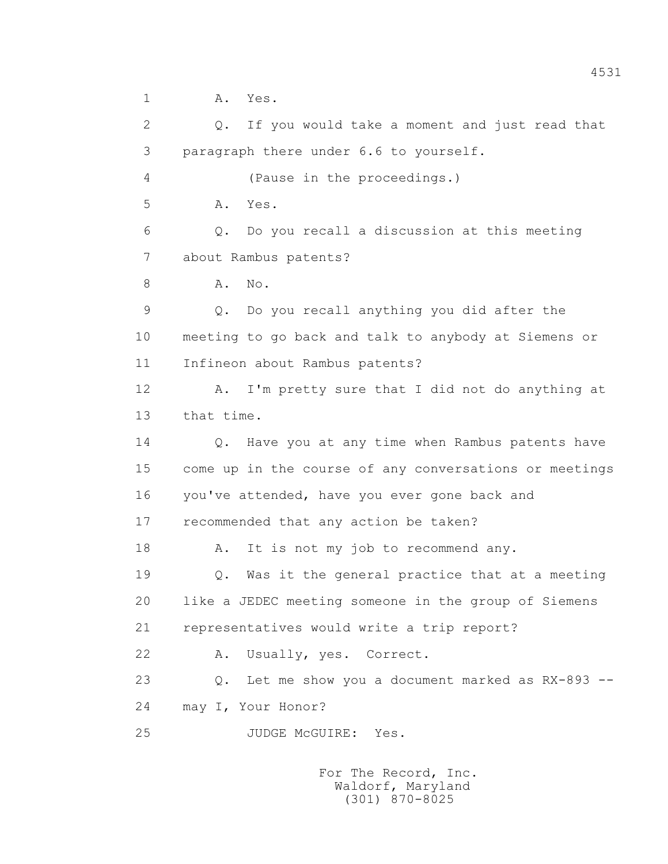1 A. Yes. 2 Q. If you would take a moment and just read that 3 paragraph there under 6.6 to yourself. 4 (Pause in the proceedings.) 5 A. Yes. 6 Q. Do you recall a discussion at this meeting 7 about Rambus patents? 8 A. No. 9 Q. Do you recall anything you did after the 10 meeting to go back and talk to anybody at Siemens or 11 Infineon about Rambus patents? 12 A. I'm pretty sure that I did not do anything at 13 that time. 14 Q. Have you at any time when Rambus patents have 15 come up in the course of any conversations or meetings 16 you've attended, have you ever gone back and 17 recommended that any action be taken? 18 A. It is not my job to recommend any. 19 Q. Was it the general practice that at a meeting 20 like a JEDEC meeting someone in the group of Siemens 21 representatives would write a trip report? 22 A. Usually, yes. Correct. 23 Q. Let me show you a document marked as RX-893 -- 24 may I, Your Honor? 25 JUDGE McGUIRE: Yes.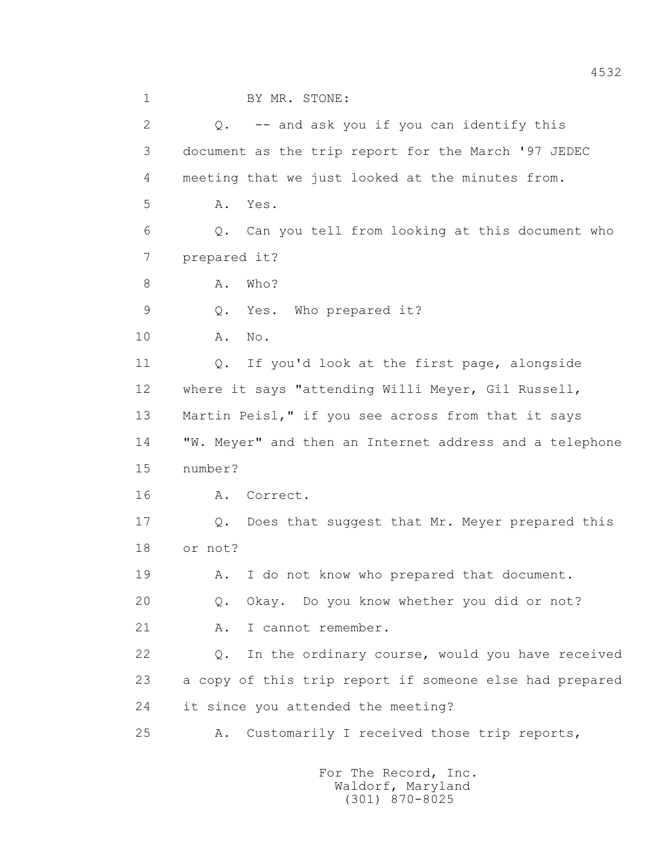1 BY MR. STONE: 2 Q. -- and ask you if you can identify this 3 document as the trip report for the March '97 JEDEC 4 meeting that we just looked at the minutes from. 5 A. Yes. 6 Q. Can you tell from looking at this document who 7 prepared it? 8 A. Who? 9 Q. Yes. Who prepared it? 10 A. No. 11 0. If you'd look at the first page, alongside 12 where it says "attending Willi Meyer, Gil Russell, 13 Martin Peisl," if you see across from that it says 14 "W. Meyer" and then an Internet address and a telephone 15 number? 16 A. Correct. 17 Q. Does that suggest that Mr. Meyer prepared this 18 or not? 19 A. I do not know who prepared that document. 20 Q. Okay. Do you know whether you did or not? 21 A. I cannot remember. 22 Q. In the ordinary course, would you have received 23 a copy of this trip report if someone else had prepared 24 it since you attended the meeting? 25 A. Customarily I received those trip reports,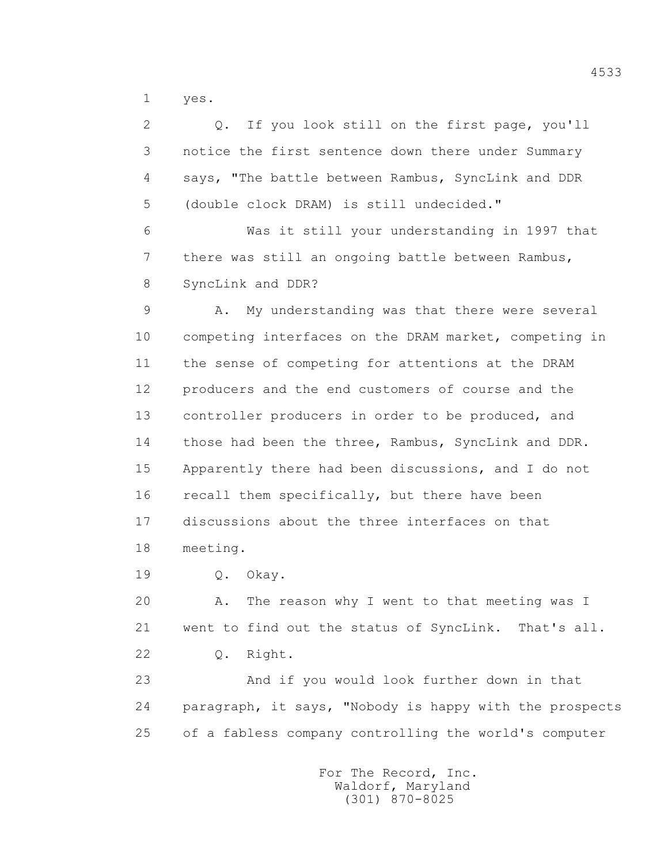1 yes.

 2 Q. If you look still on the first page, you'll 3 notice the first sentence down there under Summary 4 says, "The battle between Rambus, SyncLink and DDR 5 (double clock DRAM) is still undecided." 6 Was it still your understanding in 1997 that 7 there was still an ongoing battle between Rambus, 8 SyncLink and DDR? 9 A. My understanding was that there were several 10 competing interfaces on the DRAM market, competing in 11 the sense of competing for attentions at the DRAM 12 producers and the end customers of course and the 13 controller producers in order to be produced, and 14 those had been the three, Rambus, SyncLink and DDR. 15 Apparently there had been discussions, and I do not 16 recall them specifically, but there have been 17 discussions about the three interfaces on that 18 meeting. 19 Q. Okay.

20 A. The reason why I went to that meeting was I

21 went to find out the status of SyncLink. That's all.

22 Q. Right.

 23 And if you would look further down in that 24 paragraph, it says, "Nobody is happy with the prospects 25 of a fabless company controlling the world's computer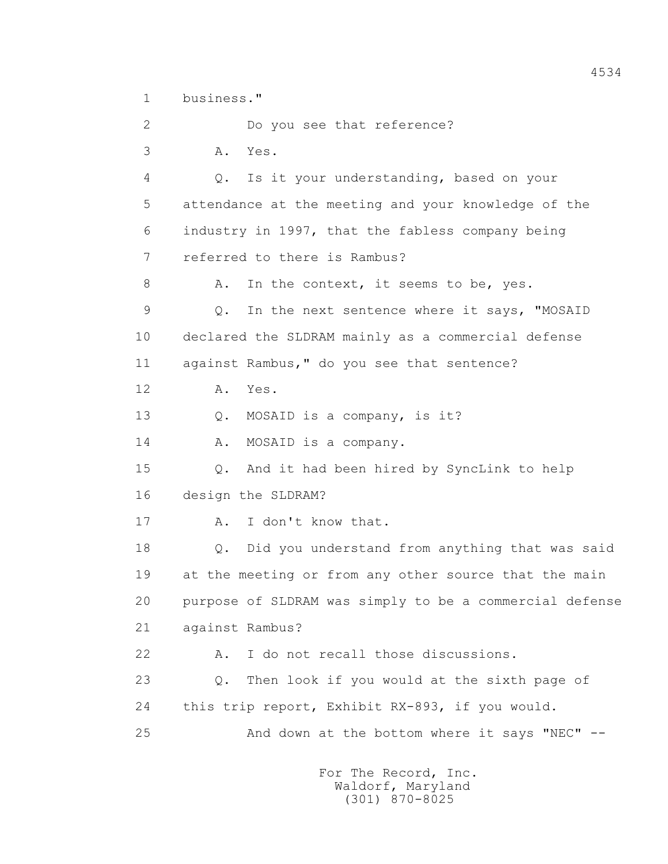1 business."

 2 Do you see that reference? 3 A. Yes. 4 Q. Is it your understanding, based on your 5 attendance at the meeting and your knowledge of the 6 industry in 1997, that the fabless company being 7 referred to there is Rambus? 8 A. In the context, it seems to be, yes. 9 Q. In the next sentence where it says, "MOSAID 10 declared the SLDRAM mainly as a commercial defense 11 against Rambus," do you see that sentence? 12 A. Yes. 13 Q. MOSAID is a company, is it? 14 A. MOSAID is a company. 15 Q. And it had been hired by SyncLink to help 16 design the SLDRAM? 17 A. I don't know that. 18 Q. Did you understand from anything that was said 19 at the meeting or from any other source that the main 20 purpose of SLDRAM was simply to be a commercial defense 21 against Rambus? 22 A. I do not recall those discussions. 23 Q. Then look if you would at the sixth page of 24 this trip report, Exhibit RX-893, if you would. 25 And down at the bottom where it says "NEC" --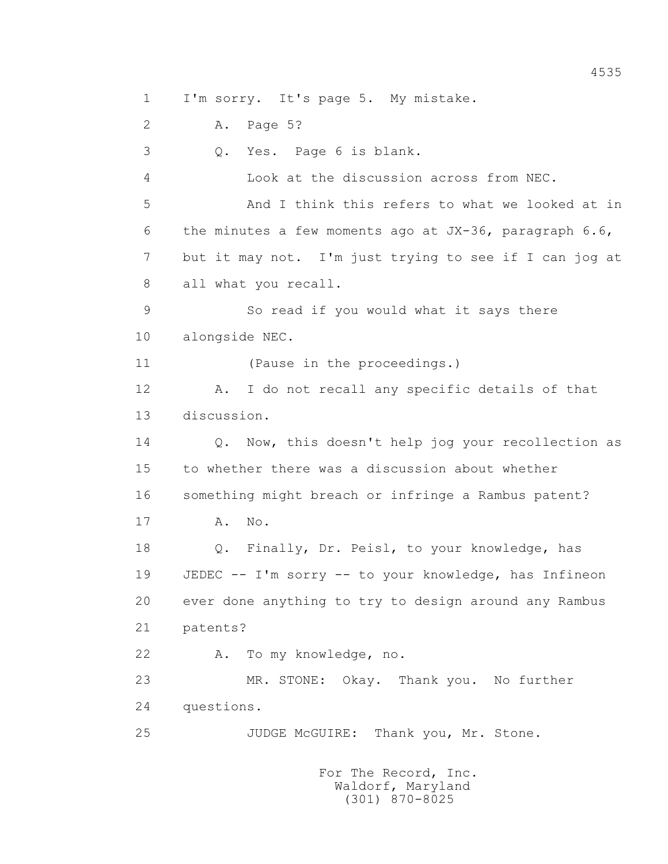1 I'm sorry. It's page 5. My mistake.

2 A. Page 5?

3 Q. Yes. Page 6 is blank.

 4 Look at the discussion across from NEC. 5 And I think this refers to what we looked at in 6 the minutes a few moments ago at JX-36, paragraph 6.6, 7 but it may not. I'm just trying to see if I can jog at 8 all what you recall.

 9 So read if you would what it says there 10 alongside NEC.

11 (Pause in the proceedings.)

 12 A. I do not recall any specific details of that 13 discussion.

 14 Q. Now, this doesn't help jog your recollection as 15 to whether there was a discussion about whether 16 something might breach or infringe a Rambus patent?

17 A. No.

 18 Q. Finally, Dr. Peisl, to your knowledge, has 19 JEDEC -- I'm sorry -- to your knowledge, has Infineon 20 ever done anything to try to design around any Rambus 21 patents?

22 A. To my knowledge, no.

 23 MR. STONE: Okay. Thank you. No further 24 questions.

25 JUDGE McGUIRE: Thank you, Mr. Stone.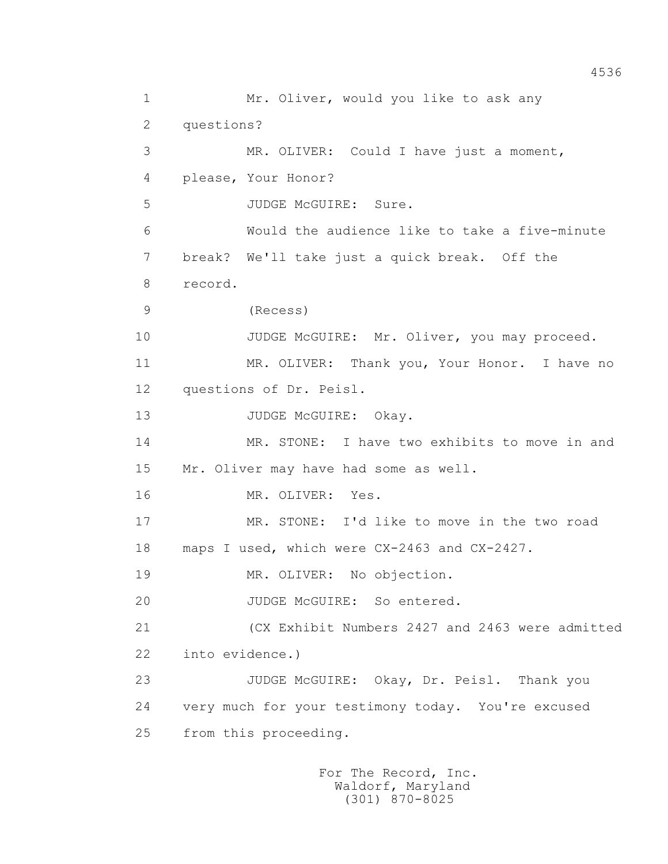1 Mr. Oliver, would you like to ask any 2 questions? 3 MR. OLIVER: Could I have just a moment, 4 please, Your Honor? 5 JUDGE McGUIRE: Sure. 6 Would the audience like to take a five-minute 7 break? We'll take just a quick break. Off the 8 record. 9 (Recess) 10 JUDGE McGUIRE: Mr. Oliver, you may proceed. 11 MR. OLIVER: Thank you, Your Honor. I have no 12 questions of Dr. Peisl. 13 JUDGE McGUIRE: Okay. 14 MR. STONE: I have two exhibits to move in and 15 Mr. Oliver may have had some as well. 16 MR. OLIVER: Yes. 17 MR. STONE: I'd like to move in the two road 18 maps I used, which were CX-2463 and CX-2427. 19 MR. OLIVER: No objection. 20 JUDGE McGUIRE: So entered. 21 (CX Exhibit Numbers 2427 and 2463 were admitted 22 into evidence.) 23 JUDGE McGUIRE: Okay, Dr. Peisl. Thank you 24 very much for your testimony today. You're excused 25 from this proceeding.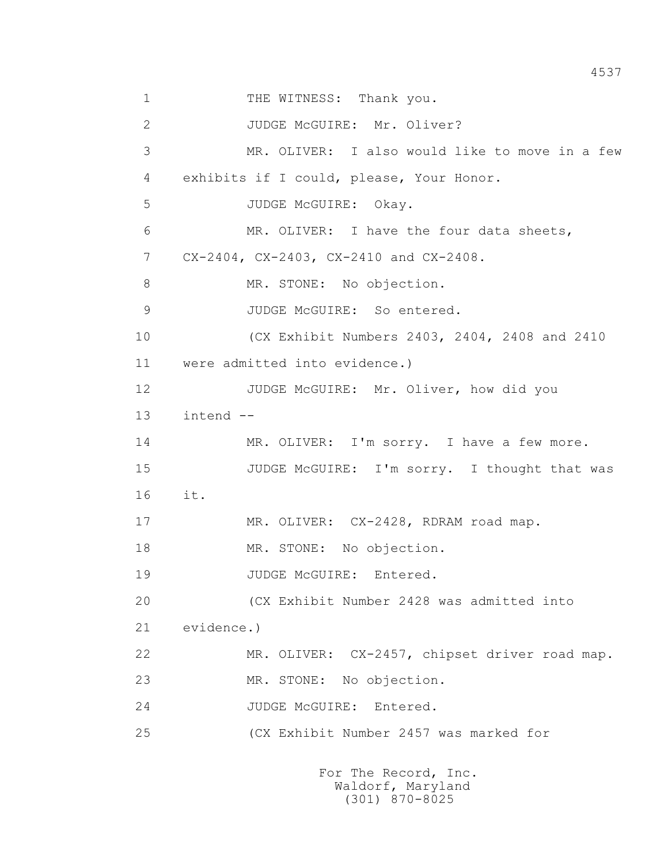1 THE WITNESS: Thank you. 2 JUDGE McGUIRE: Mr. Oliver? 3 MR. OLIVER: I also would like to move in a few 4 exhibits if I could, please, Your Honor. 5 JUDGE McGUIRE: Okay. 6 MR. OLIVER: I have the four data sheets, 7 CX-2404, CX-2403, CX-2410 and CX-2408. 8 MR. STONE: No objection. 9 JUDGE McGUIRE: So entered. 10 (CX Exhibit Numbers 2403, 2404, 2408 and 2410 11 were admitted into evidence.) 12 JUDGE McGUIRE: Mr. Oliver, how did you 13 intend -- 14 MR. OLIVER: I'm sorry. I have a few more. 15 JUDGE McGUIRE: I'm sorry. I thought that was 16 it. 17 MR. OLIVER: CX-2428, RDRAM road map. 18 MR. STONE: No objection. 19 JUDGE McGUIRE: Entered. 20 (CX Exhibit Number 2428 was admitted into 21 evidence.) 22 MR. OLIVER: CX-2457, chipset driver road map. 23 MR. STONE: No objection. 24 JUDGE McGUIRE: Entered. 25 (CX Exhibit Number 2457 was marked for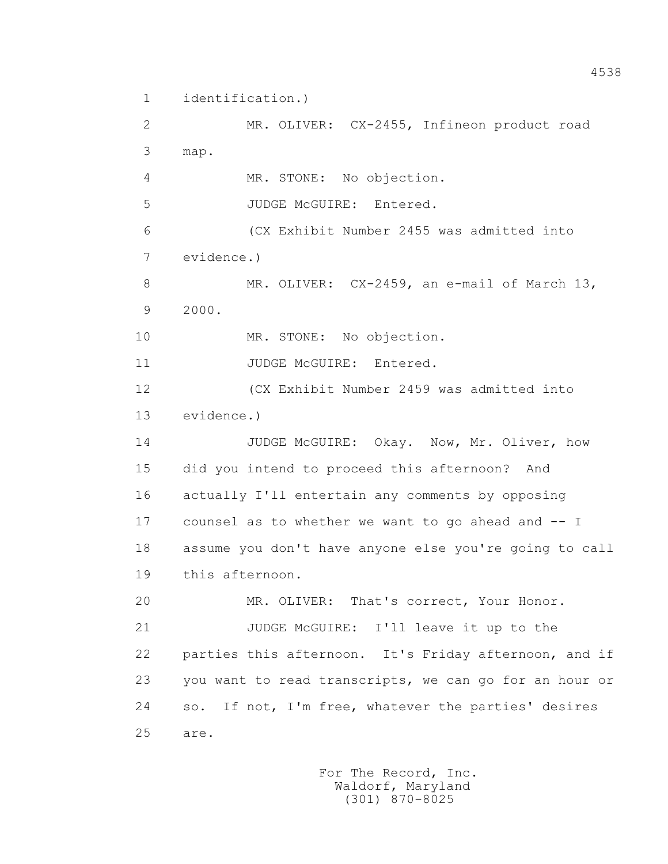1 identification.)

 2 MR. OLIVER: CX-2455, Infineon product road 3 map. 4 MR. STONE: No objection. 5 JUDGE McGUIRE: Entered. 6 (CX Exhibit Number 2455 was admitted into 7 evidence.) 8 MR. OLIVER: CX-2459, an e-mail of March 13, 9 2000. 10 MR. STONE: No objection. 11 JUDGE McGUIRE: Entered. 12 (CX Exhibit Number 2459 was admitted into 13 evidence.) 14 JUDGE McGUIRE: Okay. Now, Mr. Oliver, how 15 did you intend to proceed this afternoon? And 16 actually I'll entertain any comments by opposing 17 counsel as to whether we want to go ahead and -- I 18 assume you don't have anyone else you're going to call 19 this afternoon. 20 MR. OLIVER: That's correct, Your Honor. 21 JUDGE McGUIRE: I'll leave it up to the 22 parties this afternoon. It's Friday afternoon, and if 23 you want to read transcripts, we can go for an hour or 24 so. If not, I'm free, whatever the parties' desires

25 are.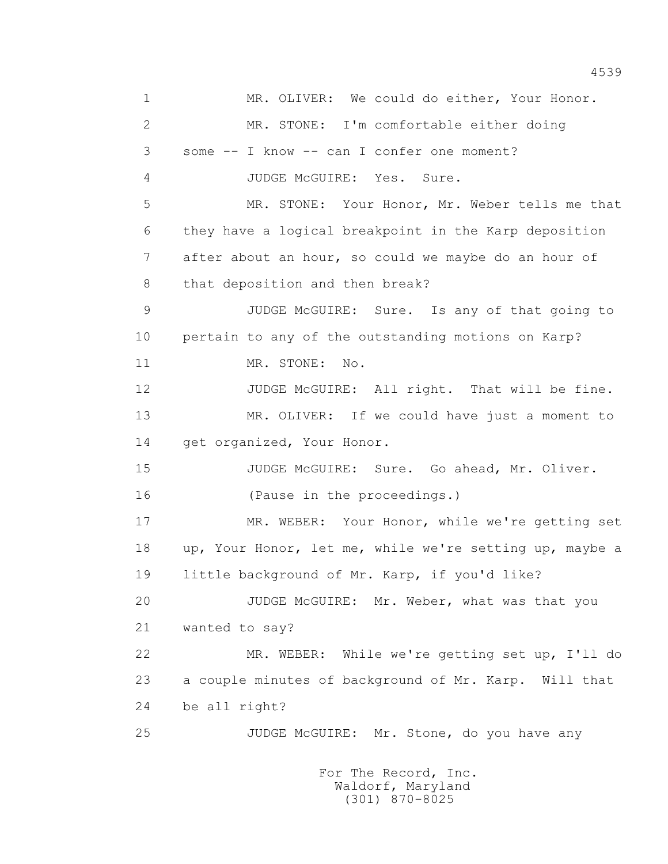1 MR. OLIVER: We could do either, Your Honor. 2 MR. STONE: I'm comfortable either doing 3 some -- I know -- can I confer one moment? 4 JUDGE McGUIRE: Yes. Sure. 5 MR. STONE: Your Honor, Mr. Weber tells me that 6 they have a logical breakpoint in the Karp deposition 7 after about an hour, so could we maybe do an hour of 8 that deposition and then break? 9 JUDGE McGUIRE: Sure. Is any of that going to 10 pertain to any of the outstanding motions on Karp? 11 MR. STONE: No. 12 JUDGE McGUIRE: All right. That will be fine. 13 MR. OLIVER: If we could have just a moment to 14 get organized, Your Honor. 15 JUDGE McGUIRE: Sure. Go ahead, Mr. Oliver. 16 (Pause in the proceedings.) 17 MR. WEBER: Your Honor, while we're getting set 18 up, Your Honor, let me, while we're setting up, maybe a 19 little background of Mr. Karp, if you'd like? 20 JUDGE McGUIRE: Mr. Weber, what was that you 21 wanted to say? 22 MR. WEBER: While we're getting set up, I'll do 23 a couple minutes of background of Mr. Karp. Will that 24 be all right? 25 JUDGE McGUIRE: Mr. Stone, do you have any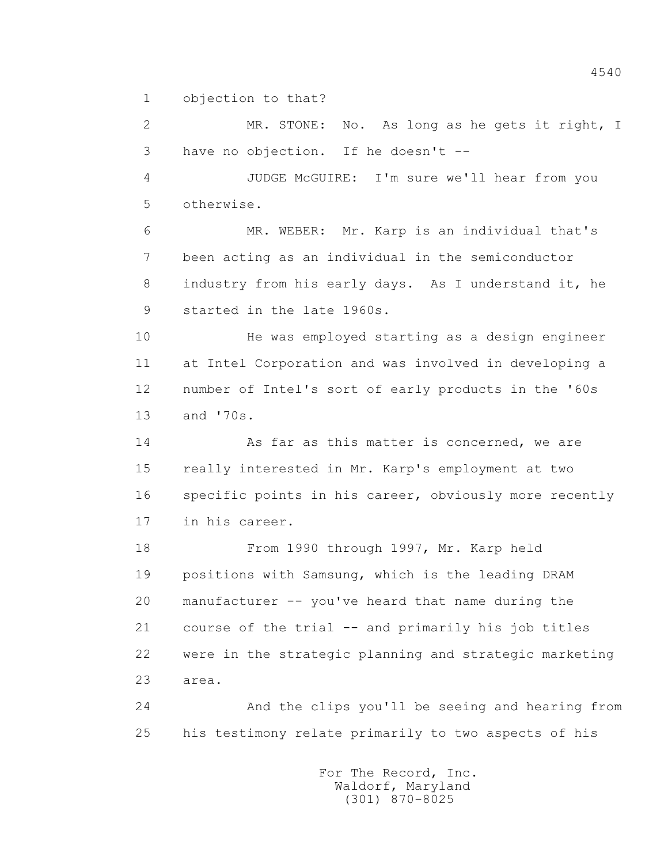1 objection to that?

 2 MR. STONE: No. As long as he gets it right, I 3 have no objection. If he doesn't --

 4 JUDGE McGUIRE: I'm sure we'll hear from you 5 otherwise.

 6 MR. WEBER: Mr. Karp is an individual that's 7 been acting as an individual in the semiconductor 8 industry from his early days. As I understand it, he 9 started in the late 1960s.

 10 He was employed starting as a design engineer 11 at Intel Corporation and was involved in developing a 12 number of Intel's sort of early products in the '60s 13 and '70s.

14 As far as this matter is concerned, we are 15 really interested in Mr. Karp's employment at two 16 specific points in his career, obviously more recently 17 in his career.

 18 From 1990 through 1997, Mr. Karp held 19 positions with Samsung, which is the leading DRAM 20 manufacturer -- you've heard that name during the 21 course of the trial -- and primarily his job titles 22 were in the strategic planning and strategic marketing 23 area.

 24 And the clips you'll be seeing and hearing from 25 his testimony relate primarily to two aspects of his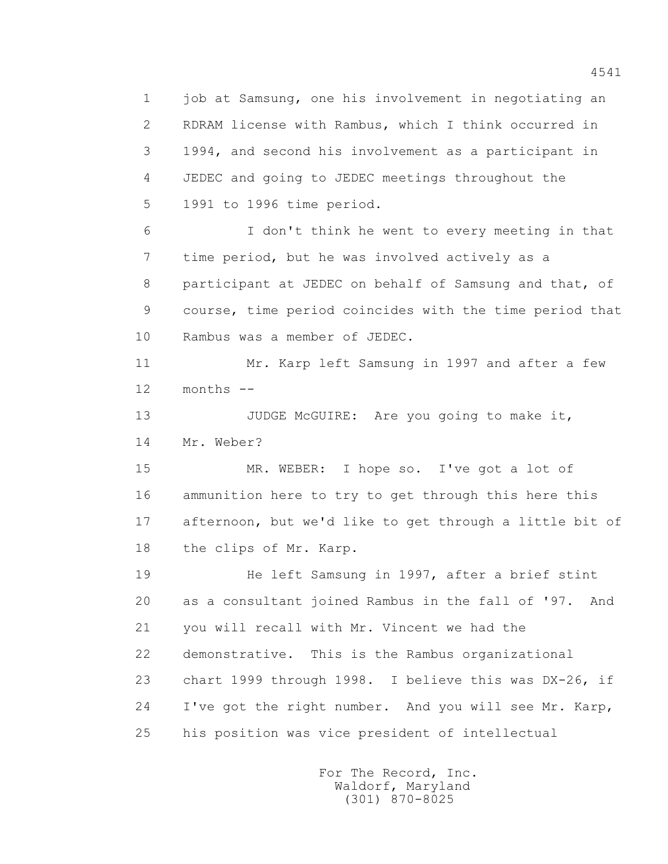1 job at Samsung, one his involvement in negotiating an 2 RDRAM license with Rambus, which I think occurred in 3 1994, and second his involvement as a participant in 4 JEDEC and going to JEDEC meetings throughout the 5 1991 to 1996 time period.

 6 I don't think he went to every meeting in that 7 time period, but he was involved actively as a 8 participant at JEDEC on behalf of Samsung and that, of 9 course, time period coincides with the time period that 10 Rambus was a member of JEDEC.

 11 Mr. Karp left Samsung in 1997 and after a few 12 months --

13 JUDGE McGUIRE: Are you going to make it, 14 Mr. Weber?

 15 MR. WEBER: I hope so. I've got a lot of 16 ammunition here to try to get through this here this 17 afternoon, but we'd like to get through a little bit of 18 the clips of Mr. Karp.

 19 He left Samsung in 1997, after a brief stint 20 as a consultant joined Rambus in the fall of '97. And 21 you will recall with Mr. Vincent we had the 22 demonstrative. This is the Rambus organizational 23 chart 1999 through 1998. I believe this was DX-26, if 24 I've got the right number. And you will see Mr. Karp, 25 his position was vice president of intellectual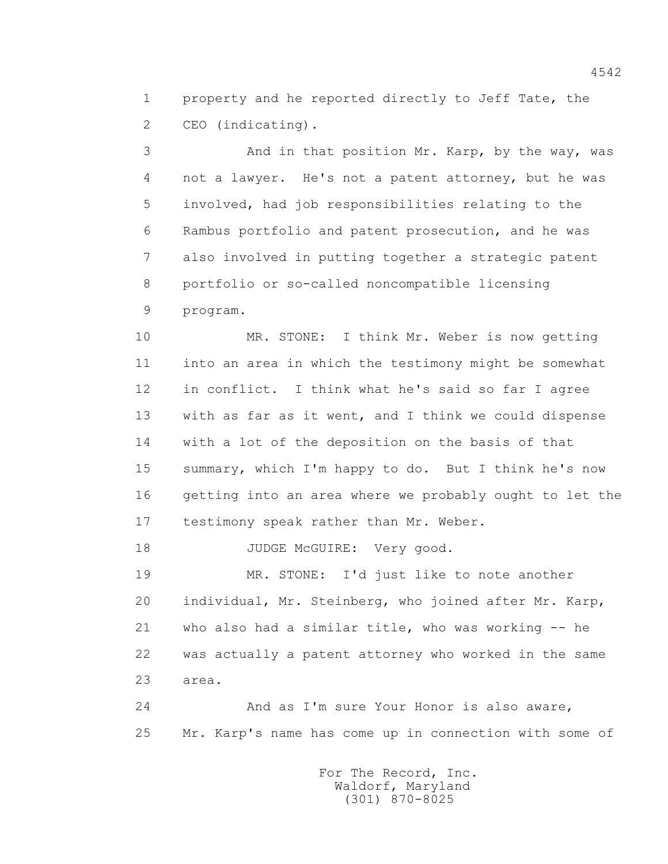1 property and he reported directly to Jeff Tate, the 2 CEO (indicating).

 3 And in that position Mr. Karp, by the way, was 4 not a lawyer. He's not a patent attorney, but he was 5 involved, had job responsibilities relating to the 6 Rambus portfolio and patent prosecution, and he was 7 also involved in putting together a strategic patent 8 portfolio or so-called noncompatible licensing 9 program.

 10 MR. STONE: I think Mr. Weber is now getting 11 into an area in which the testimony might be somewhat 12 in conflict. I think what he's said so far I agree 13 with as far as it went, and I think we could dispense 14 with a lot of the deposition on the basis of that 15 summary, which I'm happy to do. But I think he's now 16 getting into an area where we probably ought to let the 17 testimony speak rather than Mr. Weber.

18 JUDGE McGUIRE: Very good.

 19 MR. STONE: I'd just like to note another 20 individual, Mr. Steinberg, who joined after Mr. Karp, 21 who also had a similar title, who was working -- he 22 was actually a patent attorney who worked in the same 23 area.

 24 And as I'm sure Your Honor is also aware, 25 Mr. Karp's name has come up in connection with some of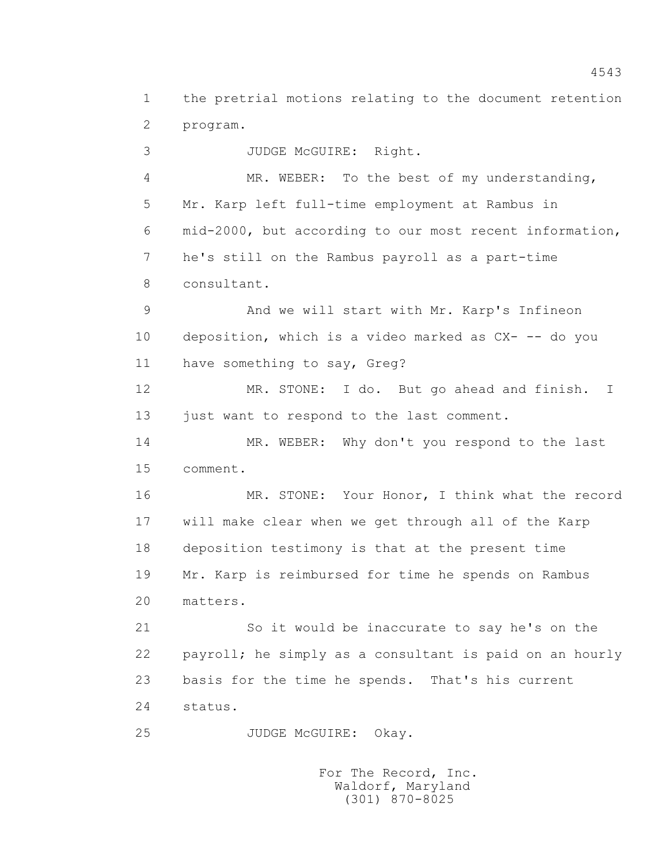1 the pretrial motions relating to the document retention 2 program.

 3 JUDGE McGUIRE: Right. 4 MR. WEBER: To the best of my understanding, 5 Mr. Karp left full-time employment at Rambus in 6 mid-2000, but according to our most recent information, 7 he's still on the Rambus payroll as a part-time 8 consultant. 9 And we will start with Mr. Karp's Infineon 10 deposition, which is a video marked as CX- -- do you 11 have something to say, Greg? 12 MR. STONE: I do. But go ahead and finish. I 13 just want to respond to the last comment. 14 MR. WEBER: Why don't you respond to the last 15 comment. 16 MR. STONE: Your Honor, I think what the record 17 will make clear when we get through all of the Karp 18 deposition testimony is that at the present time 19 Mr. Karp is reimbursed for time he spends on Rambus 20 matters. 21 So it would be inaccurate to say he's on the 22 payroll; he simply as a consultant is paid on an hourly 23 basis for the time he spends. That's his current 24 status.

25 JUDGE McGUIRE: Okay.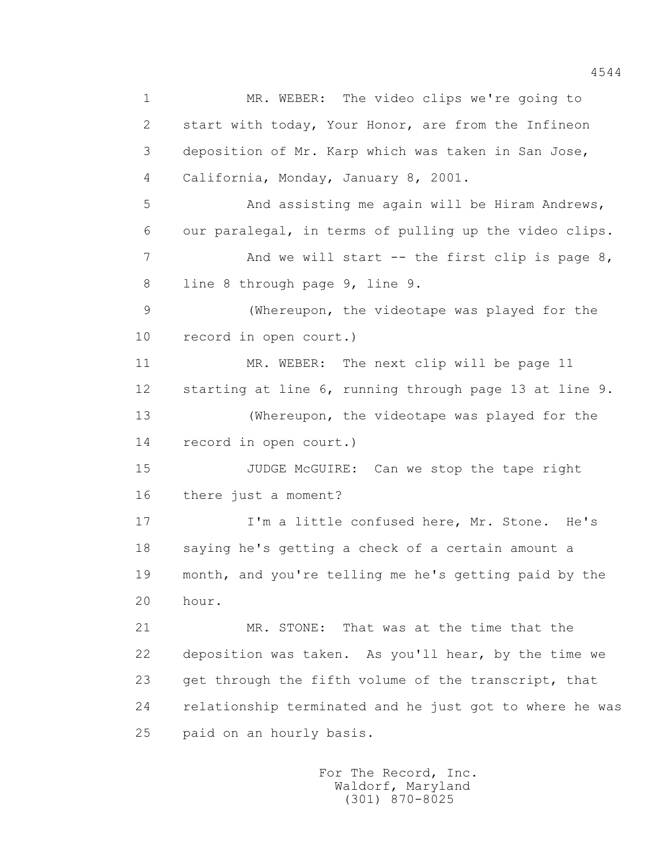1 MR. WEBER: The video clips we're going to 2 start with today, Your Honor, are from the Infineon 3 deposition of Mr. Karp which was taken in San Jose, 4 California, Monday, January 8, 2001. 5 And assisting me again will be Hiram Andrews, 6 our paralegal, in terms of pulling up the video clips. 7 And we will start -- the first clip is page 8, 8 line 8 through page 9, line 9. 9 (Whereupon, the videotape was played for the 10 record in open court.) 11 MR. WEBER: The next clip will be page 11 12 starting at line 6, running through page 13 at line 9. 13 (Whereupon, the videotape was played for the 14 record in open court.) 15 JUDGE McGUIRE: Can we stop the tape right 16 there just a moment? 17 I'm a little confused here, Mr. Stone. He's 18 saying he's getting a check of a certain amount a 19 month, and you're telling me he's getting paid by the 20 hour. 21 MR. STONE: That was at the time that the 22 deposition was taken. As you'll hear, by the time we 23 get through the fifth volume of the transcript, that 24 relationship terminated and he just got to where he was 25 paid on an hourly basis.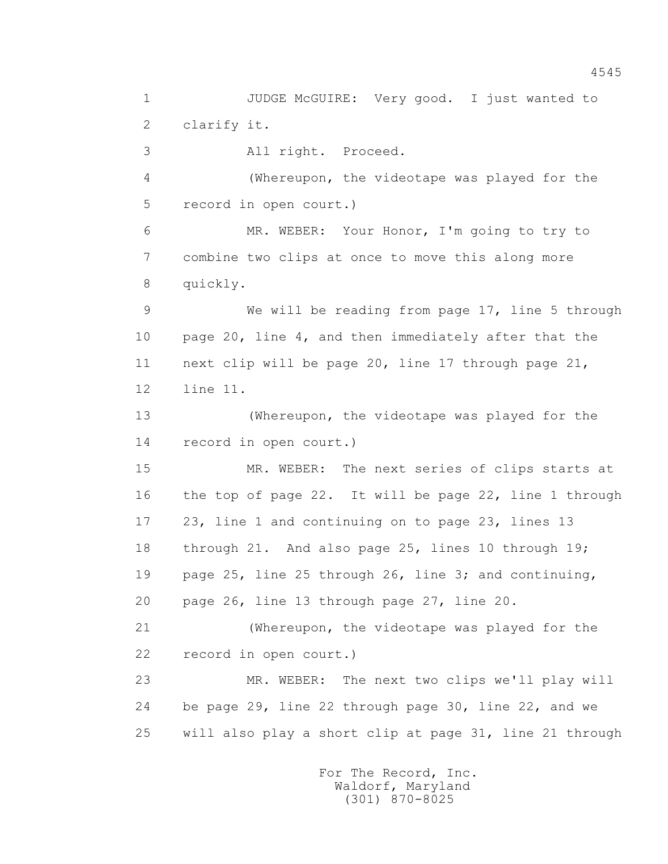1 JUDGE McGUIRE: Very good. I just wanted to 2 clarify it. 3 All right. Proceed. 4 (Whereupon, the videotape was played for the 5 record in open court.) 6 MR. WEBER: Your Honor, I'm going to try to 7 combine two clips at once to move this along more 8 quickly. 9 We will be reading from page 17, line 5 through 10 page 20, line 4, and then immediately after that the 11 next clip will be page 20, line 17 through page 21, 12 line 11. 13 (Whereupon, the videotape was played for the 14 record in open court.) 15 MR. WEBER: The next series of clips starts at 16 the top of page 22. It will be page 22, line 1 through 17 23, line 1 and continuing on to page 23, lines 13 18 through 21. And also page 25, lines 10 through 19; 19 page 25, line 25 through 26, line 3; and continuing, 20 page 26, line 13 through page 27, line 20. 21 (Whereupon, the videotape was played for the 22 record in open court.) 23 MR. WEBER: The next two clips we'll play will 24 be page 29, line 22 through page 30, line 22, and we 25 will also play a short clip at page 31, line 21 through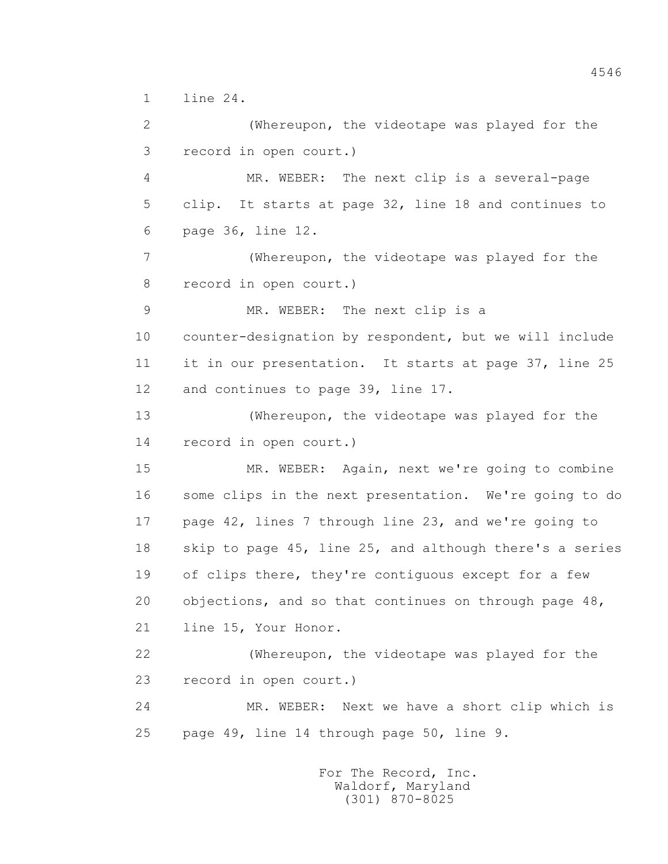1 line 24.

 2 (Whereupon, the videotape was played for the 3 record in open court.) 4 MR. WEBER: The next clip is a several-page 5 clip. It starts at page 32, line 18 and continues to 6 page 36, line 12. 7 (Whereupon, the videotape was played for the 8 record in open court.) 9 MR. WEBER: The next clip is a 10 counter-designation by respondent, but we will include 11 it in our presentation. It starts at page 37, line 25 12 and continues to page 39, line 17. 13 (Whereupon, the videotape was played for the 14 record in open court.) 15 MR. WEBER: Again, next we're going to combine 16 some clips in the next presentation. We're going to do 17 page 42, lines 7 through line 23, and we're going to 18 skip to page 45, line 25, and although there's a series 19 of clips there, they're contiguous except for a few 20 objections, and so that continues on through page 48, 21 line 15, Your Honor. 22 (Whereupon, the videotape was played for the 23 record in open court.) 24 MR. WEBER: Next we have a short clip which is 25 page 49, line 14 through page 50, line 9.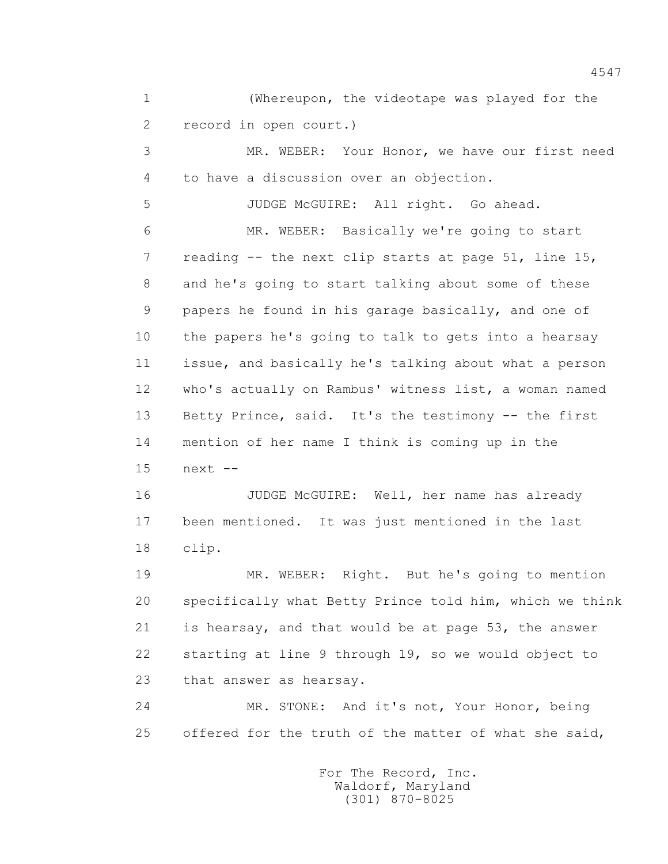1 (Whereupon, the videotape was played for the 2 record in open court.)

 3 MR. WEBER: Your Honor, we have our first need 4 to have a discussion over an objection.

5 JUDGE McGUIRE: All right. Go ahead.

 6 MR. WEBER: Basically we're going to start 7 reading -- the next clip starts at page 51, line 15, 8 and he's going to start talking about some of these 9 papers he found in his garage basically, and one of 10 the papers he's going to talk to gets into a hearsay 11 issue, and basically he's talking about what a person 12 who's actually on Rambus' witness list, a woman named 13 Betty Prince, said. It's the testimony -- the first 14 mention of her name I think is coming up in the 15 next --

 16 JUDGE McGUIRE: Well, her name has already 17 been mentioned. It was just mentioned in the last 18 clip.

 19 MR. WEBER: Right. But he's going to mention 20 specifically what Betty Prince told him, which we think 21 is hearsay, and that would be at page 53, the answer 22 starting at line 9 through 19, so we would object to 23 that answer as hearsay.

 24 MR. STONE: And it's not, Your Honor, being 25 offered for the truth of the matter of what she said,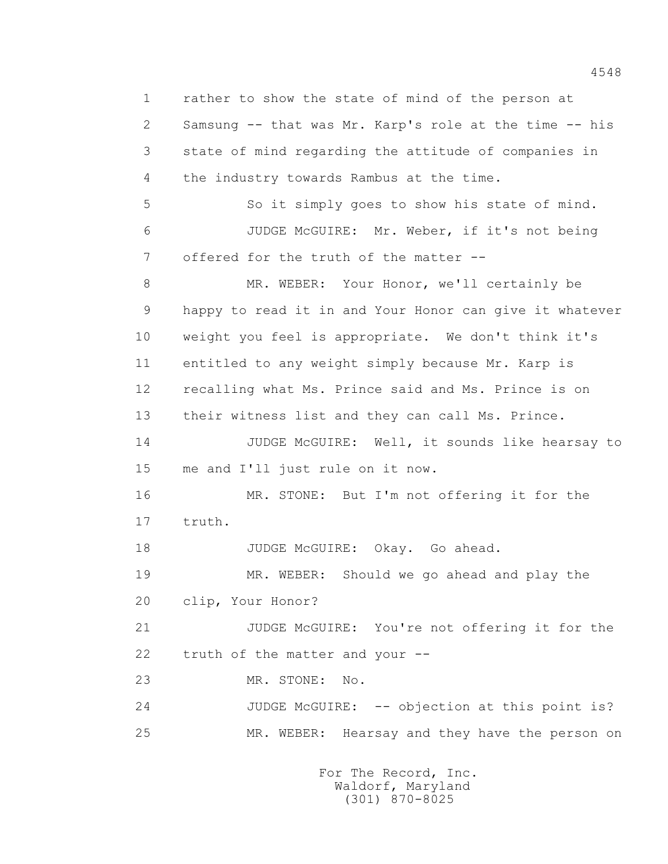1 rather to show the state of mind of the person at 2 Samsung -- that was Mr. Karp's role at the time -- his 3 state of mind regarding the attitude of companies in 4 the industry towards Rambus at the time. 5 So it simply goes to show his state of mind. 6 JUDGE McGUIRE: Mr. Weber, if it's not being 7 offered for the truth of the matter -- 8 MR. WEBER: Your Honor, we'll certainly be 9 happy to read it in and Your Honor can give it whatever 10 weight you feel is appropriate. We don't think it's 11 entitled to any weight simply because Mr. Karp is 12 recalling what Ms. Prince said and Ms. Prince is on 13 their witness list and they can call Ms. Prince. 14 JUDGE McGUIRE: Well, it sounds like hearsay to 15 me and I'll just rule on it now. 16 MR. STONE: But I'm not offering it for the 17 truth. 18 JUDGE McGUIRE: Okay. Go ahead. 19 MR. WEBER: Should we go ahead and play the 20 clip, Your Honor? 21 JUDGE McGUIRE: You're not offering it for the 22 truth of the matter and your -- 23 MR. STONE: No. 24 JUDGE McGUIRE: -- objection at this point is? 25 MR. WEBER: Hearsay and they have the person on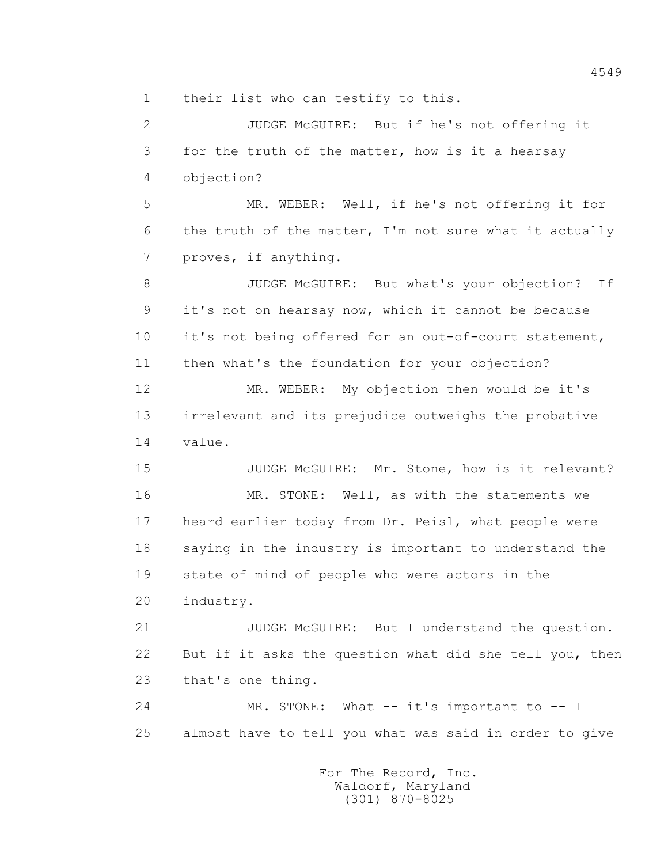1 their list who can testify to this.

 2 JUDGE McGUIRE: But if he's not offering it 3 for the truth of the matter, how is it a hearsay 4 objection? 5 MR. WEBER: Well, if he's not offering it for 6 the truth of the matter, I'm not sure what it actually 7 proves, if anything. 8 JUDGE McGUIRE: But what's your objection? If 9 it's not on hearsay now, which it cannot be because 10 it's not being offered for an out-of-court statement, 11 then what's the foundation for your objection? 12 MR. WEBER: My objection then would be it's 13 irrelevant and its prejudice outweighs the probative 14 value. 15 JUDGE McGUIRE: Mr. Stone, how is it relevant? 16 MR. STONE: Well, as with the statements we 17 heard earlier today from Dr. Peisl, what people were 18 saying in the industry is important to understand the 19 state of mind of people who were actors in the 20 industry. 21 JUDGE McGUIRE: But I understand the question. 22 But if it asks the question what did she tell you, then 23 that's one thing. 24 MR. STONE: What -- it's important to -- I 25 almost have to tell you what was said in order to give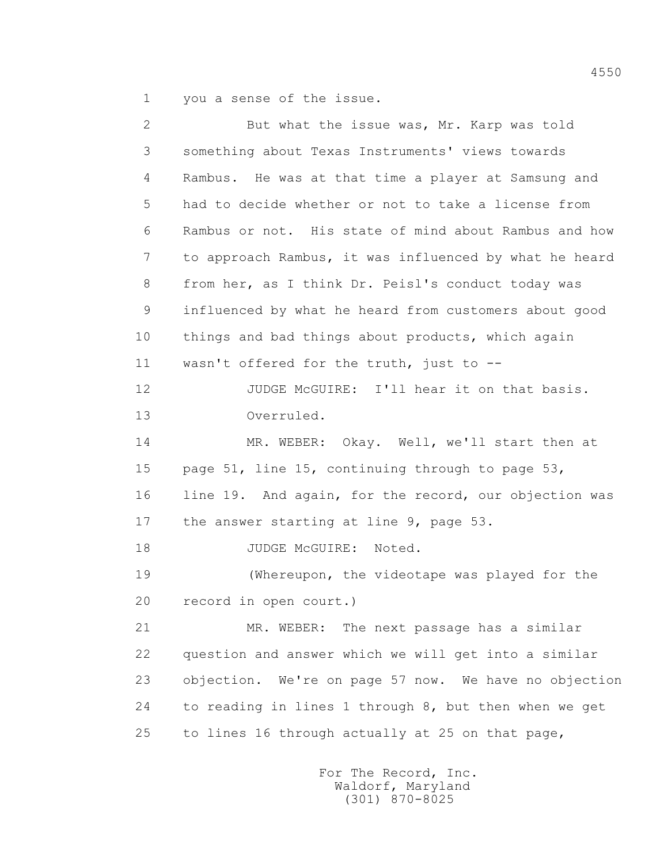1 you a sense of the issue.

 2 But what the issue was, Mr. Karp was told 3 something about Texas Instruments' views towards 4 Rambus. He was at that time a player at Samsung and 5 had to decide whether or not to take a license from 6 Rambus or not. His state of mind about Rambus and how 7 to approach Rambus, it was influenced by what he heard 8 from her, as I think Dr. Peisl's conduct today was 9 influenced by what he heard from customers about good 10 things and bad things about products, which again 11 wasn't offered for the truth, just to -- 12 JUDGE McGUIRE: I'll hear it on that basis. 13 Overruled. 14 MR. WEBER: Okay. Well, we'll start then at 15 page 51, line 15, continuing through to page 53, 16 line 19. And again, for the record, our objection was 17 the answer starting at line 9, page 53. 18 JUDGE McGUIRE: Noted. 19 (Whereupon, the videotape was played for the 20 record in open court.) 21 MR. WEBER: The next passage has a similar 22 question and answer which we will get into a similar 23 objection. We're on page 57 now. We have no objection 24 to reading in lines 1 through 8, but then when we get 25 to lines 16 through actually at 25 on that page,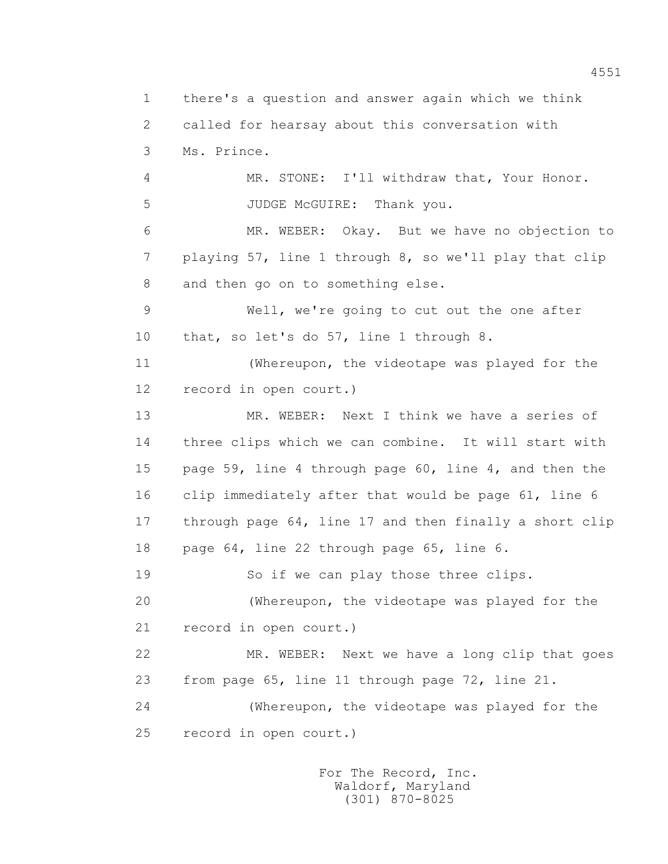1 there's a question and answer again which we think 2 called for hearsay about this conversation with 3 Ms. Prince. 4 MR. STONE: I'll withdraw that, Your Honor. 5 JUDGE McGUIRE: Thank you. 6 MR. WEBER: Okay. But we have no objection to 7 playing 57, line 1 through 8, so we'll play that clip 8 and then go on to something else. 9 Well, we're going to cut out the one after 10 that, so let's do 57, line 1 through 8. 11 (Whereupon, the videotape was played for the 12 record in open court.) 13 MR. WEBER: Next I think we have a series of 14 three clips which we can combine. It will start with 15 page 59, line 4 through page 60, line 4, and then the 16 clip immediately after that would be page 61, line 6 17 through page 64, line 17 and then finally a short clip 18 page 64, line 22 through page 65, line 6. 19 So if we can play those three clips. 20 (Whereupon, the videotape was played for the 21 record in open court.) 22 MR. WEBER: Next we have a long clip that goes 23 from page 65, line 11 through page 72, line 21. 24 (Whereupon, the videotape was played for the 25 record in open court.)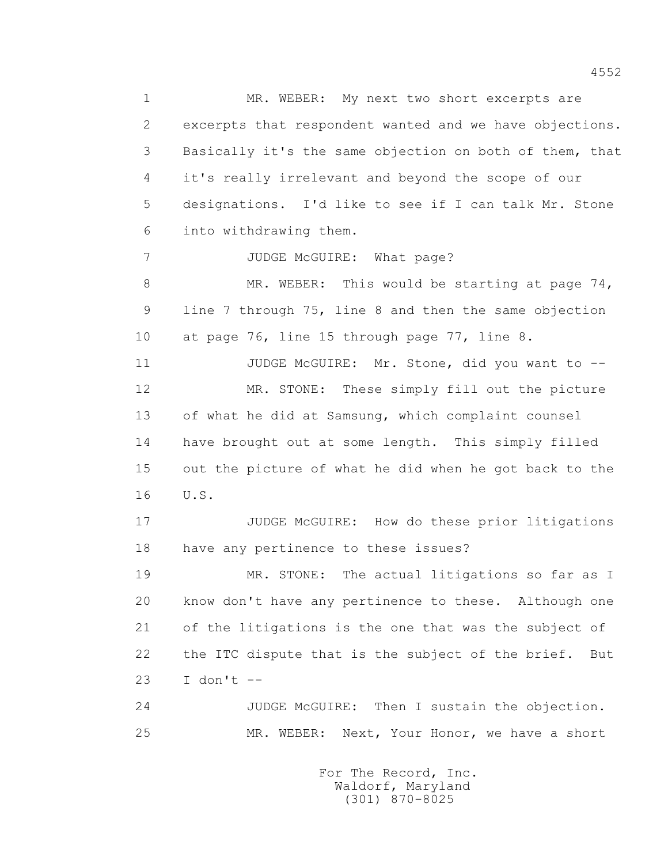1 MR. WEBER: My next two short excerpts are 2 excerpts that respondent wanted and we have objections. 3 Basically it's the same objection on both of them, that 4 it's really irrelevant and beyond the scope of our 5 designations. I'd like to see if I can talk Mr. Stone 6 into withdrawing them. 7 JUDGE McGUIRE: What page? 8 MR. WEBER: This would be starting at page 74, 9 line 7 through 75, line 8 and then the same objection 10 at page 76, line 15 through page 77, line 8. 11 JUDGE McGUIRE: Mr. Stone, did you want to -- 12 MR. STONE: These simply fill out the picture 13 of what he did at Samsung, which complaint counsel 14 have brought out at some length. This simply filled 15 out the picture of what he did when he got back to the 16 U.S. 17 JUDGE McGUIRE: How do these prior litigations 18 have any pertinence to these issues? 19 MR. STONE: The actual litigations so far as I 20 know don't have any pertinence to these. Although one 21 of the litigations is the one that was the subject of 22 the ITC dispute that is the subject of the brief. But  $23$  I don't  $-$ 

 24 JUDGE McGUIRE: Then I sustain the objection. 25 MR. WEBER: Next, Your Honor, we have a short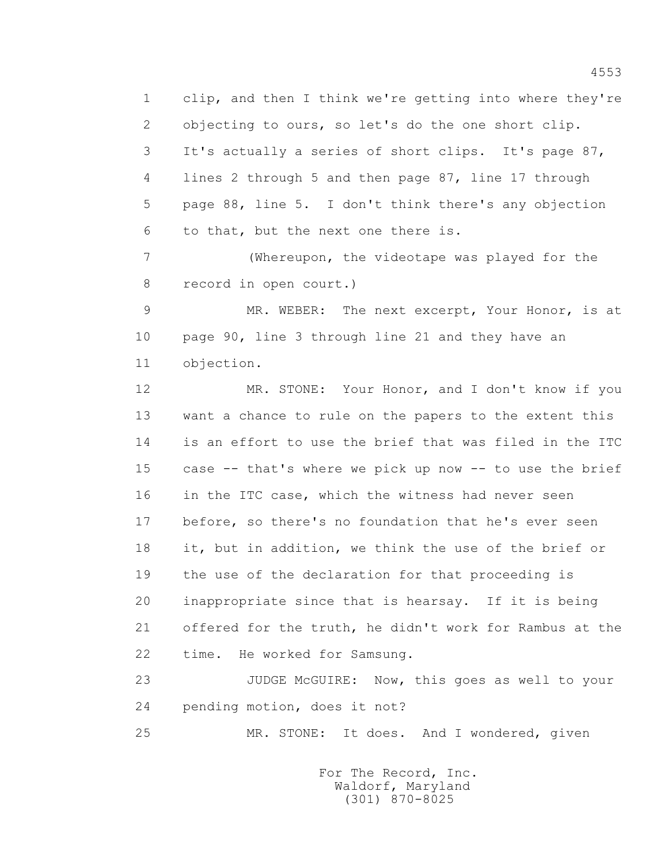1 clip, and then I think we're getting into where they're 2 objecting to ours, so let's do the one short clip. 3 It's actually a series of short clips. It's page 87, 4 lines 2 through 5 and then page 87, line 17 through 5 page 88, line 5. I don't think there's any objection 6 to that, but the next one there is.

 7 (Whereupon, the videotape was played for the 8 record in open court.)

 9 MR. WEBER: The next excerpt, Your Honor, is at 10 page 90, line 3 through line 21 and they have an 11 objection.

 12 MR. STONE: Your Honor, and I don't know if you 13 want a chance to rule on the papers to the extent this 14 is an effort to use the brief that was filed in the ITC 15 case -- that's where we pick up now -- to use the brief 16 in the ITC case, which the witness had never seen 17 before, so there's no foundation that he's ever seen 18 it, but in addition, we think the use of the brief or 19 the use of the declaration for that proceeding is 20 inappropriate since that is hearsay. If it is being 21 offered for the truth, he didn't work for Rambus at the 22 time. He worked for Samsung.

 23 JUDGE McGUIRE: Now, this goes as well to your 24 pending motion, does it not?

25 MR. STONE: It does. And I wondered, given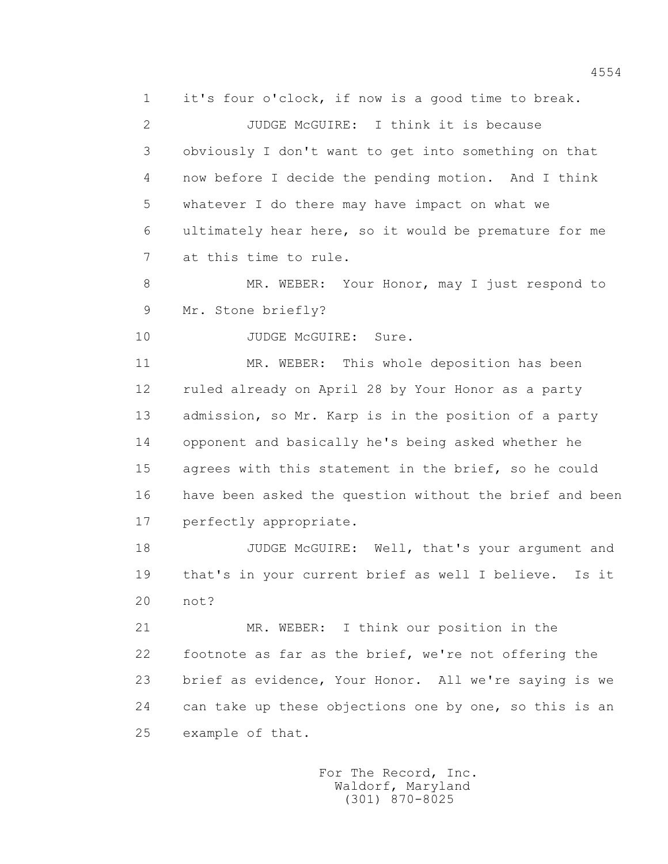1 it's four o'clock, if now is a good time to break.

2 JUDGE McGUIRE: I think it is because 3 obviously I don't want to get into something on that 4 now before I decide the pending motion. And I think 5 whatever I do there may have impact on what we 6 ultimately hear here, so it would be premature for me 7 at this time to rule.

 8 MR. WEBER: Your Honor, may I just respond to 9 Mr. Stone briefly?

10 JUDGE McGUIRE: Sure.

 11 MR. WEBER: This whole deposition has been 12 ruled already on April 28 by Your Honor as a party 13 admission, so Mr. Karp is in the position of a party 14 opponent and basically he's being asked whether he 15 agrees with this statement in the brief, so he could 16 have been asked the question without the brief and been 17 perfectly appropriate.

 18 JUDGE McGUIRE: Well, that's your argument and 19 that's in your current brief as well I believe. Is it 20 not?

 21 MR. WEBER: I think our position in the 22 footnote as far as the brief, we're not offering the 23 brief as evidence, Your Honor. All we're saying is we 24 can take up these objections one by one, so this is an 25 example of that.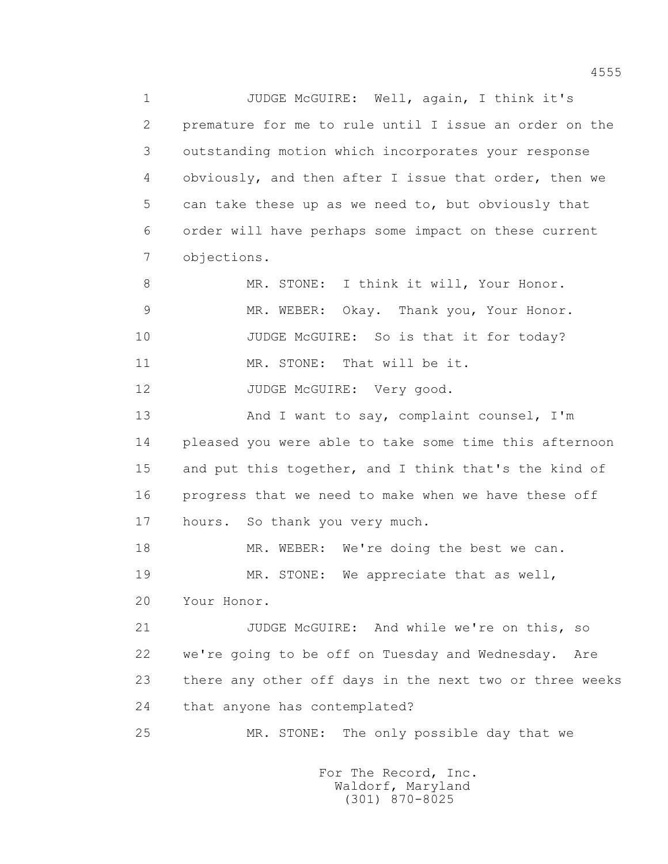1 JUDGE McGUIRE: Well, again, I think it's 2 premature for me to rule until I issue an order on the 3 outstanding motion which incorporates your response 4 obviously, and then after I issue that order, then we 5 can take these up as we need to, but obviously that 6 order will have perhaps some impact on these current 7 objections.

 8 MR. STONE: I think it will, Your Honor. 9 MR. WEBER: Okay. Thank you, Your Honor. 10 JUDGE McGUIRE: So is that it for today?

11 MR. STONE: That will be it.

12 JUDGE McGUIRE: Very good.

13 And I want to say, complaint counsel, I'm 14 pleased you were able to take some time this afternoon 15 and put this together, and I think that's the kind of 16 progress that we need to make when we have these off 17 hours. So thank you very much.

18 MR. WEBER: We're doing the best we can. 19 MR. STONE: We appreciate that as well,

20 Your Honor.

 21 JUDGE McGUIRE: And while we're on this, so 22 we're going to be off on Tuesday and Wednesday. Are 23 there any other off days in the next two or three weeks 24 that anyone has contemplated?

25 MR. STONE: The only possible day that we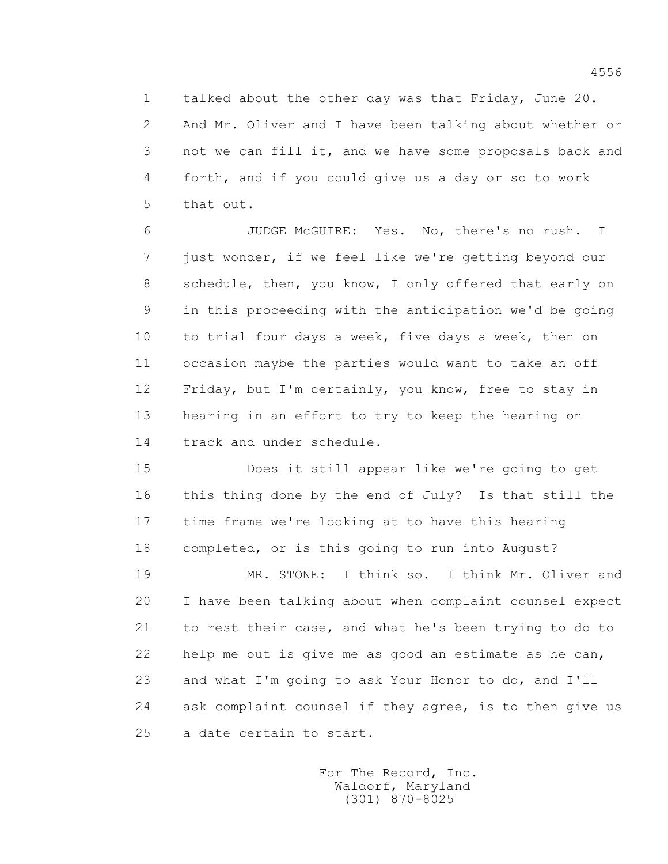1 talked about the other day was that Friday, June 20. 2 And Mr. Oliver and I have been talking about whether or 3 not we can fill it, and we have some proposals back and 4 forth, and if you could give us a day or so to work 5 that out.

 6 JUDGE McGUIRE: Yes. No, there's no rush. I 7 just wonder, if we feel like we're getting beyond our 8 schedule, then, you know, I only offered that early on 9 in this proceeding with the anticipation we'd be going 10 to trial four days a week, five days a week, then on 11 occasion maybe the parties would want to take an off 12 Friday, but I'm certainly, you know, free to stay in 13 hearing in an effort to try to keep the hearing on 14 track and under schedule.

 15 Does it still appear like we're going to get 16 this thing done by the end of July? Is that still the 17 time frame we're looking at to have this hearing 18 completed, or is this going to run into August?

 19 MR. STONE: I think so. I think Mr. Oliver and 20 I have been talking about when complaint counsel expect 21 to rest their case, and what he's been trying to do to 22 help me out is give me as good an estimate as he can, 23 and what I'm going to ask Your Honor to do, and I'll 24 ask complaint counsel if they agree, is to then give us 25 a date certain to start.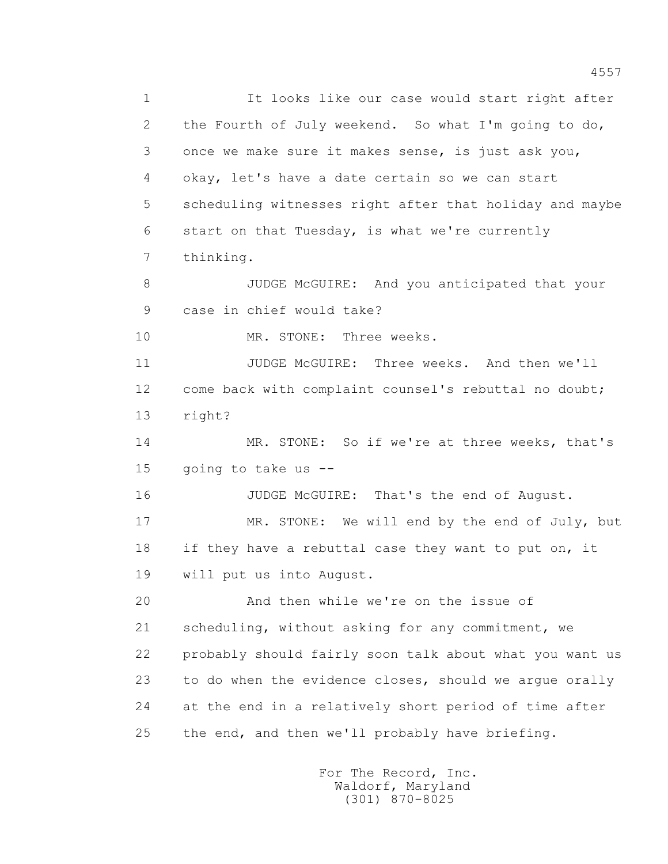4557 1 It looks like our case would start right after 2 the Fourth of July weekend. So what I'm going to do, 3 once we make sure it makes sense, is just ask you, 4 okay, let's have a date certain so we can start 5 scheduling witnesses right after that holiday and maybe 6 start on that Tuesday, is what we're currently 8 JUDGE McGUIRE: And you anticipated that your 9 case in chief would take? 10 MR. STONE: Three weeks. 11 JUDGE McGUIRE: Three weeks. And then we'll 12 come back with complaint counsel's rebuttal no doubt;

> 14 MR. STONE: So if we're at three weeks, that's 15 going to take us --

7 thinking.

13 right?

16 JUDGE McGUIRE: That's the end of August. 17 MR. STONE: We will end by the end of July, but 18 if they have a rebuttal case they want to put on, it 19 will put us into August.

 20 And then while we're on the issue of 21 scheduling, without asking for any commitment, we 22 probably should fairly soon talk about what you want us 23 to do when the evidence closes, should we argue orally 24 at the end in a relatively short period of time after 25 the end, and then we'll probably have briefing.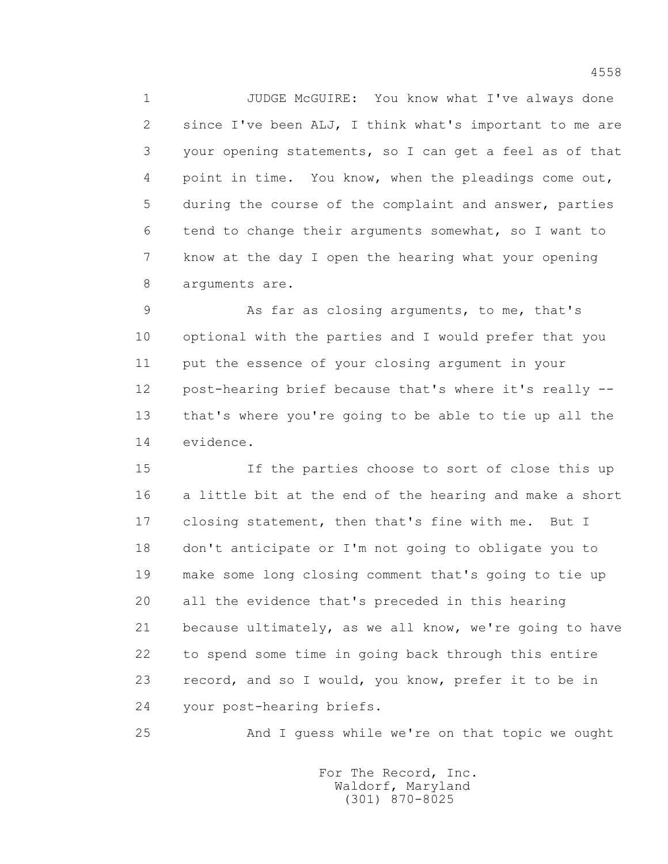1 JUDGE McGUIRE: You know what I've always done 2 since I've been ALJ, I think what's important to me are 3 your opening statements, so I can get a feel as of that 4 point in time. You know, when the pleadings come out, 5 during the course of the complaint and answer, parties 6 tend to change their arguments somewhat, so I want to 7 know at the day I open the hearing what your opening 8 arguments are.

 9 As far as closing arguments, to me, that's 10 optional with the parties and I would prefer that you 11 put the essence of your closing argument in your 12 post-hearing brief because that's where it's really -- 13 that's where you're going to be able to tie up all the 14 evidence.

 15 If the parties choose to sort of close this up 16 a little bit at the end of the hearing and make a short 17 closing statement, then that's fine with me. But I 18 don't anticipate or I'm not going to obligate you to 19 make some long closing comment that's going to tie up 20 all the evidence that's preceded in this hearing 21 because ultimately, as we all know, we're going to have 22 to spend some time in going back through this entire 23 record, and so I would, you know, prefer it to be in 24 your post-hearing briefs.

25 And I guess while we're on that topic we ought

 For The Record, Inc. Waldorf, Maryland (301) 870-8025

4558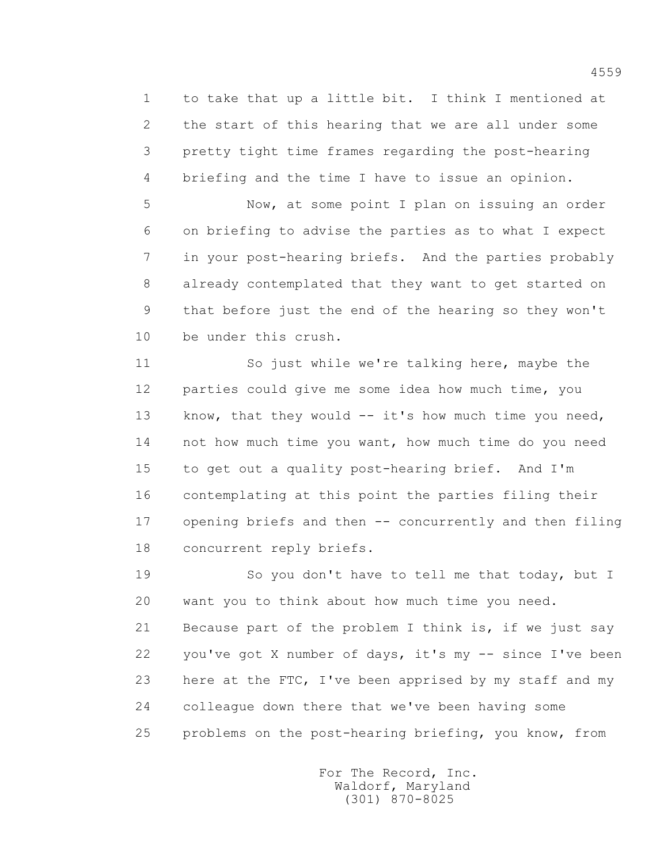1 to take that up a little bit. I think I mentioned at 2 the start of this hearing that we are all under some 3 pretty tight time frames regarding the post-hearing 4 briefing and the time I have to issue an opinion.

 5 Now, at some point I plan on issuing an order 6 on briefing to advise the parties as to what I expect 7 in your post-hearing briefs. And the parties probably 8 already contemplated that they want to get started on 9 that before just the end of the hearing so they won't 10 be under this crush.

 11 So just while we're talking here, maybe the 12 parties could give me some idea how much time, you 13 know, that they would -- it's how much time you need, 14 not how much time you want, how much time do you need 15 to get out a quality post-hearing brief. And I'm 16 contemplating at this point the parties filing their 17 opening briefs and then -- concurrently and then filing 18 concurrent reply briefs.

19 So you don't have to tell me that today, but I 20 want you to think about how much time you need. 21 Because part of the problem I think is, if we just say 22 you've got X number of days, it's my -- since I've been 23 here at the FTC, I've been apprised by my staff and my 24 colleague down there that we've been having some 25 problems on the post-hearing briefing, you know, from

> For The Record, Inc. Waldorf, Maryland (301) 870-8025

4559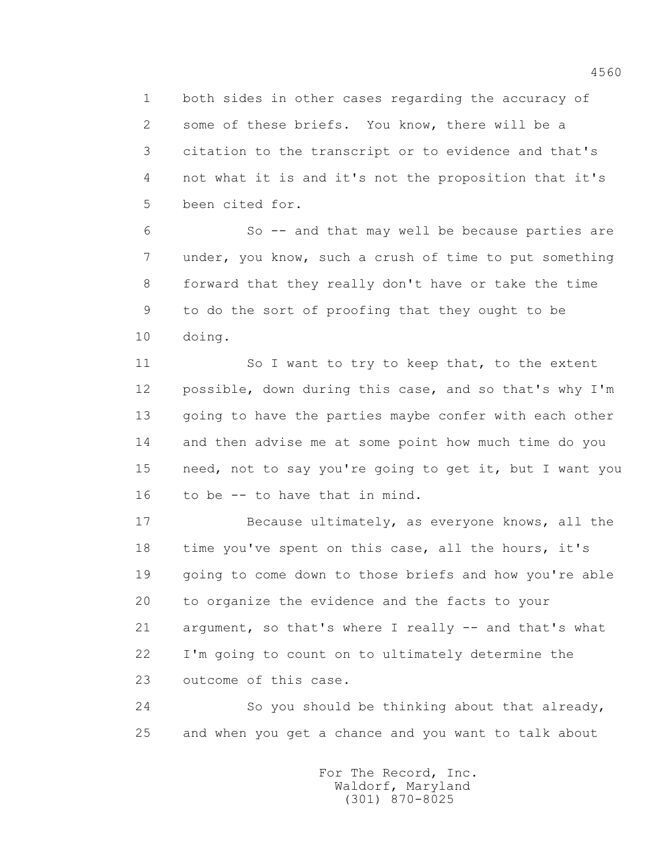1 both sides in other cases regarding the accuracy of 2 some of these briefs. You know, there will be a 3 citation to the transcript or to evidence and that's 4 not what it is and it's not the proposition that it's 5 been cited for.

 6 So -- and that may well be because parties are 7 under, you know, such a crush of time to put something 8 forward that they really don't have or take the time 9 to do the sort of proofing that they ought to be 10 doing.

 11 So I want to try to keep that, to the extent 12 possible, down during this case, and so that's why I'm 13 going to have the parties maybe confer with each other 14 and then advise me at some point how much time do you 15 need, not to say you're going to get it, but I want you 16 to be -- to have that in mind.

 17 Because ultimately, as everyone knows, all the 18 time you've spent on this case, all the hours, it's 19 going to come down to those briefs and how you're able 20 to organize the evidence and the facts to your 21 argument, so that's where I really -- and that's what 22 I'm going to count on to ultimately determine the 23 outcome of this case.

 24 So you should be thinking about that already, 25 and when you get a chance and you want to talk about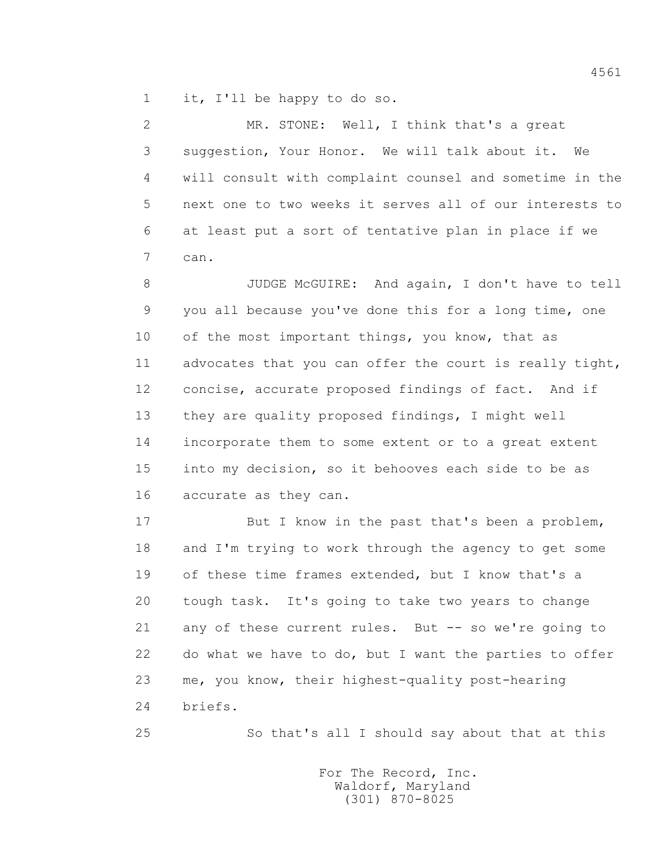1 it, I'll be happy to do so.

 2 MR. STONE: Well, I think that's a great 3 suggestion, Your Honor. We will talk about it. We 4 will consult with complaint counsel and sometime in the 5 next one to two weeks it serves all of our interests to 6 at least put a sort of tentative plan in place if we 7 can.

 8 JUDGE McGUIRE: And again, I don't have to tell 9 you all because you've done this for a long time, one 10 of the most important things, you know, that as 11 advocates that you can offer the court is really tight, 12 concise, accurate proposed findings of fact. And if 13 they are quality proposed findings, I might well 14 incorporate them to some extent or to a great extent 15 into my decision, so it behooves each side to be as 16 accurate as they can.

 17 But I know in the past that's been a problem, 18 and I'm trying to work through the agency to get some 19 of these time frames extended, but I know that's a 20 tough task. It's going to take two years to change 21 any of these current rules. But -- so we're going to 22 do what we have to do, but I want the parties to offer 23 me, you know, their highest-quality post-hearing 24 briefs.

25 So that's all I should say about that at this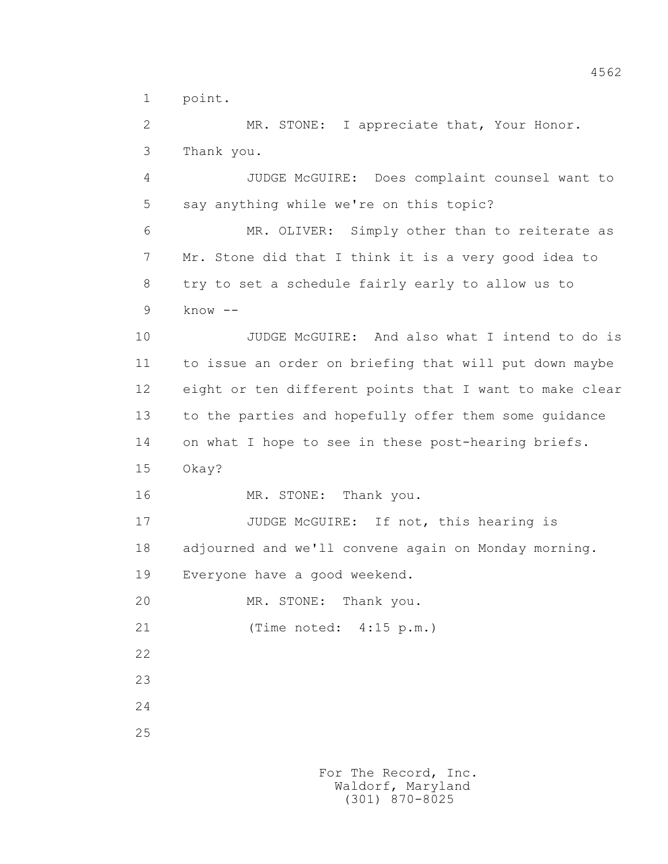1 point.

 2 MR. STONE: I appreciate that, Your Honor. 3 Thank you.

 4 JUDGE McGUIRE: Does complaint counsel want to 5 say anything while we're on this topic?

 6 MR. OLIVER: Simply other than to reiterate as 7 Mr. Stone did that I think it is a very good idea to 8 try to set a schedule fairly early to allow us to 9 know --

 10 JUDGE McGUIRE: And also what I intend to do is 11 to issue an order on briefing that will put down maybe 12 eight or ten different points that I want to make clear 13 to the parties and hopefully offer them some guidance 14 on what I hope to see in these post-hearing briefs. 15 Okay?

16 MR. STONE: Thank you.

17 JUDGE McGUIRE: If not, this hearing is 18 adjourned and we'll convene again on Monday morning. 19 Everyone have a good weekend.

20 MR. STONE: Thank you.

21 (Time noted: 4:15 p.m.)

22

23

24

25